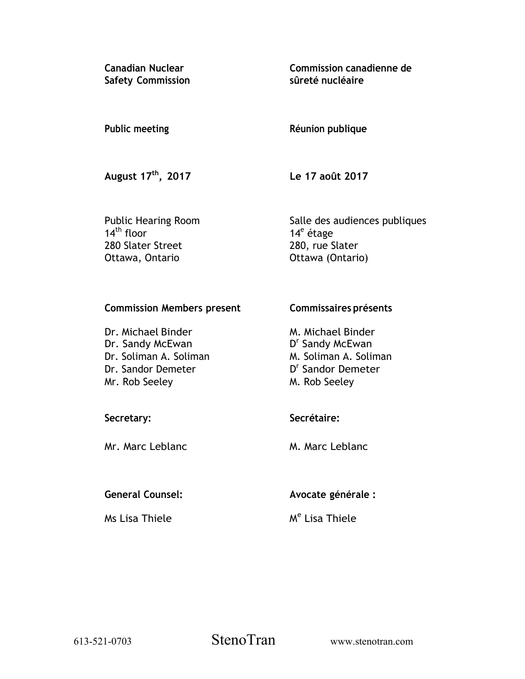**Canadian Nuclear Safety Commission**  **Commission canadienne de sûreté nucléaire** 

## **Public meeting**

## **Réunion publique**

**August 17th, 2017** 

**Le 17 août 2017** 

Public Hearing Room  $14<sup>th</sup>$  floor 280 Slater Street Ottawa, Ontario

Salle des audiences publiques 14<sup>e</sup> étage 280, rue Slater Ottawa (Ontario)

## **Commission Members present**

Dr. Michael Binder Dr. Sandy McEwan Dr. Soliman A. Soliman Dr. Sandor Demeter Mr. Rob Seeley

## **Secretary:**

Mr. Marc Leblanc

## **General Counsel:**

Ms Lisa Thiele

# **Commissaires présents**

M. Michael Binder D<sup>r</sup> Sandy McEwan M. Soliman A. Soliman D<sup>r</sup> Sandor Demeter M. Rob Seeley

## **Secrétaire:**

M. Marc Leblanc

## **Avocate générale :**

M<sup>e</sup> Lisa Thiele

613-521-0703 StenoTran www.stenotran.com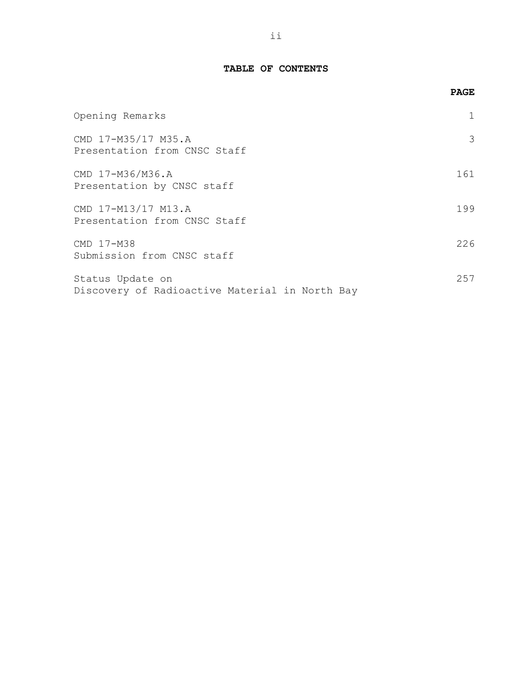## **TABLE OF CONTENTS**

|                                                                    | <b>PAGE</b> |
|--------------------------------------------------------------------|-------------|
| Opening Remarks                                                    |             |
| CMD 17-M35/17 M35.A<br>Presentation from CNSC Staff                | 3           |
| CMD 17-M36/M36.A<br>Presentation by CNSC staff                     | 161         |
| CMD 17-M13/17 M13.A<br>Presentation from CNSC Staff                | 199         |
| CMD 17-M38<br>Submission from CNSC staff                           | 226         |
| Status Update on<br>Discovery of Radioactive Material in North Bay | 257         |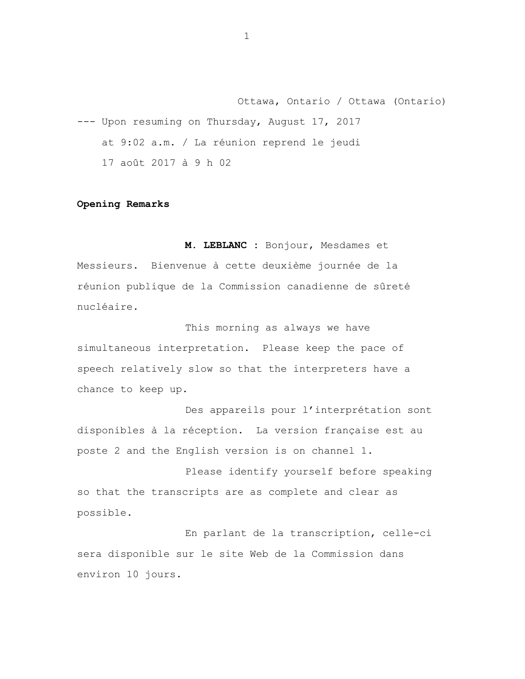<span id="page-2-0"></span>Ottawa, Ontario / Ottawa (Ontario) --- Upon resuming on Thursday, August 17, 2017 at 9:02 a.m. / La réunion reprend le jeudi 17 août 2017 à 9 h 02

#### **Opening Remarks**

**M. LEBLANC :** Bonjour, Mesdames et Messieurs. Bienvenue à cette deuxième journée de la réunion publique de la Commission canadienne de sûreté nucléaire.

This morning as always we have simultaneous interpretation. Please keep the pace of speech relatively slow so that the interpreters have a chance to keep up.

Des appareils pour l'interprétation sont disponibles à la réception. La version française est au poste 2 and the English version is on channel 1.

Please identify yourself before speaking so that the transcripts are as complete and clear as possible.

En parlant de la transcription, celle-ci sera disponible sur le site Web de la Commission dans environ 10 jours.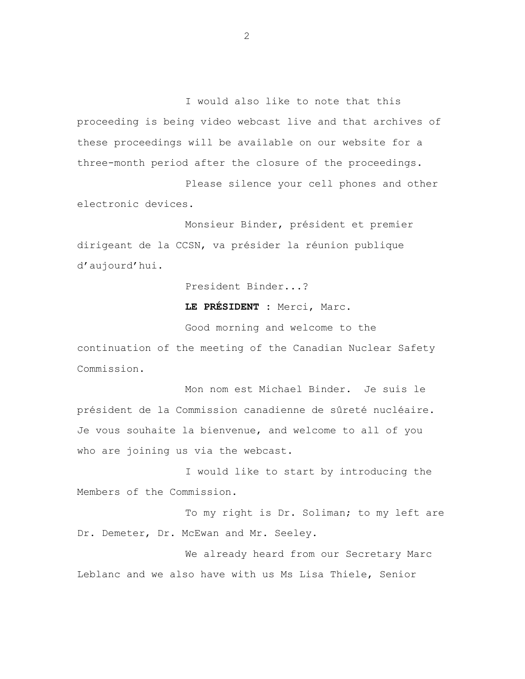I would also like to note that this proceeding is being video webcast live and that archives of these proceedings will be available on our website for a three-month period after the closure of the proceedings.

Please silence your cell phones and other electronic devices.

Monsieur Binder, président et premier dirigeant de la CCSN, va présider la réunion publique d'aujourd'hui.

President Binder...?

**LE PRÉSIDENT :** Merci, Marc.

Good morning and welcome to the continuation of the meeting of the Canadian Nuclear Safety Commission.

Mon nom est Michael Binder. Je suis le président de la Commission canadienne de sûreté nucléaire. Je vous souhaite la bienvenue, and welcome to all of you who are joining us via the webcast.

I would like to start by introducing the Members of the Commission.

To my right is Dr. Soliman; to my left are Dr. Demeter, Dr. McEwan and Mr. Seeley.

We already heard from our Secretary Marc Leblanc and we also have with us Ms Lisa Thiele, Senior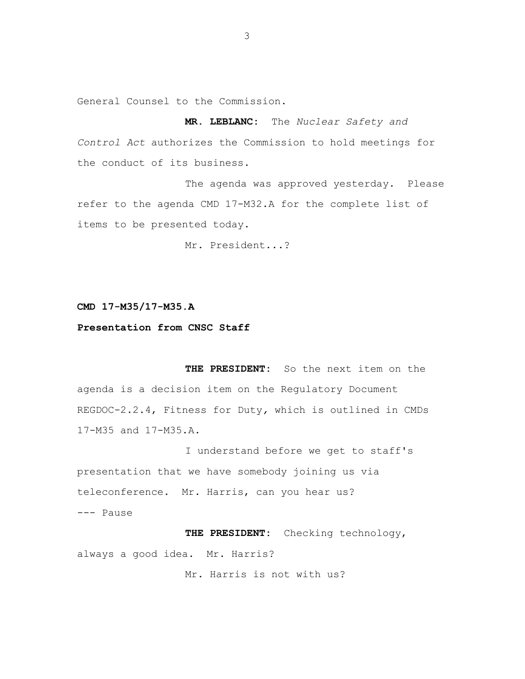<span id="page-4-0"></span>General Counsel to the Commission.

**MR. LEBLANC:** The *Nuclear Safety and Control Act* authorizes the Commission to hold meetings for the conduct of its business.

The agenda was approved yesterday. Please refer to the agenda CMD 17-M32.A for the complete list of items to be presented today.

Mr. President...?

#### **CMD 17-M35/17-M35.A**

### **Presentation from CNSC Staff**

**THE PRESIDENT:** So the next item on the agenda is a decision item on the Regulatory Document REGDOC-2.2.4, Fitness for Duty*,* which is outlined in CMDs 17-M35 and 17-M35.A.

I understand before we get to staff's presentation that we have somebody joining us via teleconference. Mr. Harris, can you hear us? --- Pause

**THE PRESIDENT:** Checking technology, always a good idea. Mr. Harris?

Mr. Harris is not with us?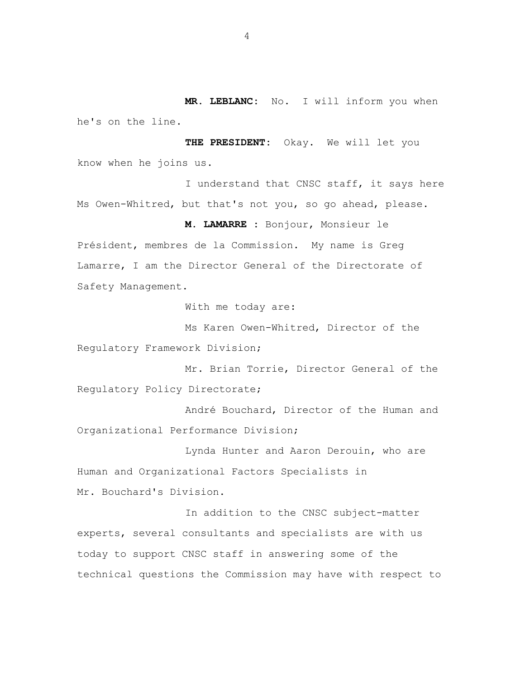**MR. LEBLANC:** No. I will inform you when he's on the line.

**THE PRESIDENT:** Okay. We will let you know when he joins us.

I understand that CNSC staff, it says here Ms Owen-Whitred, but that's not you, so go ahead, please.

**M. LAMARRE :** Bonjour, Monsieur le

Président, membres de la Commission. My name is Greg Lamarre, I am the Director General of the Directorate of Safety Management.

With me today are:

Ms Karen Owen-Whitred, Director of the Regulatory Framework Division;

Mr. Brian Torrie, Director General of the Regulatory Policy Directorate;

André Bouchard, Director of the Human and Organizational Performance Division;

Lynda Hunter and Aaron Derouin, who are Human and Organizational Factors Specialists in Mr. Bouchard's Division.

In addition to the CNSC subject-matter experts, several consultants and specialists are with us today to support CNSC staff in answering some of the technical questions the Commission may have with respect to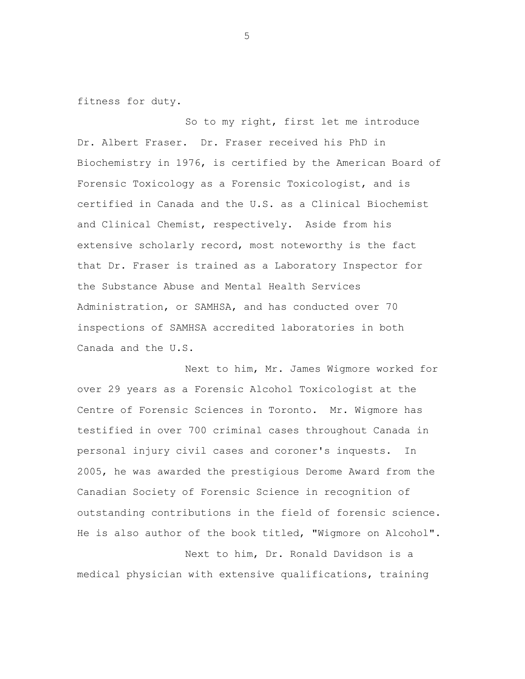fitness for duty.

So to my right, first let me introduce Dr. Albert Fraser. Dr. Fraser received his PhD in Biochemistry in 1976, is certified by the American Board of Forensic Toxicology as a Forensic Toxicologist, and is certified in Canada and the U.S. as a Clinical Biochemist and Clinical Chemist, respectively. Aside from his extensive scholarly record, most noteworthy is the fact that Dr. Fraser is trained as a Laboratory Inspector for the Substance Abuse and Mental Health Services Administration, or SAMHSA, and has conducted over 70 inspections of SAMHSA accredited laboratories in both Canada and the U.S.

Next to him, Mr. James Wigmore worked for over 29 years as a Forensic Alcohol Toxicologist at the Centre of Forensic Sciences in Toronto. Mr. Wigmore has testified in over 700 criminal cases throughout Canada in personal injury civil cases and coroner's inquests. In 2005, he was awarded the prestigious Derome Award from the Canadian Society of Forensic Science in recognition of outstanding contributions in the field of forensic science. He is also author of the book titled, "Wigmore on Alcohol".

Next to him, Dr. Ronald Davidson is a medical physician with extensive qualifications, training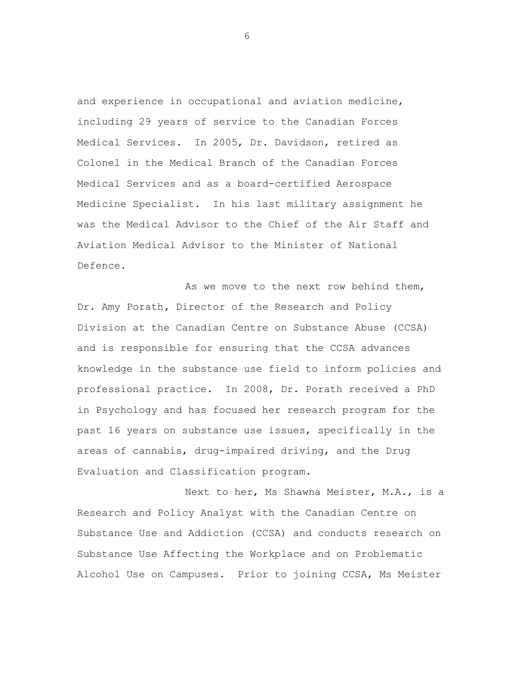and experience in occupational and aviation medicine, including 29 years of service to the Canadian Forces Medical Services. In 2005, Dr. Davidson, retired as Colonel in the Medical Branch of the Canadian Forces Medical Services and as a board-certified Aerospace Medicine Specialist. In his last military assignment he was the Medical Advisor to the Chief of the Air Staff and Aviation Medical Advisor to the Minister of National Defence.

As we move to the next row behind them, Dr. Amy Porath**,** Director of the Research and Policy Division at the Canadian Centre on Substance Abuse (CCSA) and is responsible for ensuring that the CCSA advances knowledge in the substance use field to inform policies and professional practice. In 2008, Dr. Porath received a PhD in Psychology and has focused her research program for the past 16 years on substance use issues, specifically in the areas of cannabis, drug-impaired driving, and the Drug Evaluation and Classification program.

Next to her, Ms Shawna Meister, M.A., is a Research and Policy Analyst with the Canadian Centre on Substance Use and Addiction (CCSA) and conducts research on Substance Use Affecting the Workplace and on Problematic Alcohol Use on Campuses. Prior to joining CCSA, Ms Meister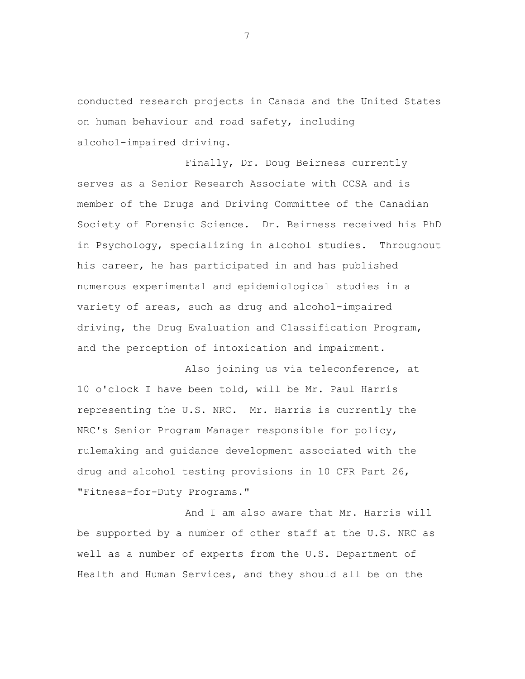conducted research projects in Canada and the United States on human behaviour and road safety, including alcohol-impaired driving.

Finally, Dr. Doug Beirness currently serves as a Senior Research Associate with CCSA and is member of the Drugs and Driving Committee of the Canadian Society of Forensic Science. Dr. Beirness received his PhD in Psychology, specializing in alcohol studies. Throughout his career, he has participated in and has published numerous experimental and epidemiological studies in a variety of areas, such as drug and alcohol-impaired driving, the Drug Evaluation and Classification Program, and the perception of intoxication and impairment.

Also joining us via teleconference, at 10 o'clock I have been told, will be Mr. Paul Harris representing the U.S. NRC. Mr. Harris is currently the NRC's Senior Program Manager responsible for policy, rulemaking and guidance development associated with the drug and alcohol testing provisions in 10 CFR Part 26, "Fitness-for-Duty Programs."

And I am also aware that Mr. Harris will be supported by a number of other staff at the U.S. NRC as well as a number of experts from the U.S. Department of Health and Human Services, and they should all be on the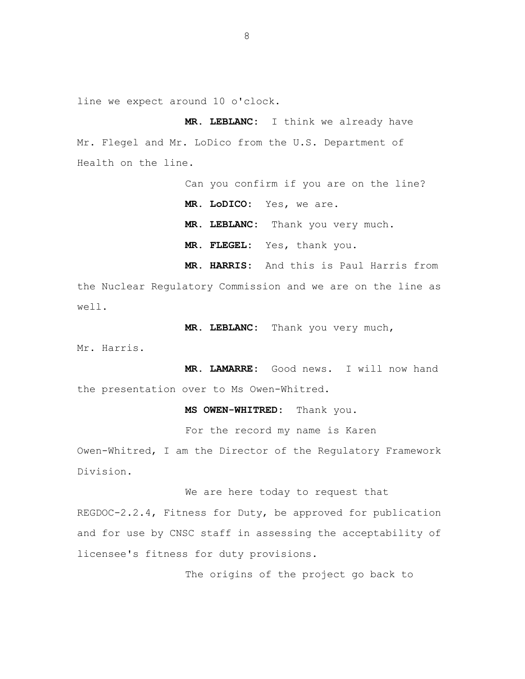line we expect around 10 o'clock.

**MR. LEBLANC:** I think we already have Mr. Flegel and Mr. LoDico from the U.S. Department of Health on the line.

> Can you confirm if you are on the line? **MR. LoDICO:** Yes, we are. **MR. LEBLANC:** Thank you very much. **MR. FLEGEL:** Yes, thank you. **MR. HARRIS:** And this is Paul Harris from

the Nuclear Regulatory Commission and we are on the line as well.

**MR. LEBLANC:** Thank you very much,

Mr. Harris.

**MR. LAMARRE:** Good news. I will now hand the presentation over to Ms Owen-Whitred.

**MS OWEN-WHITRED:** Thank you.

For the record my name is Karen

Owen-Whitred, I am the Director of the Regulatory Framework Division.

We are here today to request that

REGDOC-2.2.4, Fitness for Duty, be approved for publication and for use by CNSC staff in assessing the acceptability of licensee's fitness for duty provisions.

The origins of the project go back to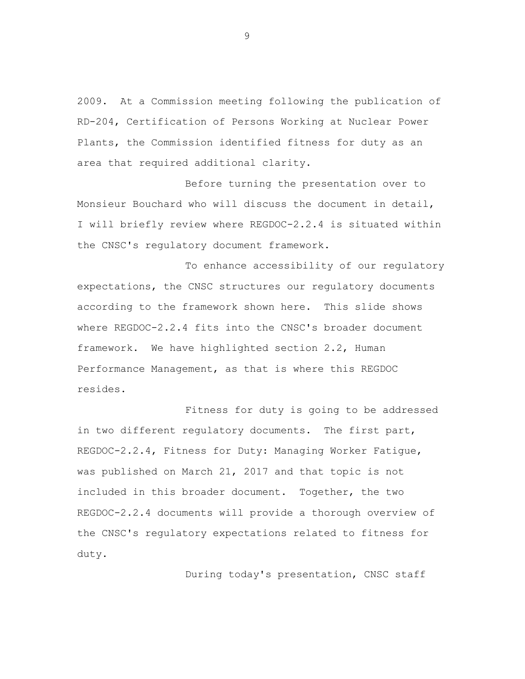2009. At a Commission meeting following the publication of RD-204, Certification of Persons Working at Nuclear Power Plants, the Commission identified fitness for duty as an area that required additional clarity.

Before turning the presentation over to Monsieur Bouchard who will discuss the document in detail, I will briefly review where REGDOC-2.2.4 is situated within the CNSC's regulatory document framework.

To enhance accessibility of our regulatory expectations, the CNSC structures our regulatory documents according to the framework shown here. This slide shows where REGDOC-2.2.4 fits into the CNSC's broader document framework. We have highlighted section 2.2, Human Performance Management, as that is where this REGDOC resides.

Fitness for duty is going to be addressed in two different regulatory documents. The first part, REGDOC-2.2.4, Fitness for Duty: Managing Worker Fatigue, was published on March 21, 2017 and that topic is not included in this broader document. Together, the two REGDOC-2.2.4 documents will provide a thorough overview of the CNSC's regulatory expectations related to fitness for duty.

During today's presentation, CNSC staff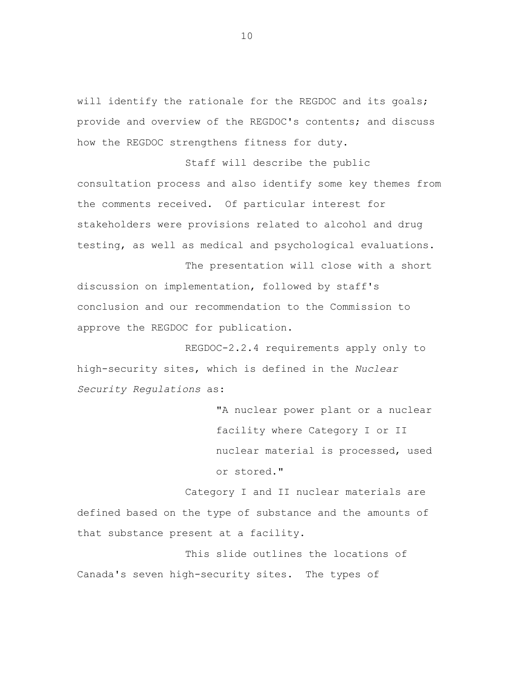will identify the rationale for the REGDOC and its goals; provide and overview of the REGDOC's contents; and discuss how the REGDOC strengthens fitness for duty.

Staff will describe the public consultation process and also identify some key themes from the comments received. Of particular interest for stakeholders were provisions related to alcohol and drug testing, as well as medical and psychological evaluations.

The presentation will close with a short discussion on implementation, followed by staff's conclusion and our recommendation to the Commission to approve the REGDOC for publication.

REGDOC-2.2.4 requirements apply only to high-security sites, which is defined in the *Nuclear Security Regulations* as:

> "A nuclear power plant or a nuclear facility where Category I or II nuclear material is processed, used or stored."

Category I and II nuclear materials are defined based on the type of substance and the amounts of that substance present at a facility.

This slide outlines the locations of Canada's seven high-security sites. The types of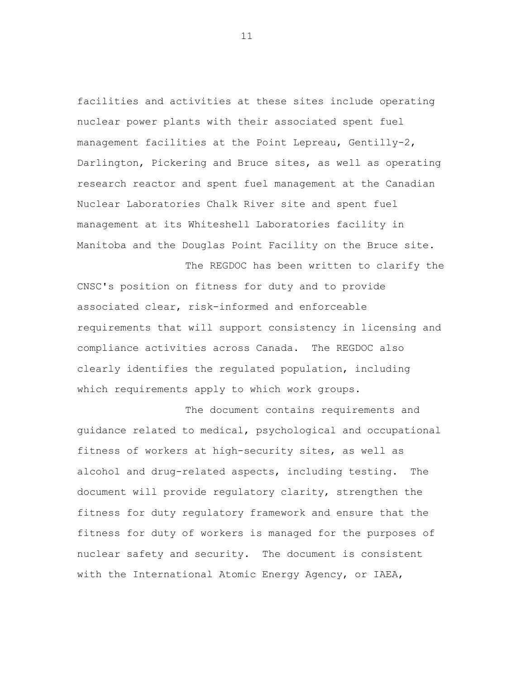facilities and activities at these sites include operating nuclear power plants with their associated spent fuel management facilities at the Point Lepreau, Gentilly-2, Darlington, Pickering and Bruce sites, as well as operating research reactor and spent fuel management at the Canadian Nuclear Laboratories Chalk River site and spent fuel management at its Whiteshell Laboratories facility in Manitoba and the Douglas Point Facility on the Bruce site.

The REGDOC has been written to clarify the CNSC's position on fitness for duty and to provide associated clear, risk-informed and enforceable requirements that will support consistency in licensing and compliance activities across Canada. The REGDOC also clearly identifies the regulated population, including which requirements apply to which work groups.

The document contains requirements and guidance related to medical, psychological and occupational fitness of workers at high-security sites, as well as alcohol and drug-related aspects, including testing. The document will provide regulatory clarity, strengthen the fitness for duty regulatory framework and ensure that the fitness for duty of workers is managed for the purposes of nuclear safety and security. The document is consistent with the International Atomic Energy Agency, or IAEA,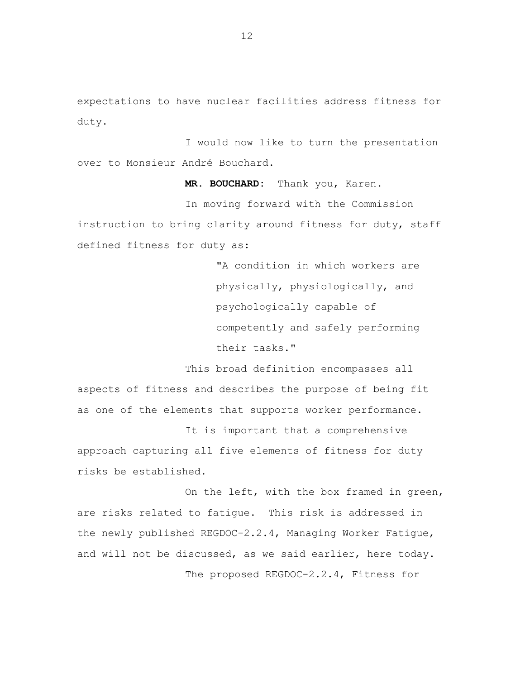expectations to have nuclear facilities address fitness for duty.

I would now like to turn the presentation over to Monsieur André Bouchard.

**MR. BOUCHARD:** Thank you, Karen.

In moving forward with the Commission instruction to bring clarity around fitness for duty, staff defined fitness for duty as:

> "A condition in which workers are physically, physiologically, and psychologically capable of competently and safely performing their tasks."

This broad definition encompasses all aspects of fitness and describes the purpose of being fit as one of the elements that supports worker performance.

It is important that a comprehensive approach capturing all five elements of fitness for duty risks be established.

On the left, with the box framed in green, are risks related to fatigue. This risk is addressed in the newly published REGDOC-2.2.4, Managing Worker Fatigue, and will not be discussed, as we said earlier, here today. The proposed REGDOC-2.2.4, Fitness for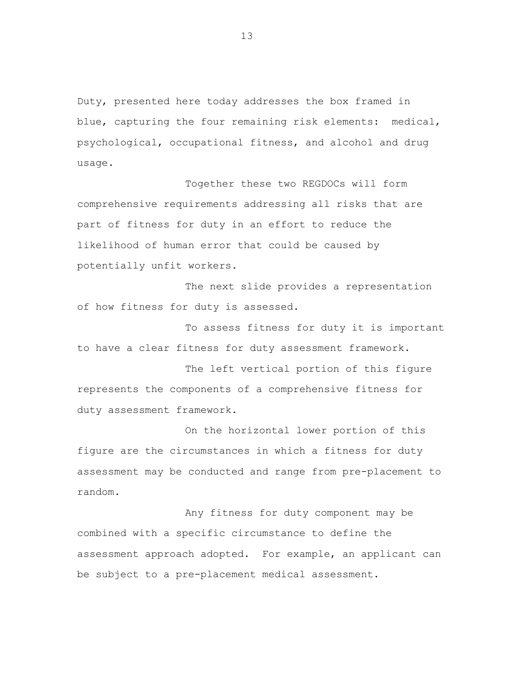Duty, presented here today addresses the box framed in blue, capturing the four remaining risk elements: medical, psychological, occupational fitness, and alcohol and drug usage.

Together these two REGDOCs will form comprehensive requirements addressing all risks that are part of fitness for duty in an effort to reduce the likelihood of human error that could be caused by potentially unfit workers.

The next slide provides a representation of how fitness for duty is assessed.

To assess fitness for duty it is important to have a clear fitness for duty assessment framework.

The left vertical portion of this figure represents the components of a comprehensive fitness for duty assessment framework.

On the horizontal lower portion of this figure are the circumstances in which a fitness for duty assessment may be conducted and range from pre-placement to random.

Any fitness for duty component may be combined with a specific circumstance to define the assessment approach adopted. For example, an applicant can be subject to a pre-placement medical assessment.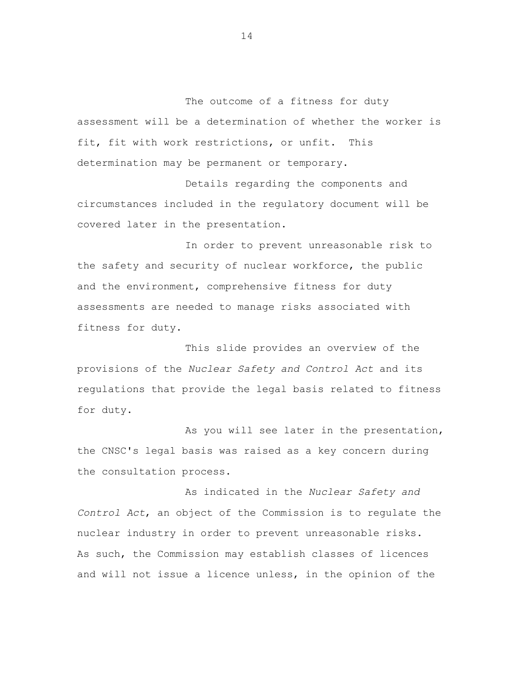The outcome of a fitness for duty assessment will be a determination of whether the worker is fit, fit with work restrictions, or unfit. This determination may be permanent or temporary.

Details regarding the components and circumstances included in the regulatory document will be covered later in the presentation.

In order to prevent unreasonable risk to the safety and security of nuclear workforce, the public and the environment, comprehensive fitness for duty assessments are needed to manage risks associated with fitness for duty.

This slide provides an overview of the provisions of the *Nuclear Safety and Control Act* and its regulations that provide the legal basis related to fitness for duty.

As you will see later in the presentation, the CNSC's legal basis was raised as a key concern during the consultation process.

As indicated in the *Nuclear Safety and Control Act*, an object of the Commission is to regulate the nuclear industry in order to prevent unreasonable risks. As such, the Commission may establish classes of licences and will not issue a licence unless, in the opinion of the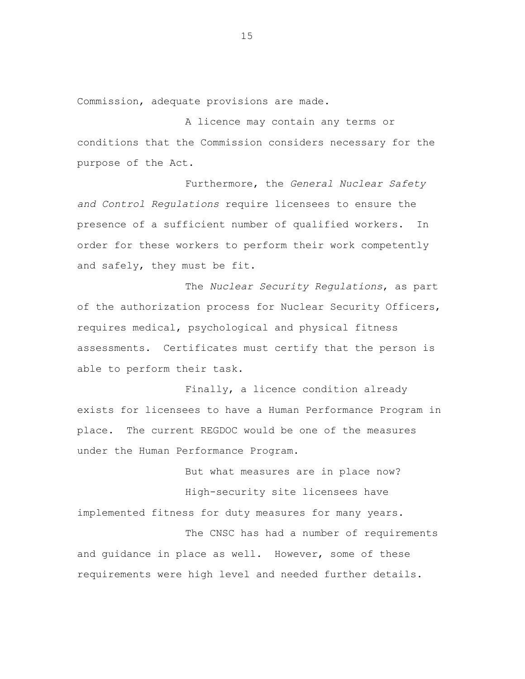Commission, adequate provisions are made.

A licence may contain any terms or conditions that the Commission considers necessary for the purpose of the Act.

 Furthermore, the *General Nuclear Safety and Control Regulations* require licensees to ensure the presence of a sufficient number of qualified workers. In order for these workers to perform their work competently and safely, they must be fit.

The *Nuclear Security Regulations*, as part of the authorization process for Nuclear Security Officers, requires medical, psychological and physical fitness assessments. Certificates must certify that the person is able to perform their task.

Finally, a licence condition already exists for licensees to have a Human Performance Program in place. The current REGDOC would be one of the measures under the Human Performance Program.

But what measures are in place now? High-security site licensees have implemented fitness for duty measures for many years.

The CNSC has had a number of requirements and guidance in place as well. However, some of these requirements were high level and needed further details.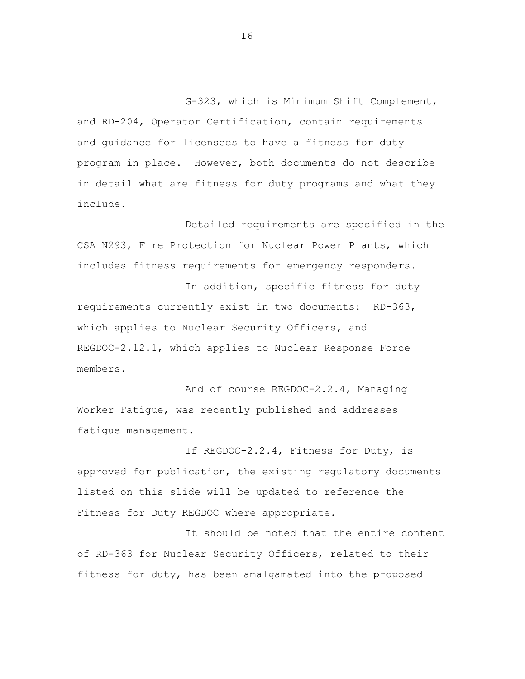G-323, which is Minimum Shift Complement, and RD-204, Operator Certification, contain requirements and guidance for licensees to have a fitness for duty program in place. However, both documents do not describe in detail what are fitness for duty programs and what they include.

Detailed requirements are specified in the CSA N293, Fire Protection for Nuclear Power Plants, which includes fitness requirements for emergency responders.

In addition, specific fitness for duty requirements currently exist in two documents: RD-363, which applies to Nuclear Security Officers, and REGDOC-2.12.1, which applies to Nuclear Response Force members.

And of course REGDOC-2.2.4, Managing Worker Fatigue, was recently published and addresses fatigue management.

If REGDOC-2.2.4, Fitness for Duty, is approved for publication, the existing regulatory documents listed on this slide will be updated to reference the Fitness for Duty REGDOC where appropriate.

It should be noted that the entire content of RD-363 for Nuclear Security Officers, related to their fitness for duty, has been amalgamated into the proposed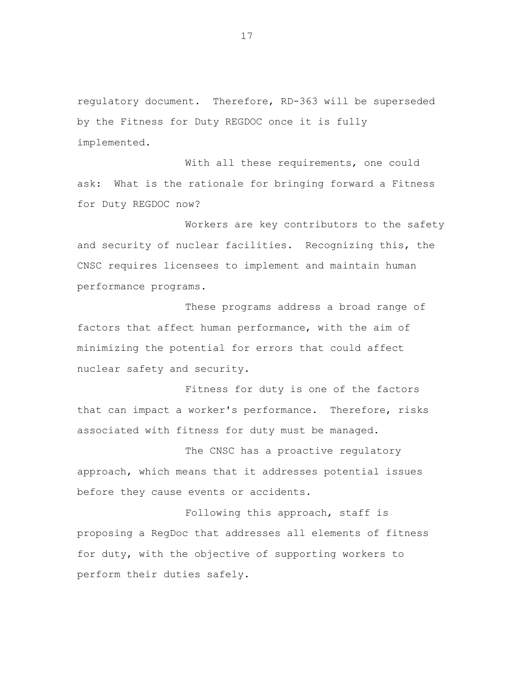regulatory document. Therefore, RD-363 will be superseded by the Fitness for Duty REGDOC once it is fully implemented.

With all these requirements, one could ask: What is the rationale for bringing forward a Fitness for Duty REGDOC now?

Workers are key contributors to the safety and security of nuclear facilities. Recognizing this, the CNSC requires licensees to implement and maintain human performance programs.

These programs address a broad range of factors that affect human performance, with the aim of minimizing the potential for errors that could affect nuclear safety and security.

Fitness for duty is one of the factors that can impact a worker's performance. Therefore, risks associated with fitness for duty must be managed.

The CNSC has a proactive regulatory approach, which means that it addresses potential issues before they cause events or accidents.

Following this approach, staff is proposing a RegDoc that addresses all elements of fitness for duty, with the objective of supporting workers to perform their duties safely.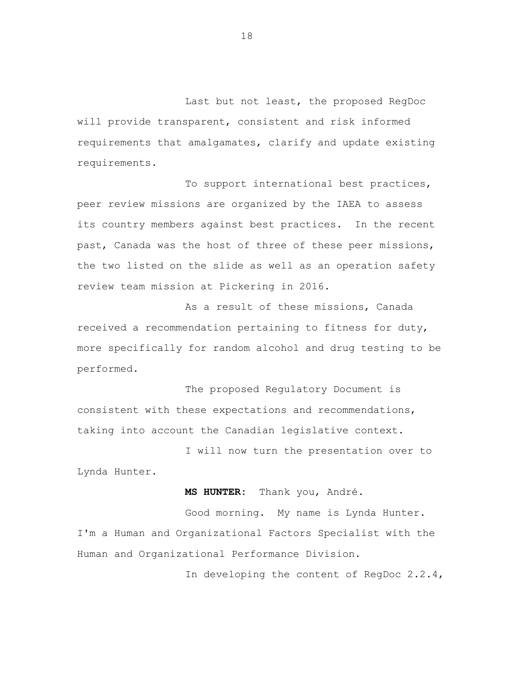Last but not least, the proposed RegDoc will provide transparent, consistent and risk informed requirements that amalgamates, clarify and update existing requirements.

To support international best practices, peer review missions are organized by the IAEA to assess its country members against best practices. In the recent past, Canada was the host of three of these peer missions, the two listed on the slide as well as an operation safety review team mission at Pickering in 2016.

As a result of these missions, Canada received a recommendation pertaining to fitness for duty, more specifically for random alcohol and drug testing to be performed.

The proposed Regulatory Document is consistent with these expectations and recommendations, taking into account the Canadian legislative context.

I will now turn the presentation over to Lynda Hunter.

**MS HUNTER:** Thank you, André.

Good morning. My name is Lynda Hunter. I'm a Human and Organizational Factors Specialist with the Human and Organizational Performance Division.

In developing the content of RegDoc 2.2.4,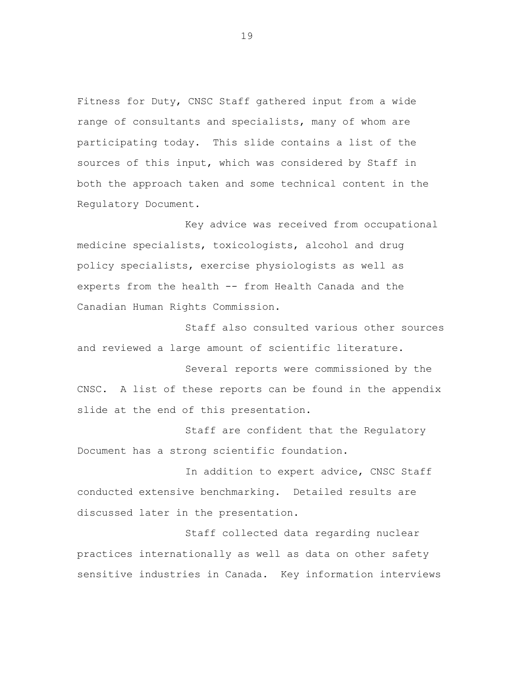Fitness for Duty, CNSC Staff gathered input from a wide range of consultants and specialists, many of whom are participating today. This slide contains a list of the sources of this input, which was considered by Staff in both the approach taken and some technical content in the Regulatory Document.

Key advice was received from occupational medicine specialists, toxicologists, alcohol and drug policy specialists, exercise physiologists as well as experts from the health -- from Health Canada and the Canadian Human Rights Commission.

Staff also consulted various other sources and reviewed a large amount of scientific literature.

Several reports were commissioned by the CNSC. A list of these reports can be found in the appendix slide at the end of this presentation.

Staff are confident that the Regulatory Document has a strong scientific foundation.

In addition to expert advice, CNSC Staff conducted extensive benchmarking. Detailed results are discussed later in the presentation.

Staff collected data regarding nuclear practices internationally as well as data on other safety sensitive industries in Canada. Key information interviews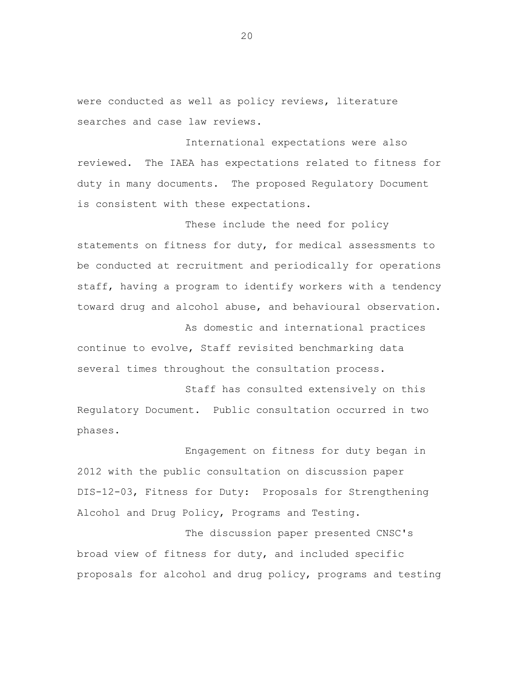were conducted as well as policy reviews, literature searches and case law reviews.

International expectations were also reviewed. The IAEA has expectations related to fitness for duty in many documents. The proposed Regulatory Document is consistent with these expectations.

These include the need for policy statements on fitness for duty, for medical assessments to be conducted at recruitment and periodically for operations staff, having a program to identify workers with a tendency toward drug and alcohol abuse, and behavioural observation.

As domestic and international practices continue to evolve, Staff revisited benchmarking data several times throughout the consultation process.

Staff has consulted extensively on this Regulatory Document. Public consultation occurred in two phases.

Engagement on fitness for duty began in 2012 with the public consultation on discussion paper DIS-12-03, Fitness for Duty: Proposals for Strengthening Alcohol and Drug Policy, Programs and Testing.

The discussion paper presented CNSC's broad view of fitness for duty, and included specific proposals for alcohol and drug policy, programs and testing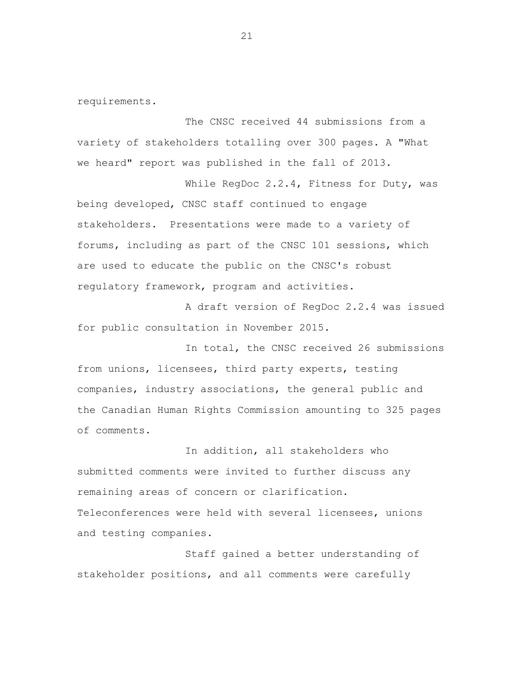requirements.

The CNSC received 44 submissions from a variety of stakeholders totalling over 300 pages. A "What we heard" report was published in the fall of 2013.

While RegDoc 2.2.4, Fitness for Duty, was being developed, CNSC staff continued to engage stakeholders. Presentations were made to a variety of forums, including as part of the CNSC 101 sessions, which are used to educate the public on the CNSC's robust regulatory framework, program and activities.

A draft version of RegDoc 2.2.4 was issued for public consultation in November 2015.

In total, the CNSC received 26 submissions from unions, licensees, third party experts, testing companies, industry associations, the general public and the Canadian Human Rights Commission amounting to 325 pages of comments.

In addition, all stakeholders who submitted comments were invited to further discuss any remaining areas of concern or clarification. Teleconferences were held with several licensees, unions and testing companies.

Staff gained a better understanding of stakeholder positions, and all comments were carefully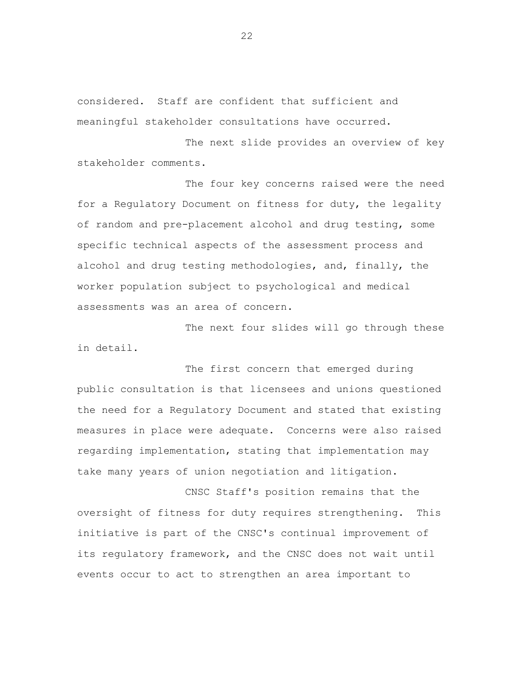considered. Staff are confident that sufficient and meaningful stakeholder consultations have occurred.

The next slide provides an overview of key stakeholder comments.

The four key concerns raised were the need for a Regulatory Document on fitness for duty, the legality of random and pre-placement alcohol and drug testing, some specific technical aspects of the assessment process and alcohol and drug testing methodologies, and, finally, the worker population subject to psychological and medical assessments was an area of concern.

The next four slides will go through these in detail.

The first concern that emerged during public consultation is that licensees and unions questioned the need for a Regulatory Document and stated that existing measures in place were adequate. Concerns were also raised regarding implementation, stating that implementation may take many years of union negotiation and litigation.

CNSC Staff's position remains that the oversight of fitness for duty requires strengthening. This initiative is part of the CNSC's continual improvement of its regulatory framework, and the CNSC does not wait until events occur to act to strengthen an area important to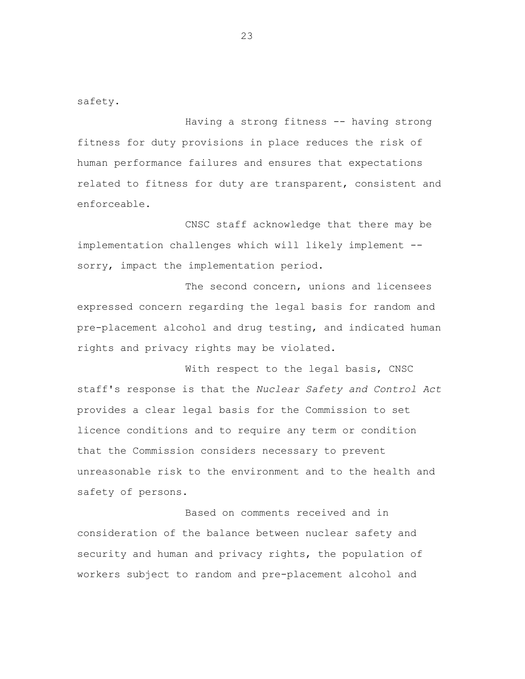safety.

Having a strong fitness -- having strong fitness for duty provisions in place reduces the risk of human performance failures and ensures that expectations related to fitness for duty are transparent, consistent and enforceable.

CNSC staff acknowledge that there may be implementation challenges which will likely implement - sorry, impact the implementation period.

The second concern, unions and licensees expressed concern regarding the legal basis for random and pre-placement alcohol and drug testing, and indicated human rights and privacy rights may be violated.

With respect to the legal basis, CNSC staff's response is that the *Nuclear Safety and Control Act*  provides a clear legal basis for the Commission to set licence conditions and to require any term or condition that the Commission considers necessary to prevent unreasonable risk to the environment and to the health and safety of persons.

Based on comments received and in consideration of the balance between nuclear safety and security and human and privacy rights, the population of workers subject to random and pre-placement alcohol and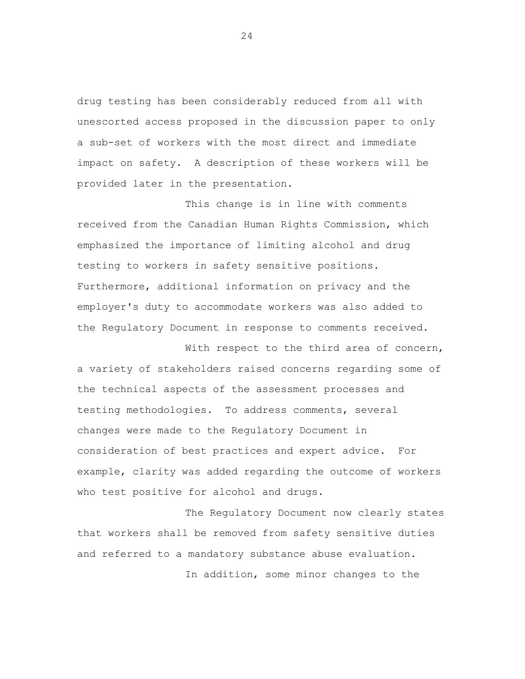drug testing has been considerably reduced from all with unescorted access proposed in the discussion paper to only a sub-set of workers with the most direct and immediate impact on safety. A description of these workers will be provided later in the presentation.

This change is in line with comments received from the Canadian Human Rights Commission, which emphasized the importance of limiting alcohol and drug testing to workers in safety sensitive positions. Furthermore, additional information on privacy and the employer's duty to accommodate workers was also added to the Regulatory Document in response to comments received.

With respect to the third area of concern, a variety of stakeholders raised concerns regarding some of the technical aspects of the assessment processes and testing methodologies. To address comments, several changes were made to the Regulatory Document in consideration of best practices and expert advice. For example, clarity was added regarding the outcome of workers who test positive for alcohol and drugs.

The Regulatory Document now clearly states that workers shall be removed from safety sensitive duties and referred to a mandatory substance abuse evaluation.

In addition, some minor changes to the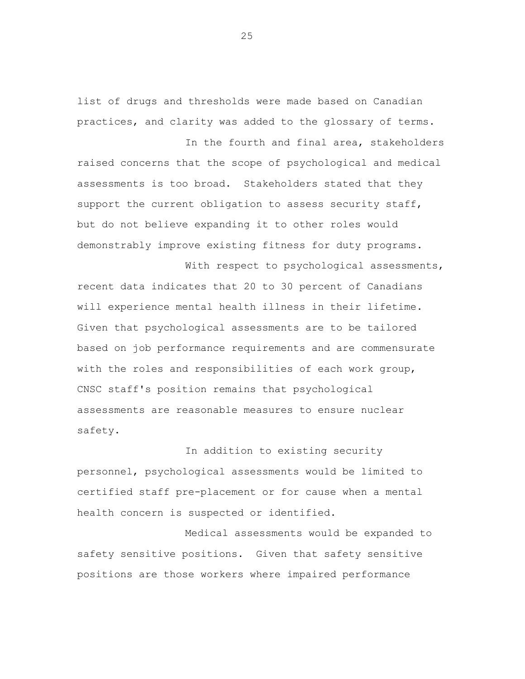list of drugs and thresholds were made based on Canadian practices, and clarity was added to the glossary of terms.

In the fourth and final area, stakeholders

raised concerns that the scope of psychological and medical assessments is too broad. Stakeholders stated that they support the current obligation to assess security staff, but do not believe expanding it to other roles would demonstrably improve existing fitness for duty programs.

With respect to psychological assessments, recent data indicates that 20 to 30 percent of Canadians will experience mental health illness in their lifetime. Given that psychological assessments are to be tailored based on job performance requirements and are commensurate with the roles and responsibilities of each work group, CNSC staff's position remains that psychological assessments are reasonable measures to ensure nuclear safety.

In addition to existing security personnel, psychological assessments would be limited to certified staff pre-placement or for cause when a mental health concern is suspected or identified.

Medical assessments would be expanded to safety sensitive positions. Given that safety sensitive positions are those workers where impaired performance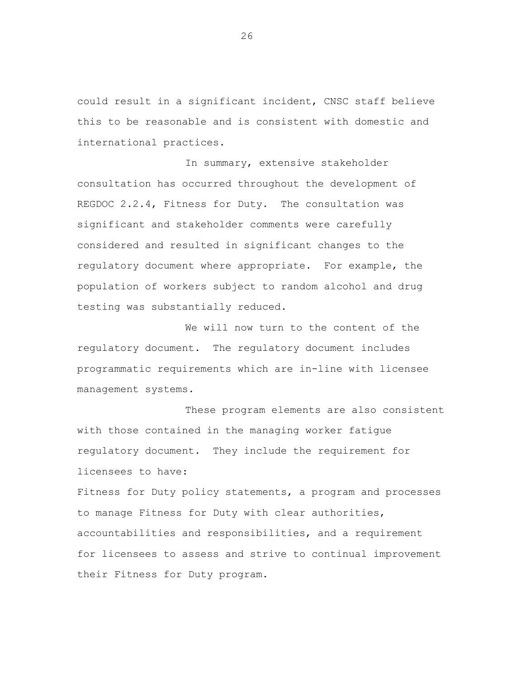could result in a significant incident, CNSC staff believe this to be reasonable and is consistent with domestic and international practices.

In summary, extensive stakeholder consultation has occurred throughout the development of REGDOC 2.2.4, Fitness for Duty. The consultation was significant and stakeholder comments were carefully considered and resulted in significant changes to the regulatory document where appropriate. For example, the population of workers subject to random alcohol and drug testing was substantially reduced.

We will now turn to the content of the regulatory document. The regulatory document includes programmatic requirements which are in-line with licensee management systems.

These program elements are also consistent with those contained in the managing worker fatigue regulatory document. They include the requirement for licensees to have:

Fitness for Duty policy statements, a program and processes to manage Fitness for Duty with clear authorities, accountabilities and responsibilities, and a requirement for licensees to assess and strive to continual improvement their Fitness for Duty program.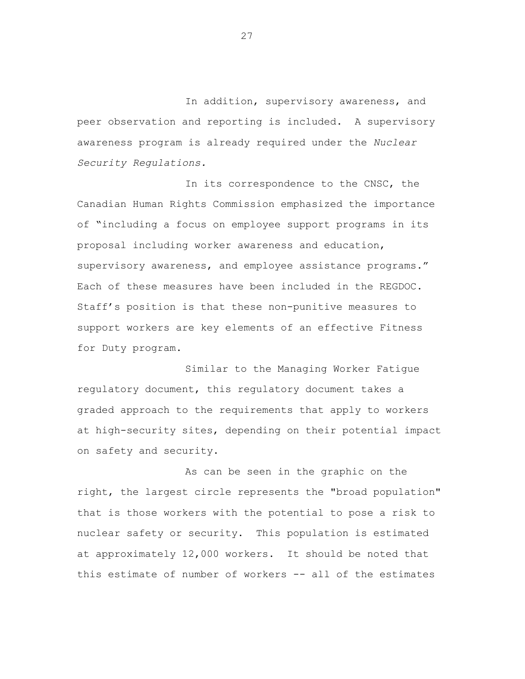In addition, supervisory awareness, and peer observation and reporting is included. A supervisory awareness program is already required under the *Nuclear Security Regulations.* 

In its correspondence to the CNSC, the Canadian Human Rights Commission emphasized the importance of "including a focus on employee support programs in its proposal including worker awareness and education, supervisory awareness, and employee assistance programs." Each of these measures have been included in the REGDOC. Staff's position is that these non-punitive measures to support workers are key elements of an effective Fitness for Duty program.

Similar to the Managing Worker Fatigue regulatory document, this regulatory document takes a graded approach to the requirements that apply to workers at high-security sites, depending on their potential impact on safety and security.

As can be seen in the graphic on the right, the largest circle represents the "broad population" that is those workers with the potential to pose a risk to nuclear safety or security. This population is estimated at approximately 12,000 workers. It should be noted that this estimate of number of workers -- all of the estimates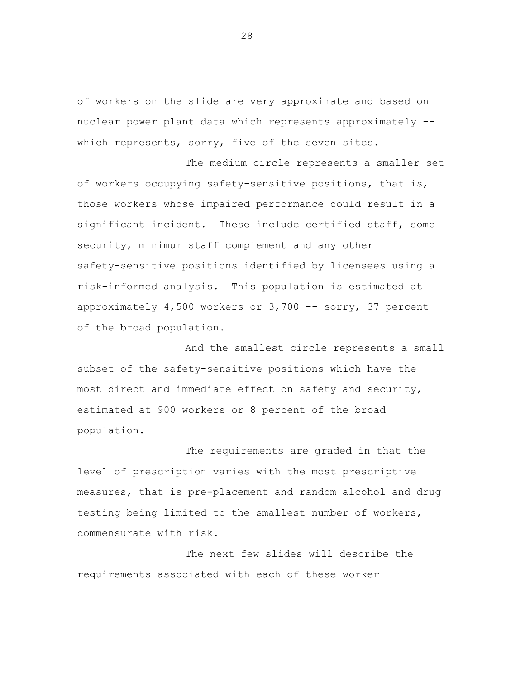of workers on the slide are very approximate and based on nuclear power plant data which represents approximately - which represents, sorry, five of the seven sites.

The medium circle represents a smaller set of workers occupying safety-sensitive positions, that is, those workers whose impaired performance could result in a significant incident. These include certified staff, some security, minimum staff complement and any other safety-sensitive positions identified by licensees using a risk-informed analysis. This population is estimated at approximately 4,500 workers or 3,700 -- sorry, 37 percent of the broad population.

And the smallest circle represents a small subset of the safety-sensitive positions which have the most direct and immediate effect on safety and security, estimated at 900 workers or 8 percent of the broad population.

The requirements are graded in that the level of prescription varies with the most prescriptive measures, that is pre-placement and random alcohol and drug testing being limited to the smallest number of workers, commensurate with risk.

The next few slides will describe the requirements associated with each of these worker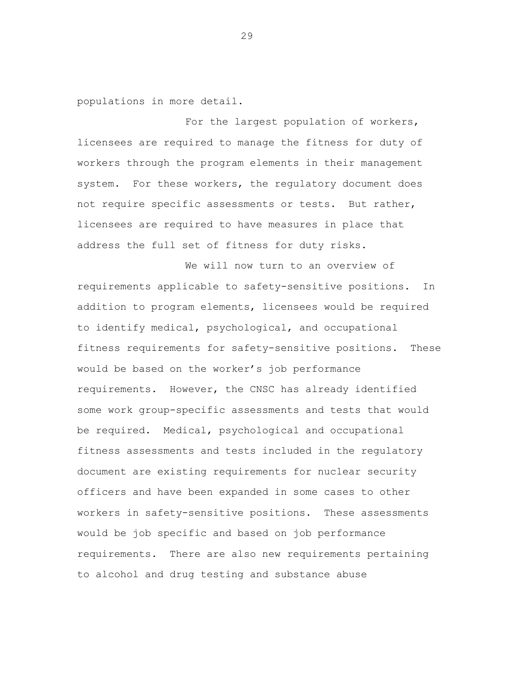populations in more detail.

For the largest population of workers, licensees are required to manage the fitness for duty of workers through the program elements in their management system. For these workers, the regulatory document does not require specific assessments or tests. But rather, licensees are required to have measures in place that address the full set of fitness for duty risks.

We will now turn to an overview of requirements applicable to safety-sensitive positions. In addition to program elements, licensees would be required to identify medical, psychological, and occupational fitness requirements for safety-sensitive positions. These would be based on the worker's job performance requirements. However, the CNSC has already identified some work group-specific assessments and tests that would be required. Medical, psychological and occupational fitness assessments and tests included in the regulatory document are existing requirements for nuclear security officers and have been expanded in some cases to other workers in safety-sensitive positions. These assessments would be job specific and based on job performance requirements. There are also new requirements pertaining to alcohol and drug testing and substance abuse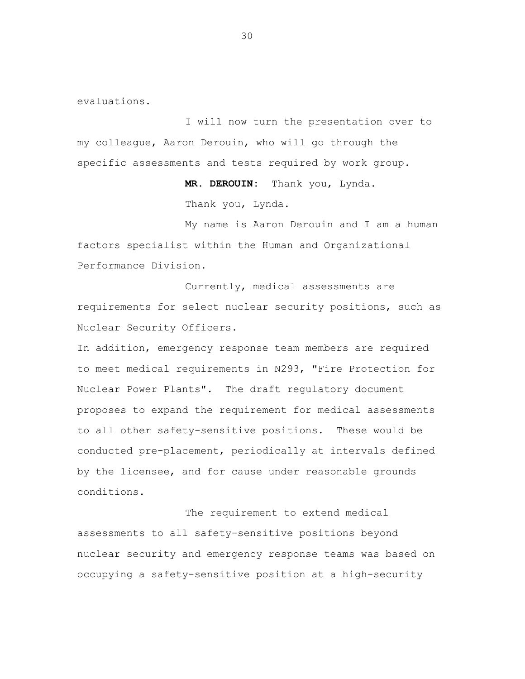evaluations.

I will now turn the presentation over to my colleague, Aaron Derouin, who will go through the specific assessments and tests required by work group.

> **MR. DEROUIN:** Thank you, Lynda. Thank you, Lynda.

My name is Aaron Derouin and I am a human factors specialist within the Human and Organizational Performance Division.

Currently, medical assessments are requirements for select nuclear security positions, such as Nuclear Security Officers.

In addition, emergency response team members are required to meet medical requirements in N293, "Fire Protection for Nuclear Power Plants". The draft regulatory document proposes to expand the requirement for medical assessments to all other safety-sensitive positions. These would be conducted pre-placement, periodically at intervals defined by the licensee, and for cause under reasonable grounds conditions.

The requirement to extend medical assessments to all safety-sensitive positions beyond nuclear security and emergency response teams was based on occupying a safety-sensitive position at a high-security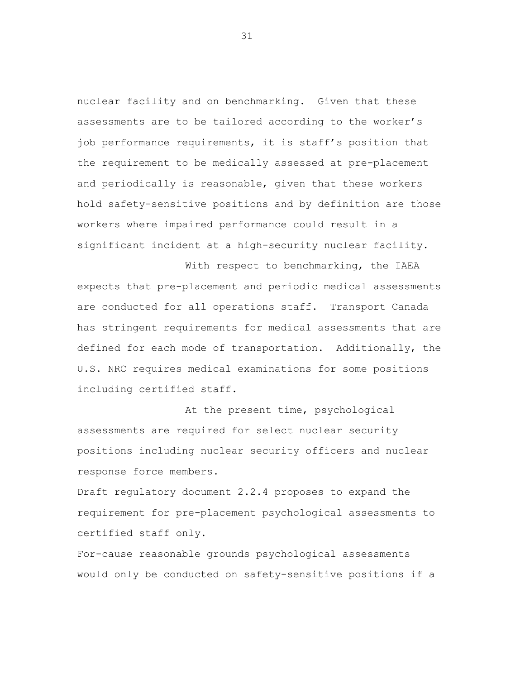nuclear facility and on benchmarking. Given that these assessments are to be tailored according to the worker's job performance requirements, it is staff's position that the requirement to be medically assessed at pre-placement and periodically is reasonable, given that these workers hold safety-sensitive positions and by definition are those workers where impaired performance could result in a significant incident at a high-security nuclear facility.

With respect to benchmarking, the IAEA expects that pre-placement and periodic medical assessments are conducted for all operations staff. Transport Canada has stringent requirements for medical assessments that are defined for each mode of transportation. Additionally, the U.S. NRC requires medical examinations for some positions including certified staff.

At the present time, psychological assessments are required for select nuclear security positions including nuclear security officers and nuclear response force members.

Draft regulatory document 2.2.4 proposes to expand the requirement for pre-placement psychological assessments to certified staff only.

For-cause reasonable grounds psychological assessments would only be conducted on safety-sensitive positions if a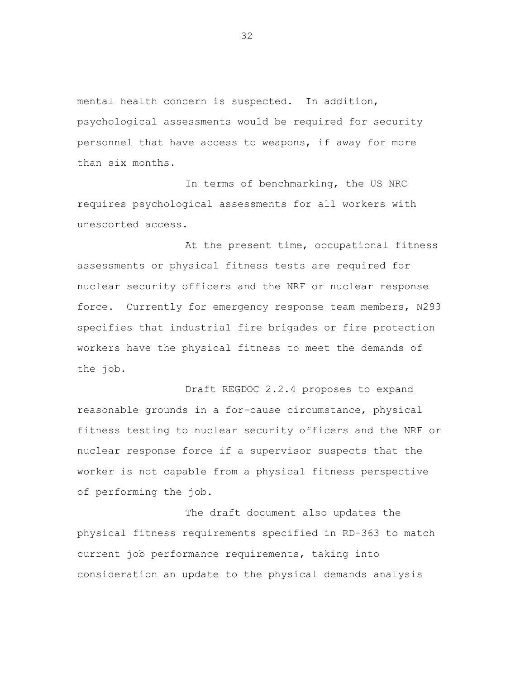mental health concern is suspected. In addition, psychological assessments would be required for security personnel that have access to weapons, if away for more than six months.

In terms of benchmarking, the US NRC requires psychological assessments for all workers with unescorted access.

At the present time, occupational fitness assessments or physical fitness tests are required for nuclear security officers and the NRF or nuclear response force. Currently for emergency response team members, N293 specifies that industrial fire brigades or fire protection workers have the physical fitness to meet the demands of the job.

Draft REGDOC 2.2.4 proposes to expand reasonable grounds in a for-cause circumstance, physical fitness testing to nuclear security officers and the NRF or nuclear response force if a supervisor suspects that the worker is not capable from a physical fitness perspective of performing the job.

The draft document also updates the physical fitness requirements specified in RD-363 to match current job performance requirements, taking into consideration an update to the physical demands analysis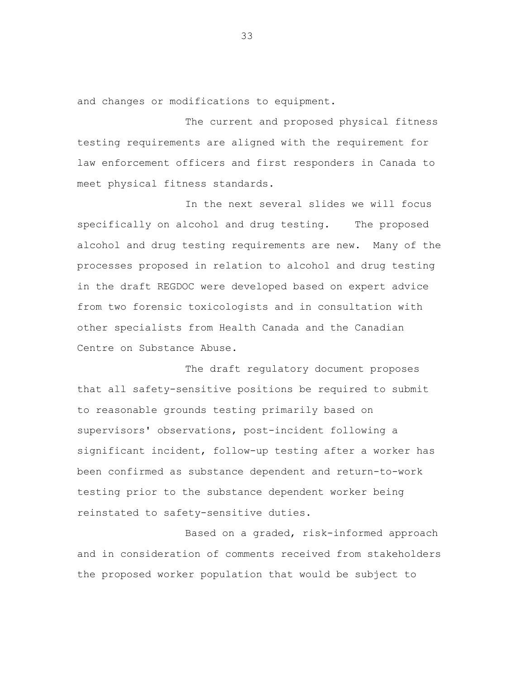and changes or modifications to equipment.

The current and proposed physical fitness testing requirements are aligned with the requirement for law enforcement officers and first responders in Canada to meet physical fitness standards.

In the next several slides we will focus specifically on alcohol and drug testing. The proposed alcohol and drug testing requirements are new. Many of the processes proposed in relation to alcohol and drug testing in the draft REGDOC were developed based on expert advice from two forensic toxicologists and in consultation with other specialists from Health Canada and the Canadian Centre on Substance Abuse.

The draft regulatory document proposes that all safety-sensitive positions be required to submit to reasonable grounds testing primarily based on supervisors' observations, post-incident following a significant incident, follow-up testing after a worker has been confirmed as substance dependent and return-to-work testing prior to the substance dependent worker being reinstated to safety-sensitive duties.

Based on a graded, risk-informed approach and in consideration of comments received from stakeholders the proposed worker population that would be subject to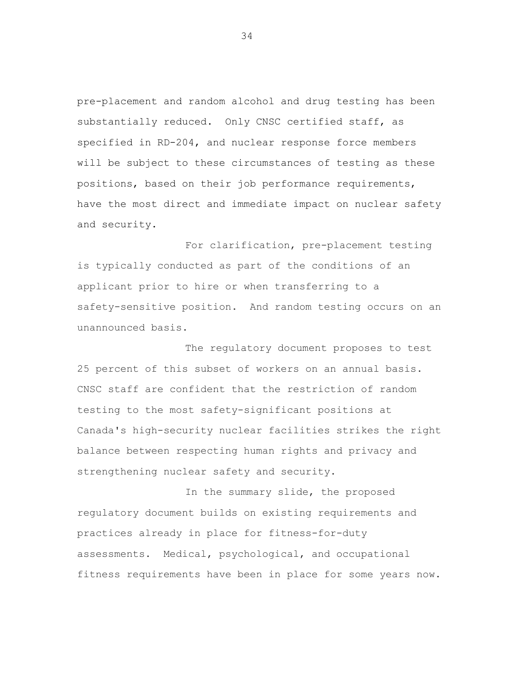pre-placement and random alcohol and drug testing has been substantially reduced. Only CNSC certified staff, as specified in RD-204, and nuclear response force members will be subject to these circumstances of testing as these positions, based on their job performance requirements, have the most direct and immediate impact on nuclear safety and security.

For clarification, pre-placement testing is typically conducted as part of the conditions of an applicant prior to hire or when transferring to a safety-sensitive position. And random testing occurs on an unannounced basis.

The regulatory document proposes to test 25 percent of this subset of workers on an annual basis. CNSC staff are confident that the restriction of random testing to the most safety-significant positions at Canada's high-security nuclear facilities strikes the right balance between respecting human rights and privacy and strengthening nuclear safety and security.

In the summary slide, the proposed regulatory document builds on existing requirements and practices already in place for fitness-for-duty assessments. Medical, psychological, and occupational fitness requirements have been in place for some years now.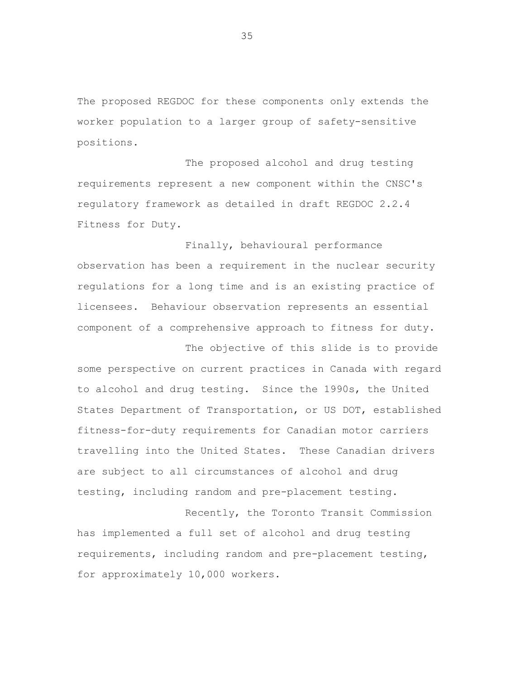The proposed REGDOC for these components only extends the worker population to a larger group of safety-sensitive positions.

The proposed alcohol and drug testing requirements represent a new component within the CNSC's regulatory framework as detailed in draft REGDOC 2.2.4 Fitness for Duty.

Finally, behavioural performance observation has been a requirement in the nuclear security regulations for a long time and is an existing practice of licensees. Behaviour observation represents an essential component of a comprehensive approach to fitness for duty.

The objective of this slide is to provide some perspective on current practices in Canada with regard to alcohol and drug testing. Since the 1990s, the United States Department of Transportation, or US DOT, established fitness-for-duty requirements for Canadian motor carriers travelling into the United States. These Canadian drivers are subject to all circumstances of alcohol and drug testing, including random and pre-placement testing.

Recently, the Toronto Transit Commission has implemented a full set of alcohol and drug testing requirements, including random and pre-placement testing, for approximately 10,000 workers.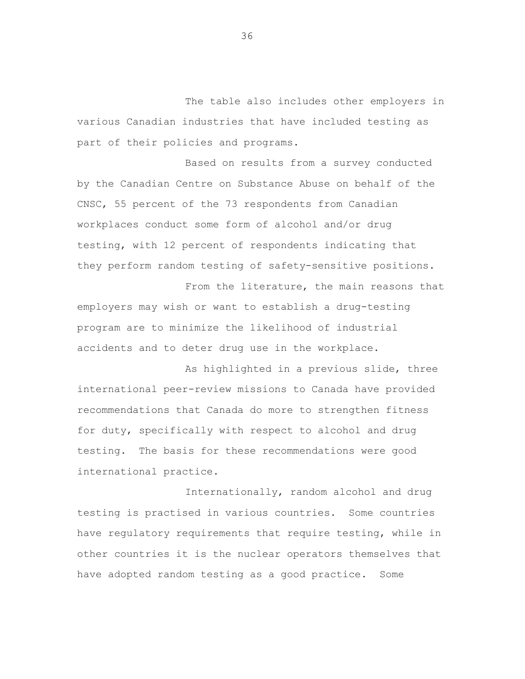The table also includes other employers in various Canadian industries that have included testing as part of their policies and programs.

Based on results from a survey conducted by the Canadian Centre on Substance Abuse on behalf of the CNSC, 55 percent of the 73 respondents from Canadian workplaces conduct some form of alcohol and/or drug testing, with 12 percent of respondents indicating that they perform random testing of safety-sensitive positions.

From the literature, the main reasons that employers may wish or want to establish a drug-testing program are to minimize the likelihood of industrial accidents and to deter drug use in the workplace.

As highlighted in a previous slide, three international peer-review missions to Canada have provided recommendations that Canada do more to strengthen fitness for duty, specifically with respect to alcohol and drug testing. The basis for these recommendations were good international practice.

Internationally, random alcohol and drug testing is practised in various countries. Some countries have regulatory requirements that require testing, while in other countries it is the nuclear operators themselves that have adopted random testing as a good practice. Some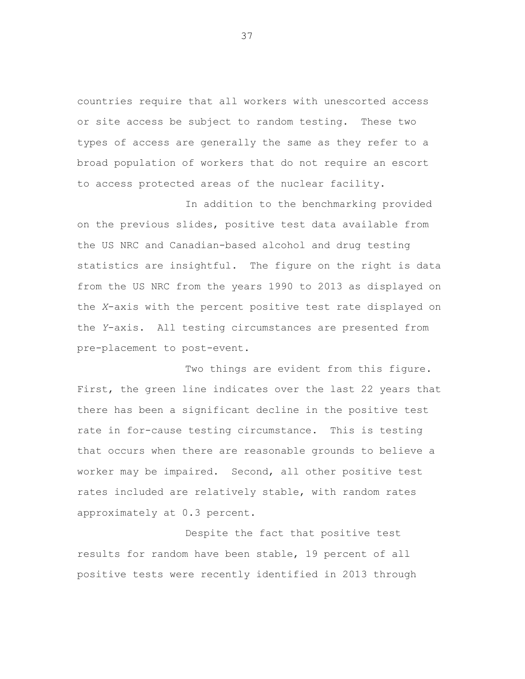countries require that all workers with unescorted access or site access be subject to random testing. These two types of access are generally the same as they refer to a broad population of workers that do not require an escort to access protected areas of the nuclear facility.

In addition to the benchmarking provided on the previous slides, positive test data available from the US NRC and Canadian-based alcohol and drug testing statistics are insightful. The figure on the right is data from the US NRC from the years 1990 to 2013 as displayed on the *X*-axis with the percent positive test rate displayed on the *Y*-axis. All testing circumstances are presented from pre-placement to post-event.

Two things are evident from this figure. First, the green line indicates over the last 22 years that there has been a significant decline in the positive test rate in for-cause testing circumstance. This is testing that occurs when there are reasonable grounds to believe a worker may be impaired. Second, all other positive test rates included are relatively stable, with random rates approximately at 0.3 percent.

Despite the fact that positive test results for random have been stable, 19 percent of all positive tests were recently identified in 2013 through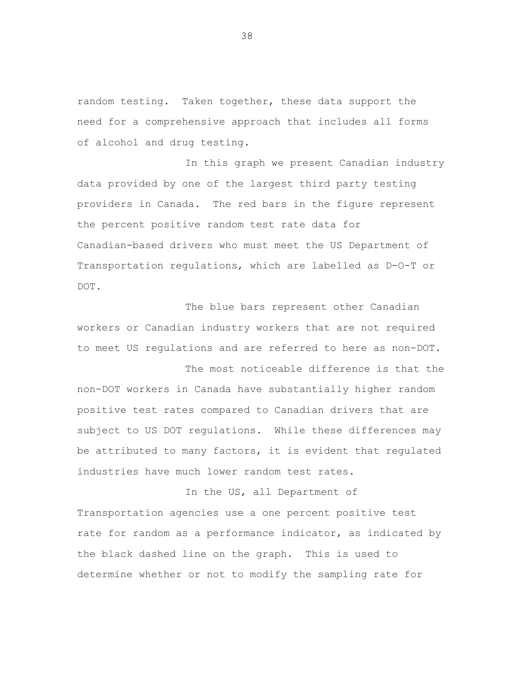random testing. Taken together, these data support the need for a comprehensive approach that includes all forms of alcohol and drug testing.

In this graph we present Canadian industry data provided by one of the largest third party testing providers in Canada. The red bars in the figure represent the percent positive random test rate data for Canadian-based drivers who must meet the US Department of Transportation regulations, which are labelled as D-O-T or DOT.

The blue bars represent other Canadian workers or Canadian industry workers that are not required to meet US regulations and are referred to here as non-DOT.

The most noticeable difference is that the non-DOT workers in Canada have substantially higher random positive test rates compared to Canadian drivers that are subject to US DOT regulations. While these differences may be attributed to many factors, it is evident that regulated industries have much lower random test rates.

In the US, all Department of Transportation agencies use a one percent positive test rate for random as a performance indicator, as indicated by the black dashed line on the graph. This is used to determine whether or not to modify the sampling rate for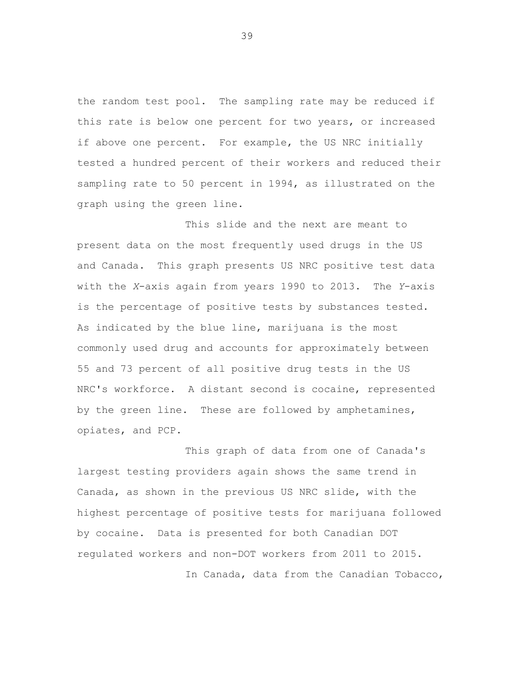the random test pool. The sampling rate may be reduced if this rate is below one percent for two years, or increased if above one percent. For example, the US NRC initially tested a hundred percent of their workers and reduced their sampling rate to 50 percent in 1994, as illustrated on the graph using the green line.

This slide and the next are meant to present data on the most frequently used drugs in the US and Canada. This graph presents US NRC positive test data with the *X*-axis again from years 1990 to 2013. The *Y*-axis is the percentage of positive tests by substances tested. As indicated by the blue line, marijuana is the most commonly used drug and accounts for approximately between 55 and 73 percent of all positive drug tests in the US NRC's workforce. A distant second is cocaine, represented by the green line. These are followed by amphetamines, opiates, and PCP.

This graph of data from one of Canada's largest testing providers again shows the same trend in Canada, as shown in the previous US NRC slide, with the highest percentage of positive tests for marijuana followed by cocaine. Data is presented for both Canadian DOT regulated workers and non-DOT workers from 2011 to 2015.

In Canada, data from the Canadian Tobacco,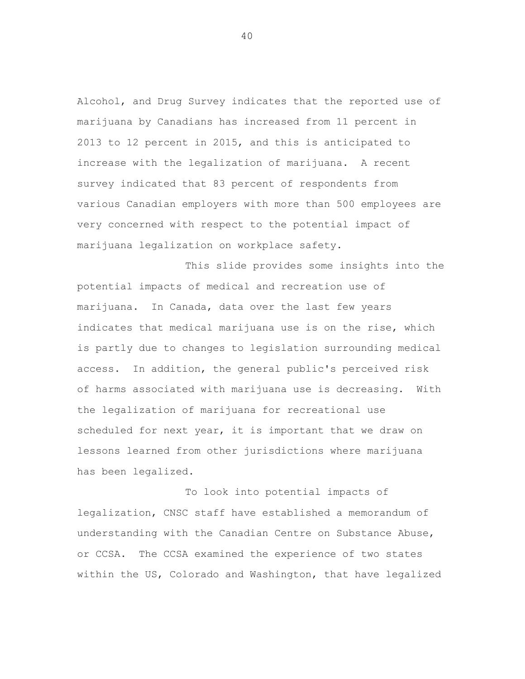Alcohol, and Drug Survey indicates that the reported use of marijuana by Canadians has increased from 11 percent in 2013 to 12 percent in 2015, and this is anticipated to increase with the legalization of marijuana. A recent survey indicated that 83 percent of respondents from various Canadian employers with more than 500 employees are very concerned with respect to the potential impact of marijuana legalization on workplace safety.

This slide provides some insights into the potential impacts of medical and recreation use of marijuana. In Canada, data over the last few years indicates that medical marijuana use is on the rise, which is partly due to changes to legislation surrounding medical access. In addition, the general public's perceived risk of harms associated with marijuana use is decreasing. With the legalization of marijuana for recreational use scheduled for next year, it is important that we draw on lessons learned from other jurisdictions where marijuana has been legalized.

To look into potential impacts of legalization, CNSC staff have established a memorandum of understanding with the Canadian Centre on Substance Abuse, or CCSA. The CCSA examined the experience of two states within the US, Colorado and Washington, that have legalized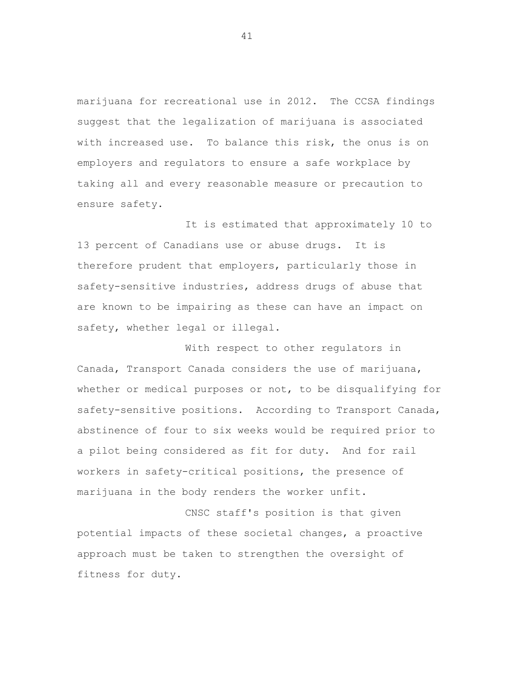marijuana for recreational use in 2012. The CCSA findings suggest that the legalization of marijuana is associated with increased use. To balance this risk, the onus is on employers and regulators to ensure a safe workplace by taking all and every reasonable measure or precaution to ensure safety.

It is estimated that approximately 10 to 13 percent of Canadians use or abuse drugs. It is therefore prudent that employers, particularly those in safety-sensitive industries, address drugs of abuse that are known to be impairing as these can have an impact on safety, whether legal or illegal.

With respect to other regulators in Canada, Transport Canada considers the use of marijuana, whether or medical purposes or not, to be disqualifying for safety-sensitive positions. According to Transport Canada, abstinence of four to six weeks would be required prior to a pilot being considered as fit for duty. And for rail workers in safety-critical positions, the presence of marijuana in the body renders the worker unfit.

CNSC staff's position is that given potential impacts of these societal changes, a proactive approach must be taken to strengthen the oversight of fitness for duty.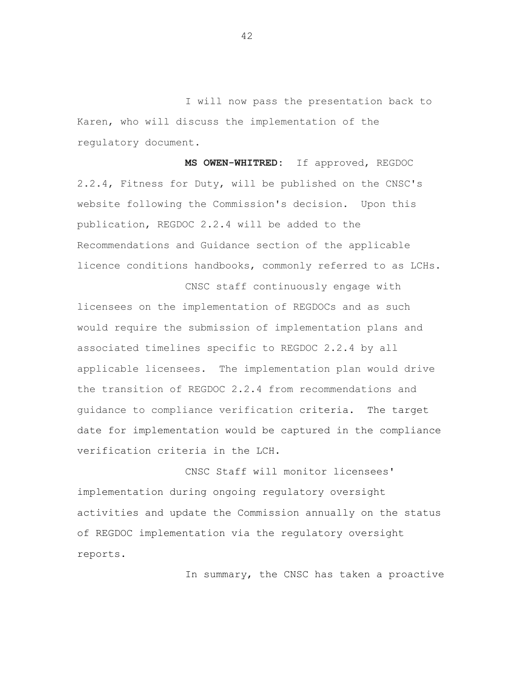I will now pass the presentation back to Karen, who will discuss the implementation of the regulatory document.

**MS OWEN-WHITRED:** If approved, REGDOC 2.2.4, Fitness for Duty, will be published on the CNSC's website following the Commission's decision. Upon this publication, REGDOC 2.2.4 will be added to the Recommendations and Guidance section of the applicable licence conditions handbooks, commonly referred to as LCHs.

CNSC staff continuously engage with licensees on the implementation of REGDOCs and as such would require the submission of implementation plans and associated timelines specific to REGDOC 2.2.4 by all applicable licensees. The implementation plan would drive the transition of REGDOC 2.2.4 from recommendations and guidance to compliance verification criteria. The target date for implementation would be captured in the compliance verification criteria in the LCH.

CNSC Staff will monitor licensees' implementation during ongoing regulatory oversight activities and update the Commission annually on the status of REGDOC implementation via the regulatory oversight reports.

In summary, the CNSC has taken a proactive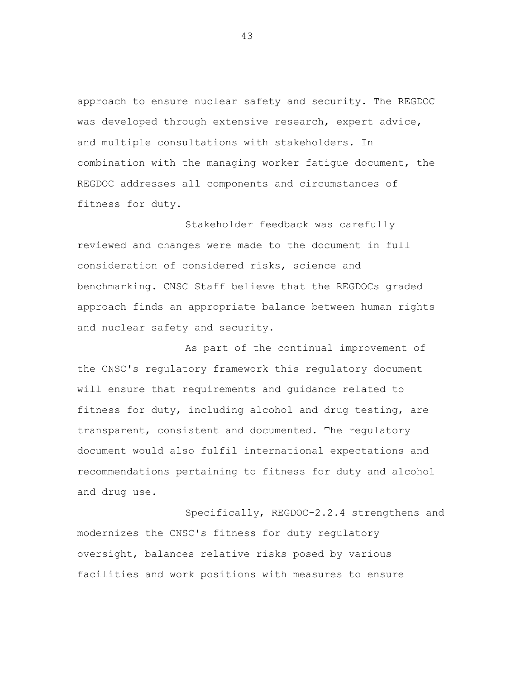approach to ensure nuclear safety and security. The REGDOC was developed through extensive research, expert advice, and multiple consultations with stakeholders. In combination with the managing worker fatigue document, the REGDOC addresses all components and circumstances of fitness for duty.

Stakeholder feedback was carefully reviewed and changes were made to the document in full consideration of considered risks, science and benchmarking. CNSC Staff believe that the REGDOCs graded approach finds an appropriate balance between human rights and nuclear safety and security.

As part of the continual improvement of the CNSC's regulatory framework this regulatory document will ensure that requirements and guidance related to fitness for duty, including alcohol and drug testing, are transparent, consistent and documented. The regulatory document would also fulfil international expectations and recommendations pertaining to fitness for duty and alcohol and drug use.

Specifically, REGDOC-2.2.4 strengthens and modernizes the CNSC's fitness for duty regulatory oversight, balances relative risks posed by various facilities and work positions with measures to ensure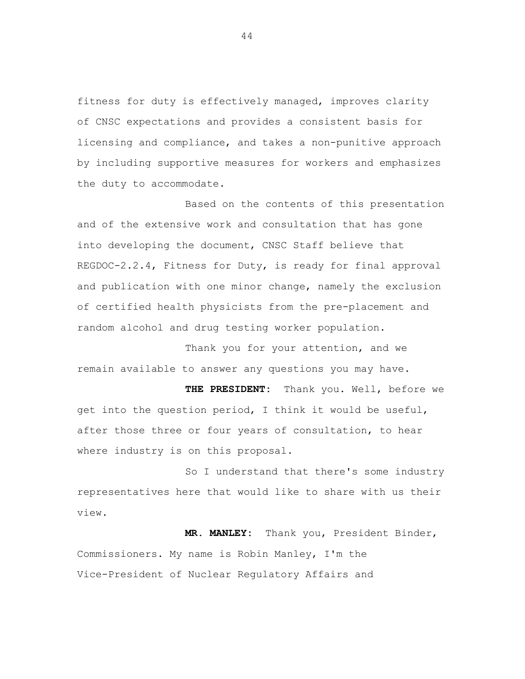fitness for duty is effectively managed, improves clarity of CNSC expectations and provides a consistent basis for licensing and compliance, and takes a non-punitive approach by including supportive measures for workers and emphasizes the duty to accommodate.

Based on the contents of this presentation and of the extensive work and consultation that has gone into developing the document, CNSC Staff believe that REGDOC-2.2.4, Fitness for Duty, is ready for final approval and publication with one minor change, namely the exclusion of certified health physicists from the pre-placement and random alcohol and drug testing worker population.

Thank you for your attention, and we remain available to answer any questions you may have.

**THE PRESIDENT:** Thank you. Well, before we get into the question period, I think it would be useful, after those three or four years of consultation, to hear where industry is on this proposal.

So I understand that there's some industry representatives here that would like to share with us their view.

**MR. MANLEY:** Thank you, President Binder, Commissioners. My name is Robin Manley, I'm the Vice-President of Nuclear Regulatory Affairs and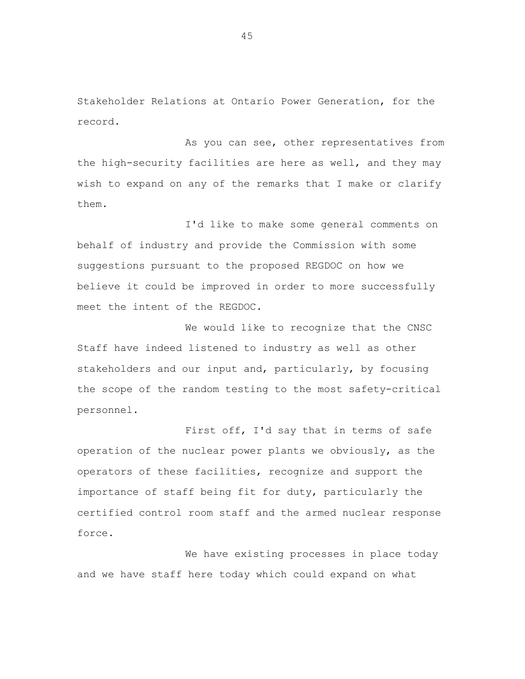Stakeholder Relations at Ontario Power Generation, for the record.

As you can see, other representatives from the high-security facilities are here as well, and they may wish to expand on any of the remarks that I make or clarify them.

I'd like to make some general comments on behalf of industry and provide the Commission with some suggestions pursuant to the proposed REGDOC on how we believe it could be improved in order to more successfully meet the intent of the REGDOC.

We would like to recognize that the CNSC Staff have indeed listened to industry as well as other stakeholders and our input and, particularly, by focusing the scope of the random testing to the most safety-critical personnel.

First off, I'd say that in terms of safe operation of the nuclear power plants we obviously, as the operators of these facilities, recognize and support the importance of staff being fit for duty, particularly the certified control room staff and the armed nuclear response force.

We have existing processes in place today and we have staff here today which could expand on what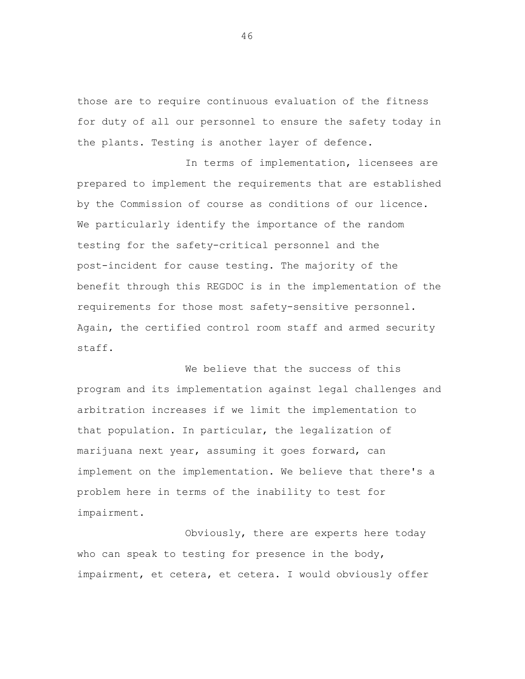those are to require continuous evaluation of the fitness for duty of all our personnel to ensure the safety today in the plants. Testing is another layer of defence.

In terms of implementation, licensees are prepared to implement the requirements that are established by the Commission of course as conditions of our licence. We particularly identify the importance of the random testing for the safety-critical personnel and the post-incident for cause testing. The majority of the benefit through this REGDOC is in the implementation of the requirements for those most safety-sensitive personnel. Again, the certified control room staff and armed security staff.

We believe that the success of this program and its implementation against legal challenges and arbitration increases if we limit the implementation to that population. In particular, the legalization of marijuana next year, assuming it goes forward, can implement on the implementation. We believe that there's a problem here in terms of the inability to test for impairment.

Obviously, there are experts here today who can speak to testing for presence in the body, impairment, et cetera, et cetera. I would obviously offer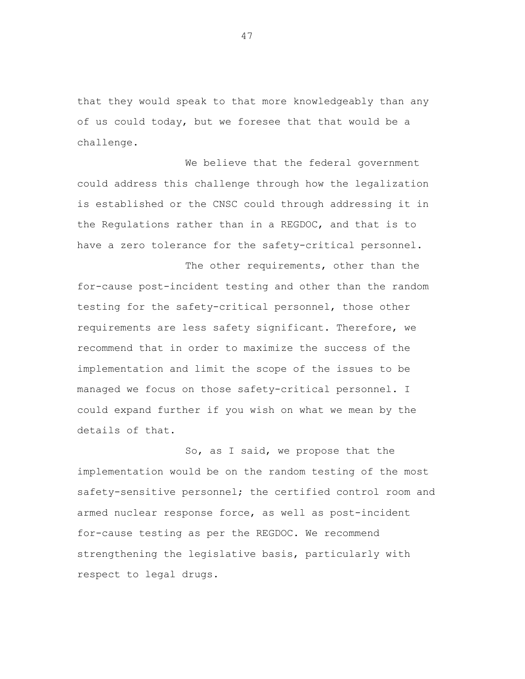that they would speak to that more knowledgeably than any of us could today, but we foresee that that would be a challenge.

We believe that the federal government could address this challenge through how the legalization is established or the CNSC could through addressing it in the Regulations rather than in a REGDOC, and that is to have a zero tolerance for the safety-critical personnel.

The other requirements, other than the for-cause post-incident testing and other than the random testing for the safety-critical personnel, those other requirements are less safety significant. Therefore, we recommend that in order to maximize the success of the implementation and limit the scope of the issues to be managed we focus on those safety-critical personnel. I could expand further if you wish on what we mean by the details of that.

So, as I said, we propose that the implementation would be on the random testing of the most safety-sensitive personnel; the certified control room and armed nuclear response force, as well as post-incident for-cause testing as per the REGDOC. We recommend strengthening the legislative basis, particularly with respect to legal drugs.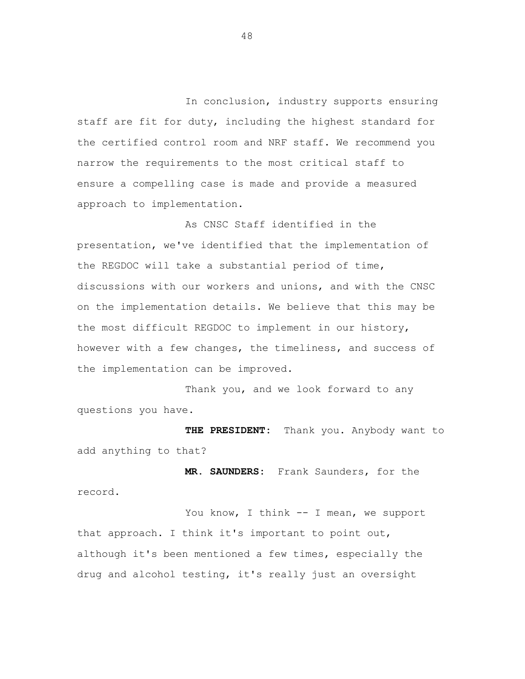In conclusion, industry supports ensuring staff are fit for duty, including the highest standard for the certified control room and NRF staff. We recommend you narrow the requirements to the most critical staff to ensure a compelling case is made and provide a measured approach to implementation.

As CNSC Staff identified in the presentation, we've identified that the implementation of the REGDOC will take a substantial period of time, discussions with our workers and unions, and with the CNSC on the implementation details. We believe that this may be the most difficult REGDOC to implement in our history, however with a few changes, the timeliness, and success of the implementation can be improved.

Thank you, and we look forward to any questions you have.

**THE PRESIDENT:** Thank you. Anybody want to add anything to that?

**MR. SAUNDERS:** Frank Saunders, for the record.

You know, I think -- I mean, we support that approach. I think it's important to point out, although it's been mentioned a few times, especially the drug and alcohol testing, it's really just an oversight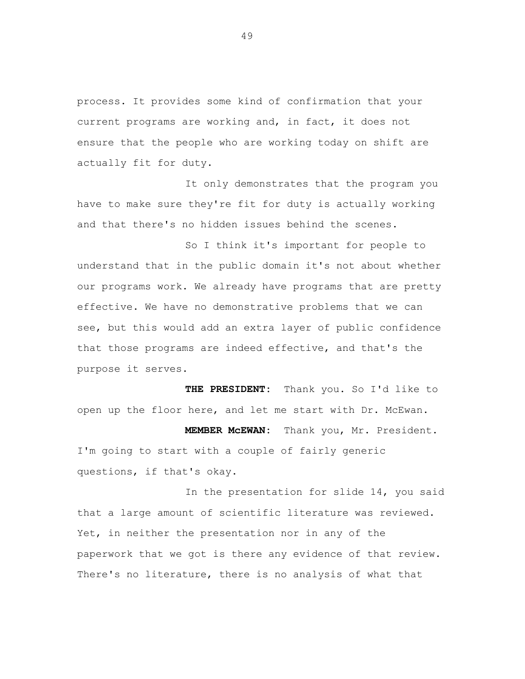process. It provides some kind of confirmation that your current programs are working and, in fact, it does not ensure that the people who are working today on shift are actually fit for duty.

It only demonstrates that the program you have to make sure they're fit for duty is actually working and that there's no hidden issues behind the scenes.

So I think it's important for people to understand that in the public domain it's not about whether our programs work. We already have programs that are pretty effective. We have no demonstrative problems that we can see, but this would add an extra layer of public confidence that those programs are indeed effective, and that's the purpose it serves.

**THE PRESIDENT:** Thank you. So I'd like to open up the floor here, and let me start with Dr. McEwan.

**MEMBER McEWAN:** Thank you, Mr. President. I'm going to start with a couple of fairly generic questions, if that's okay.

In the presentation for slide 14, you said that a large amount of scientific literature was reviewed. Yet, in neither the presentation nor in any of the paperwork that we got is there any evidence of that review. There's no literature, there is no analysis of what that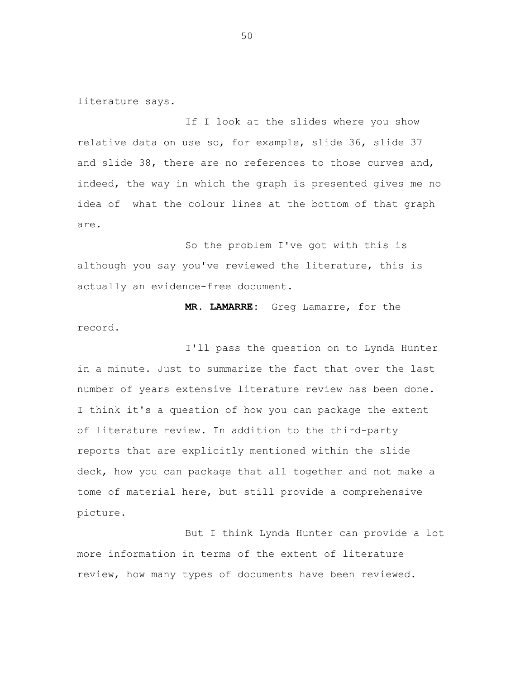literature says.

If I look at the slides where you show relative data on use so, for example, slide 36, slide 37 and slide 38, there are no references to those curves and, indeed, the way in which the graph is presented gives me no idea of what the colour lines at the bottom of that graph are.

So the problem I've got with this is although you say you've reviewed the literature, this is actually an evidence-free document.

 **MR. LAMARRE:** Greg Lamarre, for the record.

I'll pass the question on to Lynda Hunter in a minute. Just to summarize the fact that over the last number of years extensive literature review has been done. I think it's a question of how you can package the extent of literature review. In addition to the third-party reports that are explicitly mentioned within the slide deck, how you can package that all together and not make a tome of material here, but still provide a comprehensive picture.

But I think Lynda Hunter can provide a lot more information in terms of the extent of literature review, how many types of documents have been reviewed.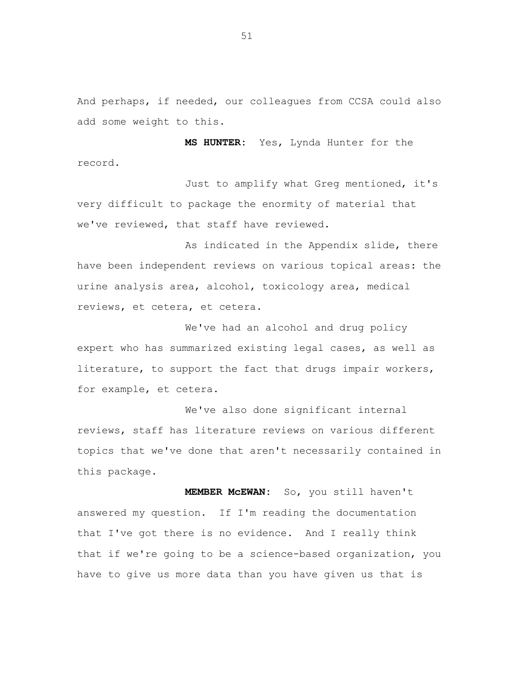And perhaps, if needed, our colleagues from CCSA could also add some weight to this.

**MS HUNTER:** Yes, Lynda Hunter for the record.

Just to amplify what Greg mentioned, it's very difficult to package the enormity of material that we've reviewed, that staff have reviewed.

As indicated in the Appendix slide, there have been independent reviews on various topical areas: the urine analysis area, alcohol, toxicology area, medical reviews, et cetera, et cetera.

We've had an alcohol and drug policy expert who has summarized existing legal cases, as well as literature, to support the fact that drugs impair workers, for example, et cetera.

We've also done significant internal reviews, staff has literature reviews on various different topics that we've done that aren't necessarily contained in this package.

**MEMBER McEWAN:** So, you still haven't answered my question. If I'm reading the documentation that I've got there is no evidence. And I really think that if we're going to be a science-based organization, you have to give us more data than you have given us that is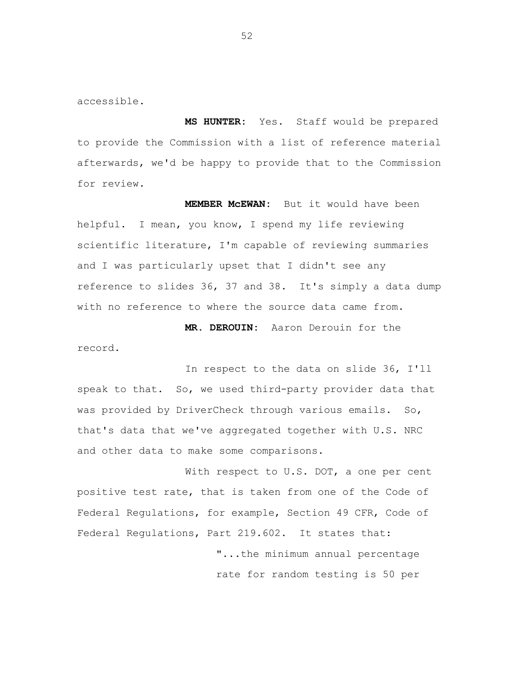accessible.

**MS HUNTER:** Yes. Staff would be prepared to provide the Commission with a list of reference material afterwards, we'd be happy to provide that to the Commission for review.

**MEMBER McEWAN:** But it would have been helpful. I mean, you know, I spend my life reviewing scientific literature, I'm capable of reviewing summaries and I was particularly upset that I didn't see any reference to slides 36, 37 and 38. It's simply a data dump with no reference to where the source data came from.

**MR. DEROUIN:** Aaron Derouin for the record.

In respect to the data on slide 36, I'll speak to that. So, we used third-party provider data that was provided by DriverCheck through various emails. So, that's data that we've aggregated together with U.S. NRC and other data to make some comparisons.

With respect to U.S. DOT, a one per cent positive test rate, that is taken from one of the Code of Federal Regulations, for example, Section 49 CFR, Code of Federal Regulations, Part 219.602. It states that: "...the minimum annual percentage

rate for random testing is 50 per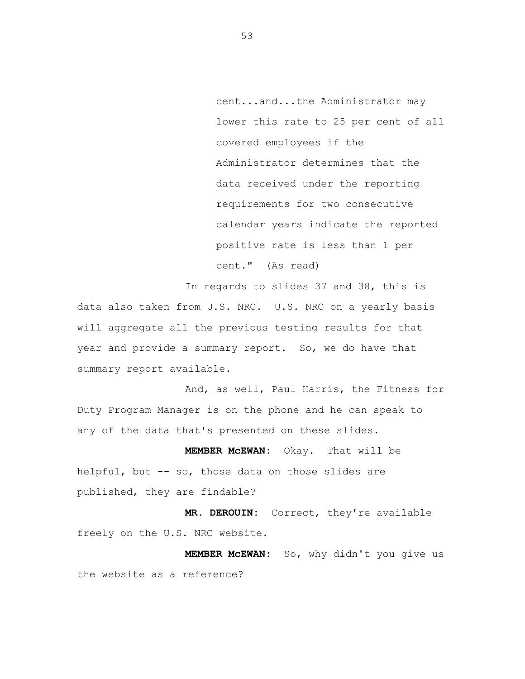cent...and...the Administrator may lower this rate to 25 per cent of all covered employees if the Administrator determines that the data received under the reporting requirements for two consecutive calendar years indicate the reported positive rate is less than 1 per cent." (As read)

In regards to slides 37 and 38, this is data also taken from U.S. NRC. U.S. NRC on a yearly basis will aggregate all the previous testing results for that year and provide a summary report. So, we do have that summary report available.

And, as well, Paul Harris, the Fitness for Duty Program Manager is on the phone and he can speak to any of the data that's presented on these slides.

**MEMBER McEWAN:** Okay. That will be helpful, but -- so, those data on those slides are published, they are findable?

**MR. DEROUIN:** Correct, they're available freely on the U.S. NRC website.

**MEMBER McEWAN:** So, why didn't you give us the website as a reference?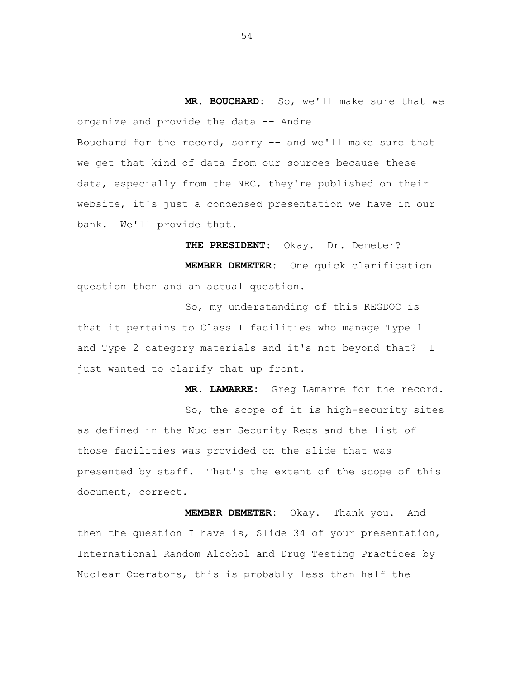**MR. BOUCHARD:** So, we'll make sure that we organize and provide the data -- Andre Bouchard for the record, sorry -- and we'll make sure that we get that kind of data from our sources because these data, especially from the NRC, they're published on their website, it's just a condensed presentation we have in our bank. We'll provide that.

**THE PRESIDENT:** Okay. Dr. Demeter? **MEMBER DEMETER:** One quick clarification question then and an actual question.

So, my understanding of this REGDOC is that it pertains to Class I facilities who manage Type 1 and Type 2 category materials and it's not beyond that? I just wanted to clarify that up front.

**MR. LAMARRE:** Greg Lamarre for the record. So, the scope of it is high-security sites as defined in the Nuclear Security Regs and the list of those facilities was provided on the slide that was presented by staff. That's the extent of the scope of this document, correct.

**MEMBER DEMETER:** Okay. Thank you. And then the question I have is, Slide 34 of your presentation, International Random Alcohol and Drug Testing Practices by Nuclear Operators, this is probably less than half the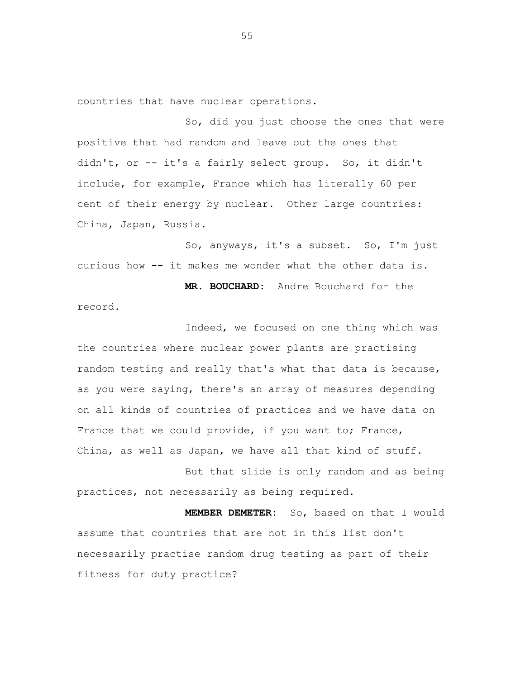countries that have nuclear operations.

So, did you just choose the ones that were positive that had random and leave out the ones that didn't, or -- it's a fairly select group. So, it didn't include, for example, France which has literally 60 per cent of their energy by nuclear. Other large countries: China, Japan, Russia.

So, anyways, it's a subset. So, I'm just curious how -- it makes me wonder what the other data is.

**MR. BOUCHARD:** Andre Bouchard for the record.

Indeed, we focused on one thing which was the countries where nuclear power plants are practising random testing and really that's what that data is because, as you were saying, there's an array of measures depending on all kinds of countries of practices and we have data on France that we could provide, if you want to; France, China, as well as Japan, we have all that kind of stuff.

But that slide is only random and as being practices, not necessarily as being required.

**MEMBER DEMETER:** So, based on that I would assume that countries that are not in this list don't necessarily practise random drug testing as part of their fitness for duty practice?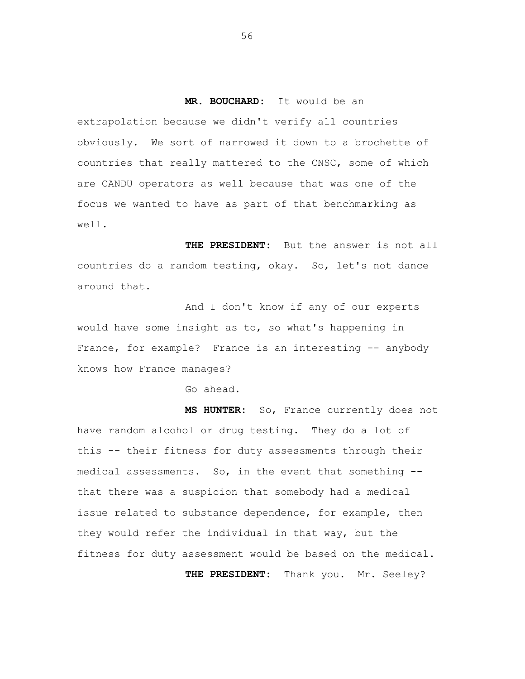**MR. BOUCHARD:** It would be an

extrapolation because we didn't verify all countries obviously. We sort of narrowed it down to a brochette of countries that really mattered to the CNSC, some of which are CANDU operators as well because that was one of the focus we wanted to have as part of that benchmarking as well.

**THE PRESIDENT:** But the answer is not all countries do a random testing, okay. So, let's not dance around that.

And I don't know if any of our experts would have some insight as to, so what's happening in France, for example? France is an interesting -- anybody knows how France manages?

Go ahead.

**MS HUNTER:** So, France currently does not have random alcohol or drug testing. They do a lot of this -- their fitness for duty assessments through their medical assessments. So, in the event that something - that there was a suspicion that somebody had a medical issue related to substance dependence, for example, then they would refer the individual in that way, but the fitness for duty assessment would be based on the medical.

**THE PRESIDENT:** Thank you. Mr. Seeley?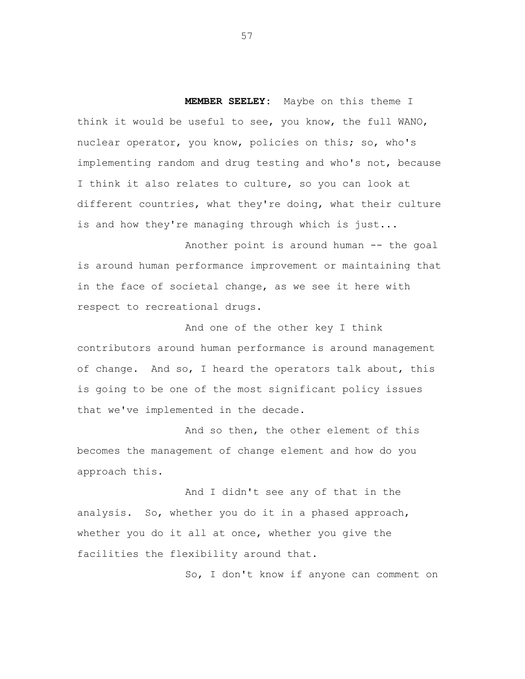**MEMBER SEELEY:** Maybe on this theme I think it would be useful to see, you know, the full WANO, nuclear operator, you know, policies on this; so, who's implementing random and drug testing and who's not, because I think it also relates to culture, so you can look at different countries, what they're doing, what their culture is and how they're managing through which is just...

Another point is around human -- the goal is around human performance improvement or maintaining that in the face of societal change, as we see it here with respect to recreational drugs.

And one of the other key I think contributors around human performance is around management of change. And so, I heard the operators talk about, this is going to be one of the most significant policy issues that we've implemented in the decade.

And so then, the other element of this becomes the management of change element and how do you approach this.

And I didn't see any of that in the analysis. So, whether you do it in a phased approach, whether you do it all at once, whether you give the facilities the flexibility around that.

So, I don't know if anyone can comment on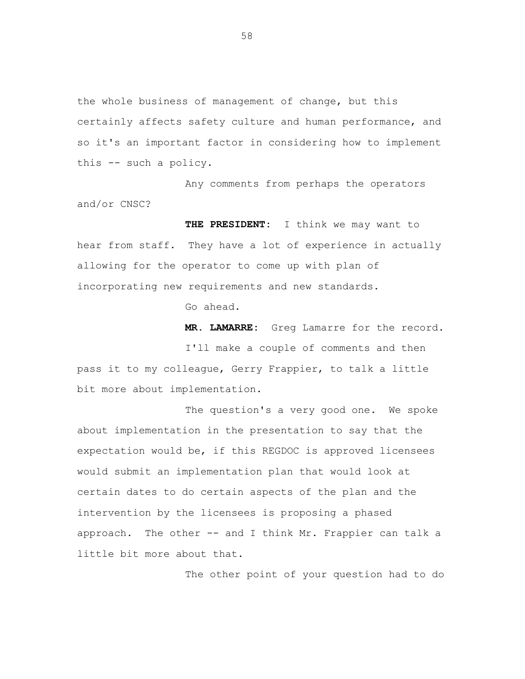the whole business of management of change, but this certainly affects safety culture and human performance, and so it's an important factor in considering how to implement this -- such a policy.

Any comments from perhaps the operators and/or CNSC?

**THE PRESIDENT:** I think we may want to hear from staff. They have a lot of experience in actually allowing for the operator to come up with plan of incorporating new requirements and new standards.

Go ahead.

**MR. LAMARRE:** Greg Lamarre for the record.

I'll make a couple of comments and then pass it to my colleague, Gerry Frappier, to talk a little bit more about implementation.

The question's a very good one. We spoke about implementation in the presentation to say that the expectation would be, if this REGDOC is approved licensees would submit an implementation plan that would look at certain dates to do certain aspects of the plan and the intervention by the licensees is proposing a phased approach. The other -- and I think Mr. Frappier can talk a little bit more about that.

The other point of your question had to do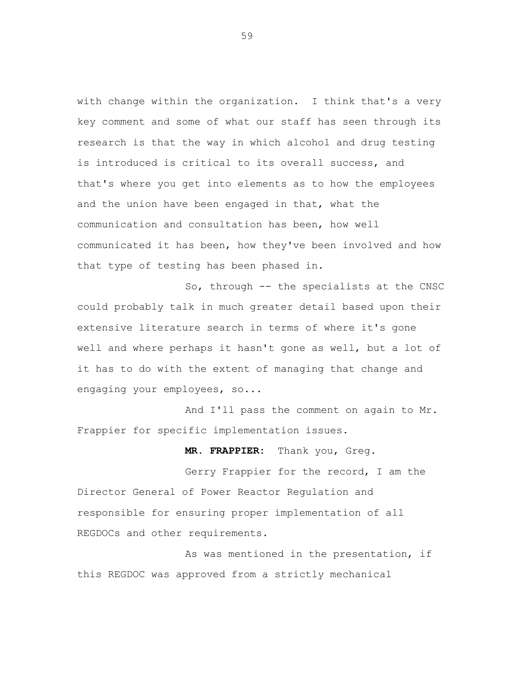with change within the organization. I think that's a very key comment and some of what our staff has seen through its research is that the way in which alcohol and drug testing is introduced is critical to its overall success, and that's where you get into elements as to how the employees and the union have been engaged in that, what the communication and consultation has been, how well communicated it has been, how they've been involved and how that type of testing has been phased in.

So, through -- the specialists at the CNSC could probably talk in much greater detail based upon their extensive literature search in terms of where it's gone well and where perhaps it hasn't gone as well, but a lot of it has to do with the extent of managing that change and engaging your employees, so...

And I'll pass the comment on again to Mr. Frappier for specific implementation issues.

**MR. FRAPPIER:** Thank you, Greg.

Gerry Frappier for the record, I am the Director General of Power Reactor Regulation and responsible for ensuring proper implementation of all REGDOCs and other requirements.

As was mentioned in the presentation, if this REGDOC was approved from a strictly mechanical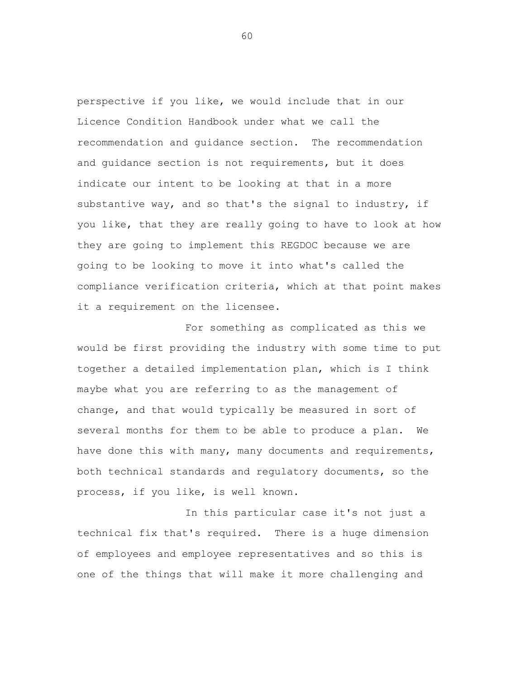perspective if you like, we would include that in our Licence Condition Handbook under what we call the recommendation and guidance section. The recommendation and guidance section is not requirements, but it does indicate our intent to be looking at that in a more substantive way, and so that's the signal to industry, if you like, that they are really going to have to look at how they are going to implement this REGDOC because we are going to be looking to move it into what's called the compliance verification criteria, which at that point makes it a requirement on the licensee.

For something as complicated as this we would be first providing the industry with some time to put together a detailed implementation plan, which is I think maybe what you are referring to as the management of change, and that would typically be measured in sort of several months for them to be able to produce a plan. We have done this with many, many documents and requirements, both technical standards and regulatory documents, so the process, if you like, is well known.

In this particular case it's not just a technical fix that's required. There is a huge dimension of employees and employee representatives and so this is one of the things that will make it more challenging and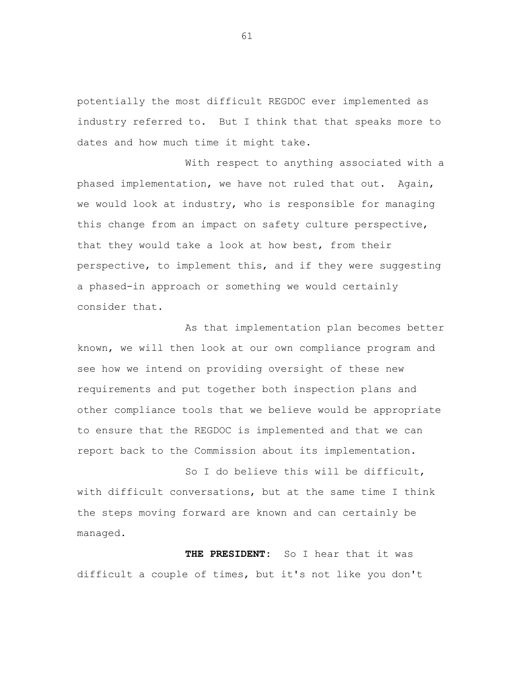potentially the most difficult REGDOC ever implemented as industry referred to. But I think that that speaks more to dates and how much time it might take.

With respect to anything associated with a phased implementation, we have not ruled that out. Again, we would look at industry, who is responsible for managing this change from an impact on safety culture perspective, that they would take a look at how best, from their perspective, to implement this, and if they were suggesting a phased-in approach or something we would certainly consider that.

As that implementation plan becomes better known, we will then look at our own compliance program and see how we intend on providing oversight of these new requirements and put together both inspection plans and other compliance tools that we believe would be appropriate to ensure that the REGDOC is implemented and that we can report back to the Commission about its implementation.

So I do believe this will be difficult, with difficult conversations, but at the same time I think the steps moving forward are known and can certainly be managed.

**THE PRESIDENT:** So I hear that it was difficult a couple of times, but it's not like you don't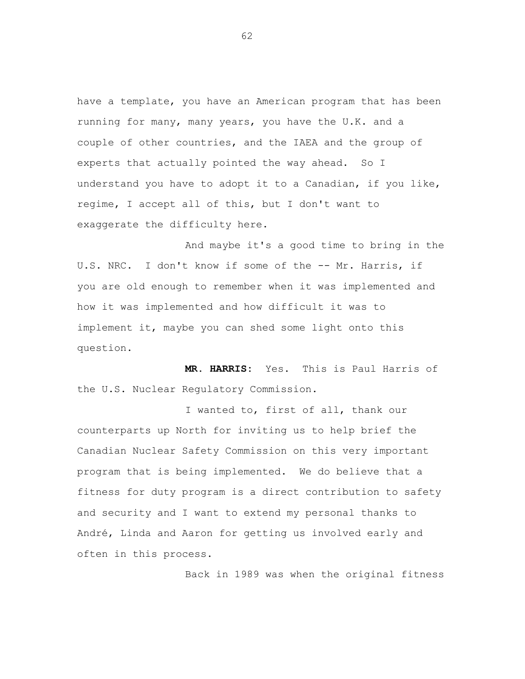have a template, you have an American program that has been running for many, many years, you have the U.K. and a couple of other countries, and the IAEA and the group of experts that actually pointed the way ahead. So I understand you have to adopt it to a Canadian, if you like, regime, I accept all of this, but I don't want to exaggerate the difficulty here.

And maybe it's a good time to bring in the U.S. NRC. I don't know if some of the -- Mr. Harris, if you are old enough to remember when it was implemented and how it was implemented and how difficult it was to implement it, maybe you can shed some light onto this question.

 **MR. HARRIS:** Yes. This is Paul Harris of the U.S. Nuclear Regulatory Commission.

I wanted to, first of all, thank our counterparts up North for inviting us to help brief the Canadian Nuclear Safety Commission on this very important program that is being implemented. We do believe that a fitness for duty program is a direct contribution to safety and security and I want to extend my personal thanks to André, Linda and Aaron for getting us involved early and often in this process.

Back in 1989 was when the original fitness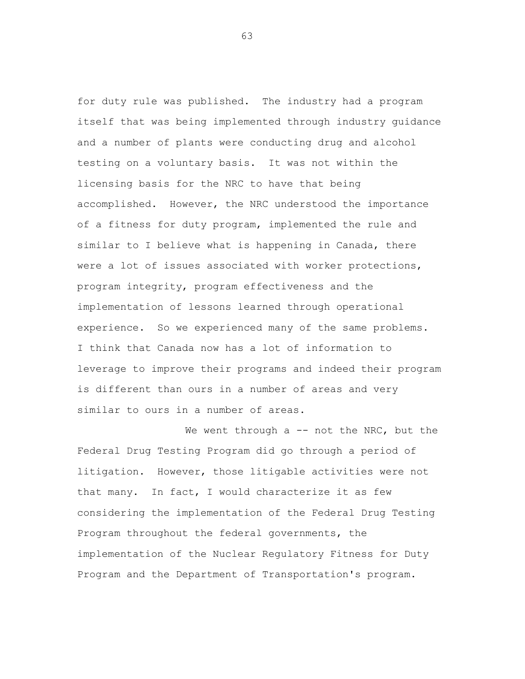for duty rule was published. The industry had a program itself that was being implemented through industry guidance and a number of plants were conducting drug and alcohol testing on a voluntary basis. It was not within the licensing basis for the NRC to have that being accomplished. However, the NRC understood the importance of a fitness for duty program, implemented the rule and similar to I believe what is happening in Canada, there were a lot of issues associated with worker protections, program integrity, program effectiveness and the implementation of lessons learned through operational experience. So we experienced many of the same problems. I think that Canada now has a lot of information to leverage to improve their programs and indeed their program is different than ours in a number of areas and very similar to ours in a number of areas.

We went through  $a$  -- not the NRC, but the Federal Drug Testing Program did go through a period of litigation. However, those litigable activities were not that many. In fact, I would characterize it as few considering the implementation of the Federal Drug Testing Program throughout the federal governments, the implementation of the Nuclear Regulatory Fitness for Duty Program and the Department of Transportation's program.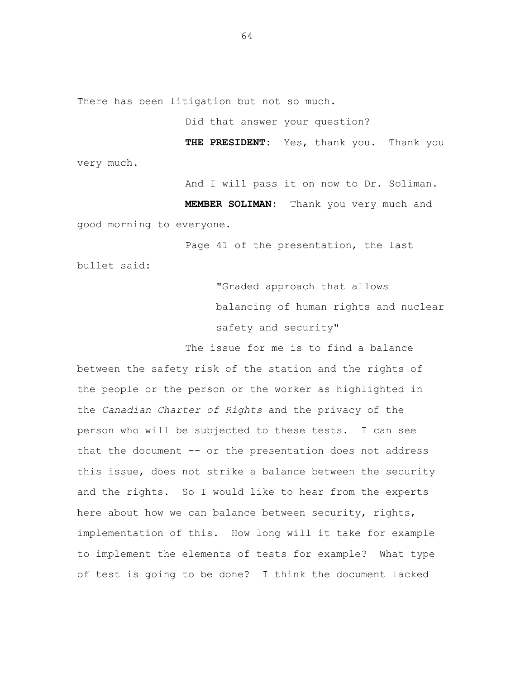There has been litigation but not so much.

Did that answer your question?

 **THE PRESIDENT:** Yes, thank you. Thank you very much.

And I will pass it on now to Dr. Soliman.

 **MEMBER SOLIMAN:** Thank you very much and good morning to everyone.

Page 41 of the presentation, the last

bullet said:

"Graded approach that allows balancing of human rights and nuclear safety and security"

The issue for me is to find a balance between the safety risk of the station and the rights of the people or the person or the worker as highlighted in the *Canadian Charter of Rights* and the privacy of the person who will be subjected to these tests. I can see that the document -- or the presentation does not address this issue, does not strike a balance between the security and the rights. So I would like to hear from the experts here about how we can balance between security, rights, implementation of this. How long will it take for example to implement the elements of tests for example? What type of test is going to be done? I think the document lacked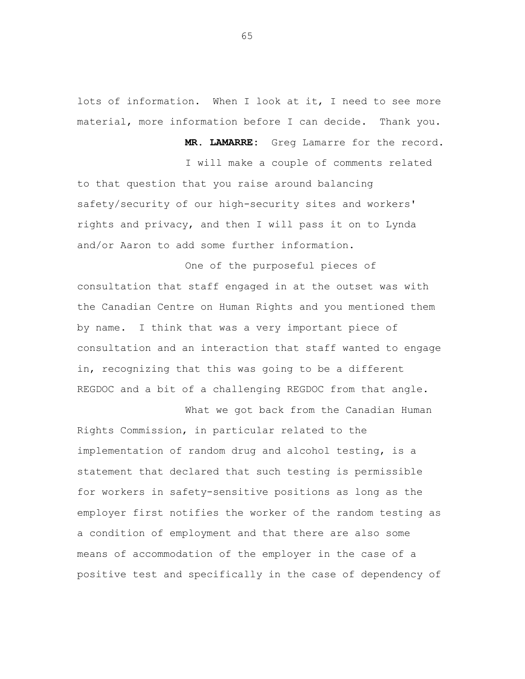lots of information. When I look at it, I need to see more material, more information before I can decide. Thank you.

 **MR. LAMARRE:** Greg Lamarre for the record.

I will make a couple of comments related to that question that you raise around balancing safety/security of our high-security sites and workers' rights and privacy, and then I will pass it on to Lynda and/or Aaron to add some further information.

One of the purposeful pieces of consultation that staff engaged in at the outset was with the Canadian Centre on Human Rights and you mentioned them by name. I think that was a very important piece of consultation and an interaction that staff wanted to engage in, recognizing that this was going to be a different REGDOC and a bit of a challenging REGDOC from that angle.

What we got back from the Canadian Human Rights Commission, in particular related to the implementation of random drug and alcohol testing, is a statement that declared that such testing is permissible for workers in safety-sensitive positions as long as the employer first notifies the worker of the random testing as a condition of employment and that there are also some means of accommodation of the employer in the case of a positive test and specifically in the case of dependency of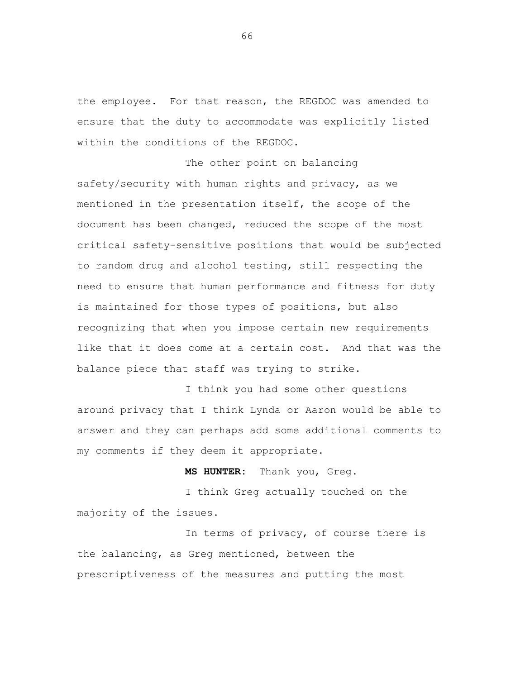the employee. For that reason, the REGDOC was amended to ensure that the duty to accommodate was explicitly listed within the conditions of the REGDOC.

The other point on balancing safety/security with human rights and privacy, as we mentioned in the presentation itself, the scope of the document has been changed, reduced the scope of the most critical safety-sensitive positions that would be subjected to random drug and alcohol testing, still respecting the need to ensure that human performance and fitness for duty is maintained for those types of positions, but also recognizing that when you impose certain new requirements like that it does come at a certain cost. And that was the balance piece that staff was trying to strike.

I think you had some other questions around privacy that I think Lynda or Aaron would be able to answer and they can perhaps add some additional comments to my comments if they deem it appropriate.

 **MS HUNTER:** Thank you, Greg.

I think Greg actually touched on the majority of the issues.

In terms of privacy, of course there is the balancing, as Greg mentioned, between the prescriptiveness of the measures and putting the most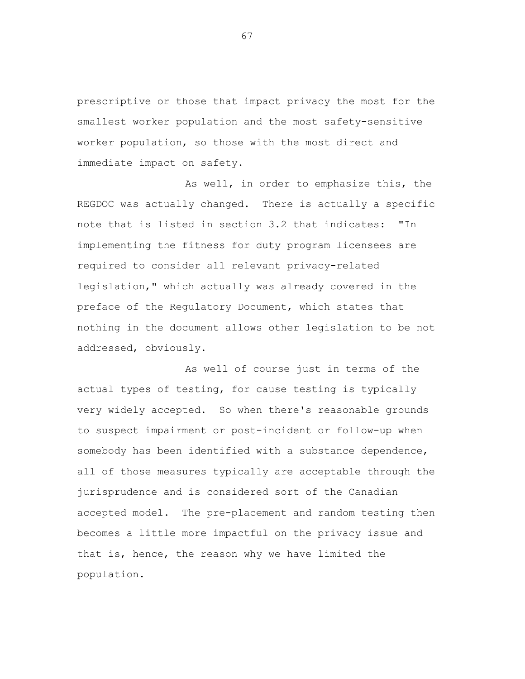prescriptive or those that impact privacy the most for the smallest worker population and the most safety-sensitive worker population, so those with the most direct and immediate impact on safety.

As well, in order to emphasize this, the REGDOC was actually changed. There is actually a specific note that is listed in section 3.2 that indicates: "In implementing the fitness for duty program licensees are required to consider all relevant privacy-related legislation," which actually was already covered in the preface of the Regulatory Document, which states that nothing in the document allows other legislation to be not addressed, obviously.

As well of course just in terms of the actual types of testing, for cause testing is typically very widely accepted. So when there's reasonable grounds to suspect impairment or post-incident or follow-up when somebody has been identified with a substance dependence, all of those measures typically are acceptable through the jurisprudence and is considered sort of the Canadian accepted model. The pre-placement and random testing then becomes a little more impactful on the privacy issue and that is, hence, the reason why we have limited the population.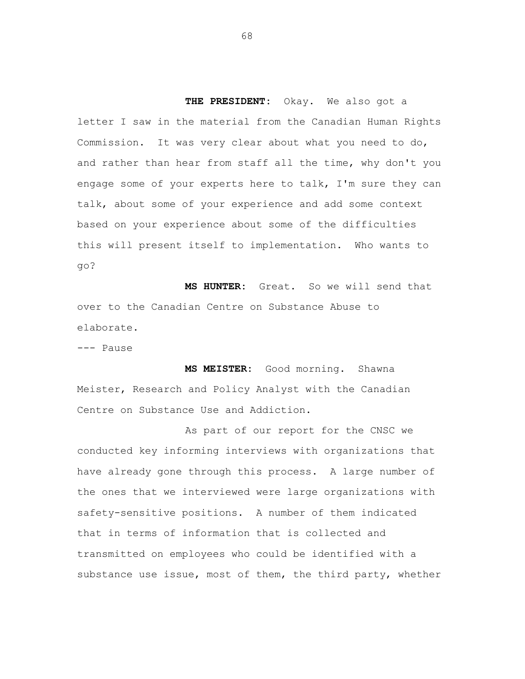**THE PRESIDENT:** Okay. We also got a letter I saw in the material from the Canadian Human Rights Commission. It was very clear about what you need to do, and rather than hear from staff all the time, why don't you engage some of your experts here to talk, I'm sure they can talk, about some of your experience and add some context based on your experience about some of the difficulties this will present itself to implementation. Who wants to go?

**MS HUNTER:** Great. So we will send that over to the Canadian Centre on Substance Abuse to elaborate.

--- Pause

**MS MEISTER:** Good morning. Shawna Meister, Research and Policy Analyst with the Canadian Centre on Substance Use and Addiction.

As part of our report for the CNSC we conducted key informing interviews with organizations that have already gone through this process. A large number of the ones that we interviewed were large organizations with safety-sensitive positions. A number of them indicated that in terms of information that is collected and transmitted on employees who could be identified with a substance use issue, most of them, the third party, whether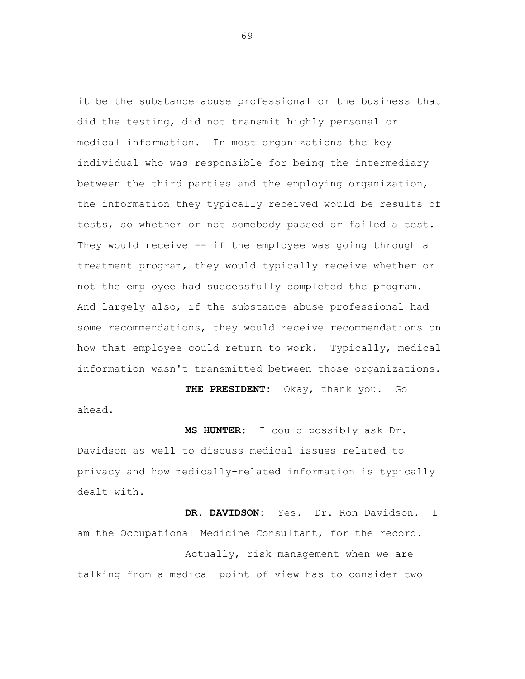it be the substance abuse professional or the business that did the testing, did not transmit highly personal or medical information. In most organizations the key individual who was responsible for being the intermediary between the third parties and the employing organization, the information they typically received would be results of tests, so whether or not somebody passed or failed a test. They would receive -- if the employee was going through a treatment program, they would typically receive whether or not the employee had successfully completed the program. And largely also, if the substance abuse professional had some recommendations, they would receive recommendations on how that employee could return to work. Typically, medical information wasn't transmitted between those organizations.

**THE PRESIDENT:** Okay, thank you. Go ahead.

**MS HUNTER:** I could possibly ask Dr. Davidson as well to discuss medical issues related to privacy and how medically-related information is typically dealt with.

**DR. DAVIDSON:** Yes. Dr. Ron Davidson. I am the Occupational Medicine Consultant, for the record. Actually, risk management when we are talking from a medical point of view has to consider two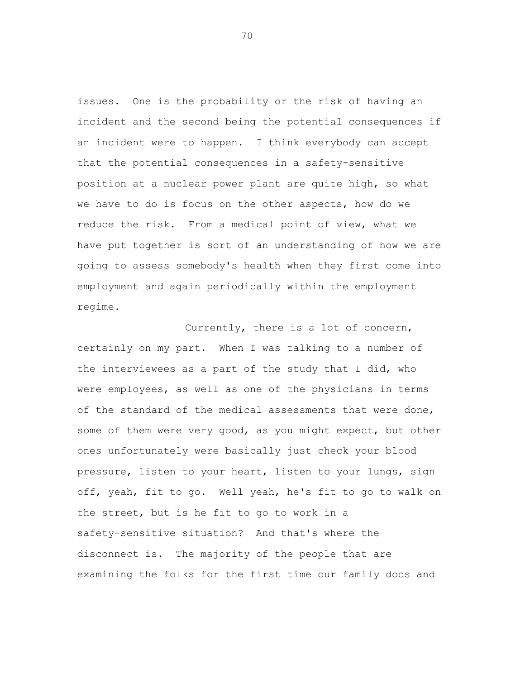issues. One is the probability or the risk of having an incident and the second being the potential consequences if an incident were to happen. I think everybody can accept that the potential consequences in a safety-sensitive position at a nuclear power plant are quite high, so what we have to do is focus on the other aspects, how do we reduce the risk. From a medical point of view, what we have put together is sort of an understanding of how we are going to assess somebody's health when they first come into employment and again periodically within the employment regime.

Currently, there is a lot of concern, certainly on my part. When I was talking to a number of the interviewees as a part of the study that I did, who were employees, as well as one of the physicians in terms of the standard of the medical assessments that were done, some of them were very good, as you might expect, but other ones unfortunately were basically just check your blood pressure, listen to your heart, listen to your lungs, sign off, yeah, fit to go. Well yeah, he's fit to go to walk on the street, but is he fit to go to work in a safety-sensitive situation? And that's where the disconnect is. The majority of the people that are examining the folks for the first time our family docs and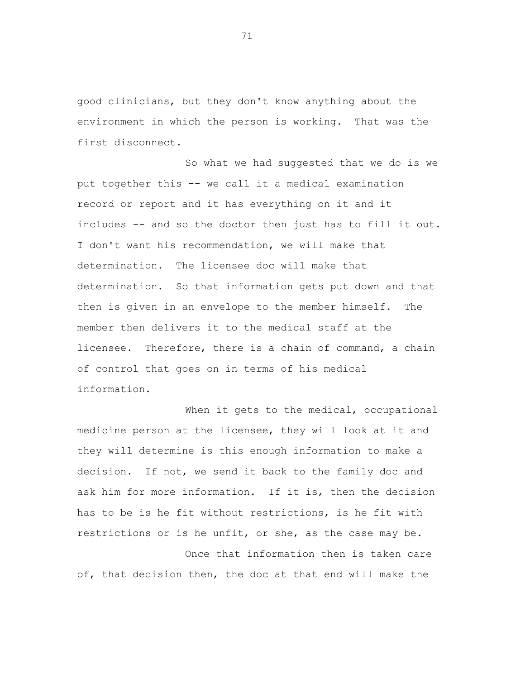good clinicians, but they don't know anything about the environment in which the person is working. That was the first disconnect.

So what we had suggested that we do is we put together this -- we call it a medical examination record or report and it has everything on it and it includes -- and so the doctor then just has to fill it out. I don't want his recommendation, we will make that determination. The licensee doc will make that determination. So that information gets put down and that then is given in an envelope to the member himself. The member then delivers it to the medical staff at the licensee. Therefore, there is a chain of command, a chain of control that goes on in terms of his medical information.

When it gets to the medical, occupational medicine person at the licensee, they will look at it and they will determine is this enough information to make a decision. If not, we send it back to the family doc and ask him for more information. If it is, then the decision has to be is he fit without restrictions, is he fit with restrictions or is he unfit, or she, as the case may be.

Once that information then is taken care of, that decision then, the doc at that end will make the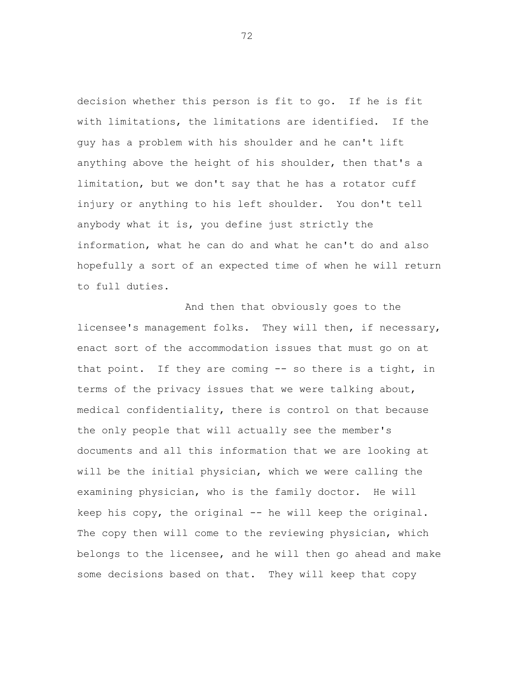decision whether this person is fit to go. If he is fit with limitations, the limitations are identified. If the guy has a problem with his shoulder and he can't lift anything above the height of his shoulder, then that's a limitation, but we don't say that he has a rotator cuff injury or anything to his left shoulder. You don't tell anybody what it is, you define just strictly the information, what he can do and what he can't do and also hopefully a sort of an expected time of when he will return to full duties.

And then that obviously goes to the licensee's management folks. They will then, if necessary, enact sort of the accommodation issues that must go on at that point. If they are coming -- so there is a tight, in terms of the privacy issues that we were talking about, medical confidentiality, there is control on that because the only people that will actually see the member's documents and all this information that we are looking at will be the initial physician, which we were calling the examining physician, who is the family doctor. He will keep his copy, the original  $-$  he will keep the original. The copy then will come to the reviewing physician, which belongs to the licensee, and he will then go ahead and make some decisions based on that. They will keep that copy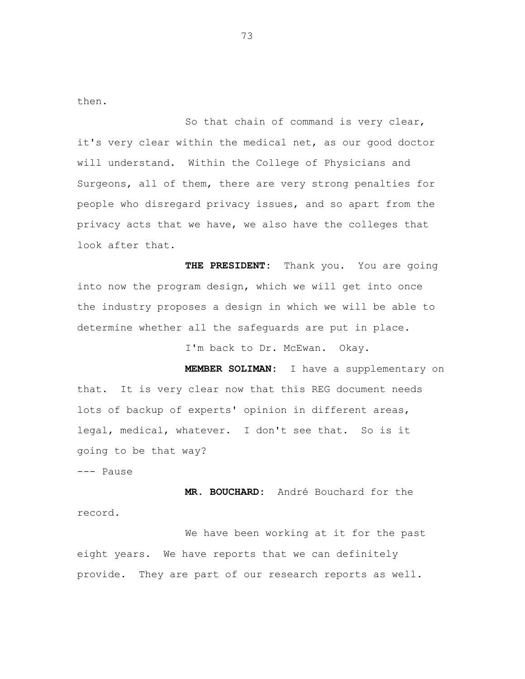then.

So that chain of command is very clear, it's very clear within the medical net, as our good doctor will understand. Within the College of Physicians and Surgeons, all of them, there are very strong penalties for people who disregard privacy issues, and so apart from the privacy acts that we have, we also have the colleges that look after that.

**THE PRESIDENT:** Thank you. You are going into now the program design, which we will get into once the industry proposes a design in which we will be able to determine whether all the safeguards are put in place.

I'm back to Dr. McEwan. Okay.

**MEMBER SOLIMAN:** I have a supplementary on that. It is very clear now that this REG document needs lots of backup of experts' opinion in different areas, legal, medical, whatever. I don't see that. So is it going to be that way?

--- Pause

**MR. BOUCHARD:** André Bouchard for the record.

We have been working at it for the past eight years. We have reports that we can definitely provide. They are part of our research reports as well.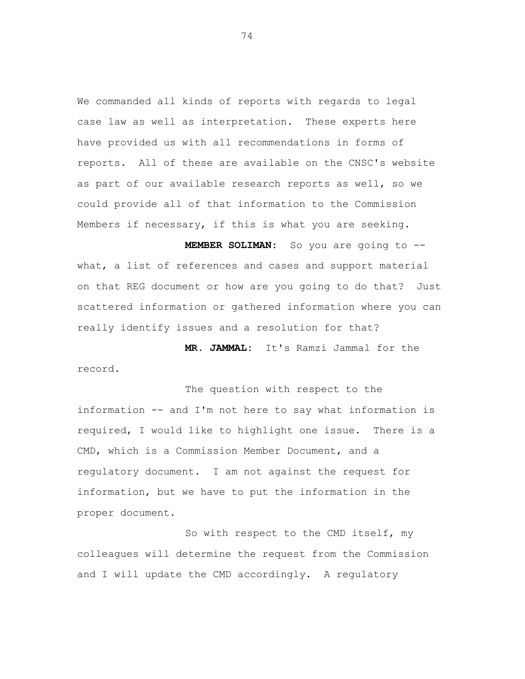We commanded all kinds of reports with regards to legal case law as well as interpretation. These experts here have provided us with all recommendations in forms of reports. All of these are available on the CNSC's website as part of our available research reports as well, so we could provide all of that information to the Commission Members if necessary, if this is what you are seeking.

**MEMBER SOLIMAN:** So you are going to - what, a list of references and cases and support material on that REG document or how are you going to do that? Just scattered information or gathered information where you can really identify issues and a resolution for that?

**MR. JAMMAL:** It's Ramzi Jammal for the record.

The question with respect to the information -- and I'm not here to say what information is required, I would like to highlight one issue. There is a CMD, which is a Commission Member Document, and a regulatory document. I am not against the request for information, but we have to put the information in the proper document.

So with respect to the CMD itself, my colleagues will determine the request from the Commission and I will update the CMD accordingly. A regulatory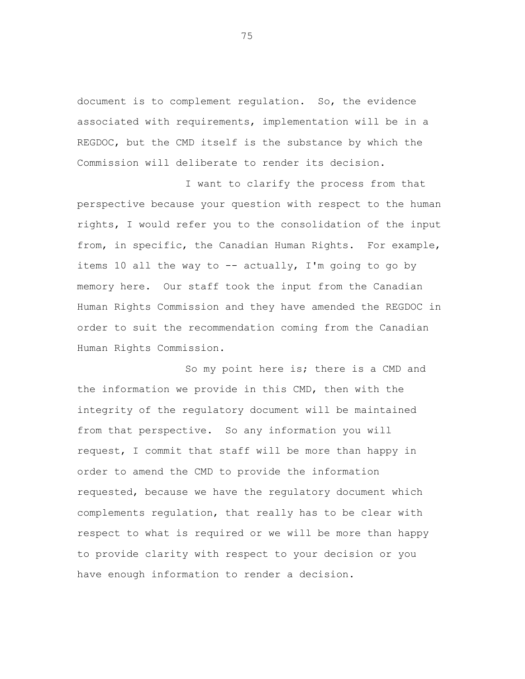document is to complement regulation. So, the evidence associated with requirements, implementation will be in a REGDOC, but the CMD itself is the substance by which the Commission will deliberate to render its decision.

I want to clarify the process from that perspective because your question with respect to the human rights, I would refer you to the consolidation of the input from, in specific, the Canadian Human Rights. For example, items 10 all the way to  $--$  actually, I'm going to go by memory here. Our staff took the input from the Canadian Human Rights Commission and they have amended the REGDOC in order to suit the recommendation coming from the Canadian Human Rights Commission.

So my point here is; there is a CMD and the information we provide in this CMD, then with the integrity of the regulatory document will be maintained from that perspective. So any information you will request, I commit that staff will be more than happy in order to amend the CMD to provide the information requested, because we have the regulatory document which complements regulation, that really has to be clear with respect to what is required or we will be more than happy to provide clarity with respect to your decision or you have enough information to render a decision.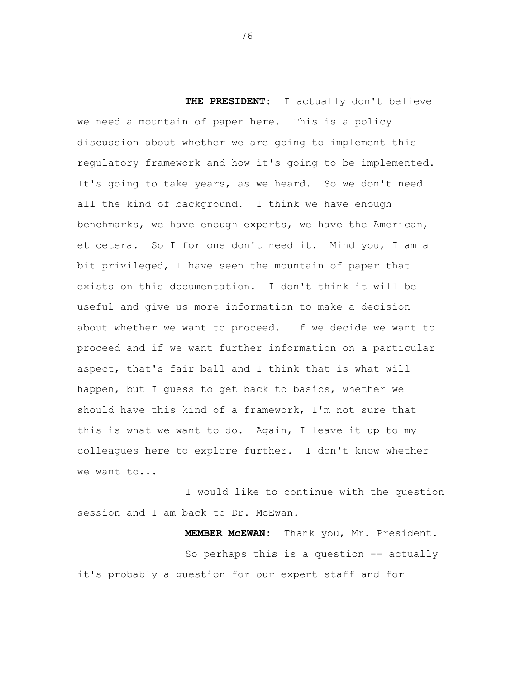**THE PRESIDENT:** I actually don't believe we need a mountain of paper here. This is a policy discussion about whether we are going to implement this regulatory framework and how it's going to be implemented. It's going to take years, as we heard. So we don't need all the kind of background. I think we have enough benchmarks, we have enough experts, we have the American, et cetera. So I for one don't need it. Mind you, I am a bit privileged, I have seen the mountain of paper that exists on this documentation. I don't think it will be useful and give us more information to make a decision about whether we want to proceed. If we decide we want to proceed and if we want further information on a particular aspect, that's fair ball and I think that is what will happen, but I guess to get back to basics, whether we should have this kind of a framework, I'm not sure that this is what we want to do. Again, I leave it up to my colleagues here to explore further. I don't know whether we want to...

I would like to continue with the question session and I am back to Dr. McEwan.

**MEMBER McEWAN:** Thank you, Mr. President. So perhaps this is a question  $-$  actually it's probably a question for our expert staff and for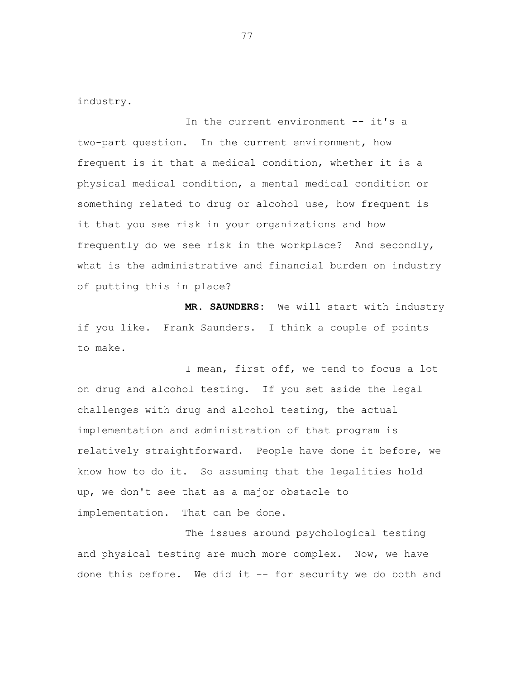industry.

In the current environment -- it's a two-part question. In the current environment, how frequent is it that a medical condition, whether it is a physical medical condition, a mental medical condition or something related to drug or alcohol use, how frequent is it that you see risk in your organizations and how frequently do we see risk in the workplace? And secondly, what is the administrative and financial burden on industry of putting this in place?

**MR. SAUNDERS:** We will start with industry if you like. Frank Saunders. I think a couple of points to make.

I mean, first off, we tend to focus a lot on drug and alcohol testing. If you set aside the legal challenges with drug and alcohol testing, the actual implementation and administration of that program is relatively straightforward. People have done it before, we know how to do it. So assuming that the legalities hold up, we don't see that as a major obstacle to implementation. That can be done.

The issues around psychological testing and physical testing are much more complex. Now, we have done this before. We did it -- for security we do both and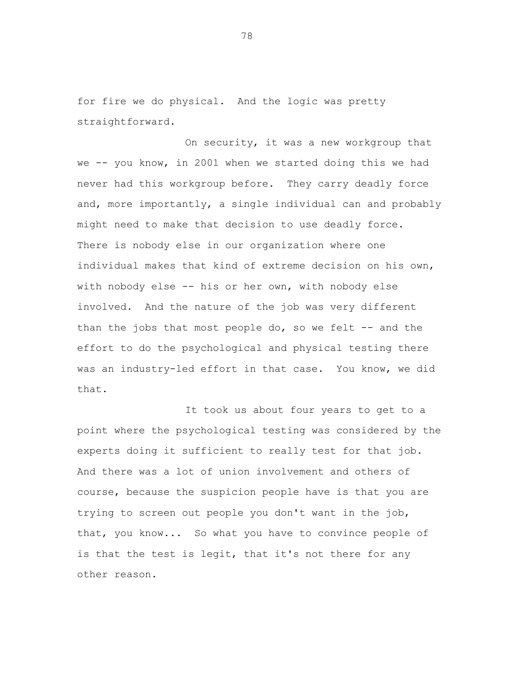for fire we do physical. And the logic was pretty straightforward.

On security, it was a new workgroup that we -- you know, in 2001 when we started doing this we had never had this workgroup before. They carry deadly force and, more importantly, a single individual can and probably might need to make that decision to use deadly force. There is nobody else in our organization where one individual makes that kind of extreme decision on his own, with nobody else -- his or her own, with nobody else involved. And the nature of the job was very different than the jobs that most people do, so we felt  $-$ - and the effort to do the psychological and physical testing there was an industry-led effort in that case. You know, we did that.

It took us about four years to get to a point where the psychological testing was considered by the experts doing it sufficient to really test for that job. And there was a lot of union involvement and others of course, because the suspicion people have is that you are trying to screen out people you don't want in the job, that, you know... So what you have to convince people of is that the test is legit, that it's not there for any other reason.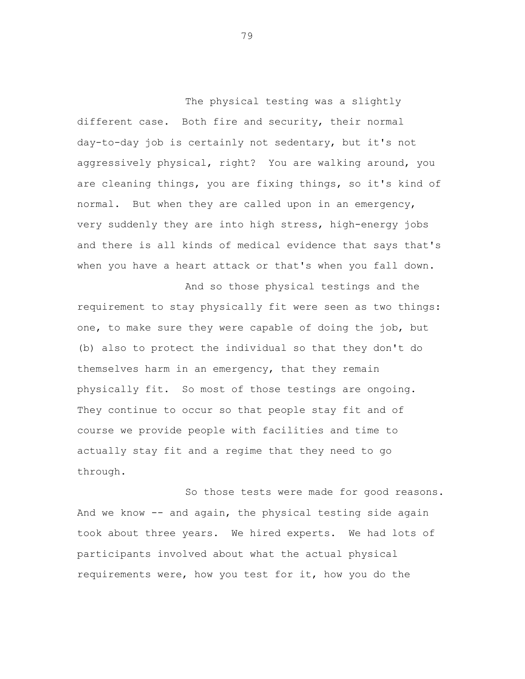The physical testing was a slightly different case. Both fire and security, their normal day-to-day job is certainly not sedentary, but it's not aggressively physical, right? You are walking around, you are cleaning things, you are fixing things, so it's kind of normal. But when they are called upon in an emergency, very suddenly they are into high stress, high-energy jobs and there is all kinds of medical evidence that says that's when you have a heart attack or that's when you fall down.

And so those physical testings and the requirement to stay physically fit were seen as two things: one, to make sure they were capable of doing the job, but (b) also to protect the individual so that they don't do themselves harm in an emergency, that they remain physically fit. So most of those testings are ongoing. They continue to occur so that people stay fit and of course we provide people with facilities and time to actually stay fit and a regime that they need to go through.

So those tests were made for good reasons. And we know -- and again, the physical testing side again took about three years. We hired experts. We had lots of participants involved about what the actual physical requirements were, how you test for it, how you do the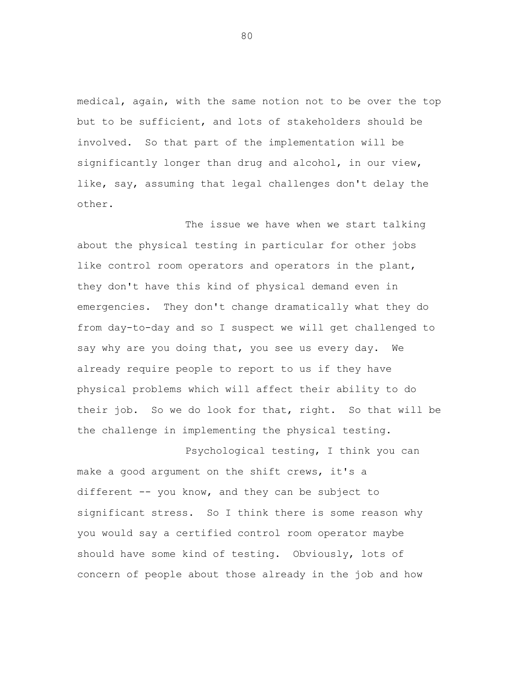medical, again, with the same notion not to be over the top but to be sufficient, and lots of stakeholders should be involved. So that part of the implementation will be significantly longer than drug and alcohol, in our view, like, say, assuming that legal challenges don't delay the other.

The issue we have when we start talking about the physical testing in particular for other jobs like control room operators and operators in the plant, they don't have this kind of physical demand even in emergencies. They don't change dramatically what they do from day-to-day and so I suspect we will get challenged to say why are you doing that, you see us every day. We already require people to report to us if they have physical problems which will affect their ability to do their job. So we do look for that, right. So that will be the challenge in implementing the physical testing.

Psychological testing, I think you can make a good argument on the shift crews, it's a different -- you know, and they can be subject to significant stress. So I think there is some reason why you would say a certified control room operator maybe should have some kind of testing. Obviously, lots of concern of people about those already in the job and how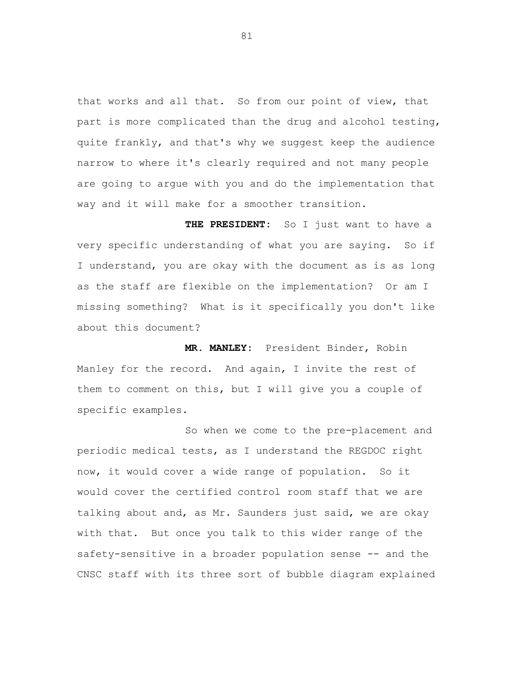that works and all that. So from our point of view, that part is more complicated than the drug and alcohol testing, quite frankly, and that's why we suggest keep the audience narrow to where it's clearly required and not many people are going to argue with you and do the implementation that way and it will make for a smoother transition.

**THE PRESIDENT:** So I just want to have a very specific understanding of what you are saying. So if I understand, you are okay with the document as is as long as the staff are flexible on the implementation? Or am I missing something? What is it specifically you don't like about this document?

**MR. MANLEY:** President Binder, Robin Manley for the record. And again, I invite the rest of them to comment on this, but I will give you a couple of specific examples.

So when we come to the pre-placement and periodic medical tests, as I understand the REGDOC right now, it would cover a wide range of population. So it would cover the certified control room staff that we are talking about and, as Mr. Saunders just said, we are okay with that. But once you talk to this wider range of the safety-sensitive in a broader population sense -- and the CNSC staff with its three sort of bubble diagram explained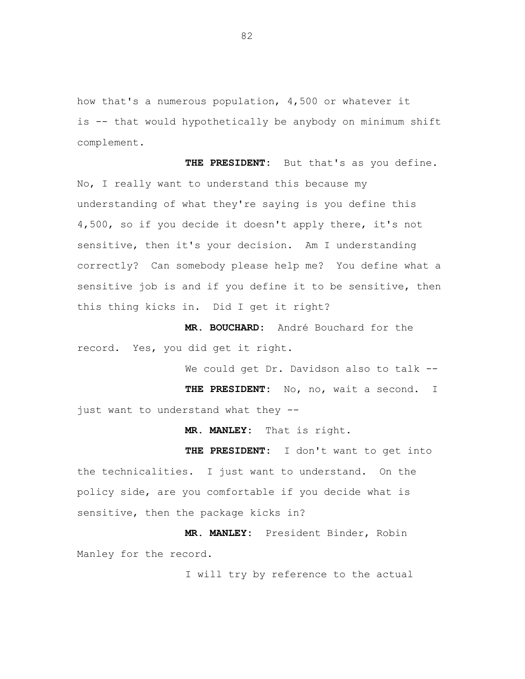how that's a numerous population, 4,500 or whatever it is -- that would hypothetically be anybody on minimum shift complement.

**THE PRESIDENT:** But that's as you define. No, I really want to understand this because my understanding of what they're saying is you define this 4,500, so if you decide it doesn't apply there, it's not sensitive, then it's your decision. Am I understanding correctly? Can somebody please help me? You define what a sensitive job is and if you define it to be sensitive, then this thing kicks in. Did I get it right?

**MR. BOUCHARD:** André Bouchard for the record. Yes, you did get it right.

We could get Dr. Davidson also to talk --

**THE PRESIDENT:** No, no, wait a second. I just want to understand what they --

**MR. MANLEY:** That is right.

**THE PRESIDENT:** I don't want to get into the technicalities. I just want to understand. On the policy side, are you comfortable if you decide what is sensitive, then the package kicks in?

**MR. MANLEY:** President Binder, Robin Manley for the record.

I will try by reference to the actual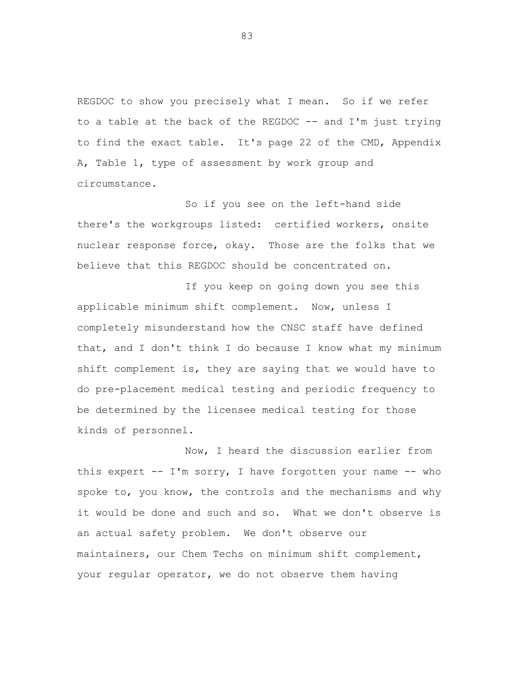REGDOC to show you precisely what I mean. So if we refer to a table at the back of the REGDOC  $-$ - and I'm just trying to find the exact table. It's page 22 of the CMD, Appendix A, Table 1, type of assessment by work group and circumstance.

So if you see on the left-hand side there's the workgroups listed: certified workers, onsite nuclear response force, okay. Those are the folks that we believe that this REGDOC should be concentrated on.

If you keep on going down you see this applicable minimum shift complement. Now, unless I completely misunderstand how the CNSC staff have defined that, and I don't think I do because I know what my minimum shift complement is, they are saying that we would have to do pre-placement medical testing and periodic frequency to be determined by the licensee medical testing for those kinds of personnel.

Now, I heard the discussion earlier from this expert  $-$  I'm sorry, I have forgotten your name  $-$  who spoke to, you know, the controls and the mechanisms and why it would be done and such and so. What we don't observe is an actual safety problem. We don't observe our maintainers, our Chem Techs on minimum shift complement, your regular operator, we do not observe them having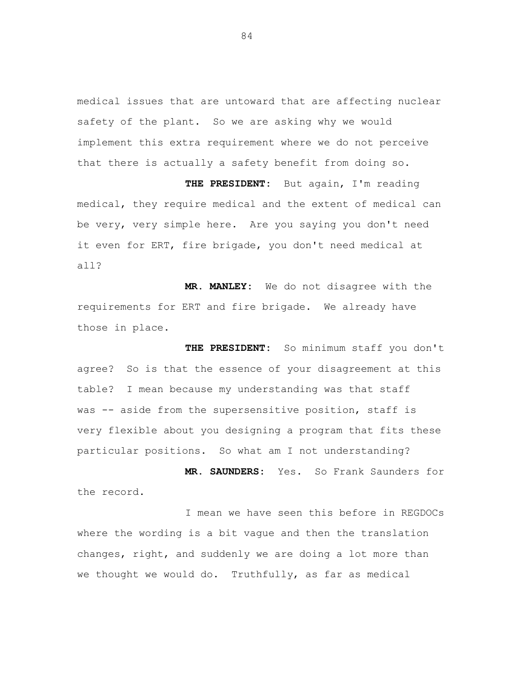medical issues that are untoward that are affecting nuclear safety of the plant. So we are asking why we would implement this extra requirement where we do not perceive that there is actually a safety benefit from doing so.

**THE PRESIDENT:** But again, I'm reading medical, they require medical and the extent of medical can be very, very simple here. Are you saying you don't need it even for ERT, fire brigade, you don't need medical at all?

**MR. MANLEY:** We do not disagree with the requirements for ERT and fire brigade. We already have those in place.

**THE PRESIDENT:** So minimum staff you don't agree? So is that the essence of your disagreement at this table? I mean because my understanding was that staff was -- aside from the supersensitive position, staff is very flexible about you designing a program that fits these particular positions. So what am I not understanding?

**MR. SAUNDERS:** Yes. So Frank Saunders for the record.

I mean we have seen this before in REGDOCs where the wording is a bit vague and then the translation changes, right, and suddenly we are doing a lot more than we thought we would do. Truthfully, as far as medical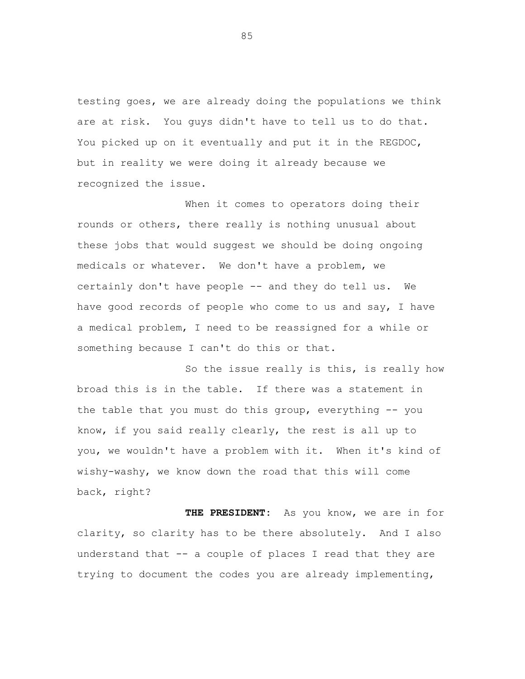testing goes, we are already doing the populations we think are at risk. You guys didn't have to tell us to do that. You picked up on it eventually and put it in the REGDOC, but in reality we were doing it already because we recognized the issue.

When it comes to operators doing their rounds or others, there really is nothing unusual about these jobs that would suggest we should be doing ongoing medicals or whatever. We don't have a problem, we certainly don't have people -- and they do tell us. We have good records of people who come to us and say, I have a medical problem, I need to be reassigned for a while or something because I can't do this or that.

So the issue really is this, is really how broad this is in the table. If there was a statement in the table that you must do this group, everything -- you know, if you said really clearly, the rest is all up to you, we wouldn't have a problem with it. When it's kind of wishy-washy, we know down the road that this will come back, right?

**THE PRESIDENT:** As you know, we are in for clarity, so clarity has to be there absolutely. And I also understand that -- a couple of places I read that they are trying to document the codes you are already implementing,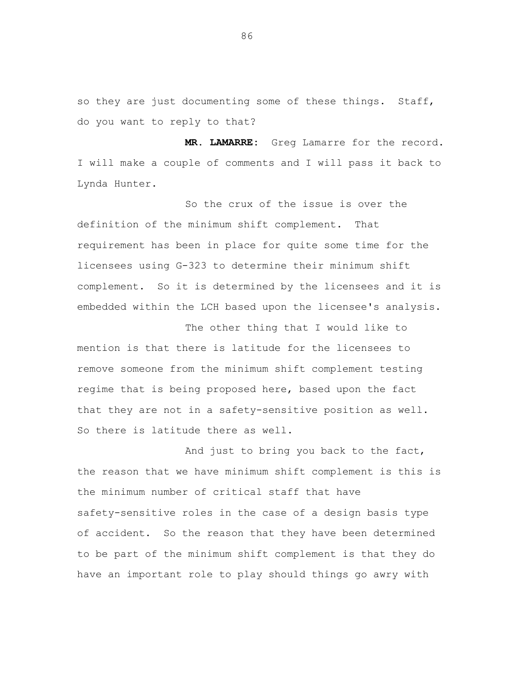so they are just documenting some of these things. Staff, do you want to reply to that?

**MR. LAMARRE:** Greg Lamarre for the record. I will make a couple of comments and I will pass it back to Lynda Hunter.

So the crux of the issue is over the definition of the minimum shift complement. That requirement has been in place for quite some time for the licensees using G-323 to determine their minimum shift complement. So it is determined by the licensees and it is embedded within the LCH based upon the licensee's analysis.

The other thing that I would like to mention is that there is latitude for the licensees to remove someone from the minimum shift complement testing regime that is being proposed here, based upon the fact that they are not in a safety-sensitive position as well. So there is latitude there as well.

And just to bring you back to the fact, the reason that we have minimum shift complement is this is the minimum number of critical staff that have safety-sensitive roles in the case of a design basis type of accident. So the reason that they have been determined to be part of the minimum shift complement is that they do have an important role to play should things go awry with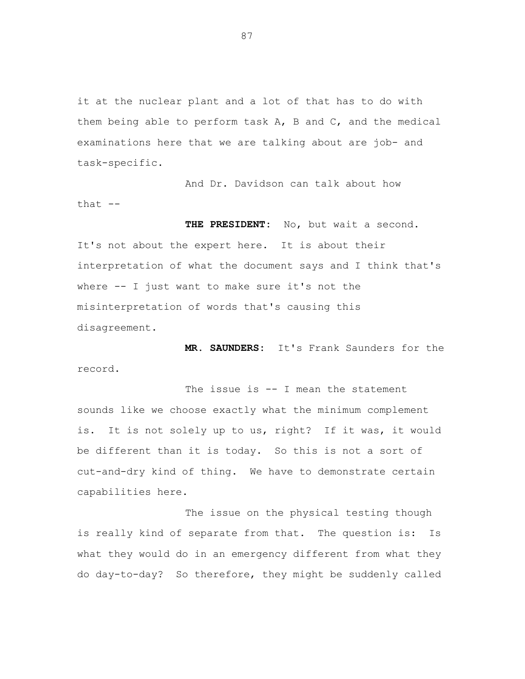it at the nuclear plant and a lot of that has to do with them being able to perform task A, B and C, and the medical examinations here that we are talking about are job- and task-specific.

And Dr. Davidson can talk about how that  $--$ 

**THE PRESIDENT:** No, but wait a second. It's not about the expert here. It is about their interpretation of what the document says and I think that's where -- I just want to make sure it's not the misinterpretation of words that's causing this disagreement.

**MR. SAUNDERS:** It's Frank Saunders for the record.

The issue is  $--$  I mean the statement sounds like we choose exactly what the minimum complement is. It is not solely up to us, right? If it was, it would be different than it is today. So this is not a sort of cut-and-dry kind of thing. We have to demonstrate certain capabilities here.

The issue on the physical testing though is really kind of separate from that. The question is: Is what they would do in an emergency different from what they do day-to-day? So therefore, they might be suddenly called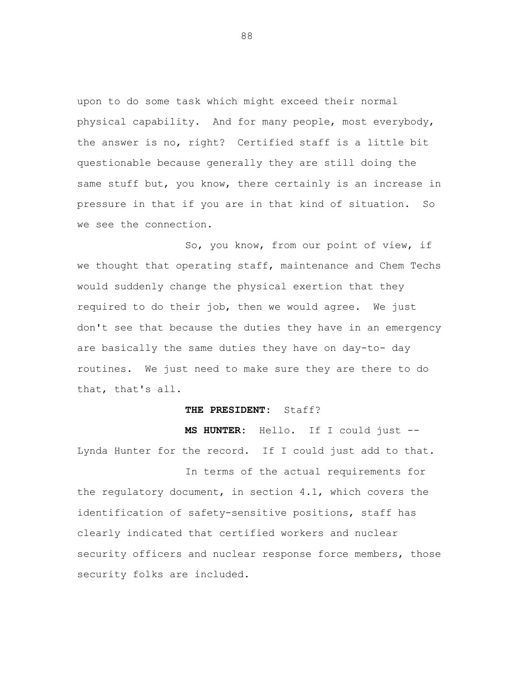upon to do some task which might exceed their normal physical capability. And for many people, most everybody, the answer is no, right? Certified staff is a little bit questionable because generally they are still doing the same stuff but, you know, there certainly is an increase in pressure in that if you are in that kind of situation. So we see the connection.

So, you know, from our point of view, if we thought that operating staff, maintenance and Chem Techs would suddenly change the physical exertion that they required to do their job, then we would agree. We just don't see that because the duties they have in an emergency are basically the same duties they have on day-to- day routines. We just need to make sure they are there to do that, that's all.

## **THE PRESIDENT:** Staff?

**MS HUNTER:** Hello. If I could just -- Lynda Hunter for the record. If I could just add to that.

In terms of the actual requirements for the regulatory document, in section 4.1, which covers the identification of safety-sensitive positions, staff has clearly indicated that certified workers and nuclear security officers and nuclear response force members, those security folks are included.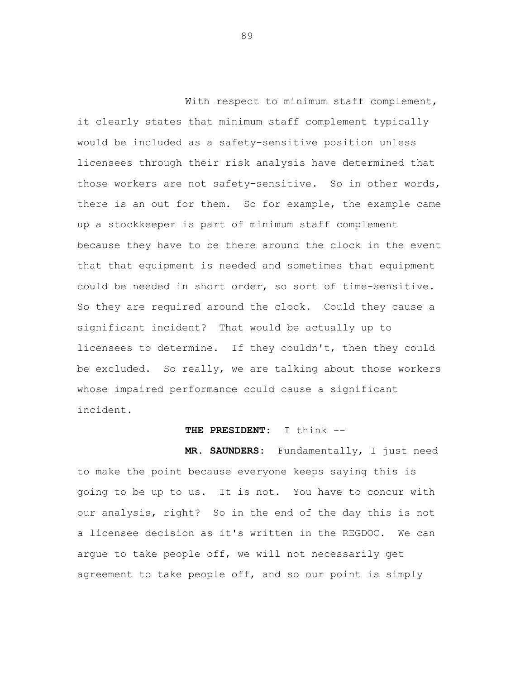With respect to minimum staff complement, it clearly states that minimum staff complement typically would be included as a safety-sensitive position unless licensees through their risk analysis have determined that those workers are not safety-sensitive. So in other words, there is an out for them. So for example, the example came up a stockkeeper is part of minimum staff complement because they have to be there around the clock in the event that that equipment is needed and sometimes that equipment could be needed in short order, so sort of time-sensitive. So they are required around the clock. Could they cause a significant incident? That would be actually up to licensees to determine. If they couldn't, then they could be excluded. So really, we are talking about those workers whose impaired performance could cause a significant incident.

## **THE PRESIDENT:** I think --

**MR. SAUNDERS:** Fundamentally, I just need to make the point because everyone keeps saying this is going to be up to us. It is not. You have to concur with our analysis, right? So in the end of the day this is not a licensee decision as it's written in the REGDOC. We can argue to take people off, we will not necessarily get agreement to take people off, and so our point is simply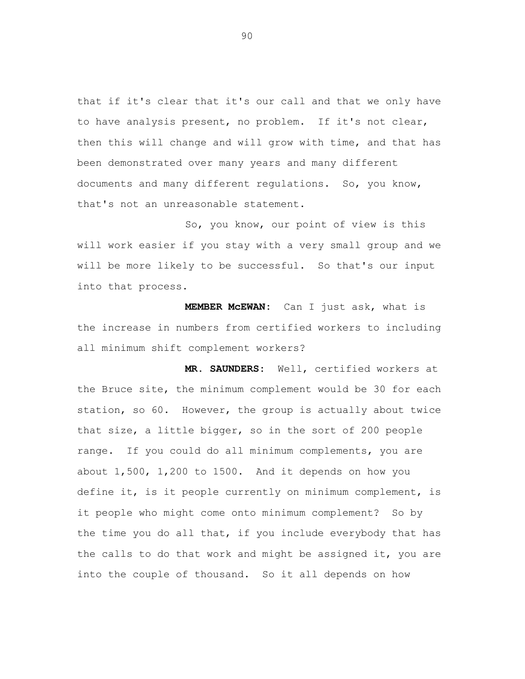that if it's clear that it's our call and that we only have to have analysis present, no problem. If it's not clear, then this will change and will grow with time, and that has been demonstrated over many years and many different documents and many different regulations. So, you know, that's not an unreasonable statement.

So, you know, our point of view is this will work easier if you stay with a very small group and we will be more likely to be successful. So that's our input into that process.

**MEMBER McEWAN:** Can I just ask, what is the increase in numbers from certified workers to including all minimum shift complement workers?

**MR. SAUNDERS:** Well, certified workers at the Bruce site, the minimum complement would be 30 for each station, so 60. However, the group is actually about twice that size, a little bigger, so in the sort of 200 people range. If you could do all minimum complements, you are about 1,500, 1,200 to 1500. And it depends on how you define it, is it people currently on minimum complement, is it people who might come onto minimum complement? So by the time you do all that, if you include everybody that has the calls to do that work and might be assigned it, you are into the couple of thousand. So it all depends on how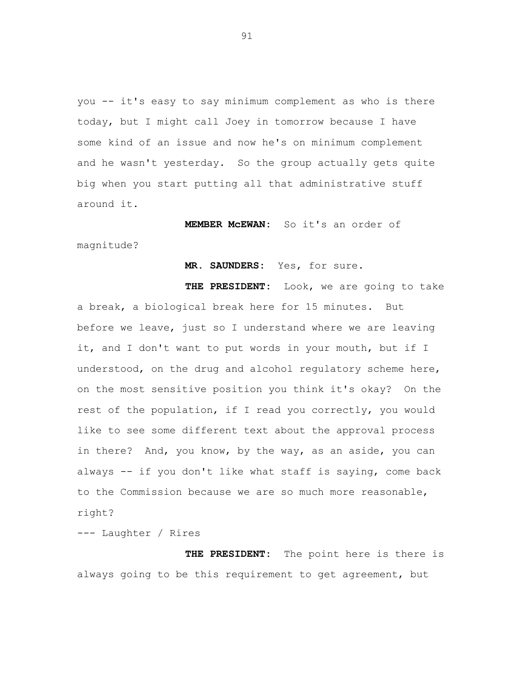you -- it's easy to say minimum complement as who is there today, but I might call Joey in tomorrow because I have some kind of an issue and now he's on minimum complement and he wasn't yesterday. So the group actually gets quite big when you start putting all that administrative stuff around it.

**MEMBER McEWAN:** So it's an order of magnitude?

**MR. SAUNDERS:** Yes, for sure.

**THE PRESIDENT:** Look, we are going to take a break, a biological break here for 15 minutes. But before we leave, just so I understand where we are leaving it, and I don't want to put words in your mouth, but if I understood, on the drug and alcohol regulatory scheme here, on the most sensitive position you think it's okay? On the rest of the population, if I read you correctly, you would like to see some different text about the approval process in there? And, you know, by the way, as an aside, you can always -- if you don't like what staff is saying, come back to the Commission because we are so much more reasonable, right?

--- Laughter / Rires

**THE PRESIDENT:** The point here is there is always going to be this requirement to get agreement, but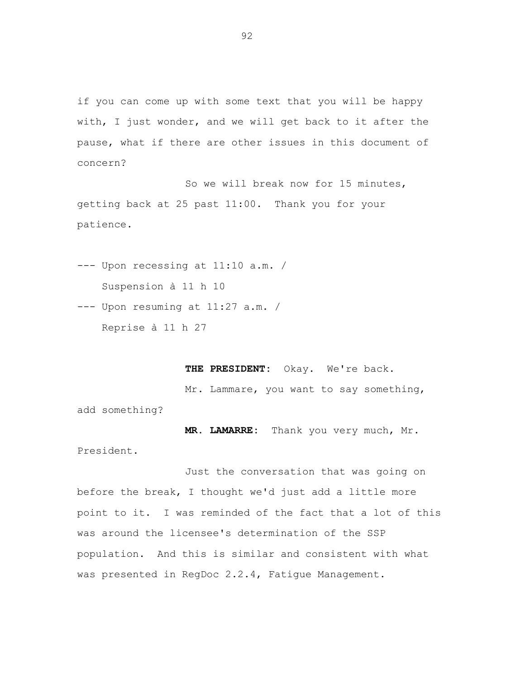if you can come up with some text that you will be happy with, I just wonder, and we will get back to it after the pause, what if there are other issues in this document of concern?

So we will break now for 15 minutes, getting back at 25 past 11:00. Thank you for your patience.

--- Upon recessing at 11:10 a.m. / Suspension à 11 h 10

--- Upon resuming at 11:27 a.m. / Reprise à 11 h 27

**THE PRESIDENT:** Okay. We're back.

Mr. Lammare, you want to say something,

add something?

**MR. LAMARRE:** Thank you very much, Mr. President.

Just the conversation that was going on before the break, I thought we'd just add a little more point to it. I was reminded of the fact that a lot of this was around the licensee's determination of the SSP population. And this is similar and consistent with what was presented in RegDoc 2.2.4, Fatigue Management.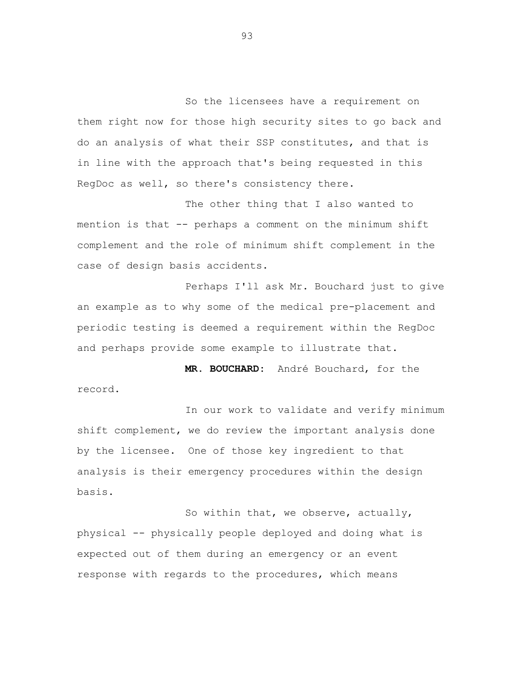So the licensees have a requirement on them right now for those high security sites to go back and do an analysis of what their SSP constitutes, and that is in line with the approach that's being requested in this RegDoc as well, so there's consistency there.

The other thing that I also wanted to mention is that -- perhaps a comment on the minimum shift complement and the role of minimum shift complement in the case of design basis accidents.

Perhaps I'll ask Mr. Bouchard just to give an example as to why some of the medical pre-placement and periodic testing is deemed a requirement within the RegDoc and perhaps provide some example to illustrate that.

**MR. BOUCHARD:** André Bouchard, for the record.

In our work to validate and verify minimum shift complement, we do review the important analysis done by the licensee. One of those key ingredient to that analysis is their emergency procedures within the design basis.

So within that, we observe, actually, physical -- physically people deployed and doing what is expected out of them during an emergency or an event response with regards to the procedures, which means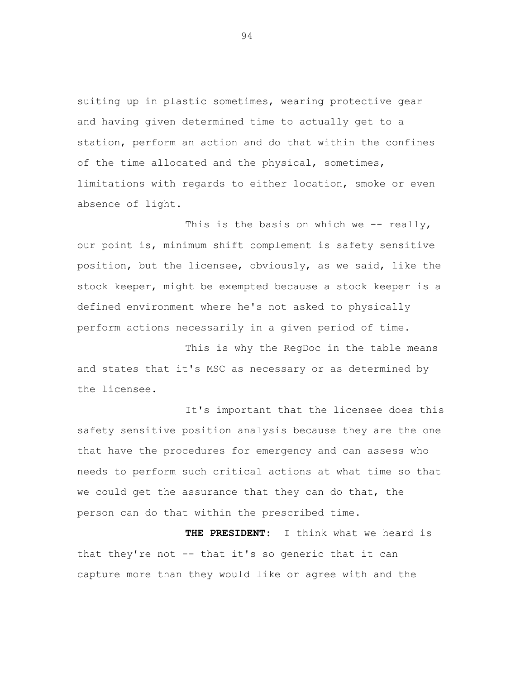suiting up in plastic sometimes, wearing protective gear and having given determined time to actually get to a station, perform an action and do that within the confines of the time allocated and the physical, sometimes, limitations with regards to either location, smoke or even absence of light.

This is the basis on which we  $--$  really, our point is, minimum shift complement is safety sensitive position, but the licensee, obviously, as we said, like the stock keeper, might be exempted because a stock keeper is a defined environment where he's not asked to physically perform actions necessarily in a given period of time.

This is why the RegDoc in the table means and states that it's MSC as necessary or as determined by the licensee.

It's important that the licensee does this safety sensitive position analysis because they are the one that have the procedures for emergency and can assess who needs to perform such critical actions at what time so that we could get the assurance that they can do that, the person can do that within the prescribed time.

 **THE PRESIDENT:** I think what we heard is that they're not -- that it's so generic that it can capture more than they would like or agree with and the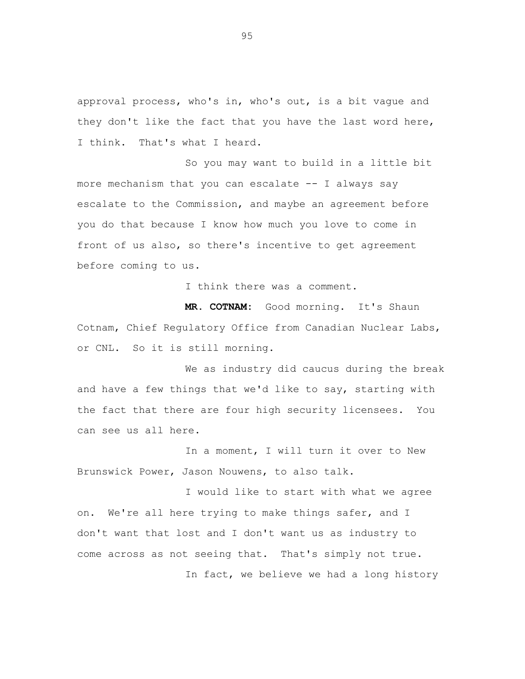approval process, who's in, who's out, is a bit vague and they don't like the fact that you have the last word here, I think. That's what I heard.

So you may want to build in a little bit more mechanism that you can escalate -- I always say escalate to the Commission, and maybe an agreement before you do that because I know how much you love to come in front of us also, so there's incentive to get agreement before coming to us.

I think there was a comment.

**MR. COTNAM:** Good morning. It's Shaun Cotnam, Chief Regulatory Office from Canadian Nuclear Labs, or CNL. So it is still morning.

We as industry did caucus during the break and have a few things that we'd like to say, starting with the fact that there are four high security licensees. You can see us all here.

In a moment, I will turn it over to New Brunswick Power, Jason Nouwens, to also talk.

I would like to start with what we agree on. We're all here trying to make things safer, and I don't want that lost and I don't want us as industry to come across as not seeing that. That's simply not true.

In fact, we believe we had a long history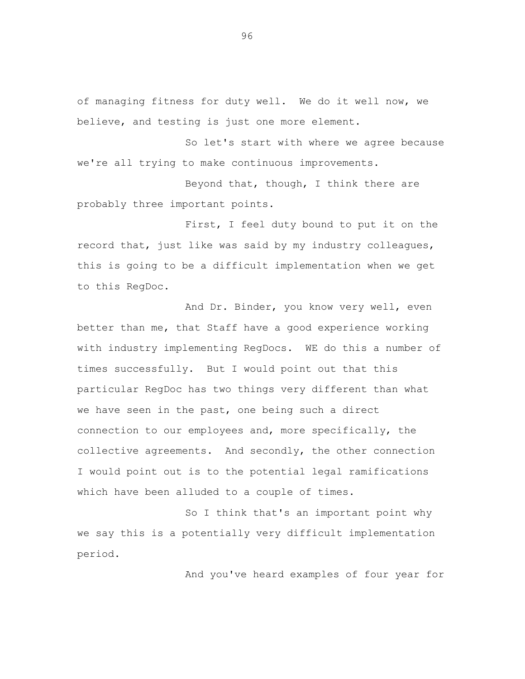of managing fitness for duty well. We do it well now, we believe, and testing is just one more element.

So let's start with where we agree because we're all trying to make continuous improvements.

Beyond that, though, I think there are probably three important points.

First, I feel duty bound to put it on the record that, just like was said by my industry colleagues, this is going to be a difficult implementation when we get to this RegDoc.

And Dr. Binder, you know very well, even better than me, that Staff have a good experience working with industry implementing RegDocs. WE do this a number of times successfully. But I would point out that this particular RegDoc has two things very different than what we have seen in the past, one being such a direct connection to our employees and, more specifically, the collective agreements. And secondly, the other connection I would point out is to the potential legal ramifications which have been alluded to a couple of times.

So I think that's an important point why we say this is a potentially very difficult implementation period.

And you've heard examples of four year for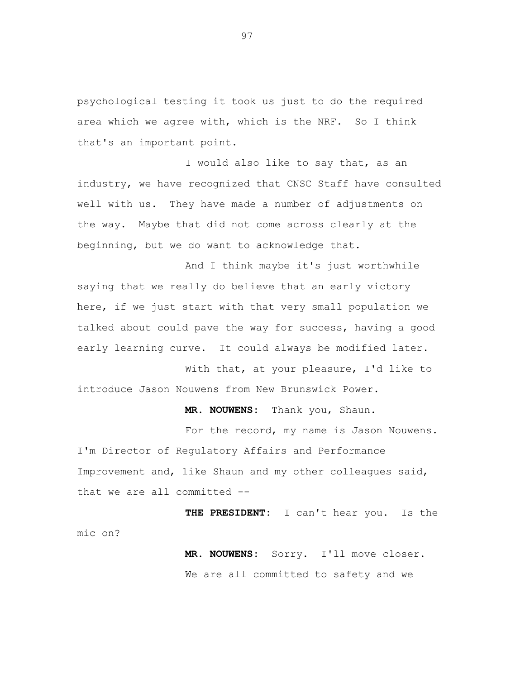psychological testing it took us just to do the required area which we agree with, which is the NRF. So I think that's an important point.

I would also like to say that, as an industry, we have recognized that CNSC Staff have consulted well with us. They have made a number of adjustments on the way. Maybe that did not come across clearly at the beginning, but we do want to acknowledge that.

And I think maybe it's just worthwhile saying that we really do believe that an early victory here, if we just start with that very small population we talked about could pave the way for success, having a good early learning curve. It could always be modified later.

With that, at your pleasure, I'd like to introduce Jason Nouwens from New Brunswick Power.

**MR. NOUWENS:** Thank you, Shaun.

For the record, my name is Jason Nouwens. I'm Director of Regulatory Affairs and Performance Improvement and, like Shaun and my other colleagues said, that we are all committed --

**THE PRESIDENT:** I can't hear you. Is the mic on?

> **MR. NOUWENS:** Sorry. I'll move closer. We are all committed to safety and we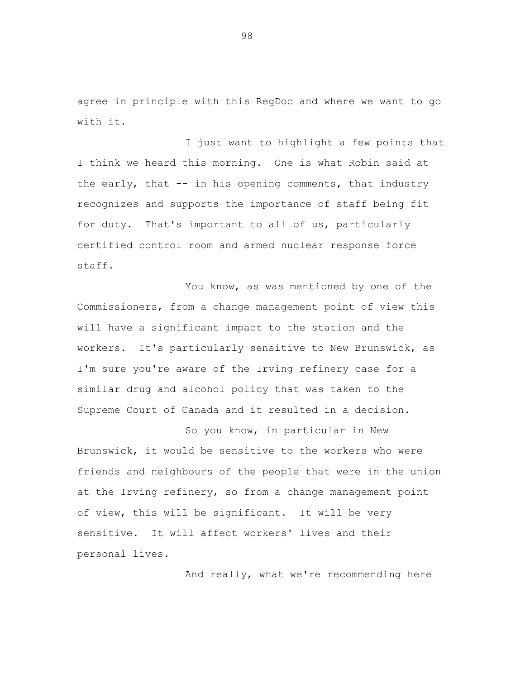agree in principle with this RegDoc and where we want to go with it.

I just want to highlight a few points that I think we heard this morning. One is what Robin said at the early, that -- in his opening comments, that industry recognizes and supports the importance of staff being fit for duty. That's important to all of us, particularly certified control room and armed nuclear response force staff.

You know, as was mentioned by one of the Commissioners, from a change management point of view this will have a significant impact to the station and the workers. It's particularly sensitive to New Brunswick, as I'm sure you're aware of the Irving refinery case for a similar drug and alcohol policy that was taken to the Supreme Court of Canada and it resulted in a decision.

So you know, in particular in New Brunswick, it would be sensitive to the workers who were friends and neighbours of the people that were in the union at the Irving refinery, so from a change management point of view, this will be significant. It will be very sensitive. It will affect workers' lives and their personal lives.

And really, what we're recommending here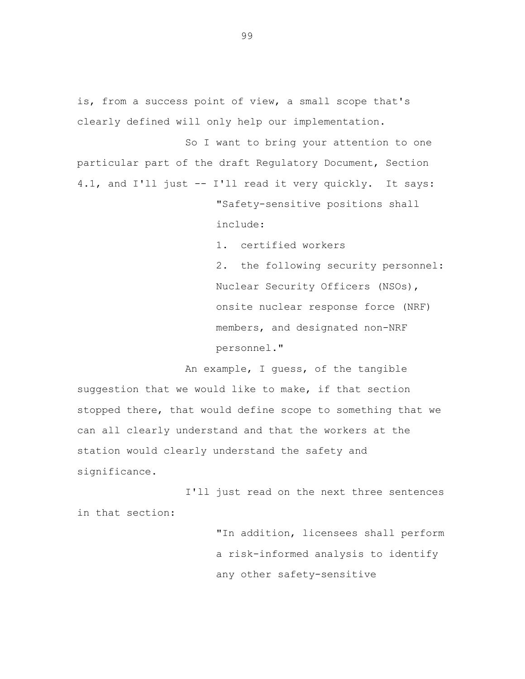is, from a success point of view, a small scope that's clearly defined will only help our implementation.

So I want to bring your attention to one particular part of the draft Regulatory Document, Section 4.1, and I'll just -- I'll read it very quickly. It says:

> "Safety-sensitive positions shall include:

1. certified workers

2. the following security personnel: Nuclear Security Officers (NSOs), onsite nuclear response force (NRF) members, and designated non-NRF personnel."

An example, I guess, of the tangible suggestion that we would like to make, if that section stopped there, that would define scope to something that we can all clearly understand and that the workers at the station would clearly understand the safety and significance.

I'll just read on the next three sentences in that section:

> "In addition, licensees shall perform a risk-informed analysis to identify any other safety-sensitive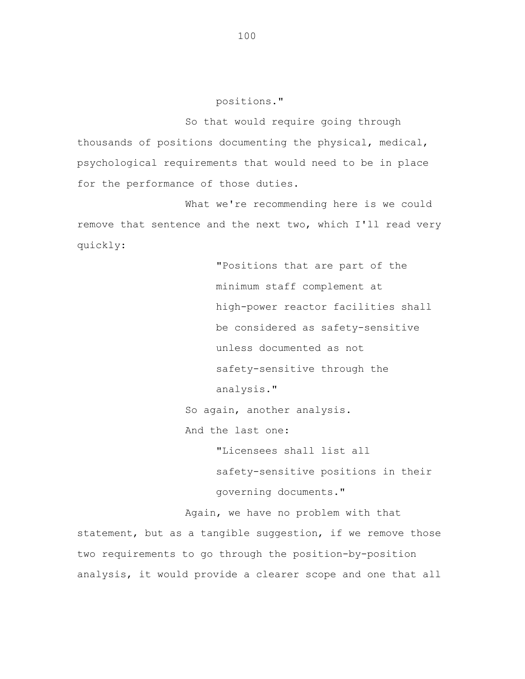positions."

So that would require going through thousands of positions documenting the physical, medical, psychological requirements that would need to be in place for the performance of those duties.

What we're recommending here is we could remove that sentence and the next two, which I'll read very quickly:

> "Positions that are part of the minimum staff complement at high-power reactor facilities shall be considered as safety-sensitive unless documented as not safety-sensitive through the analysis."

So again, another analysis.

And the last one:

"Licensees shall list all

safety-sensitive positions in their governing documents."

Again, we have no problem with that statement, but as a tangible suggestion, if we remove those two requirements to go through the position-by-position analysis, it would provide a clearer scope and one that all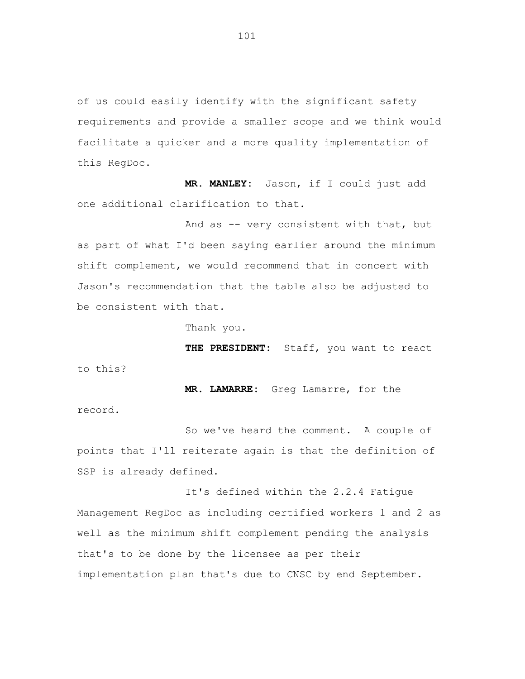of us could easily identify with the significant safety requirements and provide a smaller scope and we think would facilitate a quicker and a more quality implementation of this RegDoc.

**MR. MANLEY:** Jason, if I could just add one additional clarification to that.

And as -- very consistent with that, but as part of what I'd been saying earlier around the minimum shift complement, we would recommend that in concert with Jason's recommendation that the table also be adjusted to be consistent with that.

Thank you.

**THE PRESIDENT:** Staff, you want to react to this?

**MR. LAMARRE:** Greg Lamarre, for the record.

So we've heard the comment. A couple of points that I'll reiterate again is that the definition of SSP is already defined.

It's defined within the 2.2.4 Fatigue Management RegDoc as including certified workers 1 and 2 as well as the minimum shift complement pending the analysis that's to be done by the licensee as per their implementation plan that's due to CNSC by end September.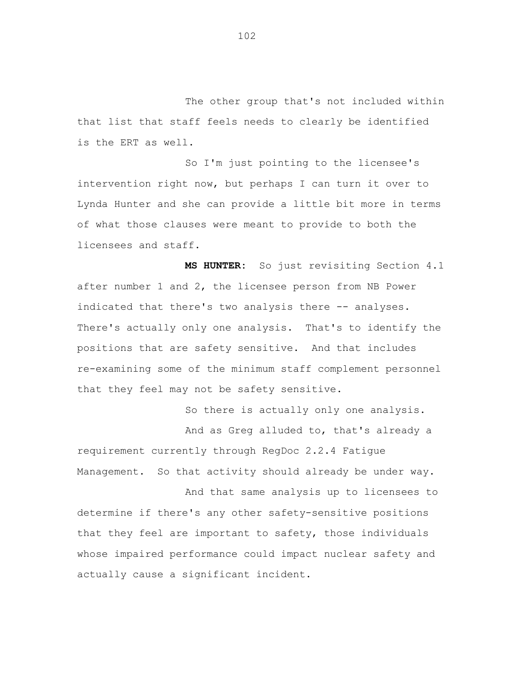The other group that's not included within that list that staff feels needs to clearly be identified is the ERT as well.

So I'm just pointing to the licensee's intervention right now, but perhaps I can turn it over to Lynda Hunter and she can provide a little bit more in terms of what those clauses were meant to provide to both the licensees and staff.

**MS HUNTER:** So just revisiting Section 4.1 after number 1 and 2, the licensee person from NB Power indicated that there's two analysis there -- analyses. There's actually only one analysis. That's to identify the positions that are safety sensitive. And that includes re-examining some of the minimum staff complement personnel that they feel may not be safety sensitive.

So there is actually only one analysis.

And as Greg alluded to, that's already a requirement currently through RegDoc 2.2.4 Fatigue Management. So that activity should already be under way.

And that same analysis up to licensees to determine if there's any other safety-sensitive positions that they feel are important to safety, those individuals whose impaired performance could impact nuclear safety and actually cause a significant incident.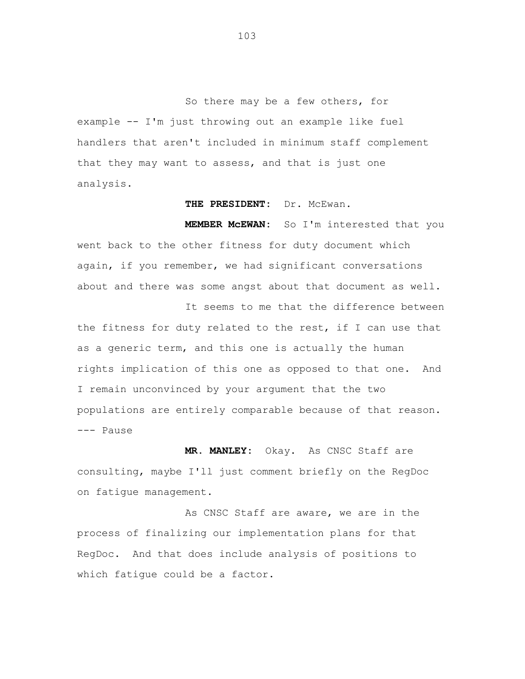So there may be a few others, for example -- I'm just throwing out an example like fuel handlers that aren't included in minimum staff complement that they may want to assess, and that is just one analysis.

## THE PRESIDENT: Dr. McEwan.

**MEMBER McEWAN:** So I'm interested that you went back to the other fitness for duty document which again, if you remember, we had significant conversations about and there was some angst about that document as well.

It seems to me that the difference between the fitness for duty related to the rest, if I can use that as a generic term, and this one is actually the human rights implication of this one as opposed to that one. And I remain unconvinced by your argument that the two populations are entirely comparable because of that reason. --- Pause

**MR. MANLEY:** Okay. As CNSC Staff are consulting, maybe I'll just comment briefly on the RegDoc on fatigue management.

As CNSC Staff are aware, we are in the process of finalizing our implementation plans for that RegDoc. And that does include analysis of positions to which fatigue could be a factor.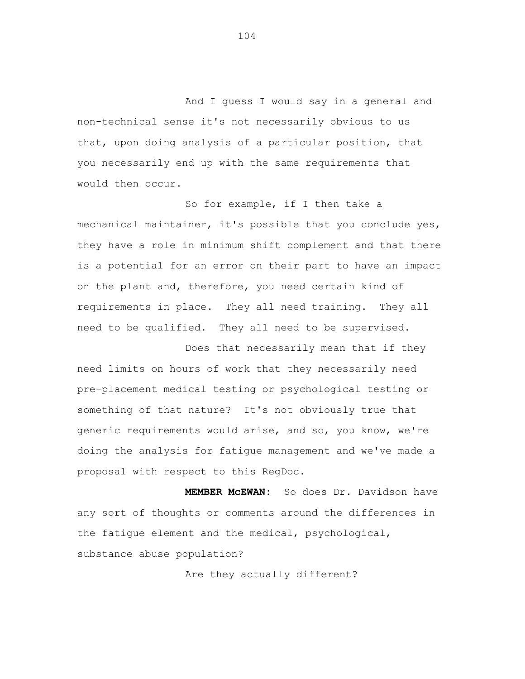And I guess I would say in a general and non-technical sense it's not necessarily obvious to us that, upon doing analysis of a particular position, that you necessarily end up with the same requirements that would then occur.

So for example, if I then take a mechanical maintainer, it's possible that you conclude yes, they have a role in minimum shift complement and that there is a potential for an error on their part to have an impact on the plant and, therefore, you need certain kind of requirements in place. They all need training. They all need to be qualified. They all need to be supervised.

Does that necessarily mean that if they need limits on hours of work that they necessarily need pre-placement medical testing or psychological testing or something of that nature? It's not obviously true that generic requirements would arise, and so, you know, we're doing the analysis for fatigue management and we've made a proposal with respect to this RegDoc.

**MEMBER McEWAN:** So does Dr. Davidson have any sort of thoughts or comments around the differences in the fatigue element and the medical, psychological, substance abuse population?

Are they actually different?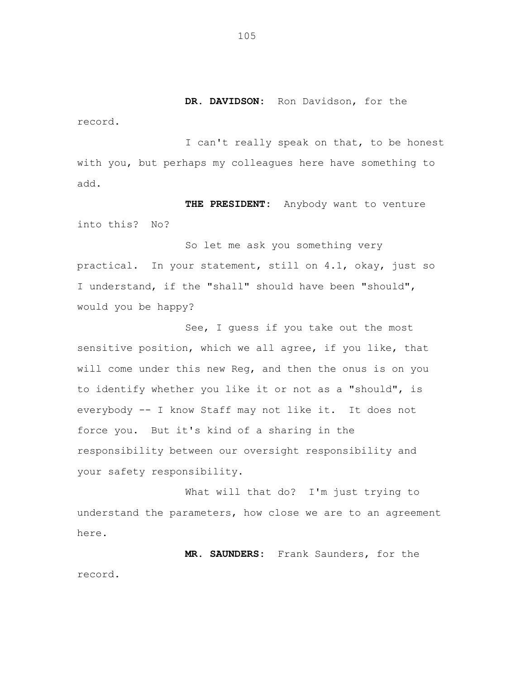**DR. DAVIDSON:** Ron Davidson, for the

record.

I can't really speak on that, to be honest with you, but perhaps my colleagues here have something to add.

**THE PRESIDENT:** Anybody want to venture into this? No?

So let me ask you something very practical. In your statement, still on 4.1, okay, just so I understand, if the "shall" should have been "should", would you be happy?

See, I guess if you take out the most sensitive position, which we all agree, if you like, that will come under this new Reg, and then the onus is on you to identify whether you like it or not as a "should", is everybody -- I know Staff may not like it. It does not force you. But it's kind of a sharing in the responsibility between our oversight responsibility and your safety responsibility.

What will that do? I'm just trying to understand the parameters, how close we are to an agreement here.

**MR. SAUNDERS:** Frank Saunders, for the record.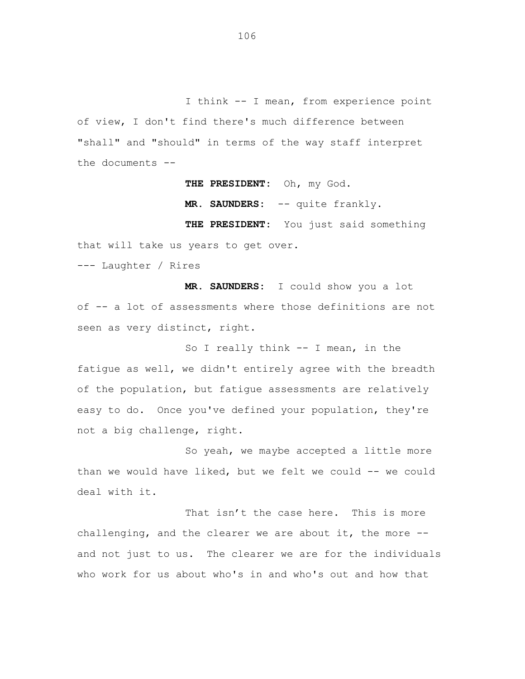I think -- I mean, from experience point of view, I don't find there's much difference between "shall" and "should" in terms of the way staff interpret the documents --

**THE PRESIDENT:** Oh, my God.

**MR. SAUNDERS:** -- quite frankly.

**THE PRESIDENT:** You just said something that will take us years to get over.

--- Laughter / Rires

**MR. SAUNDERS:** I could show you a lot of -- a lot of assessments where those definitions are not seen as very distinct, right.

So I really think -- I mean, in the fatigue as well, we didn't entirely agree with the breadth of the population, but fatigue assessments are relatively easy to do. Once you've defined your population, they're not a big challenge, right.

So yeah, we maybe accepted a little more than we would have liked, but we felt we could -- we could deal with it.

That isn't the case here. This is more challenging, and the clearer we are about it, the more - and not just to us. The clearer we are for the individuals who work for us about who's in and who's out and how that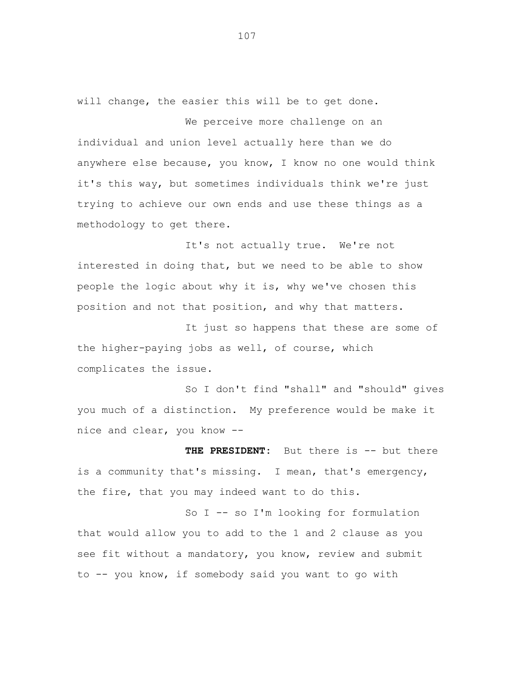will change, the easier this will be to get done.

We perceive more challenge on an individual and union level actually here than we do anywhere else because, you know, I know no one would think it's this way, but sometimes individuals think we're just trying to achieve our own ends and use these things as a methodology to get there.

It's not actually true. We're not interested in doing that, but we need to be able to show people the logic about why it is, why we've chosen this position and not that position, and why that matters.

It just so happens that these are some of the higher-paying jobs as well, of course, which complicates the issue.

So I don't find "shall" and "should" gives you much of a distinction. My preference would be make it nice and clear, you know --

**THE PRESIDENT:** But there is -- but there is a community that's missing. I mean, that's emergency, the fire, that you may indeed want to do this.

So I -- so I'm looking for formulation that would allow you to add to the 1 and 2 clause as you see fit without a mandatory, you know, review and submit to -- you know, if somebody said you want to go with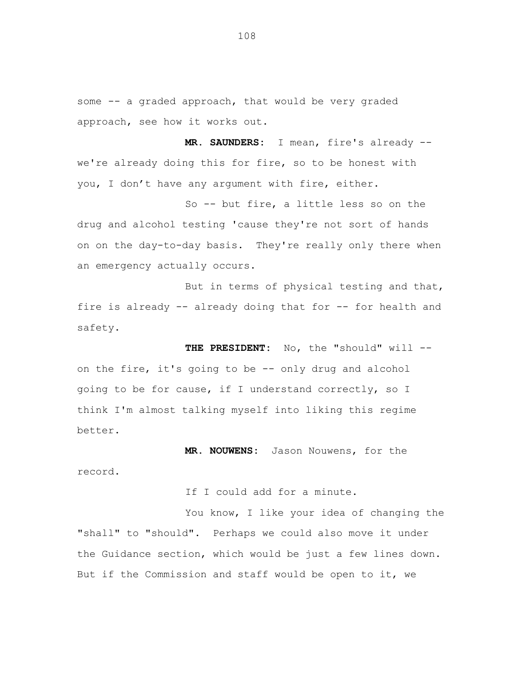some -- a graded approach, that would be very graded approach, see how it works out.

**MR. SAUNDERS:** I mean, fire's already - we're already doing this for fire, so to be honest with you, I don't have any argument with fire, either.

So -- but fire, a little less so on the drug and alcohol testing 'cause they're not sort of hands on on the day-to-day basis. They're really only there when an emergency actually occurs.

But in terms of physical testing and that, fire is already -- already doing that for -- for health and safety.

**THE PRESIDENT:** No, the "should" will - on the fire, it's going to be -- only drug and alcohol going to be for cause, if I understand correctly, so I think I'm almost talking myself into liking this regime better.

**MR. NOUWENS:** Jason Nouwens, for the record.

If I could add for a minute.

You know, I like your idea of changing the "shall" to "should". Perhaps we could also move it under the Guidance section, which would be just a few lines down. But if the Commission and staff would be open to it, we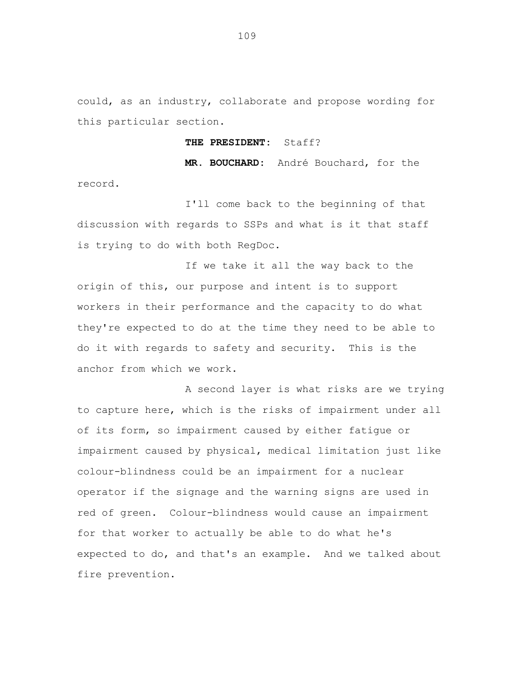could, as an industry, collaborate and propose wording for this particular section.

## **THE PRESIDENT:** Staff?

**MR. BOUCHARD:** André Bouchard, for the record.

I'll come back to the beginning of that discussion with regards to SSPs and what is it that staff is trying to do with both RegDoc.

If we take it all the way back to the origin of this, our purpose and intent is to support workers in their performance and the capacity to do what they're expected to do at the time they need to be able to do it with regards to safety and security. This is the anchor from which we work.

A second layer is what risks are we trying to capture here, which is the risks of impairment under all of its form, so impairment caused by either fatigue or impairment caused by physical, medical limitation just like colour-blindness could be an impairment for a nuclear operator if the signage and the warning signs are used in red of green. Colour-blindness would cause an impairment for that worker to actually be able to do what he's expected to do, and that's an example. And we talked about fire prevention.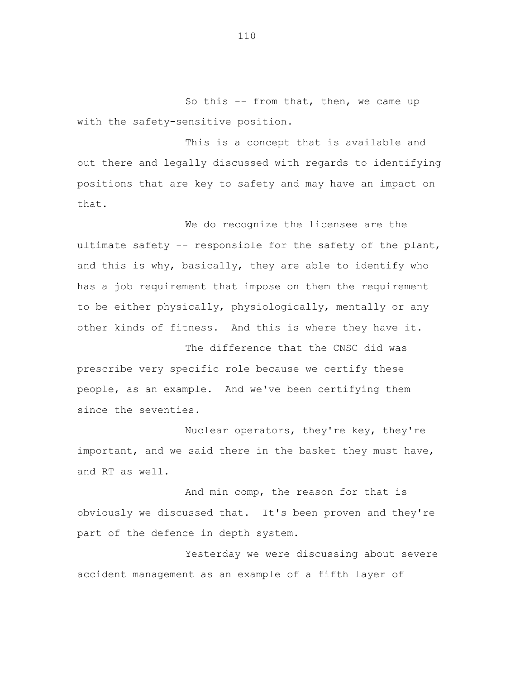So this -- from that, then, we came up with the safety-sensitive position.

This is a concept that is available and out there and legally discussed with regards to identifying positions that are key to safety and may have an impact on that.

We do recognize the licensee are the ultimate safety -- responsible for the safety of the plant, and this is why, basically, they are able to identify who has a job requirement that impose on them the requirement to be either physically, physiologically, mentally or any other kinds of fitness. And this is where they have it.

The difference that the CNSC did was prescribe very specific role because we certify these people, as an example. And we've been certifying them since the seventies.

Nuclear operators, they're key, they're important, and we said there in the basket they must have, and RT as well.

And min comp, the reason for that is obviously we discussed that. It's been proven and they're part of the defence in depth system.

Yesterday we were discussing about severe accident management as an example of a fifth layer of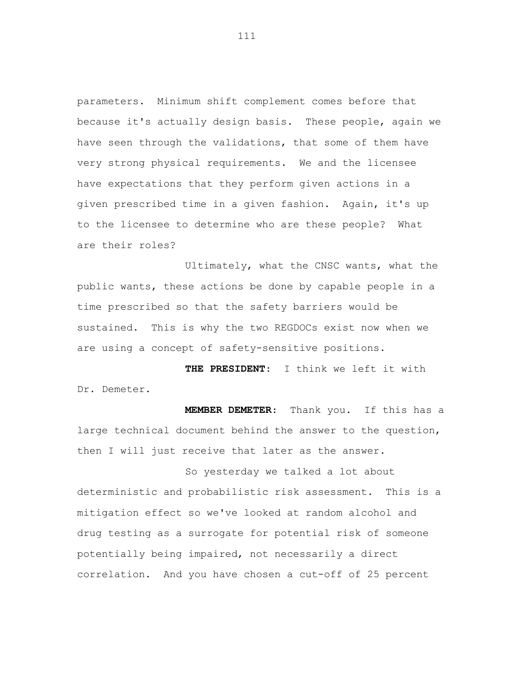parameters**.** Minimum shift complement comes before that because it's actually design basis. These people, again we have seen through the validations, that some of them have very strong physical requirements. We and the licensee have expectations that they perform given actions in a given prescribed time in a given fashion. Again, it's up to the licensee to determine who are these people? What are their roles?

Ultimately, what the CNSC wants, what the public wants, these actions be done by capable people in a time prescribed so that the safety barriers would be sustained. This is why the two REGDOCs exist now when we are using a concept of safety-sensitive positions.

 **THE PRESIDENT**: I think we left it with Dr. Demeter.

 **MEMBER DEMETER**: Thank you. If this has a large technical document behind the answer to the question, then I will just receive that later as the answer.

So yesterday we talked a lot about deterministic and probabilistic risk assessment. This is a mitigation effect so we've looked at random alcohol and drug testing as a surrogate for potential risk of someone potentially being impaired, not necessarily a direct correlation. And you have chosen a cut-off of 25 percent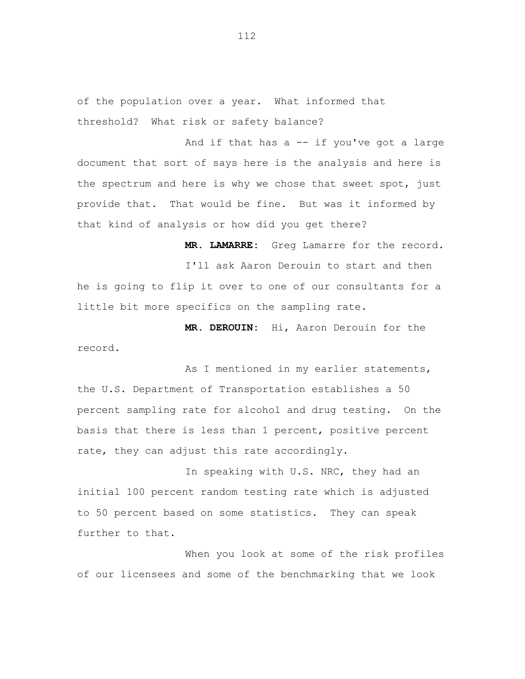of the population over a year. What informed that threshold? What risk or safety balance?

And if that has  $a - - i f$  you've got a large document that sort of says here is the analysis and here is the spectrum and here is why we chose that sweet spot, just provide that. That would be fine. But was it informed by that kind of analysis or how did you get there?

**MR. LAMARRE:** Greg Lamarre for the record. I'll ask Aaron Derouin to start and then he is going to flip it over to one of our consultants for a little bit more specifics on the sampling rate.

**MR. DEROUIN:** Hi, Aaron Derouin for the record**.** 

As I mentioned in my earlier statements, the U.S. Department of Transportation establishes a 50 percent sampling rate for alcohol and drug testing. On the basis that there is less than 1 percent, positive percent rate, they can adjust this rate accordingly.

In speaking with U.S. NRC, they had an initial 100 percent random testing rate which is adjusted to 50 percent based on some statistics. They can speak further to that.

When you look at some of the risk profiles of our licensees and some of the benchmarking that we look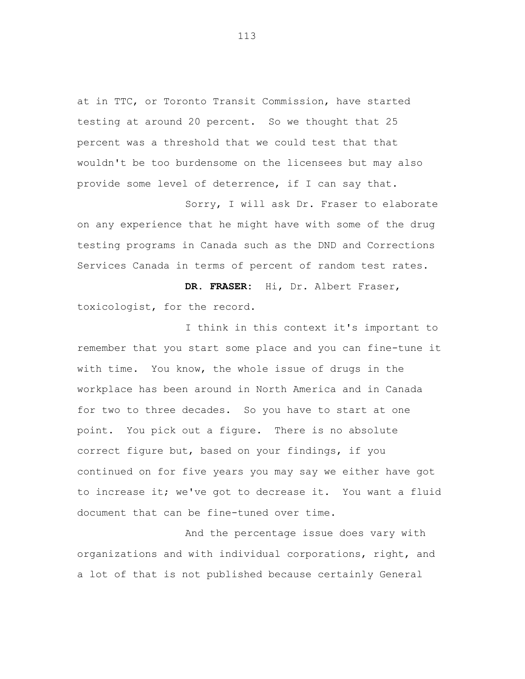at in TTC, or Toronto Transit Commission, have started testing at around 20 percent. So we thought that 25 percent was a threshold that we could test that that wouldn't be too burdensome on the licensees but may also provide some level of deterrence, if I can say that.

Sorry, I will ask Dr. Fraser to elaborate on any experience that he might have with some of the drug testing programs in Canada such as the DND and Corrections Services Canada in terms of percent of random test rates.

**DR. FRASER:** Hi, Dr. Albert Fraser, toxicologist, for the record.

I think in this context it's important to remember that you start some place and you can fine-tune it with time. You know, the whole issue of drugs in the workplace has been around in North America and in Canada for two to three decades. So you have to start at one point. You pick out a figure. There is no absolute correct figure but, based on your findings, if you continued on for five years you may say we either have got to increase it; we've got to decrease it. You want a fluid document that can be fine-tuned over time.

And the percentage issue does vary with organizations and with individual corporations, right, and a lot of that is not published because certainly General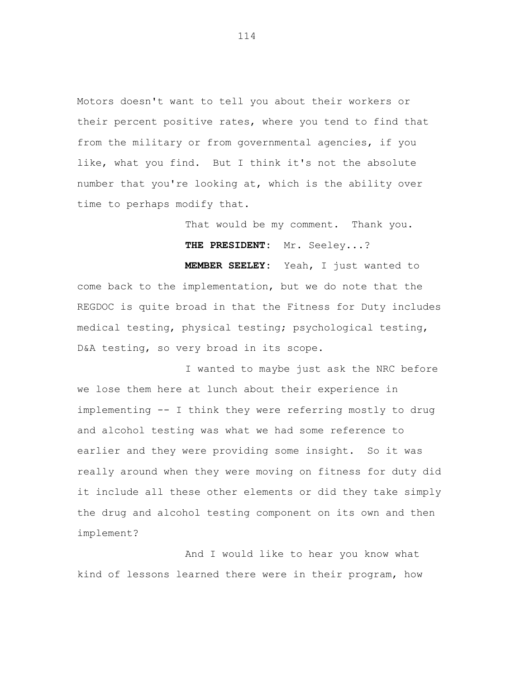Motors doesn't want to tell you about their workers or their percent positive rates, where you tend to find that from the military or from governmental agencies, if you like, what you find. But I think it's not the absolute number that you're looking at, which is the ability over time to perhaps modify that.

> That would be my comment. Thank you. **THE PRESIDENT:** Mr. Seeley...?

**MEMBER SEELEY:** Yeah, I just wanted to come back to the implementation, but we do note that the REGDOC is quite broad in that the Fitness for Duty includes medical testing, physical testing; psychological testing, D&A testing, so very broad in its scope.

I wanted to maybe just ask the NRC before we lose them here at lunch about their experience in implementing -- I think they were referring mostly to drug and alcohol testing was what we had some reference to earlier and they were providing some insight. So it was really around when they were moving on fitness for duty did it include all these other elements or did they take simply the drug and alcohol testing component on its own and then implement?

And I would like to hear you know what kind of lessons learned there were in their program, how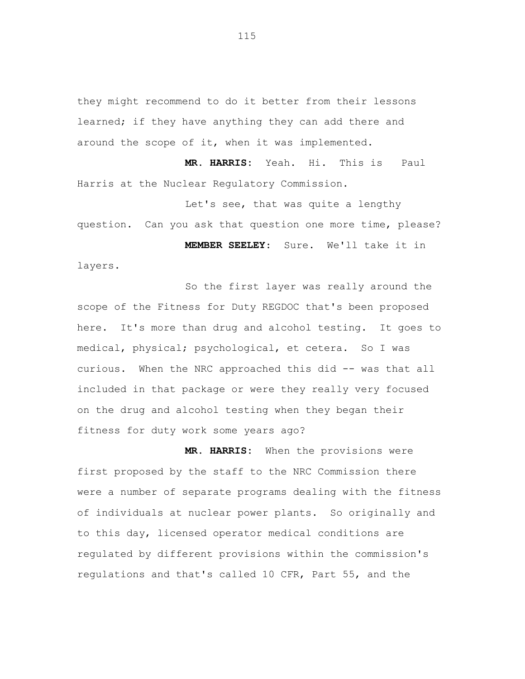they might recommend to do it better from their lessons learned; if they have anything they can add there and around the scope of it, when it was implemented.

**MR. HARRIS:** Yeah. Hi. This is Paul Harris at the Nuclear Regulatory Commission.

Let's see, that was quite a lengthy question. Can you ask that question one more time, please?  **MEMBER SEELEY**: Sure. We'll take it in

layers.

So the first layer was really around the scope of the Fitness for Duty REGDOC that's been proposed here. It's more than drug and alcohol testing. It goes to medical, physical; psychological, et cetera. So I was curious. When the NRC approached this did -- was that all included in that package or were they really very focused on the drug and alcohol testing when they began their fitness for duty work some years ago?

**MR. HARRIS:** When the provisions were first proposed by the staff to the NRC Commission there were a number of separate programs dealing with the fitness of individuals at nuclear power plants. So originally and to this day, licensed operator medical conditions are regulated by different provisions within the commission's regulations and that's called 10 CFR, Part 55, and the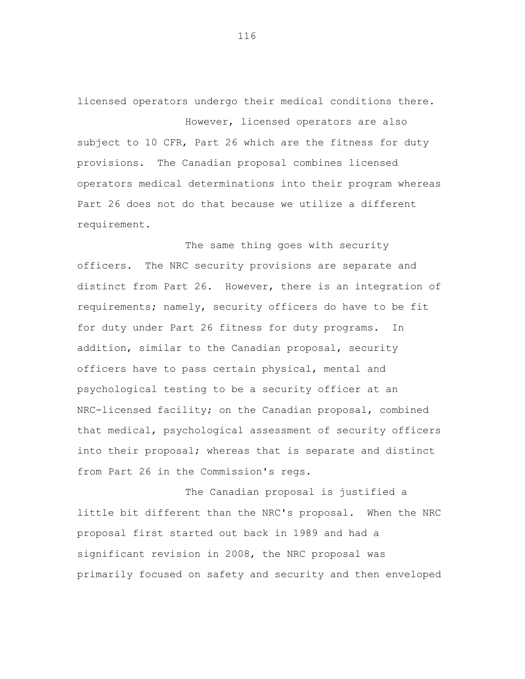licensed operators undergo their medical conditions there. However, licensed operators are also subject to 10 CFR, Part 26 which are the fitness for duty provisions. The Canadian proposal combines licensed operators medical determinations into their program whereas Part 26 does not do that because we utilize a different requirement.

The same thing goes with security officers. The NRC security provisions are separate and distinct from Part 26. However, there is an integration of requirements; namely, security officers do have to be fit for duty under Part 26 fitness for duty programs. In addition, similar to the Canadian proposal, security officers have to pass certain physical, mental and psychological testing to be a security officer at an NRC-licensed facility; on the Canadian proposal, combined that medical, psychological assessment of security officers into their proposal; whereas that is separate and distinct from Part 26 in the Commission's regs.

The Canadian proposal is justified a little bit different than the NRC's proposal. When the NRC proposal first started out back in 1989 and had a significant revision in 2008, the NRC proposal was primarily focused on safety and security and then enveloped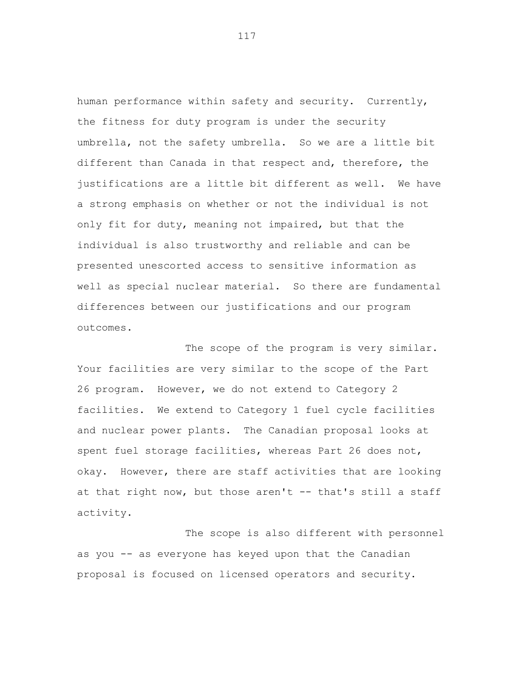human performance within safety and security. Currently, the fitness for duty program is under the security umbrella, not the safety umbrella. So we are a little bit different than Canada in that respect and, therefore, the justifications are a little bit different as well. We have a strong emphasis on whether or not the individual is not only fit for duty, meaning not impaired, but that the individual is also trustworthy and reliable and can be presented unescorted access to sensitive information as well as special nuclear material. So there are fundamental differences between our justifications and our program outcomes.

The scope of the program is very similar. Your facilities are very similar to the scope of the Part 26 program. However, we do not extend to Category 2 facilities. We extend to Category 1 fuel cycle facilities and nuclear power plants. The Canadian proposal looks at spent fuel storage facilities, whereas Part 26 does not, okay. However, there are staff activities that are looking at that right now, but those aren't -- that's still a staff activity.

The scope is also different with personnel as you -- as everyone has keyed upon that the Canadian proposal is focused on licensed operators and security.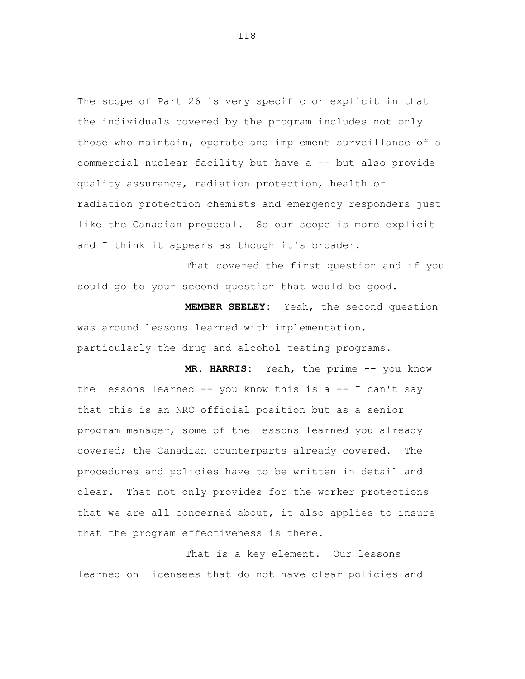The scope of Part 26 is very specific or explicit in that the individuals covered by the program includes not only those who maintain, operate and implement surveillance of a commercial nuclear facility but have a -- but also provide quality assurance, radiation protection, health or radiation protection chemists and emergency responders just like the Canadian proposal. So our scope is more explicit and I think it appears as though it's broader.

That covered the first question and if you could go to your second question that would be good.

**MEMBER SEELEY:** Yeah, the second question was around lessons learned with implementation, particularly the drug and alcohol testing programs.

**MR. HARRIS:** Yeah, the prime -- you know the lessons learned  $-$ - you know this is a  $-$ - I can't say that this is an NRC official position but as a senior program manager, some of the lessons learned you already covered; the Canadian counterparts already covered. The procedures and policies have to be written in detail and clear. That not only provides for the worker protections that we are all concerned about, it also applies to insure that the program effectiveness is there.

That is a key element. Our lessons learned on licensees that do not have clear policies and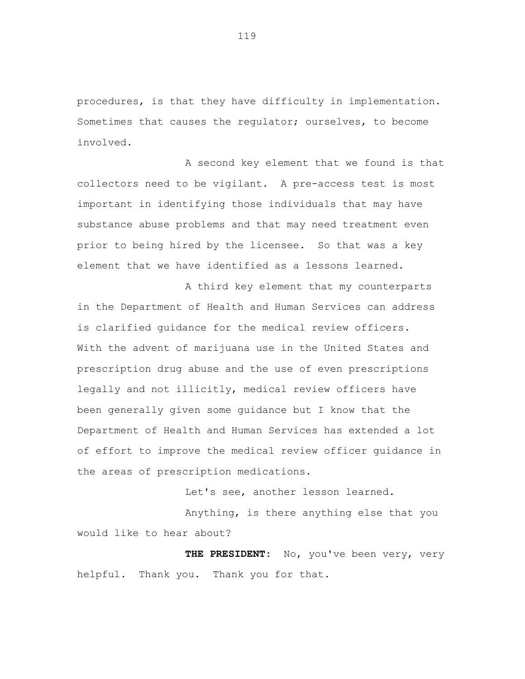procedures, is that they have difficulty in implementation. Sometimes that causes the regulator; ourselves, to become involved.

A second key element that we found is that collectors need to be vigilant. A pre-access test is most important in identifying those individuals that may have substance abuse problems and that may need treatment even prior to being hired by the licensee. So that was a key element that we have identified as a lessons learned.

A third key element that my counterparts in the Department of Health and Human Services can address is clarified guidance for the medical review officers. With the advent of marijuana use in the United States and prescription drug abuse and the use of even prescriptions legally and not illicitly, medical review officers have been generally given some guidance but I know that the Department of Health and Human Services has extended a lot of effort to improve the medical review officer guidance in the areas of prescription medications.

Let's see, another lesson learned.

Anything, is there anything else that you would like to hear about?

 **THE PRESIDENT:** No, you've been very, very helpful. Thank you. Thank you for that.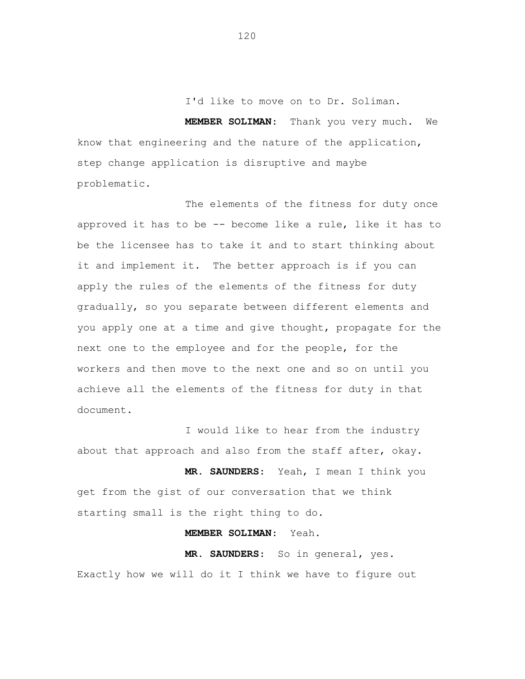I'd like to move on to Dr. Soliman.

**MEMBER SOLIMAN**: Thank you very much. We know that engineering and the nature of the application, step change application is disruptive and maybe problematic.

The elements of the fitness for duty once approved it has to be -- become like a rule, like it has to be the licensee has to take it and to start thinking about it and implement it. The better approach is if you can apply the rules of the elements of the fitness for duty gradually, so you separate between different elements and you apply one at a time and give thought, propagate for the next one to the employee and for the people, for the workers and then move to the next one and so on until you achieve all the elements of the fitness for duty in that document.

I would like to hear from the industry about that approach and also from the staff after, okay.

**MR. SAUNDERS**: Yeah, I mean I think you get from the gist of our conversation that we think starting small is the right thing to do.

**MEMBER SOLIMAN**: Yeah.

**MR. SAUNDERS**: So in general, yes. Exactly how we will do it I think we have to figure out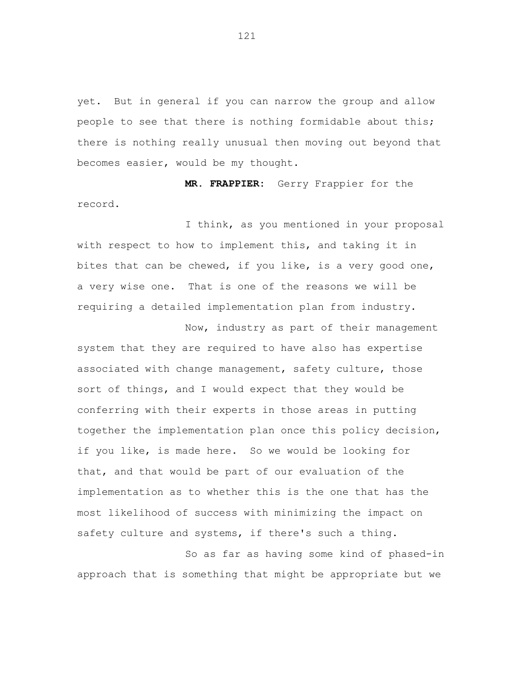yet. But in general if you can narrow the group and allow people to see that there is nothing formidable about this; there is nothing really unusual then moving out beyond that becomes easier, would be my thought.

**MR. FRAPPIER:** Gerry Frappier for the record.

I think, as you mentioned in your proposal with respect to how to implement this, and taking it in bites that can be chewed, if you like, is a very good one, a very wise one. That is one of the reasons we will be requiring a detailed implementation plan from industry.

Now, industry as part of their management system that they are required to have also has expertise associated with change management, safety culture, those sort of things, and I would expect that they would be conferring with their experts in those areas in putting together the implementation plan once this policy decision, if you like, is made here. So we would be looking for that, and that would be part of our evaluation of the implementation as to whether this is the one that has the most likelihood of success with minimizing the impact on safety culture and systems, if there's such a thing.

So as far as having some kind of phased-in approach that is something that might be appropriate but we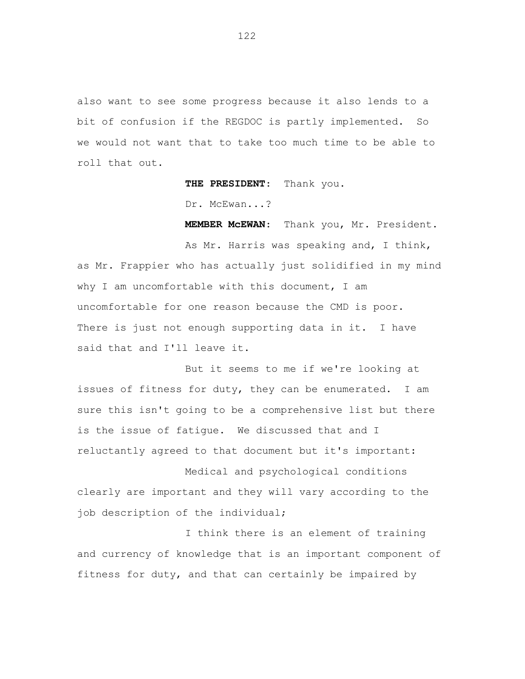also want to see some progress because it also lends to a bit of confusion if the REGDOC is partly implemented. So we would not want that to take too much time to be able to roll that out.

**THE PRESIDENT**: Thank you.

Dr. McEwan...?

**MEMBER McEWAN**: Thank you, Mr. President.

As Mr. Harris was speaking and, I think, as Mr. Frappier who has actually just solidified in my mind why I am uncomfortable with this document, I am uncomfortable for one reason because the CMD is poor. There is just not enough supporting data in it. I have said that and I'll leave it.

But it seems to me if we're looking at issues of fitness for duty, they can be enumerated. I am sure this isn't going to be a comprehensive list but there is the issue of fatigue. We discussed that and I reluctantly agreed to that document but it's important:

Medical and psychological conditions clearly are important and they will vary according to the job description of the individual;

I think there is an element of training and currency of knowledge that is an important component of fitness for duty, and that can certainly be impaired by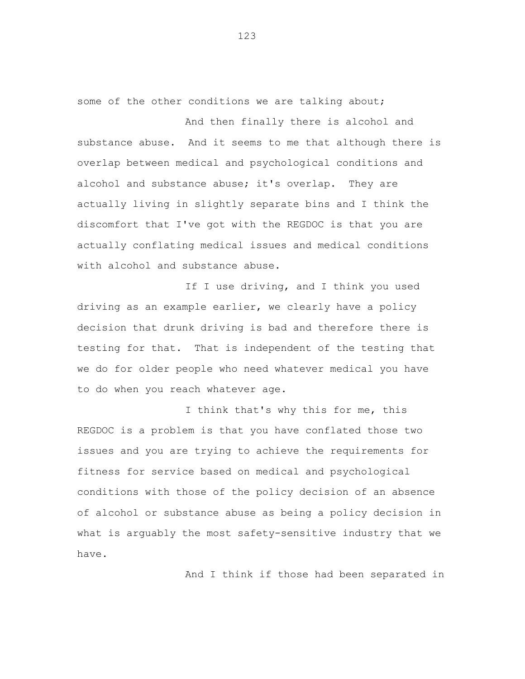some of the other conditions we are talking about;

And then finally there is alcohol and substance abuse. And it seems to me that although there is overlap between medical and psychological conditions and alcohol and substance abuse; it's overlap. They are actually living in slightly separate bins and I think the discomfort that I've got with the REGDOC is that you are actually conflating medical issues and medical conditions with alcohol and substance abuse.

If I use driving, and I think you used driving as an example earlier, we clearly have a policy decision that drunk driving is bad and therefore there is testing for that. That is independent of the testing that we do for older people who need whatever medical you have to do when you reach whatever age.

I think that's why this for me, this REGDOC is a problem is that you have conflated those two issues and you are trying to achieve the requirements for fitness for service based on medical and psychological conditions with those of the policy decision of an absence of alcohol or substance abuse as being a policy decision in what is arguably the most safety-sensitive industry that we have.

And I think if those had been separated in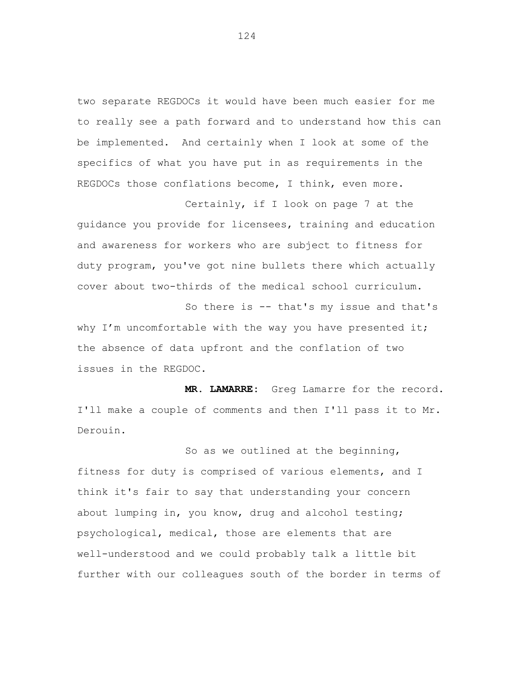two separate REGDOCs it would have been much easier for me to really see a path forward and to understand how this can be implemented. And certainly when I look at some of the specifics of what you have put in as requirements in the REGDOCs those conflations become, I think, even more.

Certainly, if I look on page 7 at the guidance you provide for licensees, training and education and awareness for workers who are subject to fitness for duty program, you've got nine bullets there which actually cover about two-thirds of the medical school curriculum.

So there is -- that's my issue and that's why  $I'm$  uncomfortable with the way you have presented it; the absence of data upfront and the conflation of two issues in the REGDOC.

**MR. LAMARRE:** Greg Lamarre for the record. I'll make a couple of comments and then I'll pass it to Mr. Derouin.

So as we outlined at the beginning, fitness for duty is comprised of various elements, and I think it's fair to say that understanding your concern about lumping in, you know, drug and alcohol testing; psychological, medical, those are elements that are well-understood and we could probably talk a little bit further with our colleagues south of the border in terms of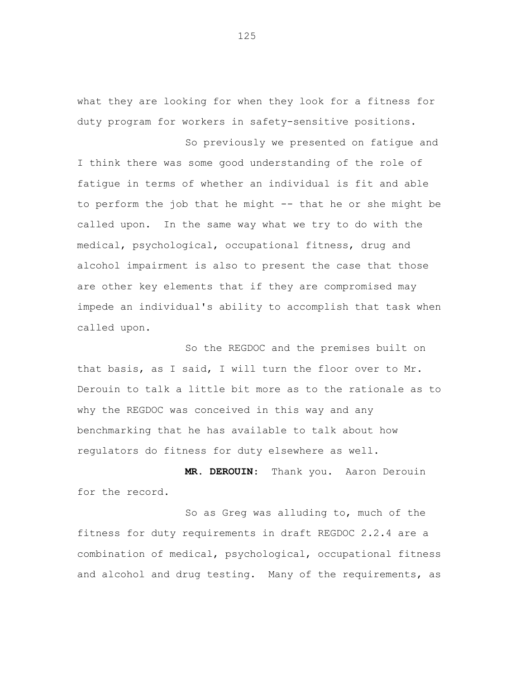what they are looking for when they look for a fitness for duty program for workers in safety-sensitive positions.

So previously we presented on fatigue and I think there was some good understanding of the role of fatigue in terms of whether an individual is fit and able to perform the job that he might -- that he or she might be called upon. In the same way what we try to do with the medical, psychological, occupational fitness, drug and alcohol impairment is also to present the case that those are other key elements that if they are compromised may impede an individual's ability to accomplish that task when called upon.

So the REGDOC and the premises built on that basis, as I said, I will turn the floor over to Mr. Derouin to talk a little bit more as to the rationale as to why the REGDOC was conceived in this way and any benchmarking that he has available to talk about how regulators do fitness for duty elsewhere as well.

**MR. DEROUIN**: Thank you. Aaron Derouin for the record.

So as Greg was alluding to, much of the fitness for duty requirements in draft REGDOC 2.2.4 are a combination of medical, psychological, occupational fitness and alcohol and drug testing. Many of the requirements, as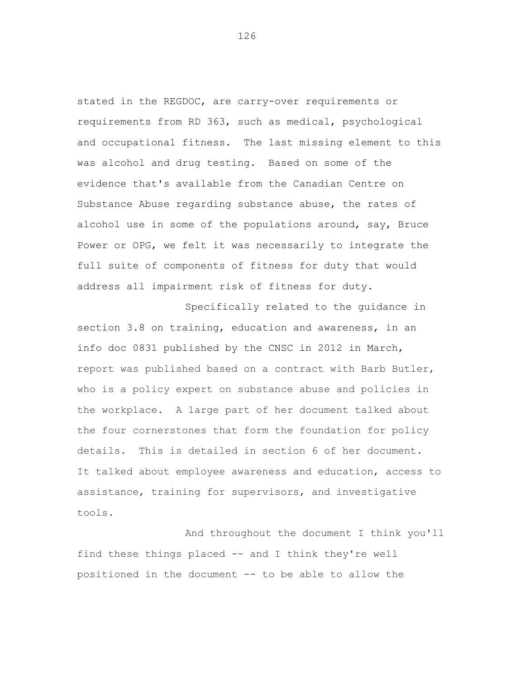stated in the REGDOC, are carry-over requirements or requirements from RD 363, such as medical, psychological and occupational fitness. The last missing element to this was alcohol and drug testing. Based on some of the evidence that's available from the Canadian Centre on Substance Abuse regarding substance abuse, the rates of alcohol use in some of the populations around, say, Bruce Power or OPG, we felt it was necessarily to integrate the full suite of components of fitness for duty that would address all impairment risk of fitness for duty.

Specifically related to the guidance in section 3.8 on training, education and awareness, in an info doc 0831 published by the CNSC in 2012 in March, report was published based on a contract with Barb Butler, who is a policy expert on substance abuse and policies in the workplace. A large part of her document talked about the four cornerstones that form the foundation for policy details. This is detailed in section 6 of her document. It talked about employee awareness and education, access to assistance, training for supervisors, and investigative tools.

And throughout the document I think you'll find these things placed -- and I think they're well positioned in the document -- to be able to allow the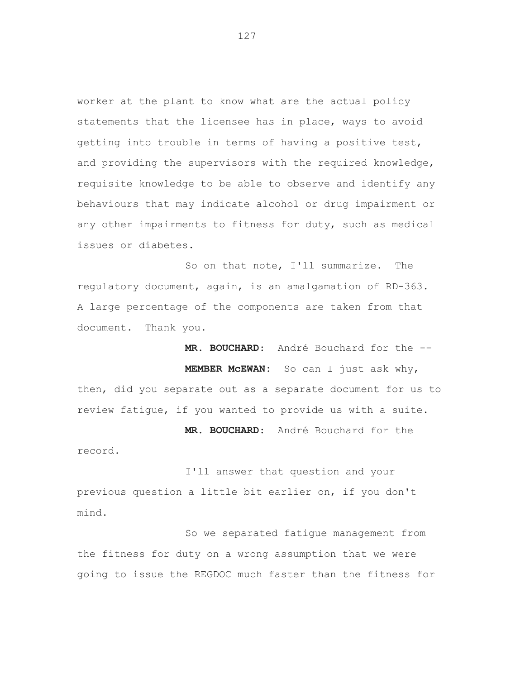worker at the plant to know what are the actual policy statements that the licensee has in place, ways to avoid getting into trouble in terms of having a positive test, and providing the supervisors with the required knowledge, requisite knowledge to be able to observe and identify any behaviours that may indicate alcohol or drug impairment or any other impairments to fitness for duty, such as medical issues or diabetes.

So on that note, I'll summarize. The regulatory document, again, is an amalgamation of RD-363. A large percentage of the components are taken from that document. Thank you.

**MR. BOUCHARD**: André Bouchard for the -- **MEMBER McEWAN:** So can I just ask why, then, did you separate out as a separate document for us to review fatigue, if you wanted to provide us with a suite.

**MR. BOUCHARD**: André Bouchard for the

record.

I'll answer that question and your previous question a little bit earlier on, if you don't mind.

So we separated fatigue management from the fitness for duty on a wrong assumption that we were going to issue the REGDOC much faster than the fitness for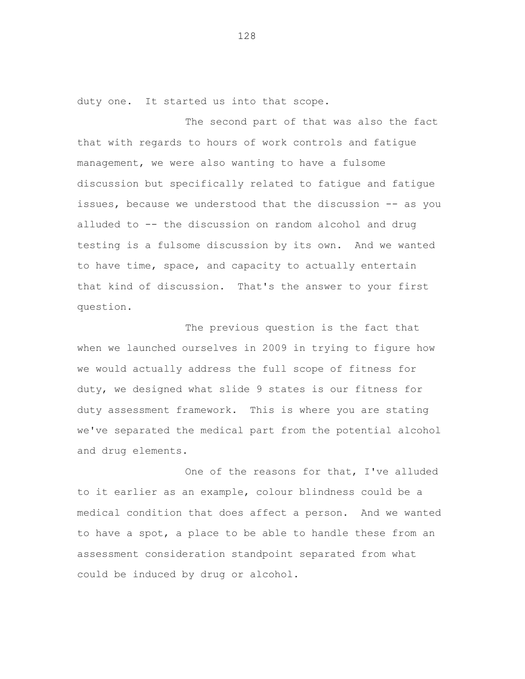duty one. It started us into that scope.

The second part of that was also the fact that with regards to hours of work controls and fatigue management, we were also wanting to have a fulsome discussion but specifically related to fatigue and fatigue issues, because we understood that the discussion -- as you alluded to -- the discussion on random alcohol and drug testing is a fulsome discussion by its own. And we wanted to have time, space, and capacity to actually entertain that kind of discussion. That's the answer to your first question.

The previous question is the fact that when we launched ourselves in 2009 in trying to figure how we would actually address the full scope of fitness for duty, we designed what slide 9 states is our fitness for duty assessment framework. This is where you are stating we've separated the medical part from the potential alcohol and drug elements.

One of the reasons for that, I've alluded to it earlier as an example, colour blindness could be a medical condition that does affect a person. And we wanted to have a spot, a place to be able to handle these from an assessment consideration standpoint separated from what could be induced by drug or alcohol.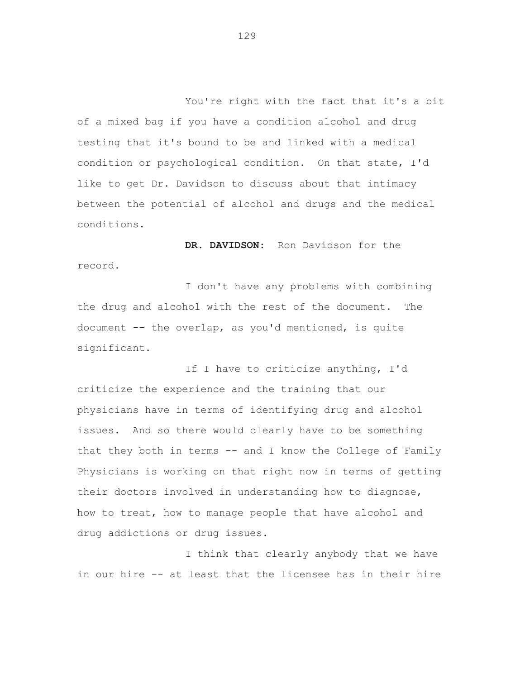You're right with the fact that it's a bit of a mixed bag if you have a condition alcohol and drug testing that it's bound to be and linked with a medical condition or psychological condition. On that state, I'd like to get Dr. Davidson to discuss about that intimacy between the potential of alcohol and drugs and the medical conditions.

**DR. DAVIDSON**: Ron Davidson for the record.

I don't have any problems with combining the drug and alcohol with the rest of the document. The document -- the overlap, as you'd mentioned, is quite significant.

If I have to criticize anything, I'd criticize the experience and the training that our physicians have in terms of identifying drug and alcohol issues. And so there would clearly have to be something that they both in terms  $--$  and I know the College of Family Physicians is working on that right now in terms of getting their doctors involved in understanding how to diagnose, how to treat, how to manage people that have alcohol and drug addictions or drug issues.

I think that clearly anybody that we have in our hire -- at least that the licensee has in their hire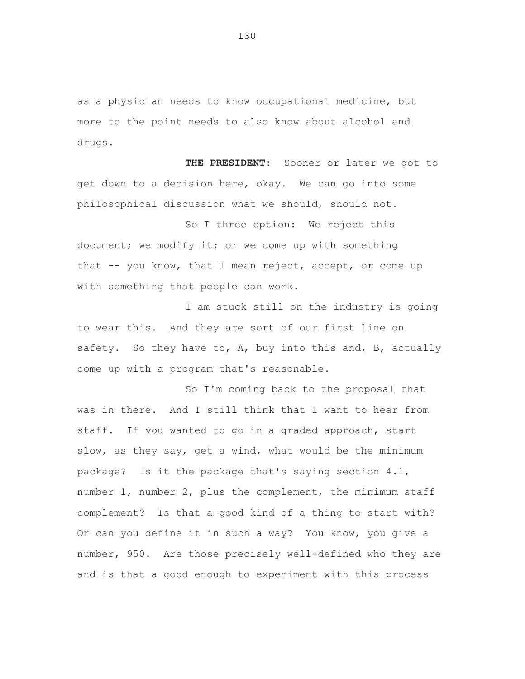as a physician needs to know occupational medicine, but more to the point needs to also know about alcohol and drugs.

**THE PRESIDENT:** Sooner or later we got to get down to a decision here, okay. We can go into some philosophical discussion what we should, should not.

So I three option: We reject this document; we modify it; or we come up with something that -- you know, that I mean reject, accept, or come up with something that people can work.

I am stuck still on the industry is going to wear this. And they are sort of our first line on safety. So they have to, A, buy into this and, B, actually come up with a program that's reasonable.

So I'm coming back to the proposal that was in there. And I still think that I want to hear from staff. If you wanted to go in a graded approach, start slow, as they say, get a wind, what would be the minimum package? Is it the package that's saying section 4.1, number 1, number 2, plus the complement, the minimum staff complement? Is that a good kind of a thing to start with? Or can you define it in such a way? You know, you give a number, 950. Are those precisely well-defined who they are and is that a good enough to experiment with this process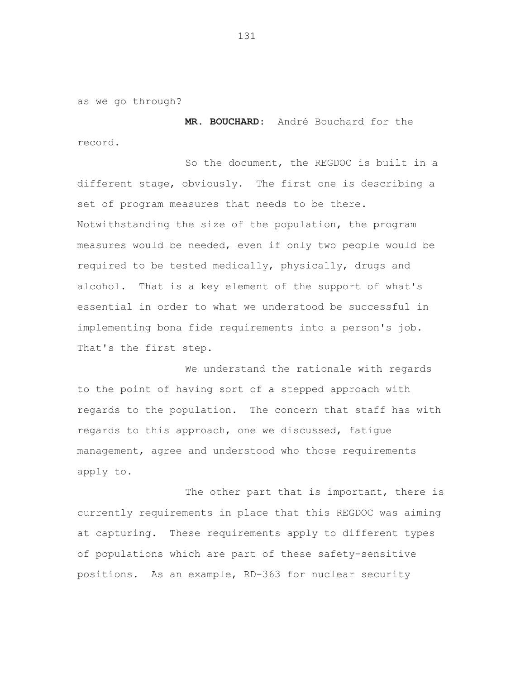as we go through?

**MR. BOUCHARD**: André Bouchard for the record.

So the document, the REGDOC is built in a different stage, obviously. The first one is describing a set of program measures that needs to be there. Notwithstanding the size of the population, the program measures would be needed, even if only two people would be required to be tested medically, physically, drugs and alcohol. That is a key element of the support of what's essential in order to what we understood be successful in implementing bona fide requirements into a person's job. That's the first step.

We understand the rationale with regards to the point of having sort of a stepped approach with regards to the population. The concern that staff has with regards to this approach, one we discussed, fatigue management, agree and understood who those requirements apply to.

The other part that is important, there is currently requirements in place that this REGDOC was aiming at capturing. These requirements apply to different types of populations which are part of these safety-sensitive positions. As an example, RD-363 for nuclear security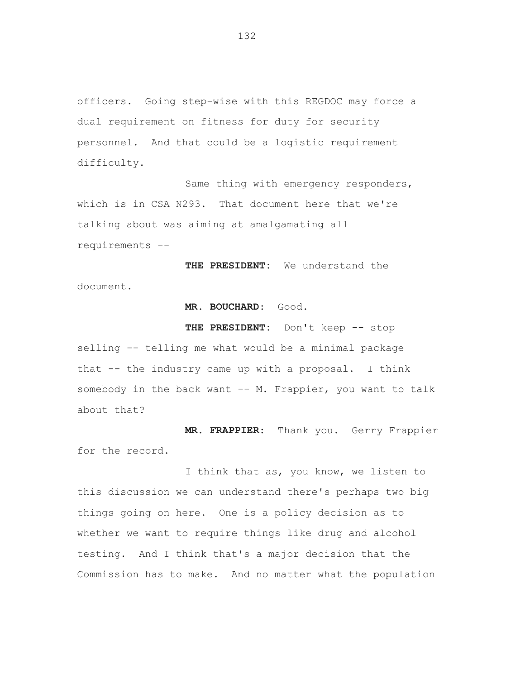officers. Going step-wise with this REGDOC may force a dual requirement on fitness for duty for security personnel. And that could be a logistic requirement difficulty.

Same thing with emergency responders, which is in CSA N293. That document here that we're talking about was aiming at amalgamating all requirements --

**THE PRESIDENT:** We understand the document.

**MR. BOUCHARD**: Good.

**THE PRESIDENT:** Don't keep -- stop selling -- telling me what would be a minimal package that -- the industry came up with a proposal. I think somebody in the back want -- M. Frappier, you want to talk about that?

**MR. FRAPPIER**: Thank you. Gerry Frappier for the record.

I think that as, you know, we listen to this discussion we can understand there's perhaps two big things going on here. One is a policy decision as to whether we want to require things like drug and alcohol testing. And I think that's a major decision that the Commission has to make. And no matter what the population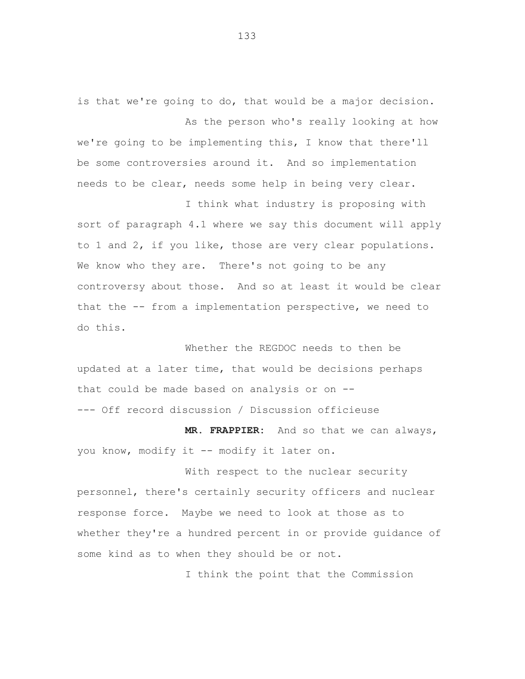is that we're going to do, that would be a major decision. As the person who's really looking at how

we're going to be implementing this, I know that there'll be some controversies around it. And so implementation needs to be clear, needs some help in being very clear.

I think what industry is proposing with sort of paragraph 4.1 where we say this document will apply to 1 and 2, if you like, those are very clear populations. We know who they are. There's not going to be any controversy about those. And so at least it would be clear that the -- from a implementation perspective, we need to do this.

Whether the REGDOC needs to then be updated at a later time, that would be decisions perhaps that could be made based on analysis or on -- --- Off record discussion / Discussion officieuse

**MR. FRAPPIER:** And so that we can always, you know, modify it -- modify it later on.

With respect to the nuclear security personnel, there's certainly security officers and nuclear response force. Maybe we need to look at those as to whether they're a hundred percent in or provide guidance of some kind as to when they should be or not.

I think the point that the Commission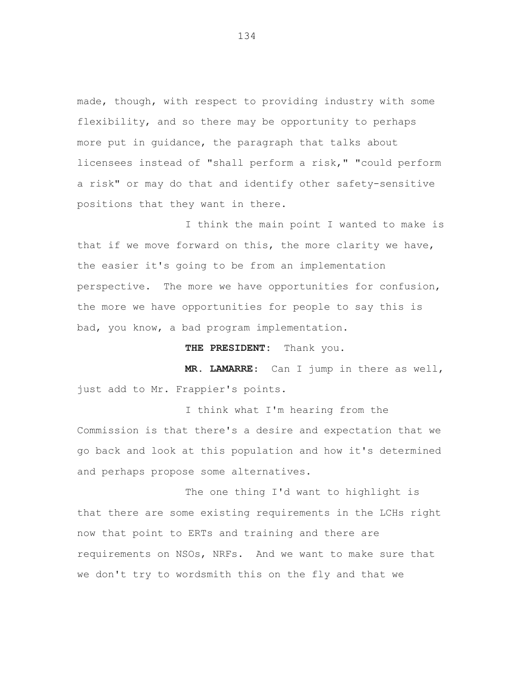made, though, with respect to providing industry with some flexibility, and so there may be opportunity to perhaps more put in guidance, the paragraph that talks about licensees instead of "shall perform a risk," "could perform a risk" or may do that and identify other safety-sensitive positions that they want in there.

I think the main point I wanted to make is that if we move forward on this, the more clarity we have, the easier it's going to be from an implementation perspective. The more we have opportunities for confusion, the more we have opportunities for people to say this is bad, you know, a bad program implementation.

**THE PRESIDENT:** Thank you.

**MR. LAMARRE**: Can I jump in there as well, just add to Mr. Frappier's points.

I think what I'm hearing from the Commission is that there's a desire and expectation that we go back and look at this population and how it's determined and perhaps propose some alternatives.

The one thing I'd want to highlight is that there are some existing requirements in the LCHs right now that point to ERTs and training and there are requirements on NSOs, NRFs. And we want to make sure that we don't try to wordsmith this on the fly and that we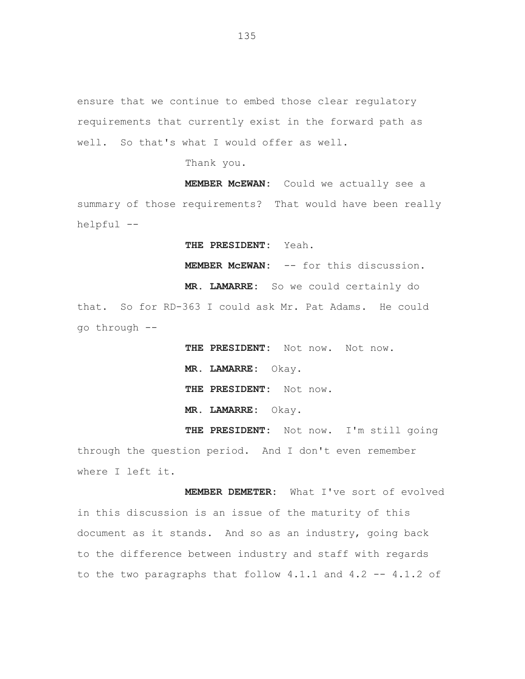ensure that we continue to embed those clear regulatory requirements that currently exist in the forward path as well. So that's what I would offer as well.

Thank you.

**MEMBER McEWAN:** Could we actually see a summary of those requirements? That would have been really helpful --

**THE PRESIDENT:** Yeah.

**MEMBER McEWAN:** -- for this discussion.

**MR. LAMARRE:** So we could certainly do that. So for RD-363 I could ask Mr. Pat Adams. He could go through --

> **THE PRESIDENT:** Not now. Not now. **MR. LAMARRE:** Okay. **THE PRESIDENT:** Not now. **MR. LAMARRE:** Okay.

**THE PRESIDENT:** Not now. I'm still going through the question period. And I don't even remember where I left it.

**MEMBER DEMETER:** What I've sort of evolved in this discussion is an issue of the maturity of this document as it stands. And so as an industry, going back to the difference between industry and staff with regards to the two paragraphs that follow 4.1.1 and 4.2 -- 4.1.2 of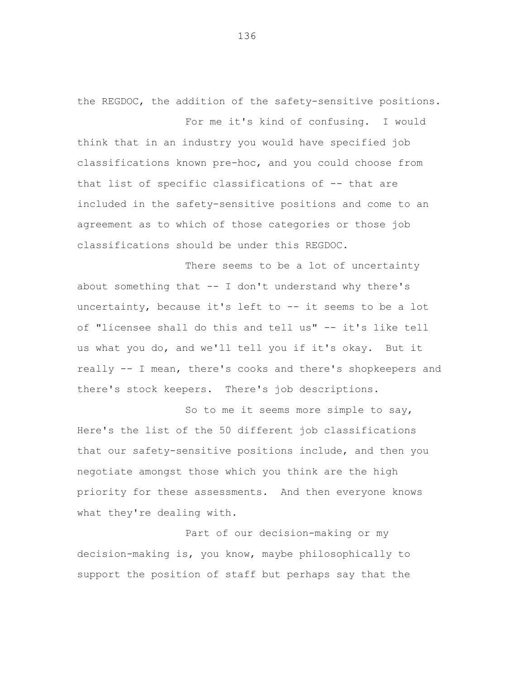the REGDOC, the addition of the safety-sensitive positions. For me it's kind of confusing. I would

think that in an industry you would have specified job classifications known pre-hoc, and you could choose from that list of specific classifications of -- that are included in the safety-sensitive positions and come to an agreement as to which of those categories or those job classifications should be under this REGDOC.

There seems to be a lot of uncertainty about something that  $--$  I don't understand why there's uncertainty, because it's left to -- it seems to be a lot of "licensee shall do this and tell us" -- it's like tell us what you do, and we'll tell you if it's okay. But it really -- I mean, there's cooks and there's shopkeepers and there's stock keepers. There's job descriptions.

So to me it seems more simple to say, Here's the list of the 50 different job classifications that our safety-sensitive positions include, and then you negotiate amongst those which you think are the high priority for these assessments. And then everyone knows what they're dealing with.

Part of our decision-making or my decision-making is, you know, maybe philosophically to support the position of staff but perhaps say that the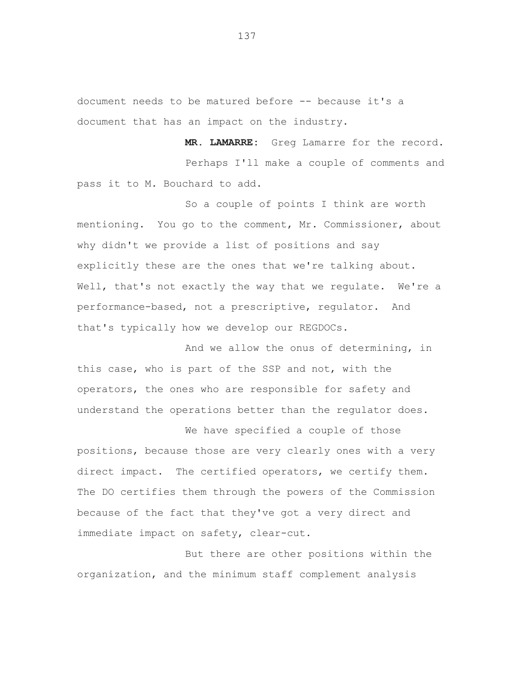document needs to be matured before -- because it's a document that has an impact on the industry.

**MR. LAMARRE:** Greg Lamarre for the record. Perhaps I'll make a couple of comments and pass it to M. Bouchard to add.

So a couple of points I think are worth mentioning. You go to the comment, Mr. Commissioner, about why didn't we provide a list of positions and say explicitly these are the ones that we're talking about. Well, that's not exactly the way that we regulate. We're a performance-based, not a prescriptive, regulator. And that's typically how we develop our REGDOCs.

And we allow the onus of determining, in this case, who is part of the SSP and not, with the operators, the ones who are responsible for safety and understand the operations better than the regulator does.

We have specified a couple of those positions, because those are very clearly ones with a very direct impact. The certified operators, we certify them. The DO certifies them through the powers of the Commission because of the fact that they've got a very direct and immediate impact on safety, clear-cut.

But there are other positions within the organization, and the minimum staff complement analysis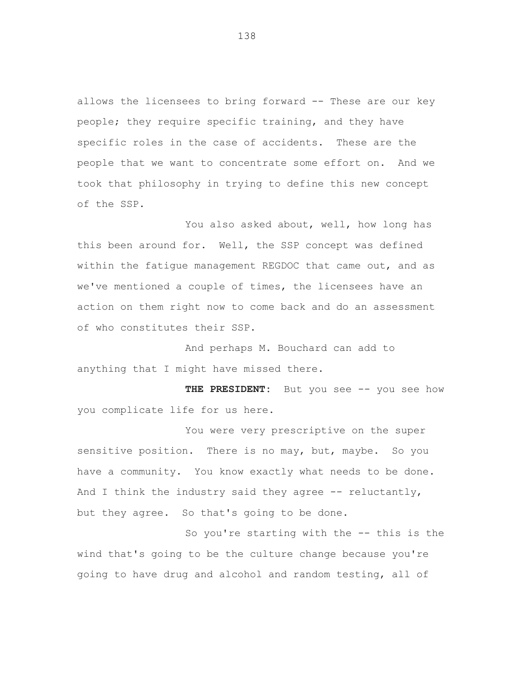allows the licensees to bring forward -- These are our key people; they require specific training, and they have specific roles in the case of accidents. These are the people that we want to concentrate some effort on. And we took that philosophy in trying to define this new concept of the SSP.

You also asked about, well, how long has this been around for. Well, the SSP concept was defined within the fatigue management REGDOC that came out, and as we've mentioned a couple of times, the licensees have an action on them right now to come back and do an assessment of who constitutes their SSP.

And perhaps M. Bouchard can add to anything that I might have missed there.

THE PRESIDENT: But you see -- you see how you complicate life for us here.

You were very prescriptive on the super sensitive position. There is no may, but, maybe. So you have a community. You know exactly what needs to be done. And I think the industry said they agree  $-$ - reluctantly, but they agree. So that's going to be done.

So you're starting with the -- this is the wind that's going to be the culture change because you're going to have drug and alcohol and random testing, all of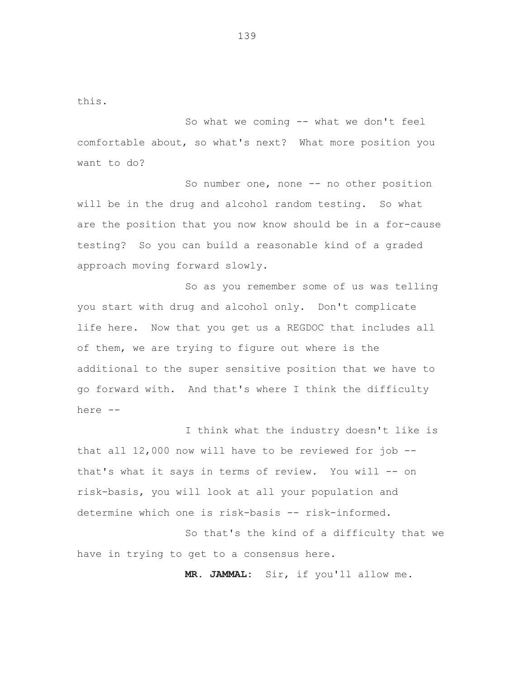this.

So what we coming -- what we don't feel comfortable about, so what's next? What more position you want to do?

So number one, none -- no other position will be in the drug and alcohol random testing. So what are the position that you now know should be in a for-cause testing? So you can build a reasonable kind of a graded approach moving forward slowly.

So as you remember some of us was telling you start with drug and alcohol only. Don't complicate life here. Now that you get us a REGDOC that includes all of them, we are trying to figure out where is the additional to the super sensitive position that we have to go forward with. And that's where I think the difficulty here --

I think what the industry doesn't like is that all 12,000 now will have to be reviewed for job - that's what it says in terms of review. You will -- on risk-basis, you will look at all your population and determine which one is risk-basis -- risk-informed.

So that's the kind of a difficulty that we have in trying to get to a consensus here.

**MR. JAMMAL:** Sir, if you'll allow me.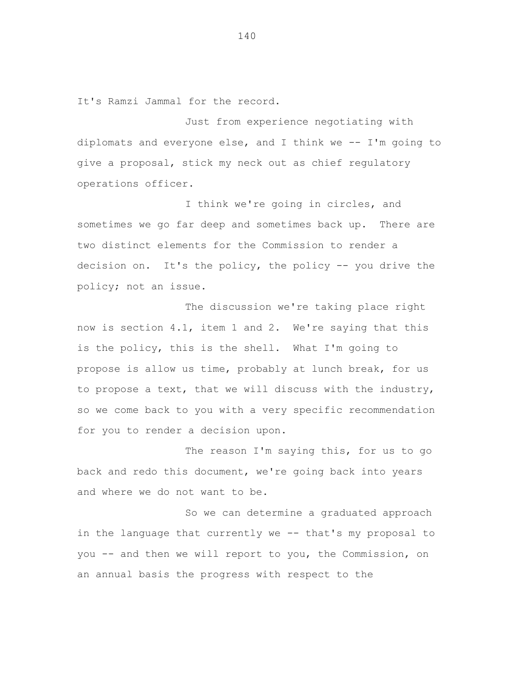It's Ramzi Jammal for the record.

Just from experience negotiating with diplomats and everyone else, and I think we -- I'm going to give a proposal, stick my neck out as chief regulatory operations officer.

I think we're going in circles, and sometimes we go far deep and sometimes back up. There are two distinct elements for the Commission to render a decision on. It's the policy, the policy -- you drive the policy; not an issue.

The discussion we're taking place right now is section 4.1, item 1 and 2. We're saying that this is the policy, this is the shell. What I'm going to propose is allow us time, probably at lunch break, for us to propose a text, that we will discuss with the industry, so we come back to you with a very specific recommendation for you to render a decision upon.

The reason I'm saying this, for us to go back and redo this document, we're going back into years and where we do not want to be.

So we can determine a graduated approach in the language that currently we -- that's my proposal to you -- and then we will report to you, the Commission, on an annual basis the progress with respect to the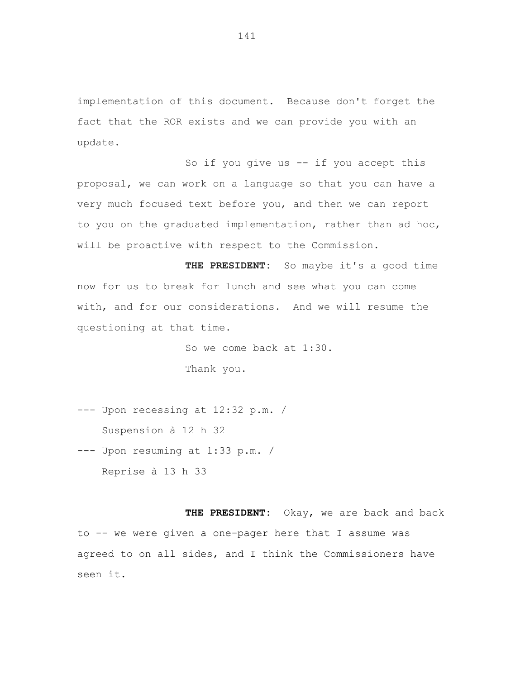implementation of this document. Because don't forget the fact that the ROR exists and we can provide you with an update.

So if you give us -- if you accept this proposal, we can work on a language so that you can have a very much focused text before you, and then we can report to you on the graduated implementation, rather than ad hoc, will be proactive with respect to the Commission.

**THE PRESIDENT:** So maybe it's a good time now for us to break for lunch and see what you can come with, and for our considerations. And we will resume the questioning at that time.

> So we come back at 1:30. Thank you.

--- Upon recessing at 12:32 p.m. / Suspension à 12 h 32

--- Upon resuming at 1:33 p.m. / Reprise à 13 h 33

 **THE PRESIDENT:** Okay, we are back and back to -- we were given a one-pager here that I assume was agreed to on all sides, and I think the Commissioners have seen it.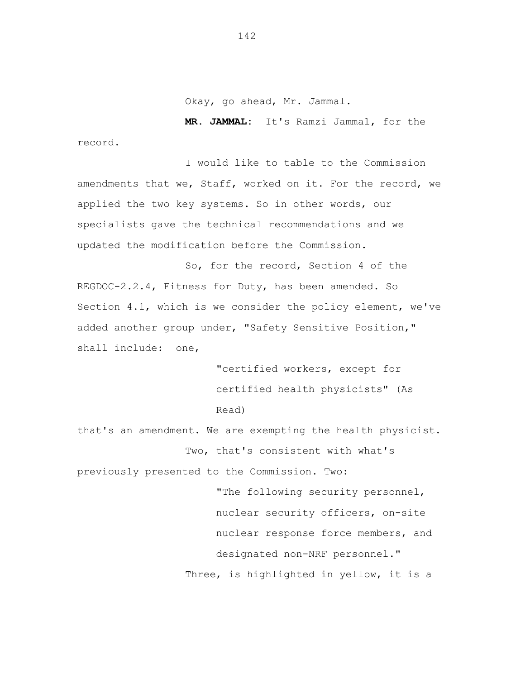Okay, go ahead, Mr. Jammal.

 **MR. JAMMAL:** It's Ramzi Jammal, for the record.

I would like to table to the Commission amendments that we, Staff, worked on it. For the record, we applied the two key systems. So in other words, our specialists gave the technical recommendations and we updated the modification before the Commission.

So, for the record, Section 4 of the REGDOC-2.2.4, Fitness for Duty, has been amended. So Section 4.1, which is we consider the policy element, we've added another group under, "Safety Sensitive Position," shall include: one,

> "certified workers, except for certified health physicists" (As Read)

that's an amendment. We are exempting the health physicist. Two, that's consistent with what's

previously presented to the Commission. Two: "The following security personnel, nuclear security officers, on-site nuclear response force members, and designated non-NRF personnel." Three, is highlighted in yellow, it is a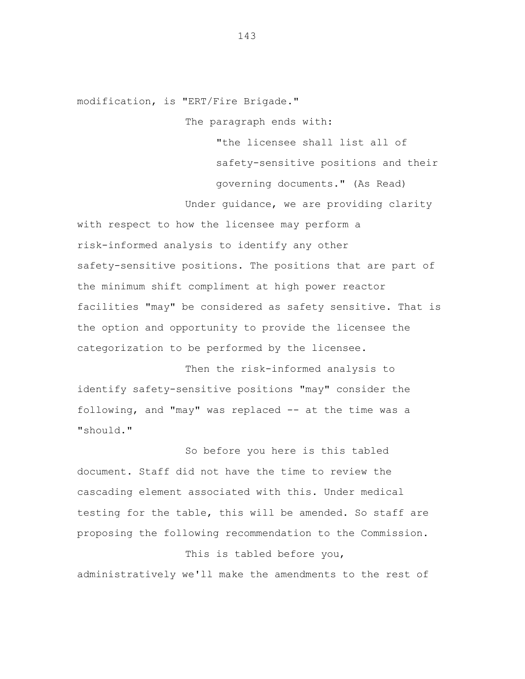modification, is "ERT/Fire Brigade."

The paragraph ends with:

"the licensee shall list all of safety-sensitive positions and their governing documents." (As Read)

Under guidance, we are providing clarity

with respect to how the licensee may perform a risk-informed analysis to identify any other safety-sensitive positions. The positions that are part of the minimum shift compliment at high power reactor facilities "may" be considered as safety sensitive. That is the option and opportunity to provide the licensee the categorization to be performed by the licensee.

Then the risk-informed analysis to identify safety-sensitive positions "may" consider the following, and "may" was replaced -- at the time was a "should."

So before you here is this tabled document. Staff did not have the time to review the cascading element associated with this. Under medical testing for the table, this will be amended. So staff are proposing the following recommendation to the Commission.

This is tabled before you, administratively we'll make the amendments to the rest of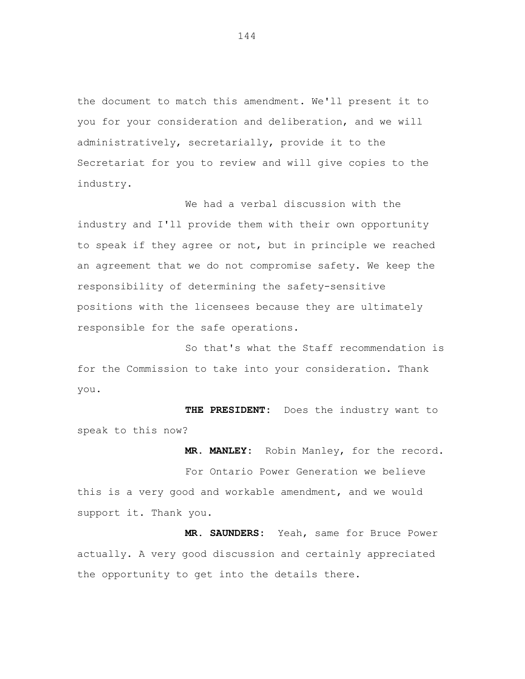the document to match this amendment. We'll present it to you for your consideration and deliberation, and we will administratively, secretarially, provide it to the Secretariat for you to review and will give copies to the industry.

We had a verbal discussion with the industry and I'll provide them with their own opportunity to speak if they agree or not, but in principle we reached an agreement that we do not compromise safety. We keep the responsibility of determining the safety-sensitive positions with the licensees because they are ultimately responsible for the safe operations.

So that's what the Staff recommendation is for the Commission to take into your consideration. Thank you.

 **THE PRESIDENT:** Does the industry want to speak to this now?

 **MR. MANLEY:** Robin Manley, for the record.

For Ontario Power Generation we believe this is a very good and workable amendment, and we would support it. Thank you.

 **MR. SAUNDERS:** Yeah, same for Bruce Power actually. A very good discussion and certainly appreciated the opportunity to get into the details there.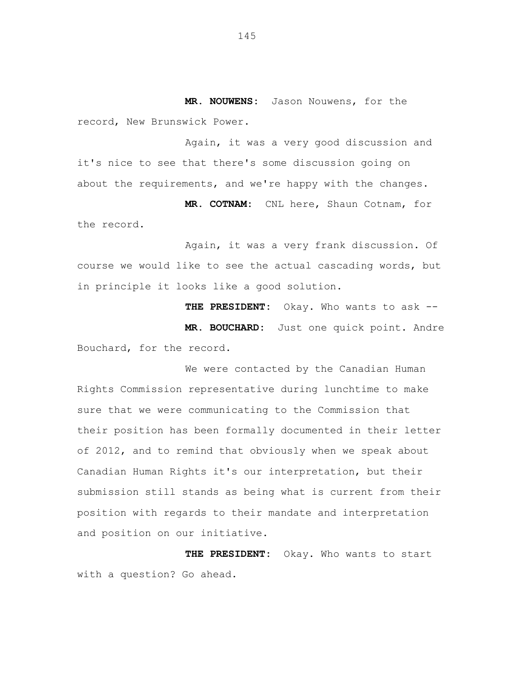**MR. NOUWENS:** Jason Nouwens, for the record, New Brunswick Power.

Again, it was a very good discussion and it's nice to see that there's some discussion going on about the requirements, and we're happy with the changes.

 **MR. COTNAM:** CNL here, Shaun Cotnam, for the record.

Again, it was a very frank discussion. Of course we would like to see the actual cascading words, but in principle it looks like a good solution.

**THE PRESIDENT:** Okay. Who wants to ask --  **MR. BOUCHARD:** Just one quick point. Andre Bouchard, for the record.

We were contacted by the Canadian Human Rights Commission representative during lunchtime to make sure that we were communicating to the Commission that their position has been formally documented in their letter of 2012, and to remind that obviously when we speak about Canadian Human Rights it's our interpretation, but their submission still stands as being what is current from their position with regards to their mandate and interpretation and position on our initiative.

 **THE PRESIDENT:** Okay. Who wants to start with a question? Go ahead.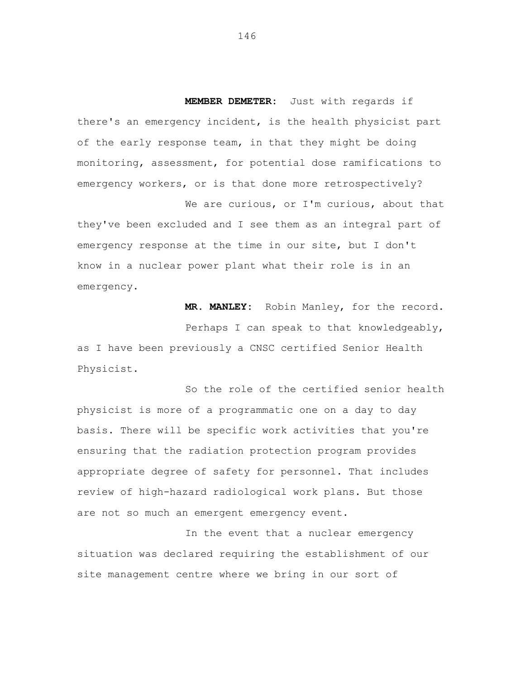**MEMBER DEMETER:** Just with regards if there's an emergency incident, is the health physicist part of the early response team, in that they might be doing monitoring, assessment, for potential dose ramifications to emergency workers, or is that done more retrospectively?

We are curious, or I'm curious, about that they've been excluded and I see them as an integral part of emergency response at the time in our site, but I don't know in a nuclear power plant what their role is in an emergency.

 **MR. MANLEY:** Robin Manley, for the record.

Perhaps I can speak to that knowledgeably, as I have been previously a CNSC certified Senior Health Physicist.

So the role of the certified senior health physicist is more of a programmatic one on a day to day basis. There will be specific work activities that you're ensuring that the radiation protection program provides appropriate degree of safety for personnel. That includes review of high-hazard radiological work plans. But those are not so much an emergent emergency event.

In the event that a nuclear emergency situation was declared requiring the establishment of our site management centre where we bring in our sort of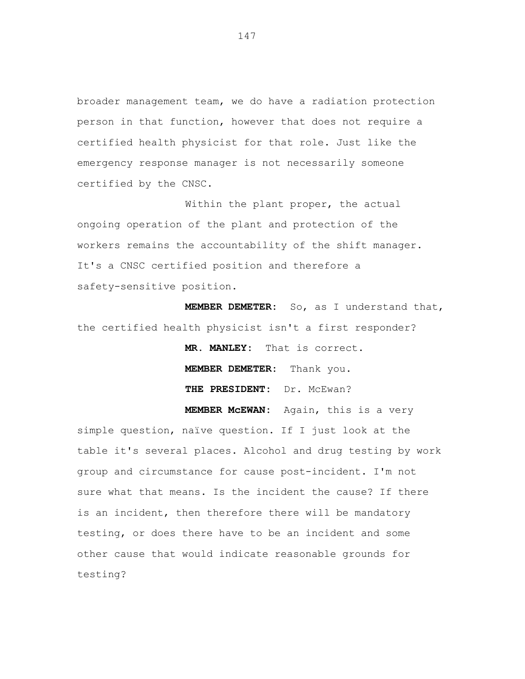broader management team, we do have a radiation protection person in that function, however that does not require a certified health physicist for that role. Just like the emergency response manager is not necessarily someone certified by the CNSC.

Within the plant proper, the actual ongoing operation of the plant and protection of the workers remains the accountability of the shift manager. It's a CNSC certified position and therefore a safety-sensitive position.

 **MEMBER DEMETER:** So, as I understand that, the certified health physicist isn't a first responder?

> **MR. MANLEY:** That is correct. **MEMBER DEMETER:** Thank you.  **THE PRESIDENT:** Dr. McEwan?

 **MEMBER McEWAN:** Again, this is a very

simple question, naïve question. If I just look at the table it's several places. Alcohol and drug testing by work group and circumstance for cause post-incident. I'm not sure what that means. Is the incident the cause? If there is an incident, then therefore there will be mandatory testing, or does there have to be an incident and some other cause that would indicate reasonable grounds for testing?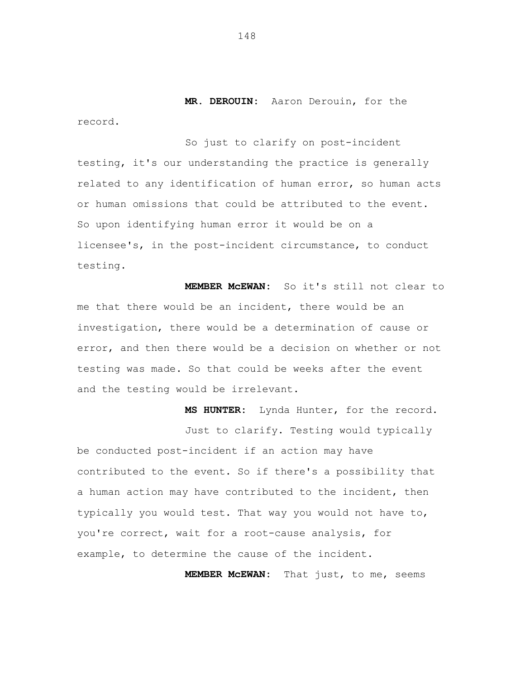**MR. DEROUIN:** Aaron Derouin, for the record.

So just to clarify on post-incident testing, it's our understanding the practice is generally related to any identification of human error, so human acts or human omissions that could be attributed to the event. So upon identifying human error it would be on a licensee's, in the post-incident circumstance, to conduct testing.

 **MEMBER McEWAN:** So it's still not clear to me that there would be an incident, there would be an investigation, there would be a determination of cause or error, and then there would be a decision on whether or not testing was made. So that could be weeks after the event and the testing would be irrelevant.

Just to clarify. Testing would typically be conducted post-incident if an action may have contributed to the event. So if there's a possibility that a human action may have contributed to the incident, then typically you would test. That way you would not have to, you're correct, wait for a root-cause analysis, for example, to determine the cause of the incident.

 **MEMBER McEWAN:** That just, to me, seems

 **MS HUNTER:** Lynda Hunter, for the record.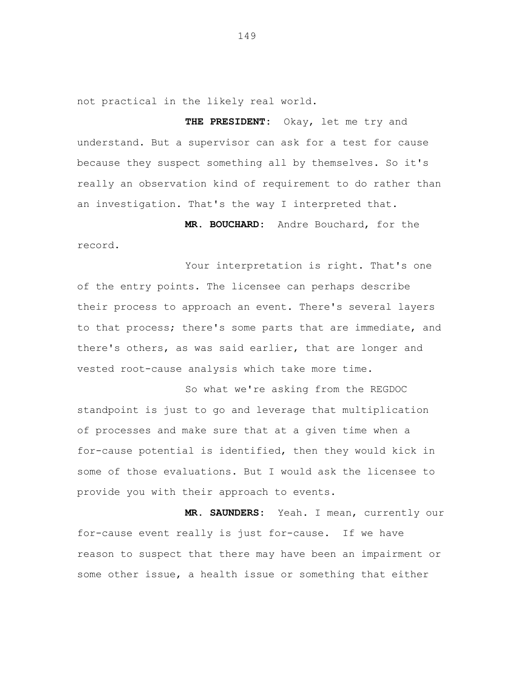not practical in the likely real world.

 **THE PRESIDENT:** Okay, let me try and understand. But a supervisor can ask for a test for cause because they suspect something all by themselves. So it's really an observation kind of requirement to do rather than an investigation. That's the way I interpreted that.

 **MR. BOUCHARD:** Andre Bouchard, for the record.

Your interpretation is right. That's one of the entry points. The licensee can perhaps describe their process to approach an event. There's several layers to that process; there's some parts that are immediate, and there's others, as was said earlier, that are longer and vested root-cause analysis which take more time.

So what we're asking from the REGDOC standpoint is just to go and leverage that multiplication of processes and make sure that at a given time when a for-cause potential is identified, then they would kick in some of those evaluations. But I would ask the licensee to provide you with their approach to events.

 **MR. SAUNDERS:** Yeah. I mean, currently our for-cause event really is just for-cause. If we have reason to suspect that there may have been an impairment or some other issue, a health issue or something that either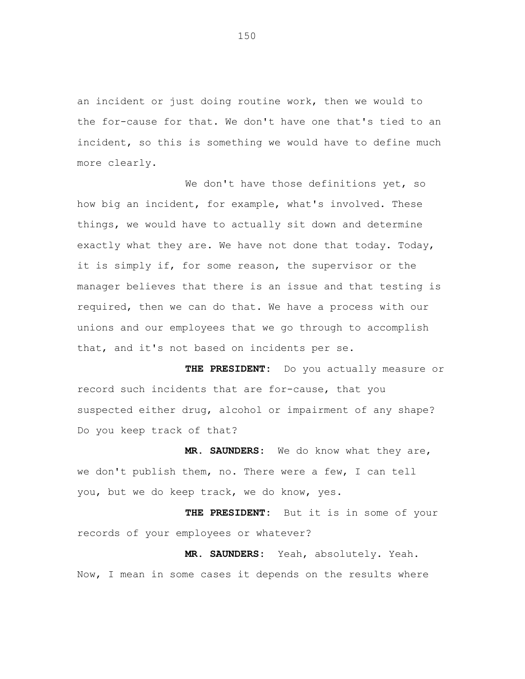an incident or just doing routine work, then we would to the for-cause for that. We don't have one that's tied to an incident, so this is something we would have to define much more clearly.

We don't have those definitions yet, so how big an incident, for example, what's involved. These things, we would have to actually sit down and determine exactly what they are. We have not done that today. Today, it is simply if, for some reason, the supervisor or the manager believes that there is an issue and that testing is required, then we can do that. We have a process with our unions and our employees that we go through to accomplish that, and it's not based on incidents per se.

 **THE PRESIDENT:** Do you actually measure or record such incidents that are for-cause, that you suspected either drug, alcohol or impairment of any shape? Do you keep track of that?

 **MR. SAUNDERS:** We do know what they are, we don't publish them, no. There were a few, I can tell you, but we do keep track, we do know, yes.

 **THE PRESIDENT:** But it is in some of your records of your employees or whatever?

 **MR. SAUNDERS:** Yeah, absolutely. Yeah. Now, I mean in some cases it depends on the results where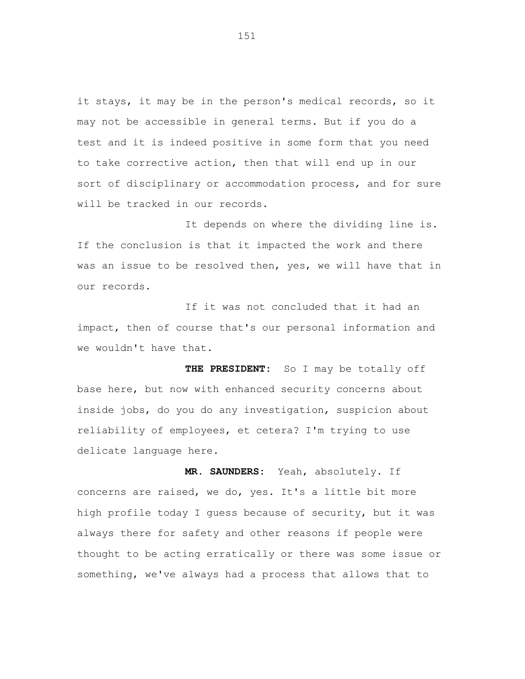it stays, it may be in the person's medical records, so it may not be accessible in general terms. But if you do a test and it is indeed positive in some form that you need to take corrective action, then that will end up in our sort of disciplinary or accommodation process, and for sure will be tracked in our records.

It depends on where the dividing line is. If the conclusion is that it impacted the work and there was an issue to be resolved then, yes, we will have that in our records.

If it was not concluded that it had an impact, then of course that's our personal information and we wouldn't have that.

 **THE PRESIDENT:** So I may be totally off base here, but now with enhanced security concerns about inside jobs, do you do any investigation, suspicion about reliability of employees, et cetera? I'm trying to use delicate language here.

 **MR. SAUNDERS:** Yeah, absolutely. If concerns are raised, we do, yes. It's a little bit more high profile today I guess because of security, but it was always there for safety and other reasons if people were thought to be acting erratically or there was some issue or something, we've always had a process that allows that to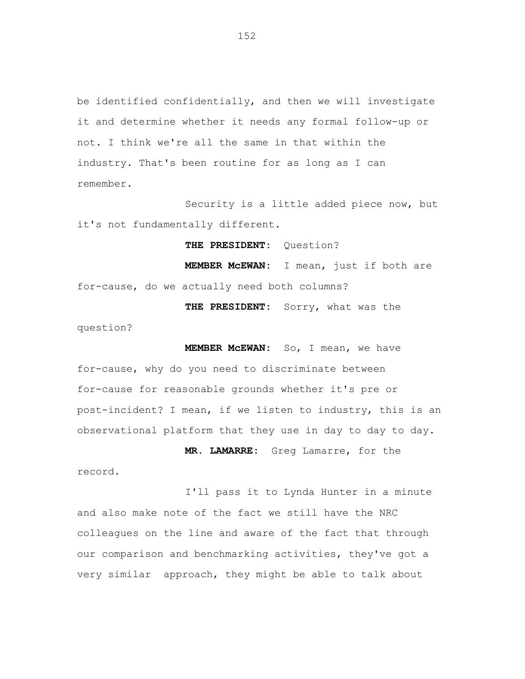be identified confidentially, and then we will investigate it and determine whether it needs any formal follow-up or not. I think we're all the same in that within the industry. That's been routine for as long as I can remember.

Security is a little added piece now, but it's not fundamentally different.

 **THE PRESIDENT:** Question?

 **MEMBER McEWAN:** I mean, just if both are for-cause, do we actually need both columns?

 **THE PRESIDENT:** Sorry, what was the question?

 **MEMBER McEWAN:** So, I mean, we have for-cause, why do you need to discriminate between for-cause for reasonable grounds whether it's pre or post-incident? I mean, if we listen to industry, this is an observational platform that they use in day to day to day.

 **MR. LAMARRE:** Greg Lamarre, for the record.

I'll pass it to Lynda Hunter in a minute and also make note of the fact we still have the NRC colleagues on the line and aware of the fact that through our comparison and benchmarking activities, they've got a very similar approach, they might be able to talk about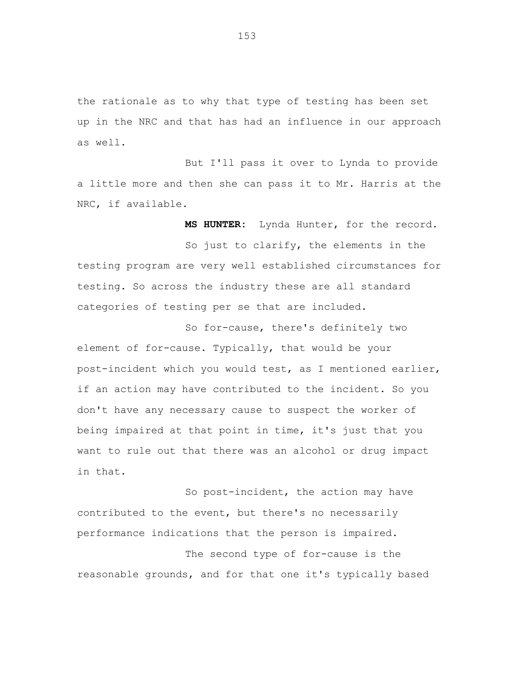the rationale as to why that type of testing has been set up in the NRC and that has had an influence in our approach as well.

But I'll pass it over to Lynda to provide a little more and then she can pass it to Mr. Harris at the NRC, if available.

 **MS HUNTER:** Lynda Hunter, for the record.

So just to clarify, the elements in the testing program are very well established circumstances for testing. So across the industry these are all standard categories of testing per se that are included.

So for-cause, there's definitely two element of for-cause. Typically, that would be your post-incident which you would test, as I mentioned earlier, if an action may have contributed to the incident. So you don't have any necessary cause to suspect the worker of being impaired at that point in time, it's just that you want to rule out that there was an alcohol or drug impact in that.

So post-incident, the action may have contributed to the event, but there's no necessarily performance indications that the person is impaired.

The second type of for-cause is the reasonable grounds, and for that one it's typically based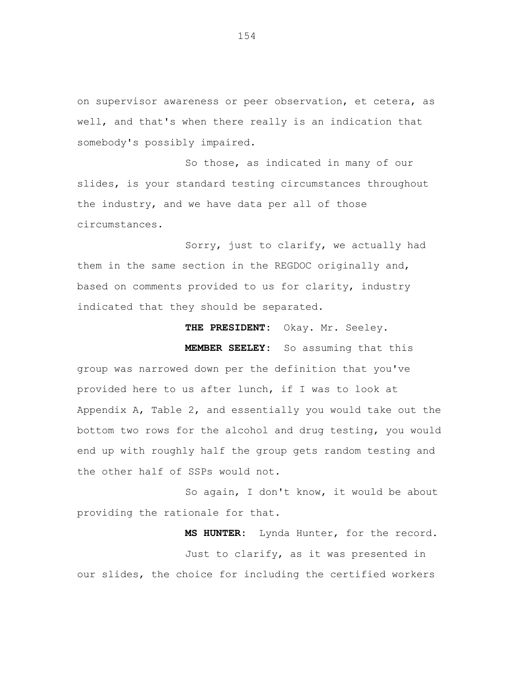on supervisor awareness or peer observation, et cetera, as well, and that's when there really is an indication that somebody's possibly impaired.

So those, as indicated in many of our slides, is your standard testing circumstances throughout the industry, and we have data per all of those circumstances.

Sorry, just to clarify, we actually had them in the same section in the REGDOC originally and, based on comments provided to us for clarity, industry indicated that they should be separated.

 **MEMBER SEELEY:** So assuming that this group was narrowed down per the definition that you've provided here to us after lunch, if I was to look at Appendix A, Table 2, and essentially you would take out the bottom two rows for the alcohol and drug testing, you would end up with roughly half the group gets random testing and the other half of SSPs would not.

 **THE PRESIDENT:** Okay. Mr. Seeley.

So again, I don't know, it would be about providing the rationale for that.

 **MS HUNTER:** Lynda Hunter, for the record. Just to clarify, as it was presented in our slides, the choice for including the certified workers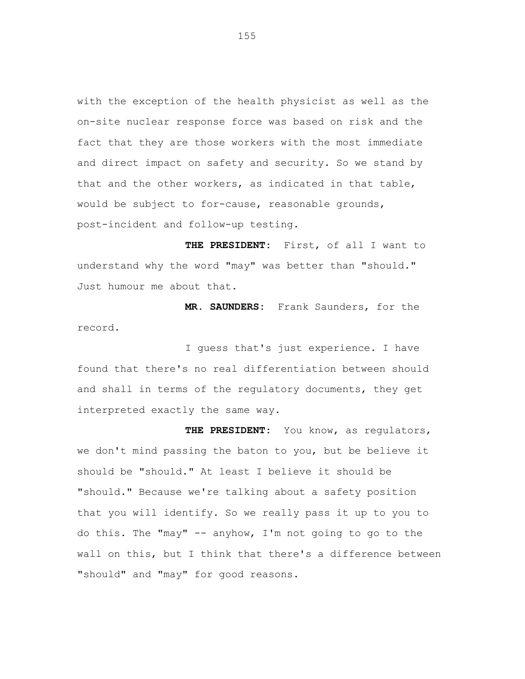with the exception of the health physicist as well as the on-site nuclear response force was based on risk and the fact that they are those workers with the most immediate and direct impact on safety and security. So we stand by that and the other workers, as indicated in that table, would be subject to for-cause, reasonable grounds, post-incident and follow-up testing.

 **THE PRESIDENT:** First, of all I want to understand why the word "may" was better than "should." Just humour me about that.

 **MR. SAUNDERS:** Frank Saunders, for the record.

I guess that's just experience. I have found that there's no real differentiation between should and shall in terms of the regulatory documents, they get interpreted exactly the same way.

 **THE PRESIDENT:** You know, as regulators, we don't mind passing the baton to you, but be believe it should be "should." At least I believe it should be "should." Because we're talking about a safety position that you will identify. So we really pass it up to you to do this. The "may" -- anyhow, I'm not going to go to the wall on this, but I think that there's a difference between "should" and "may" for good reasons.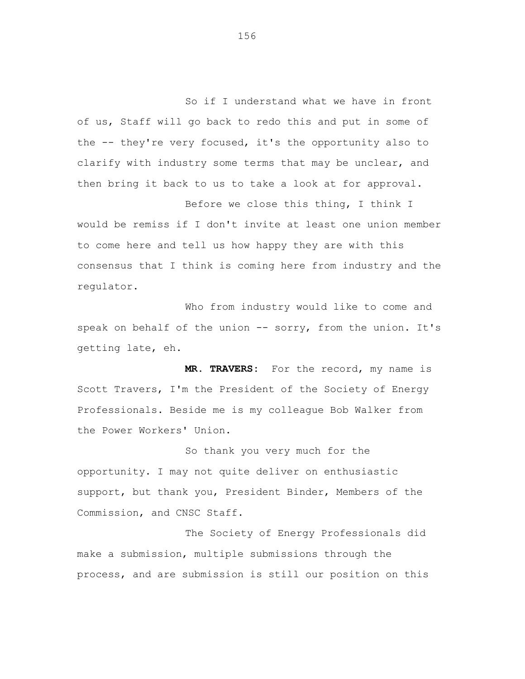So if I understand what we have in front of us, Staff will go back to redo this and put in some of the -- they're very focused, it's the opportunity also to clarify with industry some terms that may be unclear, and then bring it back to us to take a look at for approval.

Before we close this thing, I think I would be remiss if I don't invite at least one union member to come here and tell us how happy they are with this consensus that I think is coming here from industry and the regulator.

Who from industry would like to come and speak on behalf of the union -- sorry, from the union. It's getting late, eh.

 **MR. TRAVERS:** For the record, my name is Scott Travers, I'm the President of the Society of Energy Professionals. Beside me is my colleague Bob Walker from the Power Workers' Union.

So thank you very much for the opportunity. I may not quite deliver on enthusiastic support, but thank you, President Binder, Members of the Commission, and CNSC Staff.

The Society of Energy Professionals did make a submission, multiple submissions through the process, and are submission is still our position on this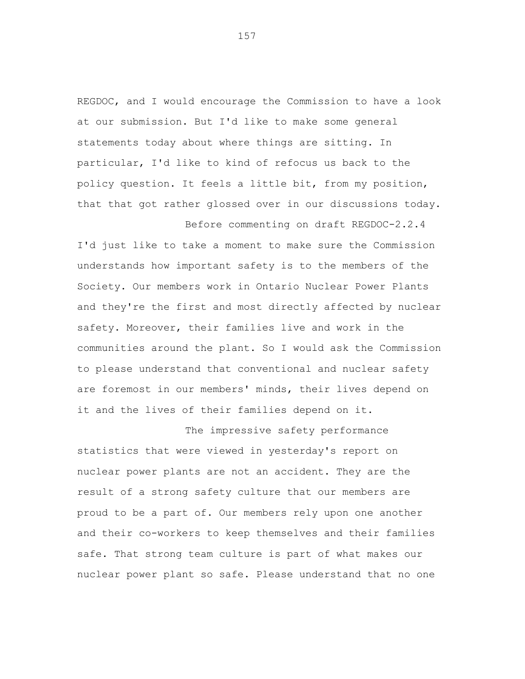REGDOC, and I would encourage the Commission to have a look at our submission. But I'd like to make some general statements today about where things are sitting. In particular, I'd like to kind of refocus us back to the policy question. It feels a little bit, from my position, that that got rather glossed over in our discussions today.

Before commenting on draft REGDOC-2.2.4 I'd just like to take a moment to make sure the Commission understands how important safety is to the members of the Society. Our members work in Ontario Nuclear Power Plants and they're the first and most directly affected by nuclear safety. Moreover, their families live and work in the communities around the plant. So I would ask the Commission to please understand that conventional and nuclear safety are foremost in our members' minds, their lives depend on it and the lives of their families depend on it.

The impressive safety performance statistics that were viewed in yesterday's report on nuclear power plants are not an accident. They are the result of a strong safety culture that our members are proud to be a part of. Our members rely upon one another and their co-workers to keep themselves and their families safe. That strong team culture is part of what makes our nuclear power plant so safe. Please understand that no one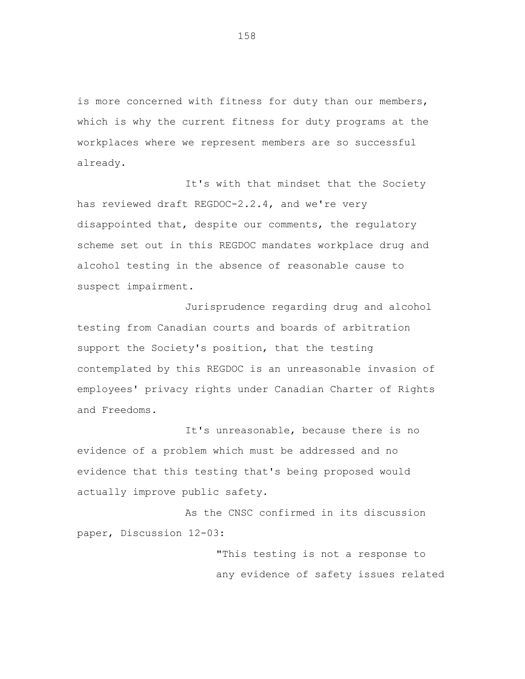is more concerned with fitness for duty than our members, which is why the current fitness for duty programs at the workplaces where we represent members are so successful already.

It's with that mindset that the Society has reviewed draft REGDOC-2.2.4, and we're very disappointed that, despite our comments, the regulatory scheme set out in this REGDOC mandates workplace drug and alcohol testing in the absence of reasonable cause to suspect impairment.

Jurisprudence regarding drug and alcohol testing from Canadian courts and boards of arbitration support the Society's position, that the testing contemplated by this REGDOC is an unreasonable invasion of employees' privacy rights under Canadian Charter of Rights and Freedoms.

It's unreasonable, because there is no evidence of a problem which must be addressed and no evidence that this testing that's being proposed would actually improve public safety.

As the CNSC confirmed in its discussion paper, Discussion 12-03:

> "This testing is not a response to any evidence of safety issues related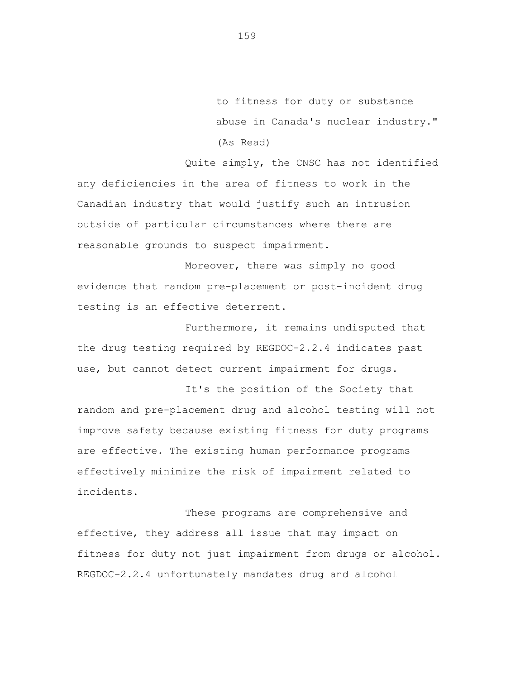to fitness for duty or substance abuse in Canada's nuclear industry." (As Read)

Quite simply, the CNSC has not identified any deficiencies in the area of fitness to work in the Canadian industry that would justify such an intrusion outside of particular circumstances where there are reasonable grounds to suspect impairment.

Moreover, there was simply no good evidence that random pre-placement or post-incident drug testing is an effective deterrent.

Furthermore, it remains undisputed that the drug testing required by REGDOC-2.2.4 indicates past use, but cannot detect current impairment for drugs.

It's the position of the Society that random and pre-placement drug and alcohol testing will not improve safety because existing fitness for duty programs are effective. The existing human performance programs effectively minimize the risk of impairment related to incidents.

These programs are comprehensive and effective, they address all issue that may impact on fitness for duty not just impairment from drugs or alcohol. REGDOC-2.2.4 unfortunately mandates drug and alcohol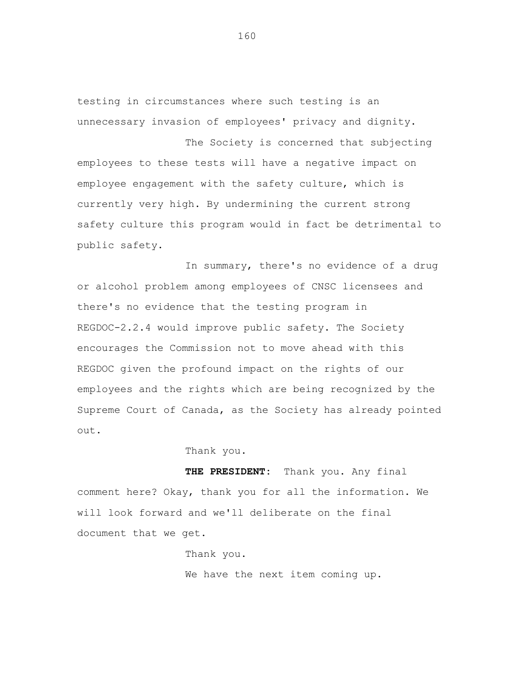testing in circumstances where such testing is an unnecessary invasion of employees' privacy and dignity.

The Society is concerned that subjecting employees to these tests will have a negative impact on employee engagement with the safety culture, which is currently very high. By undermining the current strong safety culture this program would in fact be detrimental to public safety.

In summary, there's no evidence of a drug or alcohol problem among employees of CNSC licensees and there's no evidence that the testing program in REGDOC-2.2.4 would improve public safety. The Society encourages the Commission not to move ahead with this REGDOC given the profound impact on the rights of our employees and the rights which are being recognized by the Supreme Court of Canada, as the Society has already pointed out.

## Thank you.

 **THE PRESIDENT:** Thank you. Any final comment here? Okay, thank you for all the information. We will look forward and we'll deliberate on the final document that we get.

> Thank you. We have the next item coming up.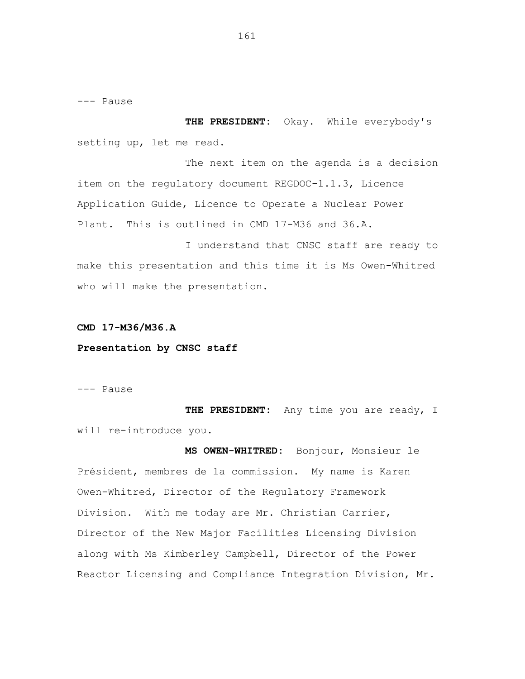--- Pause

**THE PRESIDENT:** Okay. While everybody's setting up, let me read.

The next item on the agenda is a decision item on the regulatory document REGDOC-1.1.3, Licence Application Guide, Licence to Operate a Nuclear Power Plant. This is outlined in CMD 17-M36 and 36.A.

I understand that CNSC staff are ready to make this presentation and this time it is Ms Owen-Whitred who will make the presentation.

## **CMD 17-M36/M36.A**

## **Presentation by CNSC staff**

--- Pause

**THE PRESIDENT:** Any time you are ready, I will re-introduce you.

**MS OWEN-WHITRED:** Bonjour, Monsieur le Président, membres de la commission. My name is Karen Owen-Whitred, Director of the Regulatory Framework Division. With me today are Mr. Christian Carrier, Director of the New Major Facilities Licensing Division along with Ms Kimberley Campbell, Director of the Power Reactor Licensing and Compliance Integration Division, Mr.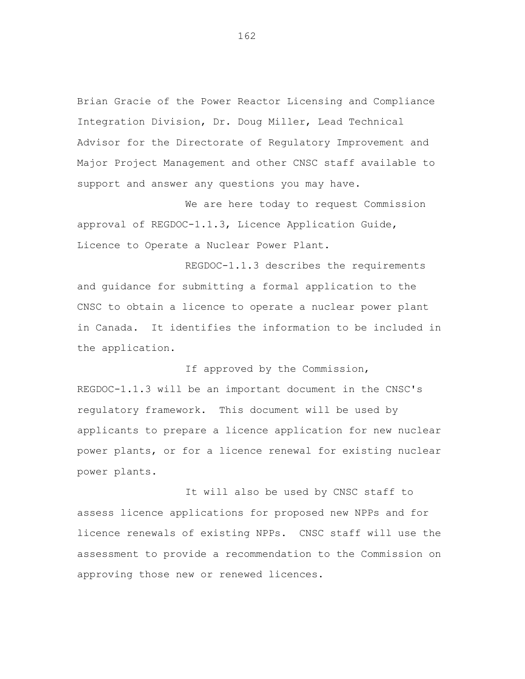Brian Gracie of the Power Reactor Licensing and Compliance Integration Division, Dr. Doug Miller, Lead Technical Advisor for the Directorate of Regulatory Improvement and Major Project Management and other CNSC staff available to support and answer any questions you may have.

We are here today to request Commission approval of REGDOC-1.1.3, Licence Application Guide, Licence to Operate a Nuclear Power Plant.

REGDOC-1.1.3 describes the requirements and guidance for submitting a formal application to the CNSC to obtain a licence to operate a nuclear power plant in Canada. It identifies the information to be included in the application.

If approved by the Commission, REGDOC-1.1.3 will be an important document in the CNSC's regulatory framework. This document will be used by applicants to prepare a licence application for new nuclear power plants, or for a licence renewal for existing nuclear power plants.

It will also be used by CNSC staff to assess licence applications for proposed new NPPs and for licence renewals of existing NPPs. CNSC staff will use the assessment to provide a recommendation to the Commission on approving those new or renewed licences.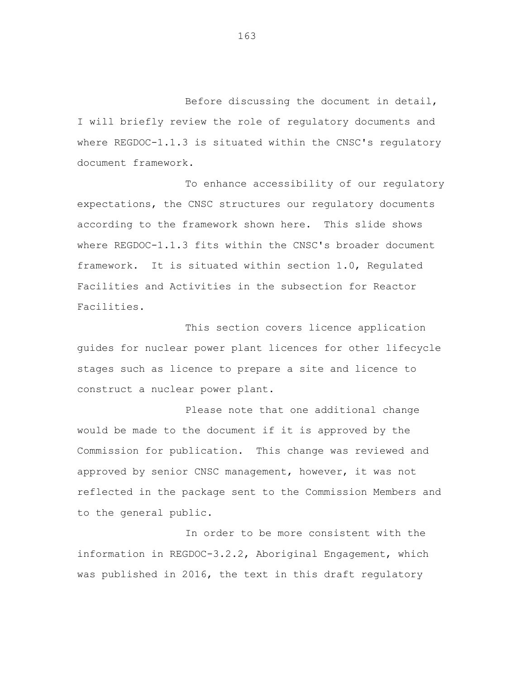Before discussing the document in detail, I will briefly review the role of regulatory documents and where REGDOC-1.1.3 is situated within the CNSC's regulatory document framework.

To enhance accessibility of our regulatory expectations, the CNSC structures our regulatory documents according to the framework shown here. This slide shows where REGDOC-1.1.3 fits within the CNSC's broader document framework. It is situated within section 1.0, Regulated Facilities and Activities in the subsection for Reactor Facilities.

This section covers licence application guides for nuclear power plant licences for other lifecycle stages such as licence to prepare a site and licence to construct a nuclear power plant.

Please note that one additional change would be made to the document if it is approved by the Commission for publication. This change was reviewed and approved by senior CNSC management, however, it was not reflected in the package sent to the Commission Members and to the general public.

In order to be more consistent with the information in REGDOC-3.2.2, Aboriginal Engagement, which was published in 2016, the text in this draft regulatory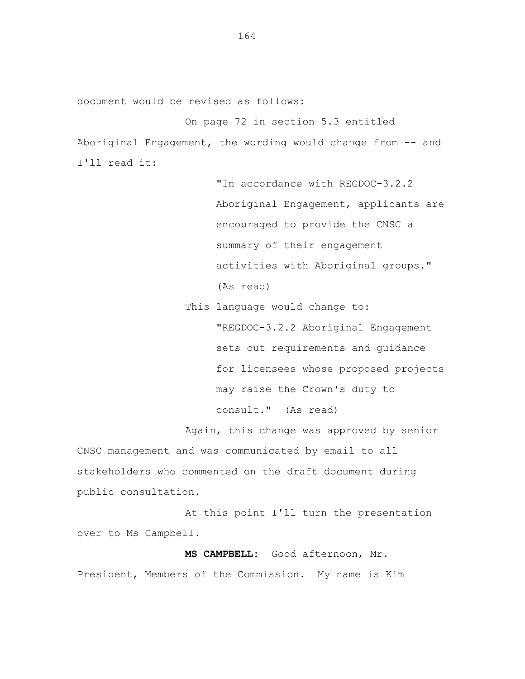document would be revised as follows:

On page 72 in section 5.3 entitled Aboriginal Engagement, the wording would change from -- and I'll read it:

> "In accordance with REGDOC-3.2.2 Aboriginal Engagement, applicants are encouraged to provide the CNSC a summary of their engagement activities with Aboriginal groups." (As read)

This language would change to: "REGDOC-3.2.2 Aboriginal Engagement sets out requirements and guidance for licensees whose proposed projects may raise the Crown's duty to consult." (As read)

Again, this change was approved by senior CNSC management and was communicated by email to all stakeholders who commented on the draft document during

public consultation. At this point I'll turn the presentation

over to Ms Campbell. **MS CAMPBELL:** Good afternoon, Mr.

President, Members of the Commission. My name is Kim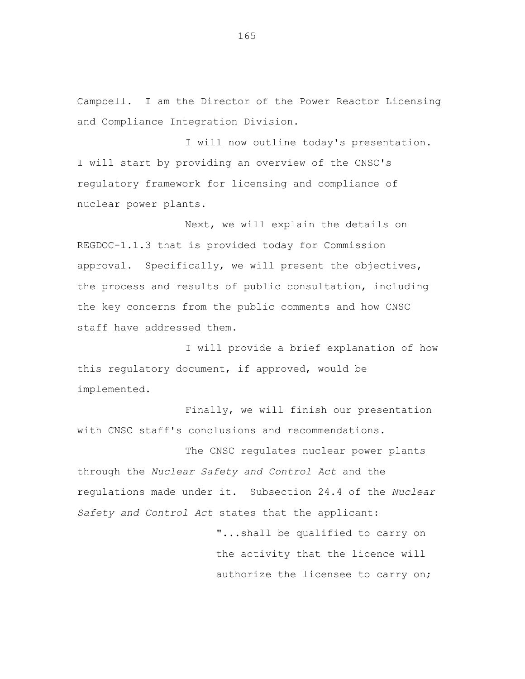Campbell. I am the Director of the Power Reactor Licensing and Compliance Integration Division.

I will now outline today's presentation. I will start by providing an overview of the CNSC's regulatory framework for licensing and compliance of nuclear power plants.

Next, we will explain the details on REGDOC-1.1.3 that is provided today for Commission approval. Specifically, we will present the objectives, the process and results of public consultation, including the key concerns from the public comments and how CNSC staff have addressed them.

I will provide a brief explanation of how this regulatory document, if approved, would be implemented.

Finally, we will finish our presentation with CNSC staff's conclusions and recommendations.

The CNSC regulates nuclear power plants through the *Nuclear Safety and Control Act* and the regulations made under it. Subsection 24.4 of the *Nuclear Safety and Control Act* states that the applicant:

> "...shall be qualified to carry on the activity that the licence will authorize the licensee to carry on;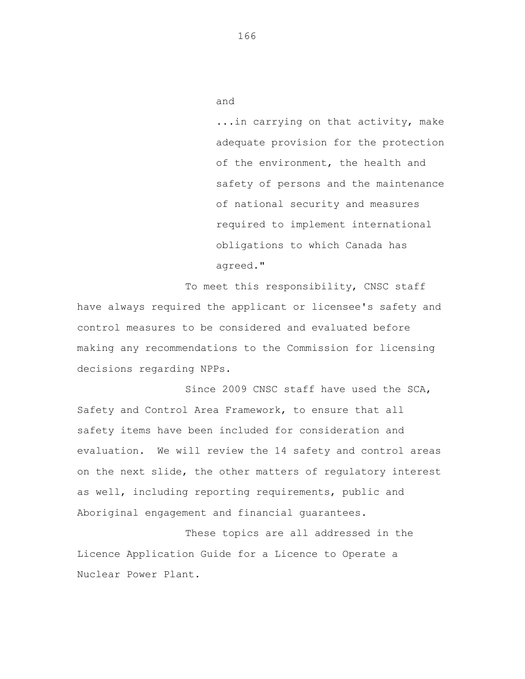...in carrying on that activity, make adequate provision for the protection of the environment, the health and safety of persons and the maintenance of national security and measures required to implement international obligations to which Canada has agreed."

To meet this responsibility, CNSC staff have always required the applicant or licensee's safety and control measures to be considered and evaluated before making any recommendations to the Commission for licensing decisions regarding NPPs.

Since 2009 CNSC staff have used the SCA, Safety and Control Area Framework, to ensure that all safety items have been included for consideration and evaluation. We will review the 14 safety and control areas on the next slide, the other matters of regulatory interest as well, including reporting requirements, public and Aboriginal engagement and financial guarantees.

These topics are all addressed in the Licence Application Guide for a Licence to Operate a Nuclear Power Plant.

166

and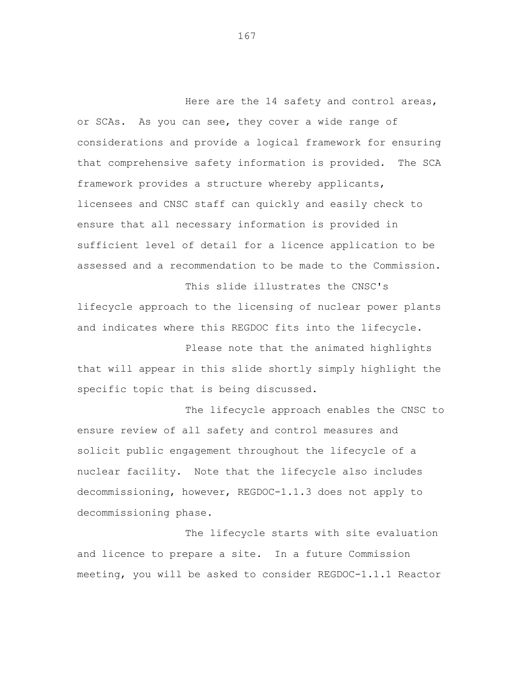Here are the 14 safety and control areas, or SCAs. As you can see, they cover a wide range of considerations and provide a logical framework for ensuring that comprehensive safety information is provided. The SCA framework provides a structure whereby applicants, licensees and CNSC staff can quickly and easily check to ensure that all necessary information is provided in sufficient level of detail for a licence application to be assessed and a recommendation to be made to the Commission.

lifecycle approach to the licensing of nuclear power plants and indicates where this REGDOC fits into the lifecycle.

This slide illustrates the CNSC's

Please note that the animated highlights that will appear in this slide shortly simply highlight the specific topic that is being discussed.

The lifecycle approach enables the CNSC to ensure review of all safety and control measures and solicit public engagement throughout the lifecycle of a nuclear facility. Note that the lifecycle also includes decommissioning, however, REGDOC-1.1.3 does not apply to decommissioning phase.

The lifecycle starts with site evaluation and licence to prepare a site. In a future Commission meeting, you will be asked to consider REGDOC-1.1.1 Reactor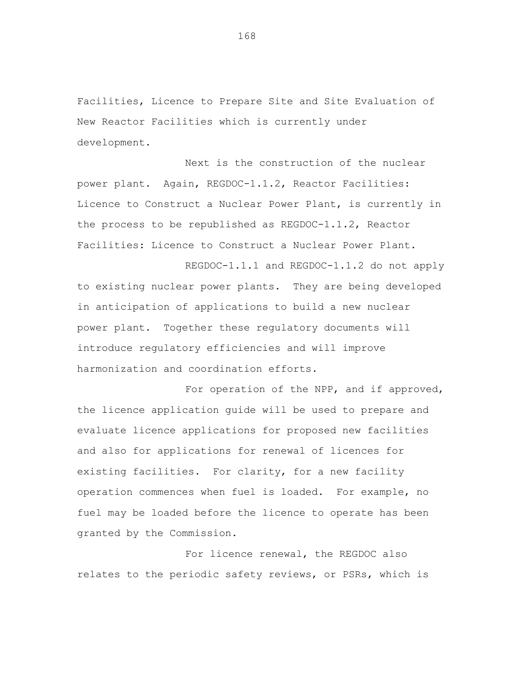Facilities, Licence to Prepare Site and Site Evaluation of New Reactor Facilities which is currently under development.

Next is the construction of the nuclear power plant. Again, REGDOC-1.1.2, Reactor Facilities: Licence to Construct a Nuclear Power Plant, is currently in the process to be republished as REGDOC-1.1.2, Reactor Facilities: Licence to Construct a Nuclear Power Plant.

REGDOC-1.1.1 and REGDOC-1.1.2 do not apply to existing nuclear power plants. They are being developed in anticipation of applications to build a new nuclear power plant. Together these regulatory documents will introduce regulatory efficiencies and will improve harmonization and coordination efforts.

For operation of the NPP, and if approved, the licence application guide will be used to prepare and evaluate licence applications for proposed new facilities and also for applications for renewal of licences for existing facilities. For clarity, for a new facility operation commences when fuel is loaded. For example, no fuel may be loaded before the licence to operate has been granted by the Commission.

For licence renewal, the REGDOC also relates to the periodic safety reviews, or PSRs, which is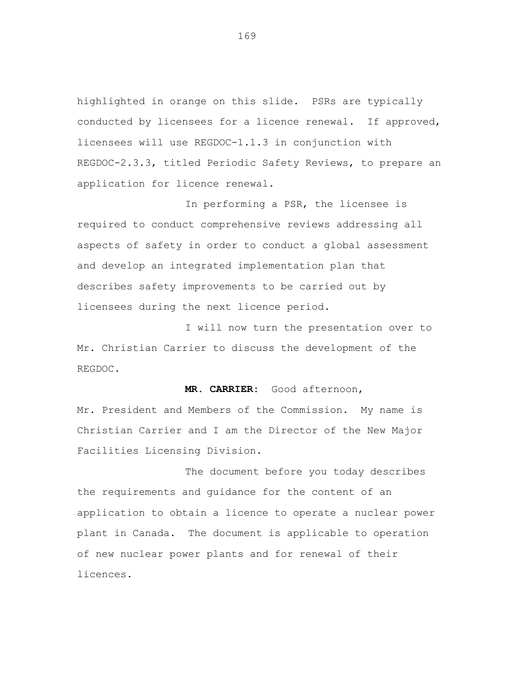highlighted in orange on this slide. PSRs are typically conducted by licensees for a licence renewal. If approved, licensees will use REGDOC-1.1.3 in conjunction with REGDOC-2.3.3, titled Periodic Safety Reviews, to prepare an application for licence renewal.

In performing a PSR, the licensee is required to conduct comprehensive reviews addressing all aspects of safety in order to conduct a global assessment and develop an integrated implementation plan that describes safety improvements to be carried out by licensees during the next licence period.

I will now turn the presentation over to Mr. Christian Carrier to discuss the development of the REGDOC.

**MR. CARRIER:** Good afternoon,

Mr. President and Members of the Commission. My name is Christian Carrier and I am the Director of the New Major Facilities Licensing Division.

The document before you today describes the requirements and guidance for the content of an application to obtain a licence to operate a nuclear power plant in Canada. The document is applicable to operation of new nuclear power plants and for renewal of their licences.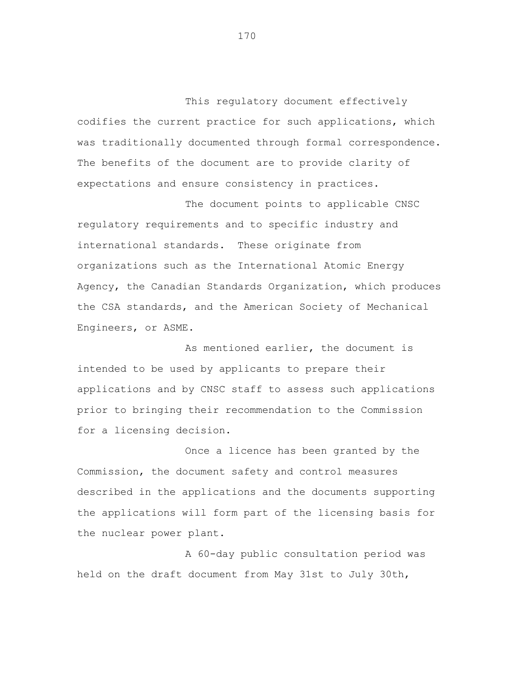This regulatory document effectively codifies the current practice for such applications, which was traditionally documented through formal correspondence. The benefits of the document are to provide clarity of expectations and ensure consistency in practices.

The document points to applicable CNSC regulatory requirements and to specific industry and international standards. These originate from organizations such as the International Atomic Energy Agency, the Canadian Standards Organization, which produces the CSA standards, and the American Society of Mechanical Engineers, or ASME.

As mentioned earlier, the document is intended to be used by applicants to prepare their applications and by CNSC staff to assess such applications prior to bringing their recommendation to the Commission for a licensing decision.

Once a licence has been granted by the Commission, the document safety and control measures described in the applications and the documents supporting the applications will form part of the licensing basis for the nuclear power plant.

A 60-day public consultation period was held on the draft document from May 31st to July 30th,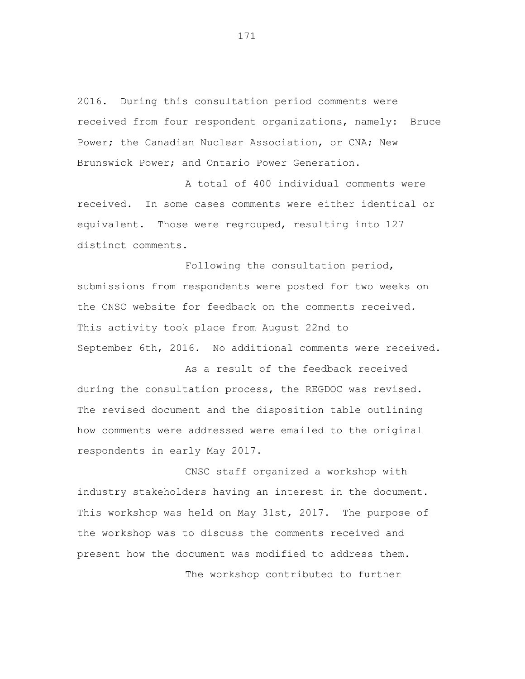2016. During this consultation period comments were received from four respondent organizations, namely: Bruce Power; the Canadian Nuclear Association, or CNA; New Brunswick Power; and Ontario Power Generation.

A total of 400 individual comments were received. In some cases comments were either identical or equivalent. Those were regrouped, resulting into 127 distinct comments.

Following the consultation period, submissions from respondents were posted for two weeks on the CNSC website for feedback on the comments received. This activity took place from August 22nd to September 6th, 2016. No additional comments were received.

As a result of the feedback received during the consultation process, the REGDOC was revised. The revised document and the disposition table outlining how comments were addressed were emailed to the original respondents in early May 2017.

CNSC staff organized a workshop with industry stakeholders having an interest in the document. This workshop was held on May 31st, 2017. The purpose of the workshop was to discuss the comments received and present how the document was modified to address them.

The workshop contributed to further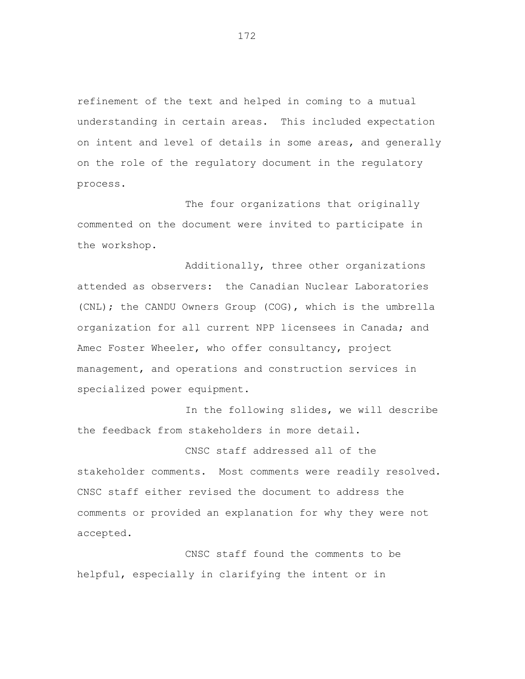refinement of the text and helped in coming to a mutual understanding in certain areas. This included expectation on intent and level of details in some areas, and generally on the role of the regulatory document in the regulatory process.

The four organizations that originally commented on the document were invited to participate in the workshop.

Additionally, three other organizations attended as observers: the Canadian Nuclear Laboratories (CNL); the CANDU Owners Group (COG), which is the umbrella organization for all current NPP licensees in Canada; and Amec Foster Wheeler, who offer consultancy, project management, and operations and construction services in specialized power equipment.

In the following slides, we will describe the feedback from stakeholders in more detail.

CNSC staff addressed all of the stakeholder comments. Most comments were readily resolved. CNSC staff either revised the document to address the comments or provided an explanation for why they were not accepted.

CNSC staff found the comments to be helpful, especially in clarifying the intent or in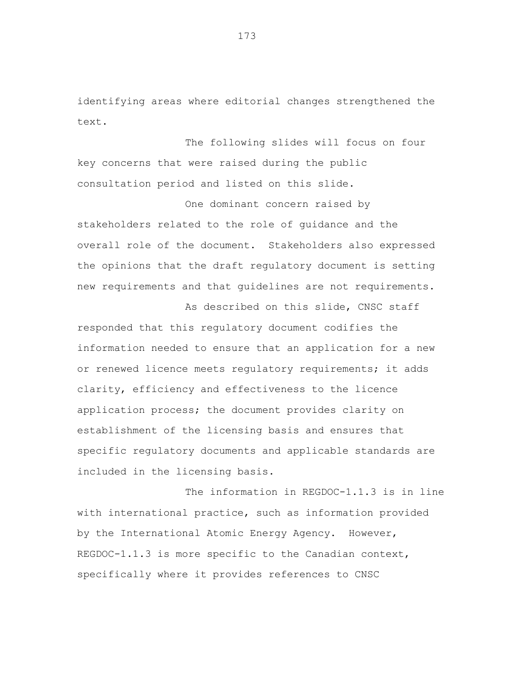identifying areas where editorial changes strengthened the text.

The following slides will focus on four key concerns that were raised during the public consultation period and listed on this slide.

One dominant concern raised by stakeholders related to the role of guidance and the overall role of the document. Stakeholders also expressed the opinions that the draft regulatory document is setting new requirements and that guidelines are not requirements.

As described on this slide, CNSC staff responded that this regulatory document codifies the information needed to ensure that an application for a new or renewed licence meets requlatory requirements; it adds clarity, efficiency and effectiveness to the licence application process; the document provides clarity on establishment of the licensing basis and ensures that specific regulatory documents and applicable standards are included in the licensing basis.

The information in REGDOC-1.1.3 is in line with international practice, such as information provided by the International Atomic Energy Agency. However, REGDOC-1.1.3 is more specific to the Canadian context, specifically where it provides references to CNSC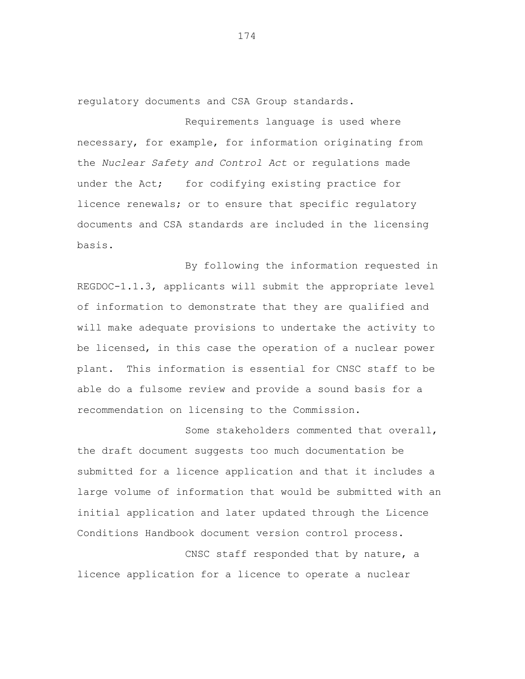regulatory documents and CSA Group standards.

Requirements language is used where necessary, for example, for information originating from the *Nuclear Safety and Control Act* or regulations made under the Act; for codifying existing practice for licence renewals; or to ensure that specific regulatory documents and CSA standards are included in the licensing basis.

By following the information requested in REGDOC-1.1.3, applicants will submit the appropriate level of information to demonstrate that they are qualified and will make adequate provisions to undertake the activity to be licensed, in this case the operation of a nuclear power plant. This information is essential for CNSC staff to be able do a fulsome review and provide a sound basis for a recommendation on licensing to the Commission.

Some stakeholders commented that overall, the draft document suggests too much documentation be submitted for a licence application and that it includes a large volume of information that would be submitted with an initial application and later updated through the Licence Conditions Handbook document version control process.

CNSC staff responded that by nature, a licence application for a licence to operate a nuclear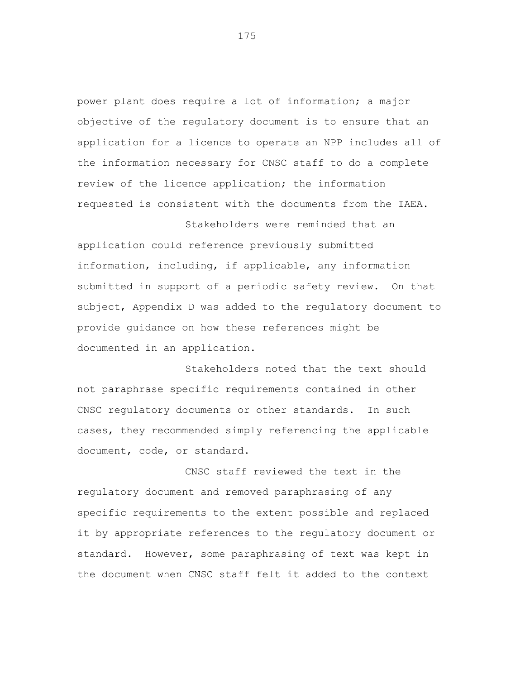power plant does require a lot of information; a major objective of the regulatory document is to ensure that an application for a licence to operate an NPP includes all of the information necessary for CNSC staff to do a complete review of the licence application; the information requested is consistent with the documents from the IAEA.

application could reference previously submitted information, including, if applicable, any information submitted in support of a periodic safety review. On that subject, Appendix D was added to the regulatory document to provide guidance on how these references might be documented in an application.

Stakeholders were reminded that an

Stakeholders noted that the text should not paraphrase specific requirements contained in other CNSC regulatory documents or other standards. In such cases, they recommended simply referencing the applicable document, code, or standard.

CNSC staff reviewed the text in the regulatory document and removed paraphrasing of any specific requirements to the extent possible and replaced it by appropriate references to the regulatory document or standard. However, some paraphrasing of text was kept in the document when CNSC staff felt it added to the context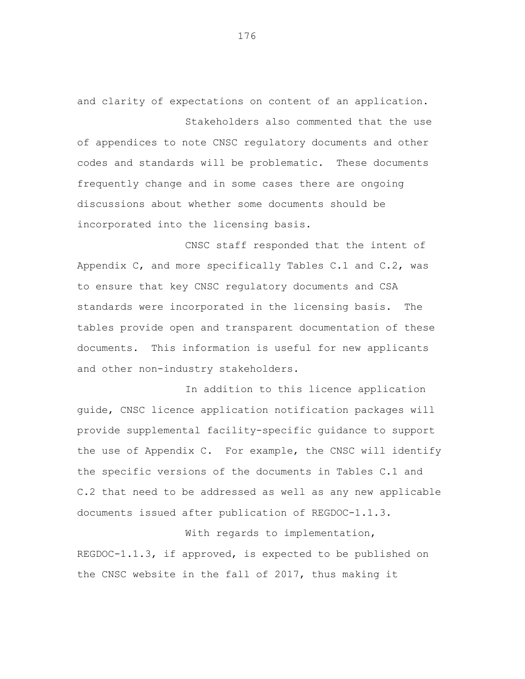and clarity of expectations on content of an application. Stakeholders also commented that the use

of appendices to note CNSC regulatory documents and other codes and standards will be problematic. These documents frequently change and in some cases there are ongoing discussions about whether some documents should be incorporated into the licensing basis.

CNSC staff responded that the intent of Appendix C, and more specifically Tables C.1 and C.2, was to ensure that key CNSC regulatory documents and CSA standards were incorporated in the licensing basis. The tables provide open and transparent documentation of these documents. This information is useful for new applicants and other non-industry stakeholders.

In addition to this licence application guide, CNSC licence application notification packages will provide supplemental facility-specific guidance to support the use of Appendix C. For example, the CNSC will identify the specific versions of the documents in Tables C.1 and C.2 that need to be addressed as well as any new applicable documents issued after publication of REGDOC-1.1.3.

With regards to implementation, REGDOC-1.1.3, if approved, is expected to be published on the CNSC website in the fall of 2017, thus making it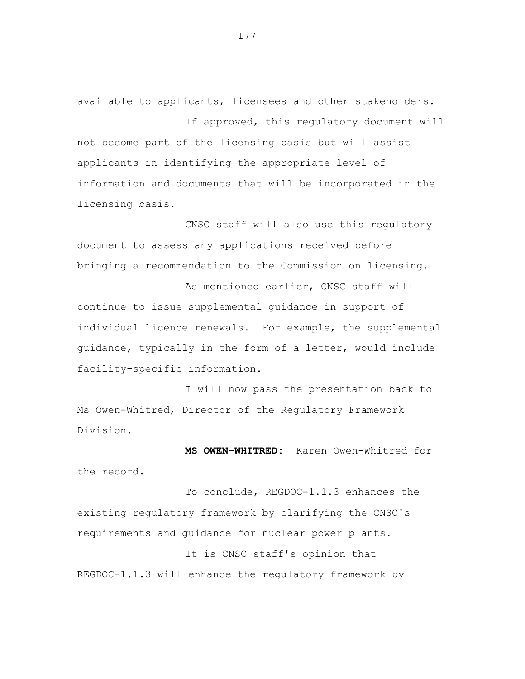available to applicants, licensees and other stakeholders.

If approved, this regulatory document will not become part of the licensing basis but will assist applicants in identifying the appropriate level of information and documents that will be incorporated in the licensing basis.

CNSC staff will also use this regulatory document to assess any applications received before bringing a recommendation to the Commission on licensing.

As mentioned earlier, CNSC staff will continue to issue supplemental guidance in support of individual licence renewals. For example, the supplemental guidance, typically in the form of a letter, would include facility-specific information.

I will now pass the presentation back to Ms Owen-Whitred, Director of the Regulatory Framework Division.

**MS OWEN-WHITRED:** Karen Owen-Whitred for the record.

To conclude, REGDOC-1.1.3 enhances the existing regulatory framework by clarifying the CNSC's requirements and guidance for nuclear power plants.

It is CNSC staff's opinion that REGDOC-1.1.3 will enhance the regulatory framework by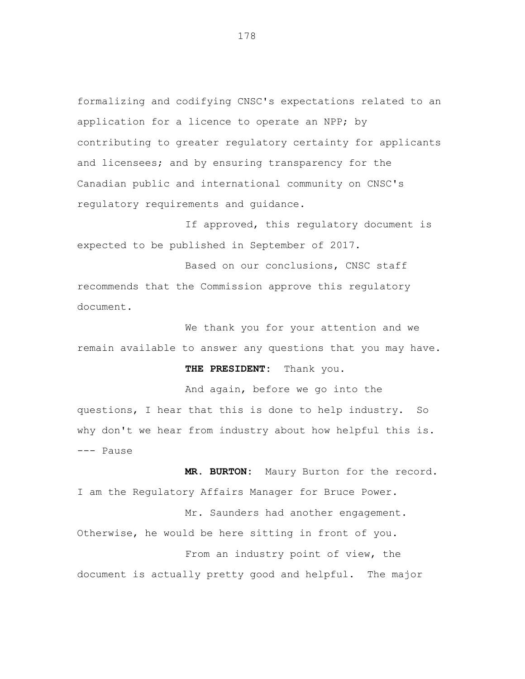formalizing and codifying CNSC's expectations related to an application for a licence to operate an NPP; by contributing to greater regulatory certainty for applicants and licensees; and by ensuring transparency for the Canadian public and international community on CNSC's regulatory requirements and guidance.

If approved, this regulatory document is expected to be published in September of 2017.

Based on our conclusions, CNSC staff recommends that the Commission approve this regulatory document.

We thank you for your attention and we remain available to answer any questions that you may have.

## **THE PRESIDENT:** Thank you.

And again, before we go into the questions, I hear that this is done to help industry. So why don't we hear from industry about how helpful this is. --- Pause

**MR. BURTON:** Maury Burton for the record. I am the Regulatory Affairs Manager for Bruce Power.

Mr. Saunders had another engagement. Otherwise, he would be here sitting in front of you. From an industry point of view, the document is actually pretty good and helpful. The major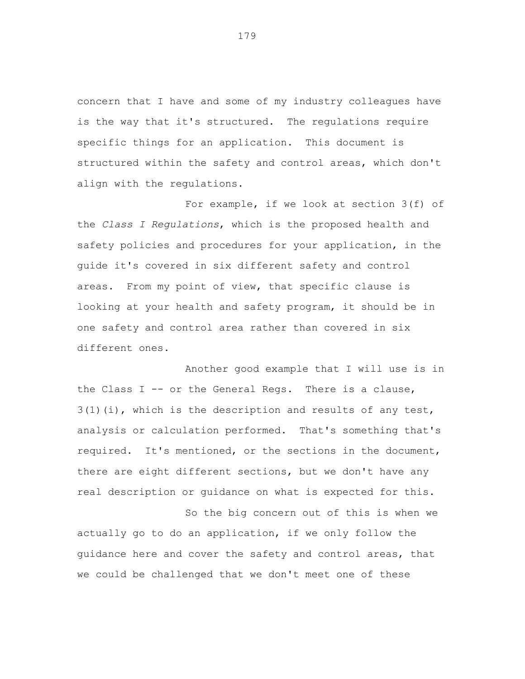concern that I have and some of my industry colleagues have is the way that it's structured. The regulations require specific things for an application. This document is structured within the safety and control areas, which don't align with the regulations.

For example, if we look at section 3(f) of the *Class I Regulations*, which is the proposed health and safety policies and procedures for your application, in the guide it's covered in six different safety and control areas. From my point of view, that specific clause is looking at your health and safety program, it should be in one safety and control area rather than covered in six different ones.

Another good example that I will use is in the Class I -- or the General Regs. There is a clause,  $3(1)(i)$ , which is the description and results of any test, analysis or calculation performed. That's something that's required. It's mentioned, or the sections in the document, there are eight different sections, but we don't have any real description or guidance on what is expected for this.

So the big concern out of this is when we actually go to do an application, if we only follow the guidance here and cover the safety and control areas, that we could be challenged that we don't meet one of these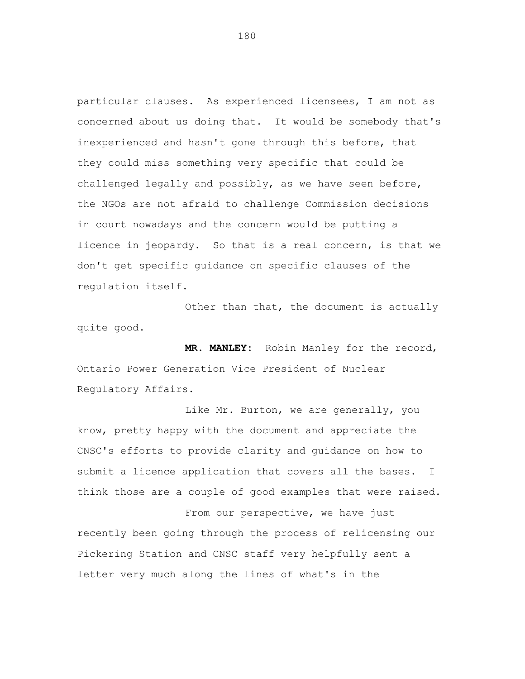particular clauses. As experienced licensees, I am not as concerned about us doing that. It would be somebody that's inexperienced and hasn't gone through this before, that they could miss something very specific that could be challenged legally and possibly, as we have seen before, the NGOs are not afraid to challenge Commission decisions in court nowadays and the concern would be putting a licence in jeopardy. So that is a real concern, is that we don't get specific guidance on specific clauses of the regulation itself.

Other than that, the document is actually quite good.

**MR. MANLEY:** Robin Manley for the record, Ontario Power Generation Vice President of Nuclear Regulatory Affairs.

Like Mr. Burton, we are generally, you know, pretty happy with the document and appreciate the CNSC's efforts to provide clarity and guidance on how to submit a licence application that covers all the bases. I think those are a couple of good examples that were raised.

From our perspective, we have just recently been going through the process of relicensing our Pickering Station and CNSC staff very helpfully sent a letter very much along the lines of what's in the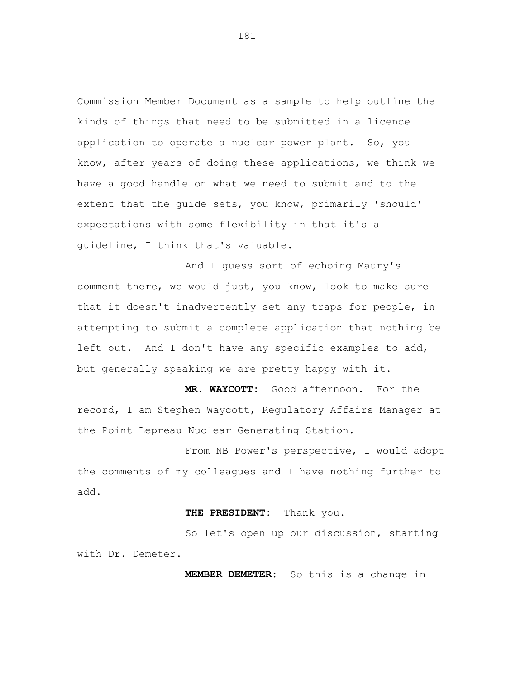Commission Member Document as a sample to help outline the kinds of things that need to be submitted in a licence application to operate a nuclear power plant. So, you know, after years of doing these applications, we think we have a good handle on what we need to submit and to the extent that the guide sets, you know, primarily 'should' expectations with some flexibility in that it's a guideline, I think that's valuable.

And I guess sort of echoing Maury's comment there, we would just, you know, look to make sure that it doesn't inadvertently set any traps for people, in attempting to submit a complete application that nothing be left out. And I don't have any specific examples to add, but generally speaking we are pretty happy with it.

**MR. WAYCOTT:** Good afternoon. For the record, I am Stephen Waycott, Regulatory Affairs Manager at the Point Lepreau Nuclear Generating Station.

From NB Power's perspective, I would adopt the comments of my colleagues and I have nothing further to add.

## **THE PRESIDENT:** Thank you.

So let's open up our discussion, starting with Dr. Demeter.

**MEMBER DEMETER:** So this is a change in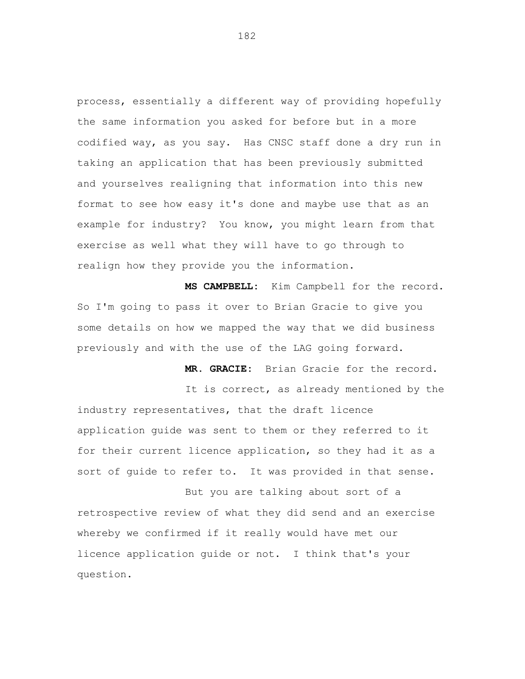process, essentially a different way of providing hopefully the same information you asked for before but in a more codified way, as you say. Has CNSC staff done a dry run in taking an application that has been previously submitted and yourselves realigning that information into this new format to see how easy it's done and maybe use that as an example for industry? You know, you might learn from that exercise as well what they will have to go through to realign how they provide you the information.

**MS CAMPBELL:** Kim Campbell for the record. So I'm going to pass it over to Brian Gracie to give you some details on how we mapped the way that we did business previously and with the use of the LAG going forward.

**MR. GRACIE:** Brian Gracie for the record.

It is correct, as already mentioned by the industry representatives, that the draft licence application guide was sent to them or they referred to it for their current licence application, so they had it as a sort of guide to refer to. It was provided in that sense.

But you are talking about sort of a retrospective review of what they did send and an exercise whereby we confirmed if it really would have met our licence application guide or not. I think that's your question.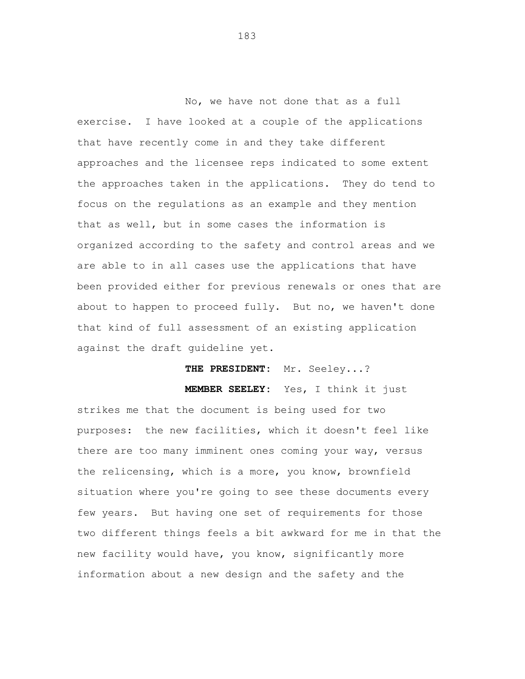No, we have not done that as a full exercise. I have looked at a couple of the applications that have recently come in and they take different approaches and the licensee reps indicated to some extent the approaches taken in the applications. They do tend to focus on the regulations as an example and they mention that as well, but in some cases the information is organized according to the safety and control areas and we are able to in all cases use the applications that have been provided either for previous renewals or ones that are about to happen to proceed fully. But no, we haven't done that kind of full assessment of an existing application against the draft guideline yet.

**THE PRESIDENT:** Mr. Seeley...?

**MEMBER SEELEY:** Yes, I think it just

strikes me that the document is being used for two purposes: the new facilities, which it doesn't feel like there are too many imminent ones coming your way, versus the relicensing, which is a more, you know, brownfield situation where you're going to see these documents every few years. But having one set of requirements for those two different things feels a bit awkward for me in that the new facility would have, you know, significantly more information about a new design and the safety and the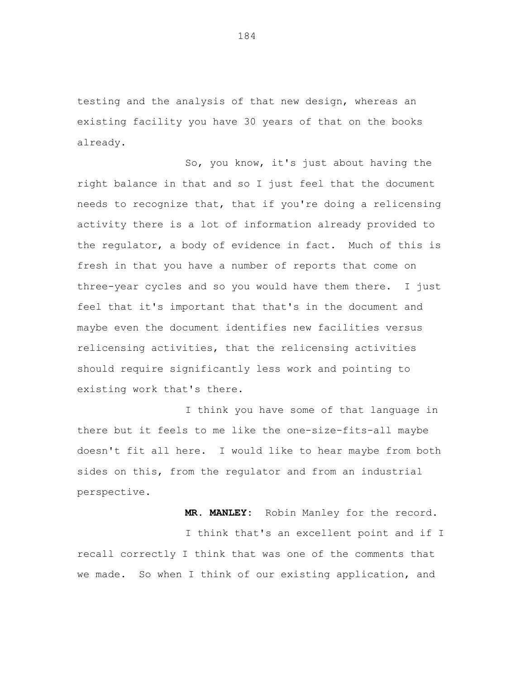testing and the analysis of that new design, whereas an existing facility you have 30 years of that on the books already.

So, you know, it's just about having the right balance in that and so I just feel that the document needs to recognize that, that if you're doing a relicensing activity there is a lot of information already provided to the regulator, a body of evidence in fact. Much of this is fresh in that you have a number of reports that come on three-year cycles and so you would have them there. I just feel that it's important that that's in the document and maybe even the document identifies new facilities versus relicensing activities, that the relicensing activities should require significantly less work and pointing to existing work that's there.

I think you have some of that language in there but it feels to me like the one-size-fits-all maybe doesn't fit all here. I would like to hear maybe from both sides on this, from the regulator and from an industrial perspective.

> **MR. MANLEY:** Robin Manley for the record. I think that's an excellent point and if I

recall correctly I think that was one of the comments that we made. So when I think of our existing application, and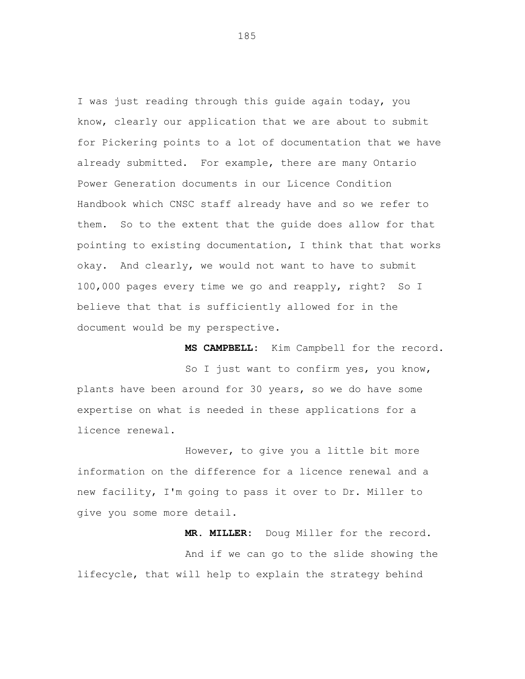I was just reading through this guide again today, you know, clearly our application that we are about to submit for Pickering points to a lot of documentation that we have already submitted. For example, there are many Ontario Power Generation documents in our Licence Condition Handbook which CNSC staff already have and so we refer to them. So to the extent that the guide does allow for that pointing to existing documentation, I think that that works okay. And clearly, we would not want to have to submit 100,000 pages every time we go and reapply, right? So I believe that that is sufficiently allowed for in the document would be my perspective.

So I just want to confirm yes, you know, plants have been around for 30 years, so we do have some expertise on what is needed in these applications for a licence renewal.

**MS CAMPBELL:** Kim Campbell for the record.

However, to give you a little bit more information on the difference for a licence renewal and a new facility, I'm going to pass it over to Dr. Miller to give you some more detail.

**MR. MILLER:** Doug Miller for the record. And if we can go to the slide showing the lifecycle, that will help to explain the strategy behind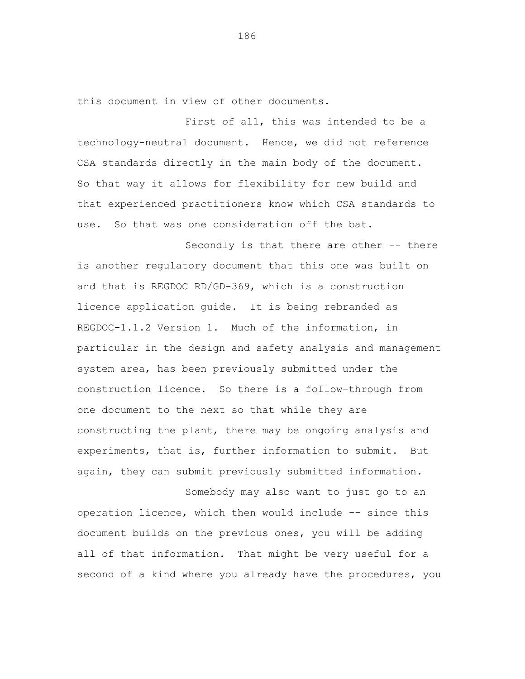this document in view of other documents.

First of all, this was intended to be a technology-neutral document. Hence, we did not reference CSA standards directly in the main body of the document. So that way it allows for flexibility for new build and that experienced practitioners know which CSA standards to use. So that was one consideration off the bat.

Secondly is that there are other -- there is another regulatory document that this one was built on and that is REGDOC RD/GD-369, which is a construction licence application guide. It is being rebranded as REGDOC-1.1.2 Version 1. Much of the information, in particular in the design and safety analysis and management system area, has been previously submitted under the construction licence. So there is a follow-through from one document to the next so that while they are constructing the plant, there may be ongoing analysis and experiments, that is, further information to submit. But again, they can submit previously submitted information.

Somebody may also want to just go to an operation licence, which then would include -- since this document builds on the previous ones, you will be adding all of that information. That might be very useful for a second of a kind where you already have the procedures, you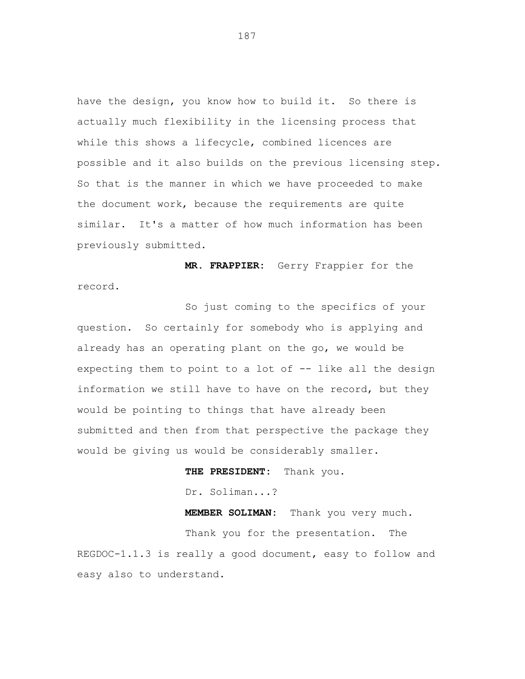have the design, you know how to build it. So there is actually much flexibility in the licensing process that while this shows a lifecycle, combined licences are possible and it also builds on the previous licensing step. So that is the manner in which we have proceeded to make the document work, because the requirements are quite similar. It's a matter of how much information has been previously submitted.

**MR. FRAPPIER:** Gerry Frappier for the record.

So just coming to the specifics of your question. So certainly for somebody who is applying and already has an operating plant on the go, we would be expecting them to point to a lot of -- like all the design information we still have to have on the record, but they would be pointing to things that have already been submitted and then from that perspective the package they would be giving us would be considerably smaller.

> **THE PRESIDENT:** Thank you. Dr. Soliman...?

**MEMBER SOLIMAN:** Thank you very much. Thank you for the presentation. The REGDOC-1.1.3 is really a good document, easy to follow and easy also to understand.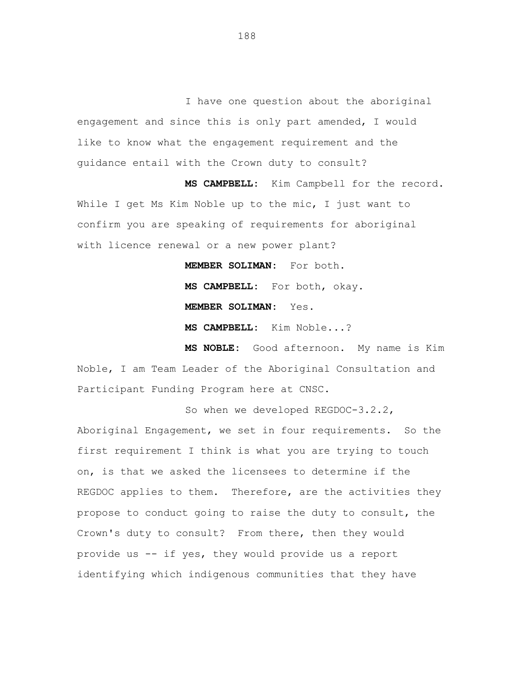I have one question about the aboriginal engagement and since this is only part amended, I would like to know what the engagement requirement and the guidance entail with the Crown duty to consult?

**MS CAMPBELL:** Kim Campbell for the record. While I get Ms Kim Noble up to the mic, I just want to confirm you are speaking of requirements for aboriginal with licence renewal or a new power plant?

> **MEMBER SOLIMAN:** For both. **MS CAMPBELL:** For both, okay. **MEMBER SOLIMAN:** Yes.

**MS CAMPBELL:** Kim Noble...?

**MS NOBLE:** Good afternoon. My name is Kim Noble, I am Team Leader of the Aboriginal Consultation and Participant Funding Program here at CNSC.

So when we developed REGDOC-3.2.2, Aboriginal Engagement, we set in four requirements. So the first requirement I think is what you are trying to touch on, is that we asked the licensees to determine if the REGDOC applies to them. Therefore, are the activities they propose to conduct going to raise the duty to consult, the Crown's duty to consult? From there, then they would provide us -- if yes, they would provide us a report identifying which indigenous communities that they have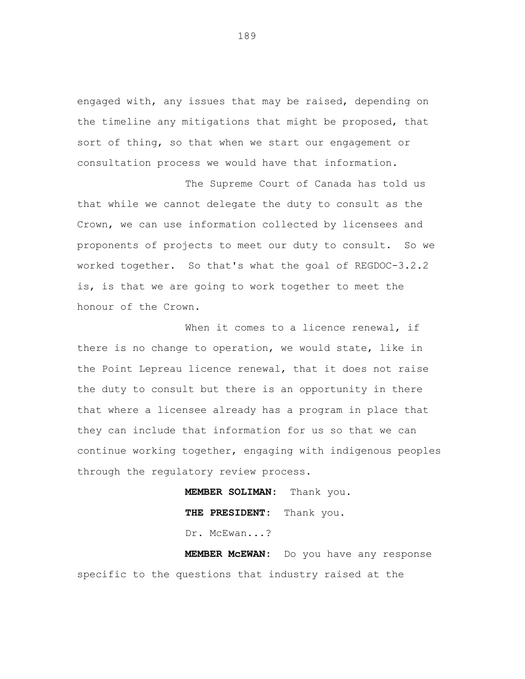engaged with, any issues that may be raised, depending on the timeline any mitigations that might be proposed, that sort of thing, so that when we start our engagement or consultation process we would have that information.

The Supreme Court of Canada has told us that while we cannot delegate the duty to consult as the Crown, we can use information collected by licensees and proponents of projects to meet our duty to consult. So we worked together. So that's what the goal of REGDOC-3.2.2 is, is that we are going to work together to meet the honour of the Crown.

When it comes to a licence renewal, if there is no change to operation, we would state, like in the Point Lepreau licence renewal, that it does not raise the duty to consult but there is an opportunity in there that where a licensee already has a program in place that they can include that information for us so that we can continue working together, engaging with indigenous peoples through the regulatory review process.

> **MEMBER SOLIMAN:** Thank you. **THE PRESIDENT:** Thank you. Dr. McEwan...?

**MEMBER McEWAN:** Do you have any response specific to the questions that industry raised at the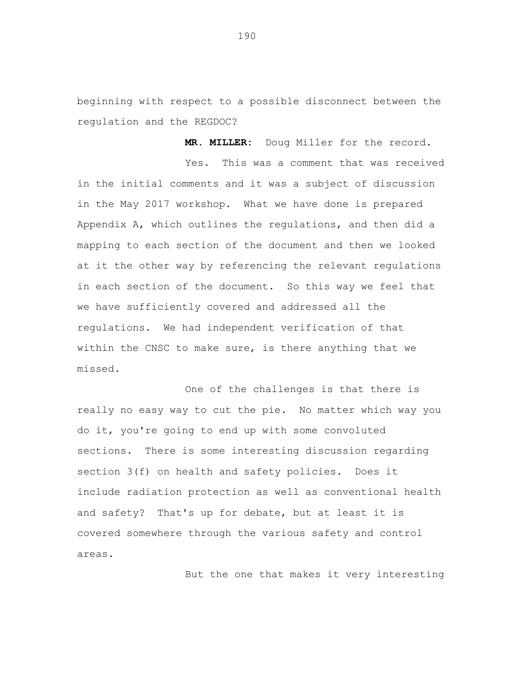beginning with respect to a possible disconnect between the regulation and the REGDOC?

**MR. MILLER:** Doug Miller for the record.

Yes. This was a comment that was received in the initial comments and it was a subject of discussion in the May 2017 workshop. What we have done is prepared Appendix A, which outlines the regulations, and then did a mapping to each section of the document and then we looked at it the other way by referencing the relevant regulations in each section of the document. So this way we feel that we have sufficiently covered and addressed all the regulations. We had independent verification of that within the CNSC to make sure, is there anything that we missed.

One of the challenges is that there is really no easy way to cut the pie. No matter which way you do it, you're going to end up with some convoluted sections. There is some interesting discussion regarding section 3(f) on health and safety policies. Does it include radiation protection as well as conventional health and safety? That's up for debate, but at least it is covered somewhere through the various safety and control areas.

But the one that makes it very interesting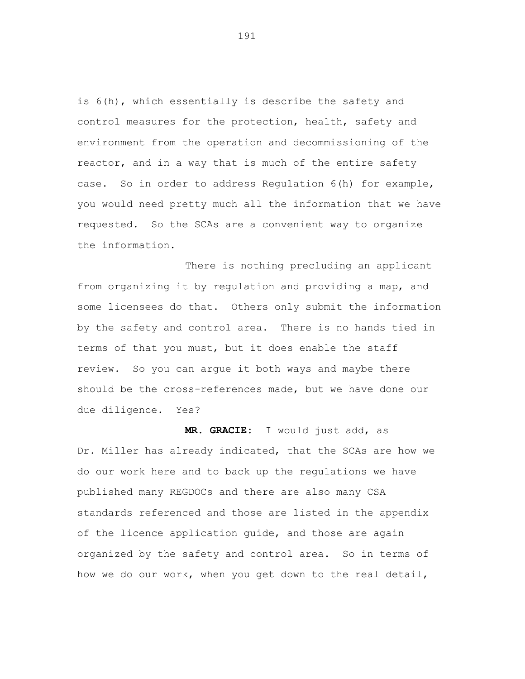is 6(h), which essentially is describe the safety and control measures for the protection, health, safety and environment from the operation and decommissioning of the reactor, and in a way that is much of the entire safety case. So in order to address Regulation 6(h) for example, you would need pretty much all the information that we have requested. So the SCAs are a convenient way to organize the information.

There is nothing precluding an applicant from organizing it by regulation and providing a map, and some licensees do that. Others only submit the information by the safety and control area. There is no hands tied in terms of that you must, but it does enable the staff review. So you can argue it both ways and maybe there should be the cross-references made, but we have done our due diligence. Yes?

**MR. GRACIE:** I would just add, as Dr. Miller has already indicated, that the SCAs are how we do our work here and to back up the regulations we have published many REGDOCs and there are also many CSA standards referenced and those are listed in the appendix of the licence application guide, and those are again organized by the safety and control area. So in terms of how we do our work, when you get down to the real detail,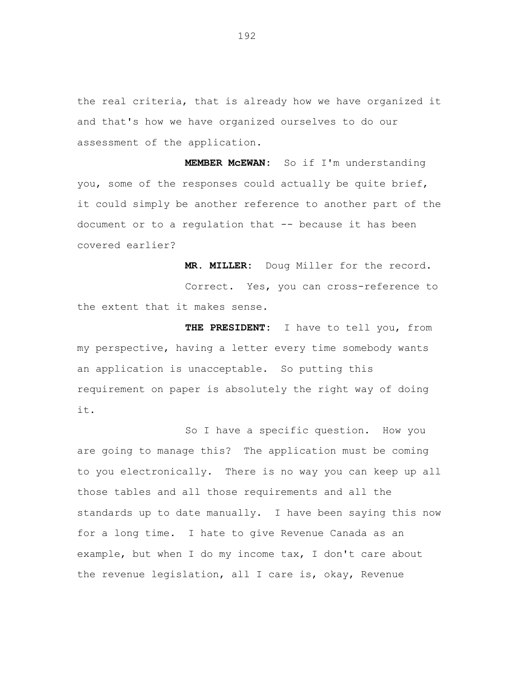the real criteria, that is already how we have organized it and that's how we have organized ourselves to do our assessment of the application.

**MEMBER McEWAN:** So if I'm understanding you, some of the responses could actually be quite brief, it could simply be another reference to another part of the document or to a regulation that -- because it has been covered earlier?

**MR. MILLER:** Doug Miller for the record. Correct. Yes, you can cross-reference to the extent that it makes sense.

**THE PRESIDENT:** I have to tell you, from my perspective, having a letter every time somebody wants an application is unacceptable. So putting this requirement on paper is absolutely the right way of doing it.

So I have a specific question. How you are going to manage this? The application must be coming to you electronically. There is no way you can keep up all those tables and all those requirements and all the standards up to date manually. I have been saying this now for a long time. I hate to give Revenue Canada as an example, but when I do my income tax, I don't care about the revenue legislation, all I care is, okay, Revenue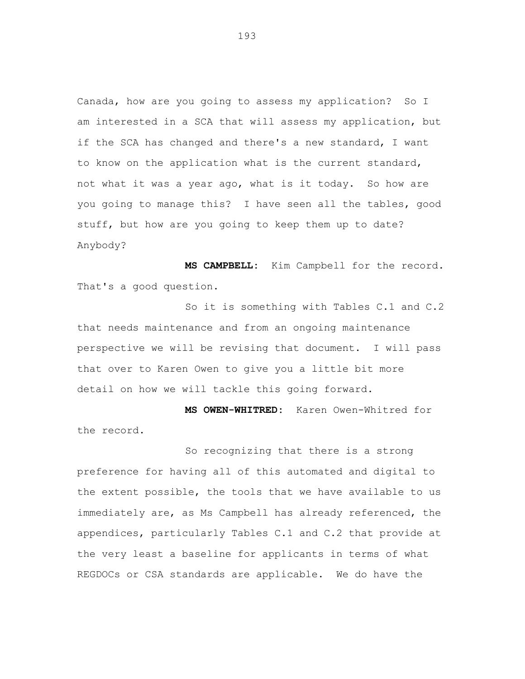Canada, how are you going to assess my application? So I am interested in a SCA that will assess my application, but if the SCA has changed and there's a new standard, I want to know on the application what is the current standard, not what it was a year ago, what is it today. So how are you going to manage this? I have seen all the tables, good stuff, but how are you going to keep them up to date? Anybody?

**MS CAMPBELL:** Kim Campbell for the record. That's a good question.

So it is something with Tables C.1 and C.2 that needs maintenance and from an ongoing maintenance perspective we will be revising that document. I will pass that over to Karen Owen to give you a little bit more detail on how we will tackle this going forward.

**MS OWEN-WHITRED:** Karen Owen-Whitred for the record.

So recognizing that there is a strong preference for having all of this automated and digital to the extent possible, the tools that we have available to us immediately are, as Ms Campbell has already referenced, the appendices, particularly Tables C.1 and C.2 that provide at the very least a baseline for applicants in terms of what REGDOCs or CSA standards are applicable. We do have the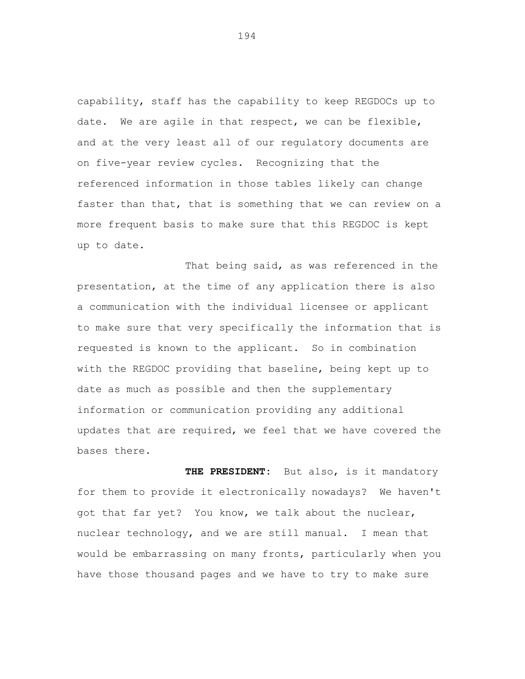capability, staff has the capability to keep REGDOCs up to date. We are agile in that respect, we can be flexible, and at the very least all of our regulatory documents are on five-year review cycles. Recognizing that the referenced information in those tables likely can change faster than that, that is something that we can review on a more frequent basis to make sure that this REGDOC is kept up to date.

That being said, as was referenced in the presentation, at the time of any application there is also a communication with the individual licensee or applicant to make sure that very specifically the information that is requested is known to the applicant. So in combination with the REGDOC providing that baseline, being kept up to date as much as possible and then the supplementary information or communication providing any additional updates that are required, we feel that we have covered the bases there.

THE PRESIDENT: But also, is it mandatory for them to provide it electronically nowadays? We haven't got that far yet? You know, we talk about the nuclear, nuclear technology, and we are still manual. I mean that would be embarrassing on many fronts, particularly when you have those thousand pages and we have to try to make sure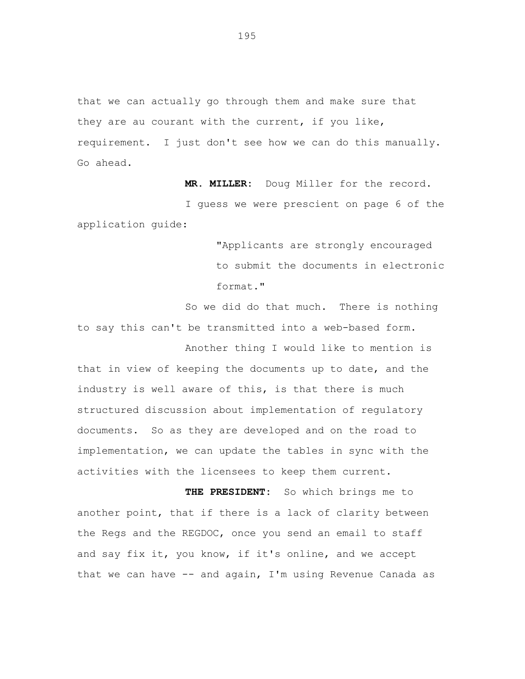that we can actually go through them and make sure that they are au courant with the current, if you like, requirement. I just don't see how we can do this manually. Go ahead.

**MR. MILLER:** Doug Miller for the record.

I guess we were prescient on page 6 of the application guide:

> "Applicants are strongly encouraged to submit the documents in electronic format."

So we did do that much. There is nothing to say this can't be transmitted into a web-based form.

Another thing I would like to mention is that in view of keeping the documents up to date, and the industry is well aware of this, is that there is much structured discussion about implementation of regulatory documents. So as they are developed and on the road to implementation, we can update the tables in sync with the activities with the licensees to keep them current.

**THE PRESIDENT:** So which brings me to another point, that if there is a lack of clarity between the Regs and the REGDOC, once you send an email to staff and say fix it, you know, if it's online, and we accept that we can have -- and again, I'm using Revenue Canada as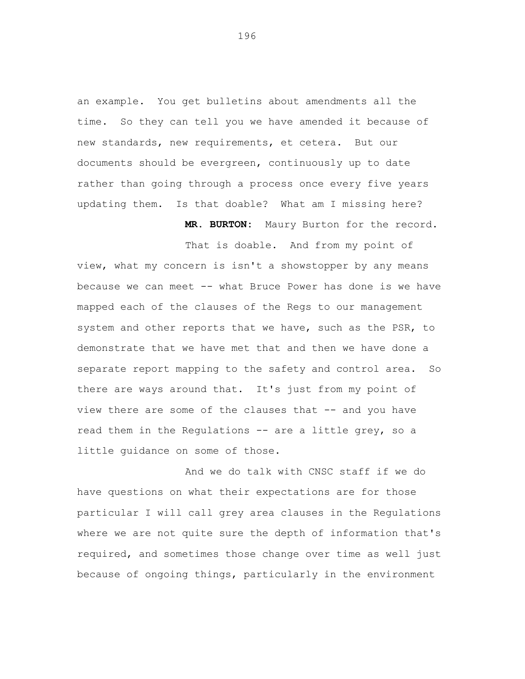an example. You get bulletins about amendments all the time. So they can tell you we have amended it because of new standards, new requirements, et cetera. But our documents should be evergreen, continuously up to date rather than going through a process once every five years updating them. Is that doable? What am I missing here?

**MR. BURTON:** Maury Burton for the record.

That is doable. And from my point of view, what my concern is isn't a showstopper by any means because we can meet -- what Bruce Power has done is we have mapped each of the clauses of the Regs to our management system and other reports that we have, such as the PSR, to demonstrate that we have met that and then we have done a separate report mapping to the safety and control area. So there are ways around that. It's just from my point of view there are some of the clauses that -- and you have read them in the Regulations -- are a little grey, so a little guidance on some of those.

And we do talk with CNSC staff if we do have questions on what their expectations are for those particular I will call grey area clauses in the Regulations where we are not quite sure the depth of information that's required, and sometimes those change over time as well just because of ongoing things, particularly in the environment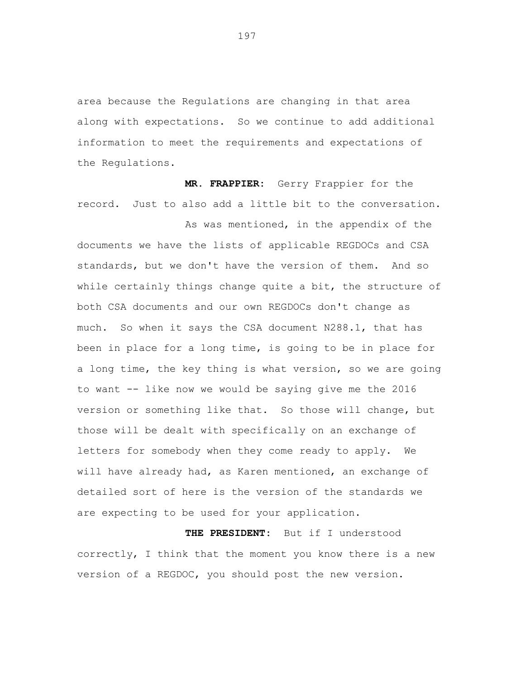area because the Regulations are changing in that area along with expectations. So we continue to add additional information to meet the requirements and expectations of the Regulations.

**MR. FRAPPIER:** Gerry Frappier for the record. Just to also add a little bit to the conversation.

As was mentioned, in the appendix of the documents we have the lists of applicable REGDOCs and CSA standards, but we don't have the version of them. And so while certainly things change quite a bit, the structure of both CSA documents and our own REGDOCs don't change as much. So when it says the CSA document N288.1, that has been in place for a long time, is going to be in place for a long time, the key thing is what version, so we are going to want -- like now we would be saying give me the 2016 version or something like that. So those will change, but those will be dealt with specifically on an exchange of letters for somebody when they come ready to apply. We will have already had, as Karen mentioned, an exchange of detailed sort of here is the version of the standards we are expecting to be used for your application.

**THE PRESIDENT:** But if I understood correctly, I think that the moment you know there is a new version of a REGDOC, you should post the new version.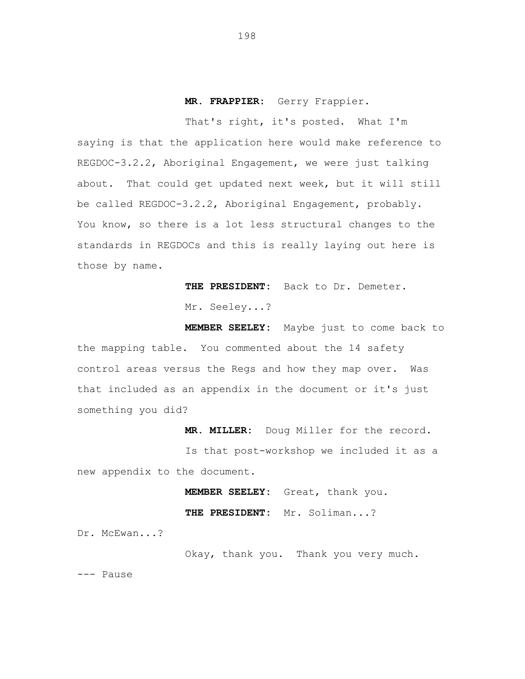## **MR. FRAPPIER:** Gerry Frappier.

That's right, it's posted. What I'm saying is that the application here would make reference to REGDOC-3.2.2, Aboriginal Engagement, we were just talking about. That could get updated next week, but it will still be called REGDOC-3.2.2, Aboriginal Engagement, probably. You know, so there is a lot less structural changes to the standards in REGDOCs and this is really laying out here is those by name.

> **THE PRESIDENT:** Back to Dr. Demeter. Mr. Seeley...?

**MEMBER SEELEY:** Maybe just to come back to the mapping table. You commented about the 14 safety control areas versus the Regs and how they map over. Was that included as an appendix in the document or it's just something you did?

**MR. MILLER:** Doug Miller for the record.

Is that post-workshop we included it as a new appendix to the document.

> **MEMBER SEELEY:** Great, thank you. **THE PRESIDENT:** Mr. Soliman...?

Dr. McEwan...?

Okay, thank you. Thank you very much.

--- Pause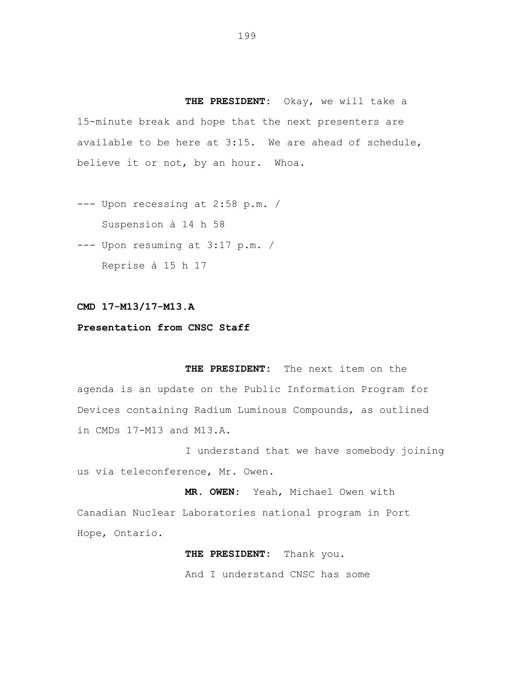**THE PRESIDENT:** Okay, we will take a 15-minute break and hope that the next presenters are available to be here at 3:15. We are ahead of schedule, believe it or not, by an hour. Whoa.

--- Upon recessing at 2:58 p.m. / Suspension à 14 h 58

--- Upon resuming at 3:17 p.m. / Reprise à 15 h 17

## **CMD 17-M13/17-M13.A**

## **Presentation from CNSC Staff**

**THE PRESIDENT:** The next item on the agenda is an update on the Public Information Program for Devices containing Radium Luminous Compounds, as outlined in CMDs 17-M13 and M13.A.

I understand that we have somebody joining us via teleconference, Mr. Owen.

**MR. OWEN:** Yeah, Michael Owen with Canadian Nuclear Laboratories national program in Port Hope, Ontario.

> **THE PRESIDENT:** Thank you. And I understand CNSC has some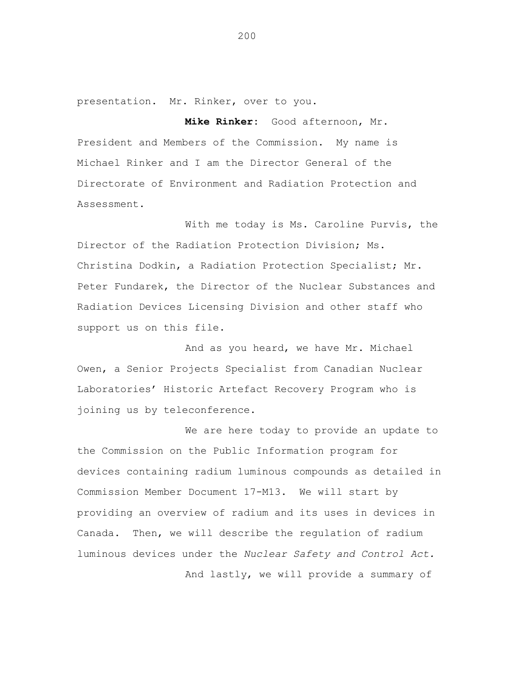presentation. Mr. Rinker, over to you.

**Mike Rinker:** Good afternoon, Mr. President and Members of the Commission. My name is Michael Rinker and I am the Director General of the Directorate of Environment and Radiation Protection and Assessment.

With me today is Ms. Caroline Purvis, the Director of the Radiation Protection Division; Ms. Christina Dodkin, a Radiation Protection Specialist; Mr. Peter Fundarek, the Director of the Nuclear Substances and Radiation Devices Licensing Division and other staff who support us on this file.

And as you heard, we have Mr. Michael Owen, a Senior Projects Specialist from Canadian Nuclear Laboratories' Historic Artefact Recovery Program who is joining us by teleconference.

We are here today to provide an update to the Commission on the Public Information program for devices containing radium luminous compounds as detailed in Commission Member Document 17-M13. We will start by providing an overview of radium and its uses in devices in Canada. Then, we will describe the regulation of radium luminous devices under the *Nuclear Safety and Control Act.* 

And lastly, we will provide a summary of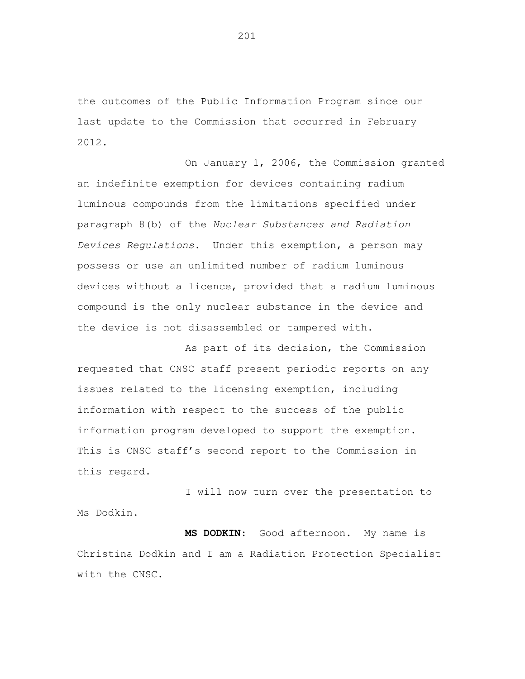the outcomes of the Public Information Program since our last update to the Commission that occurred in February 2012.

On January 1, 2006, the Commission granted an indefinite exemption for devices containing radium luminous compounds from the limitations specified under paragraph 8(b) of the *Nuclear Substances and Radiation Devices Regulations*. Under this exemption, a person may possess or use an unlimited number of radium luminous devices without a licence, provided that a radium luminous compound is the only nuclear substance in the device and the device is not disassembled or tampered with.

As part of its decision, the Commission requested that CNSC staff present periodic reports on any issues related to the licensing exemption, including information with respect to the success of the public information program developed to support the exemption. This is CNSC staff's second report to the Commission in this regard.

I will now turn over the presentation to Ms Dodkin.

**MS DODKIN**: Good afternoon. My name is Christina Dodkin and I am a Radiation Protection Specialist with the CNSC.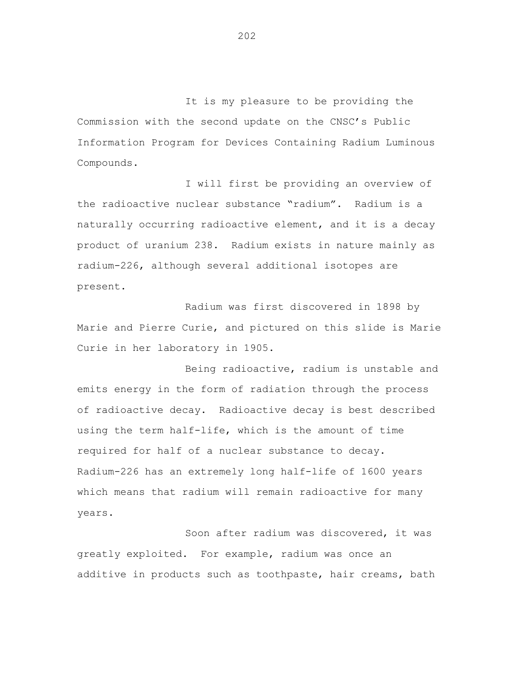It is my pleasure to be providing the Commission with the second update on the CNSC's Public Information Program for Devices Containing Radium Luminous Compounds.

I will first be providing an overview of the radioactive nuclear substance "radium". Radium is a naturally occurring radioactive element, and it is a decay product of uranium 238. Radium exists in nature mainly as radium-226, although several additional isotopes are present.

Radium was first discovered in 1898 by Marie and Pierre Curie, and pictured on this slide is Marie Curie in her laboratory in 1905.

Being radioactive, radium is unstable and emits energy in the form of radiation through the process of radioactive decay. Radioactive decay is best described using the term half-life, which is the amount of time required for half of a nuclear substance to decay. Radium-226 has an extremely long half-life of 1600 years which means that radium will remain radioactive for many years.

Soon after radium was discovered, it was greatly exploited. For example, radium was once an additive in products such as toothpaste, hair creams, bath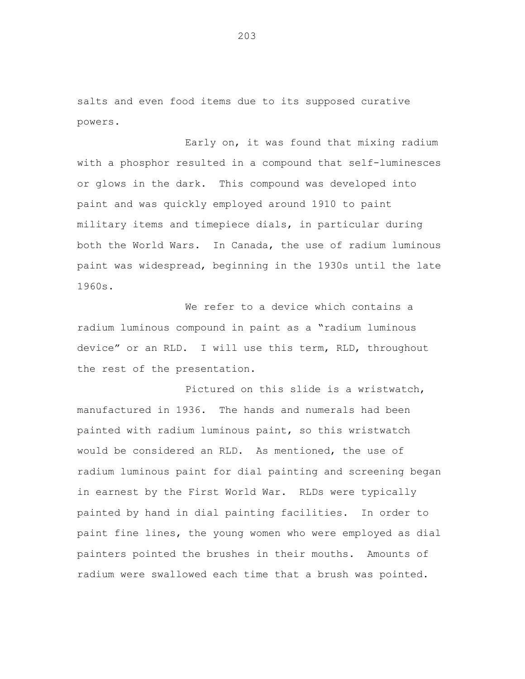salts and even food items due to its supposed curative powers.

Early on, it was found that mixing radium with a phosphor resulted in a compound that self-luminesces or glows in the dark. This compound was developed into paint and was quickly employed around 1910 to paint military items and timepiece dials, in particular during both the World Wars. In Canada, the use of radium luminous paint was widespread, beginning in the 1930s until the late 1960s.

We refer to a device which contains a radium luminous compound in paint as a "radium luminous device" or an RLD. I will use this term, RLD, throughout the rest of the presentation.

Pictured on this slide is a wristwatch, manufactured in 1936. The hands and numerals had been painted with radium luminous paint, so this wristwatch would be considered an RLD. As mentioned, the use of radium luminous paint for dial painting and screening began in earnest by the First World War. RLDs were typically painted by hand in dial painting facilities. In order to paint fine lines, the young women who were employed as dial painters pointed the brushes in their mouths. Amounts of radium were swallowed each time that a brush was pointed.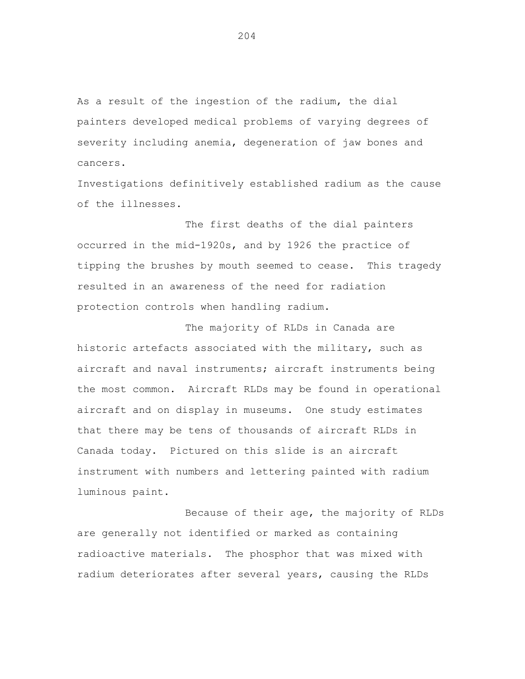As a result of the ingestion of the radium, the dial painters developed medical problems of varying degrees of severity including anemia, degeneration of jaw bones and cancers.

Investigations definitively established radium as the cause of the illnesses.

The first deaths of the dial painters occurred in the mid-1920s, and by 1926 the practice of tipping the brushes by mouth seemed to cease. This tragedy resulted in an awareness of the need for radiation protection controls when handling radium.

The majority of RLDs in Canada are historic artefacts associated with the military, such as aircraft and naval instruments; aircraft instruments being the most common. Aircraft RLDs may be found in operational aircraft and on display in museums. One study estimates that there may be tens of thousands of aircraft RLDs in Canada today. Pictured on this slide is an aircraft instrument with numbers and lettering painted with radium luminous paint.

Because of their age, the majority of RLDs are generally not identified or marked as containing radioactive materials. The phosphor that was mixed with radium deteriorates after several years, causing the RLDs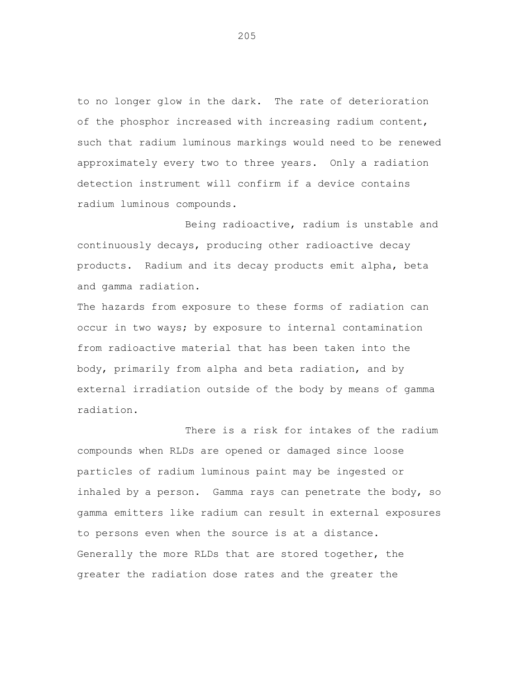to no longer glow in the dark. The rate of deterioration of the phosphor increased with increasing radium content, such that radium luminous markings would need to be renewed approximately every two to three years. Only a radiation detection instrument will confirm if a device contains radium luminous compounds.

Being radioactive, radium is unstable and continuously decays, producing other radioactive decay products. Radium and its decay products emit alpha, beta and gamma radiation.

The hazards from exposure to these forms of radiation can occur in two ways; by exposure to internal contamination from radioactive material that has been taken into the body, primarily from alpha and beta radiation, and by external irradiation outside of the body by means of gamma radiation.

There is a risk for intakes of the radium compounds when RLDs are opened or damaged since loose particles of radium luminous paint may be ingested or inhaled by a person. Gamma rays can penetrate the body, so gamma emitters like radium can result in external exposures to persons even when the source is at a distance. Generally the more RLDs that are stored together, the greater the radiation dose rates and the greater the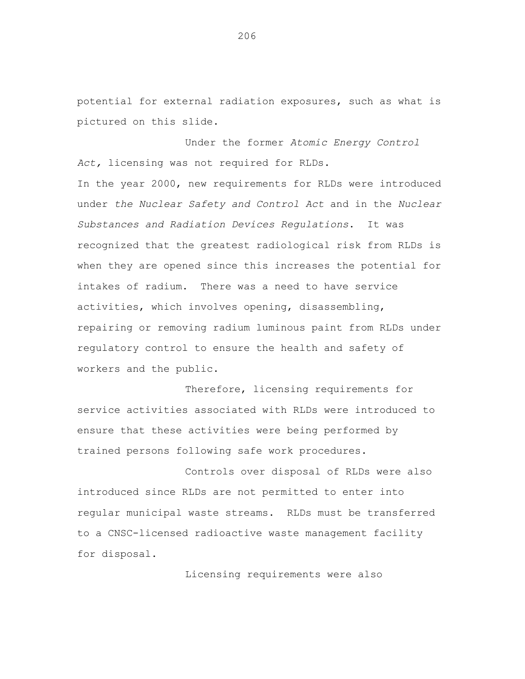potential for external radiation exposures, such as what is pictured on this slide.

Under the former *Atomic Energy Control Act,* licensing was not required for RLDs. In the year 2000, new requirements for RLDs were introduced under *the Nuclear Safety and Control Act* and in the *Nuclear Substances and Radiation Devices Regulations*. It was recognized that the greatest radiological risk from RLDs is when they are opened since this increases the potential for intakes of radium. There was a need to have service activities, which involves opening, disassembling, repairing or removing radium luminous paint from RLDs under regulatory control to ensure the health and safety of workers and the public.

Therefore, licensing requirements for service activities associated with RLDs were introduced to ensure that these activities were being performed by trained persons following safe work procedures.

Controls over disposal of RLDs were also introduced since RLDs are not permitted to enter into regular municipal waste streams. RLDs must be transferred to a CNSC-licensed radioactive waste management facility for disposal.

Licensing requirements were also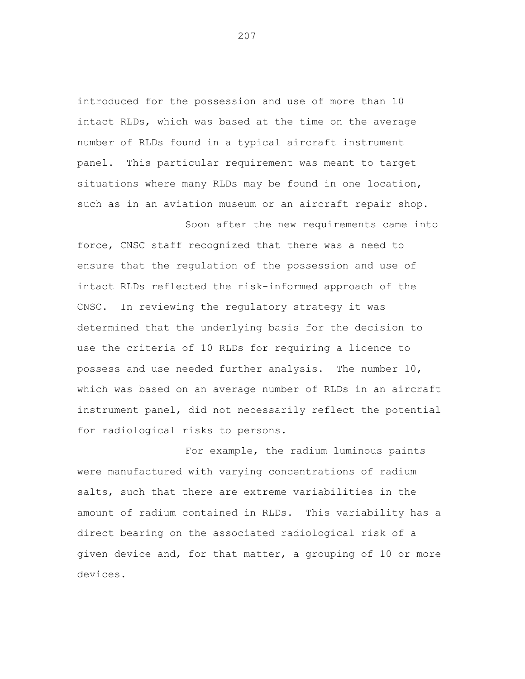introduced for the possession and use of more than 10 intact RLDs, which was based at the time on the average number of RLDs found in a typical aircraft instrument panel. This particular requirement was meant to target situations where many RLDs may be found in one location, such as in an aviation museum or an aircraft repair shop.

Soon after the new requirements came into force, CNSC staff recognized that there was a need to ensure that the regulation of the possession and use of intact RLDs reflected the risk-informed approach of the CNSC. In reviewing the regulatory strategy it was determined that the underlying basis for the decision to use the criteria of 10 RLDs for requiring a licence to possess and use needed further analysis. The number 10, which was based on an average number of RLDs in an aircraft instrument panel, did not necessarily reflect the potential for radiological risks to persons.

For example, the radium luminous paints were manufactured with varying concentrations of radium salts, such that there are extreme variabilities in the amount of radium contained in RLDs. This variability has a direct bearing on the associated radiological risk of a given device and, for that matter, a grouping of 10 or more devices.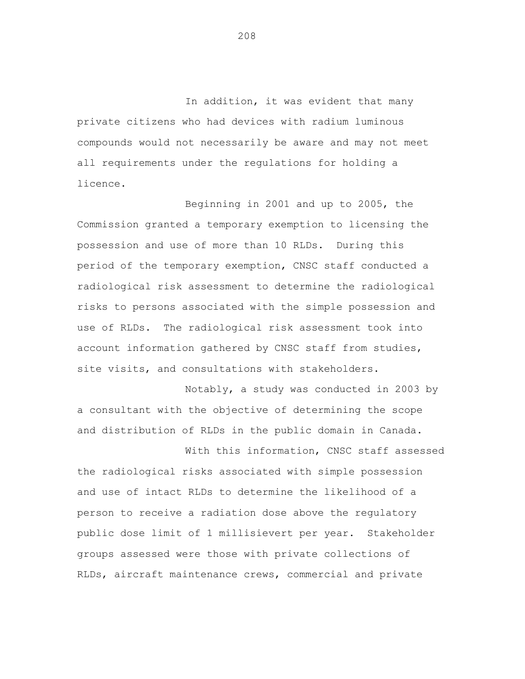In addition, it was evident that many private citizens who had devices with radium luminous compounds would not necessarily be aware and may not meet all requirements under the regulations for holding a licence.

Beginning in 2001 and up to 2005, the Commission granted a temporary exemption to licensing the possession and use of more than 10 RLDs. During this period of the temporary exemption, CNSC staff conducted a radiological risk assessment to determine the radiological risks to persons associated with the simple possession and use of RLDs. The radiological risk assessment took into account information gathered by CNSC staff from studies, site visits, and consultations with stakeholders.

Notably, a study was conducted in 2003 by a consultant with the objective of determining the scope and distribution of RLDs in the public domain in Canada.

With this information, CNSC staff assessed the radiological risks associated with simple possession and use of intact RLDs to determine the likelihood of a person to receive a radiation dose above the regulatory public dose limit of 1 millisievert per year. Stakeholder groups assessed were those with private collections of RLDs, aircraft maintenance crews, commercial and private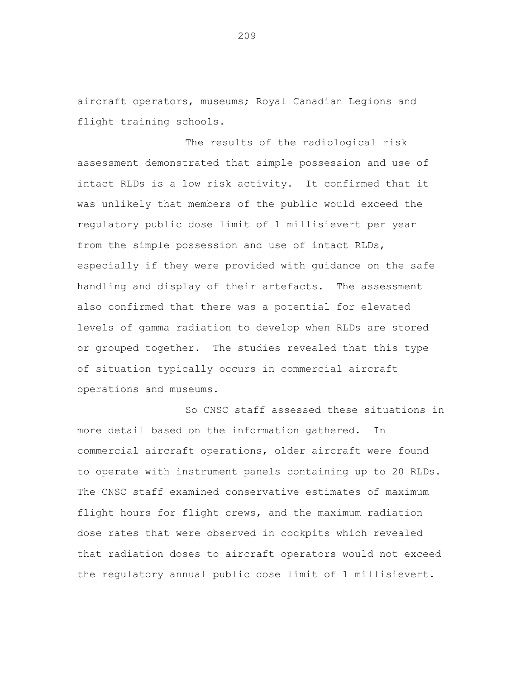aircraft operators, museums; Royal Canadian Legions and flight training schools.

The results of the radiological risk assessment demonstrated that simple possession and use of intact RLDs is a low risk activity. It confirmed that it was unlikely that members of the public would exceed the regulatory public dose limit of 1 millisievert per year from the simple possession and use of intact RLDs, especially if they were provided with guidance on the safe handling and display of their artefacts. The assessment also confirmed that there was a potential for elevated levels of gamma radiation to develop when RLDs are stored or grouped together. The studies revealed that this type of situation typically occurs in commercial aircraft operations and museums.

So CNSC staff assessed these situations in more detail based on the information gathered. In commercial aircraft operations, older aircraft were found to operate with instrument panels containing up to 20 RLDs. The CNSC staff examined conservative estimates of maximum flight hours for flight crews, and the maximum radiation dose rates that were observed in cockpits which revealed that radiation doses to aircraft operators would not exceed the regulatory annual public dose limit of 1 millisievert.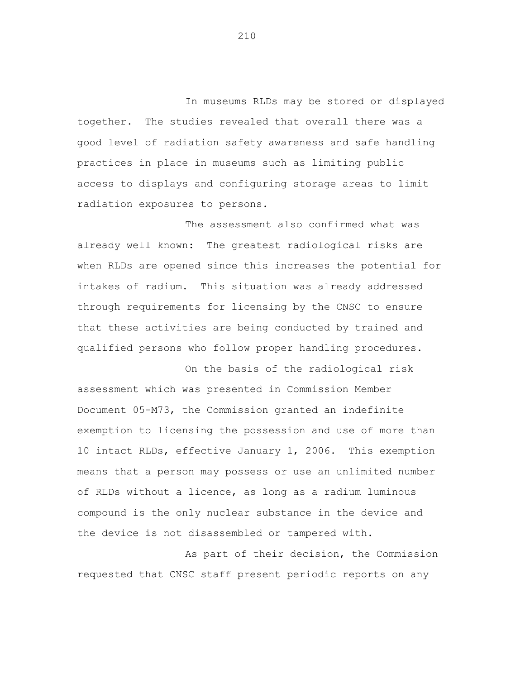In museums RLDs may be stored or displayed together. The studies revealed that overall there was a good level of radiation safety awareness and safe handling practices in place in museums such as limiting public access to displays and configuring storage areas to limit radiation exposures to persons.

The assessment also confirmed what was already well known: The greatest radiological risks are when RLDs are opened since this increases the potential for intakes of radium. This situation was already addressed through requirements for licensing by the CNSC to ensure that these activities are being conducted by trained and qualified persons who follow proper handling procedures.

On the basis of the radiological risk assessment which was presented in Commission Member Document 05-M73, the Commission granted an indefinite exemption to licensing the possession and use of more than 10 intact RLDs, effective January 1, 2006. This exemption means that a person may possess or use an unlimited number of RLDs without a licence, as long as a radium luminous compound is the only nuclear substance in the device and the device is not disassembled or tampered with.

As part of their decision, the Commission requested that CNSC staff present periodic reports on any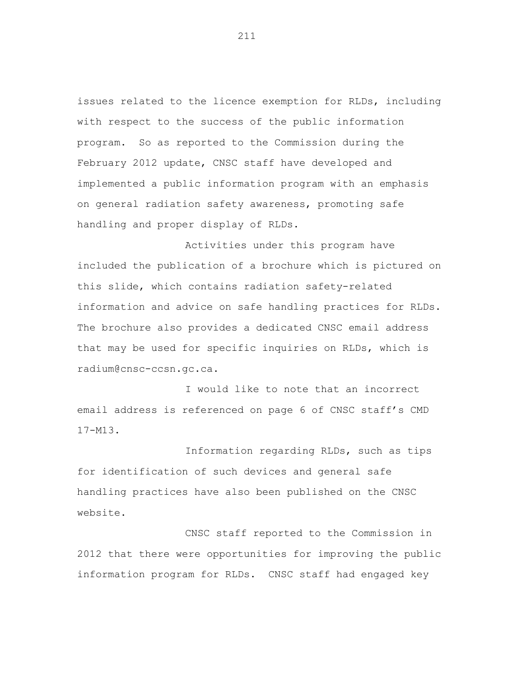issues related to the licence exemption for RLDs, including with respect to the success of the public information program. So as reported to the Commission during the February 2012 update, CNSC staff have developed and implemented a public information program with an emphasis on general radiation safety awareness, promoting safe handling and proper display of RLDs.

Activities under this program have included the publication of a brochure which is pictured on this slide, which contains radiation safety-related information and advice on safe handling practices for RLDs. The brochure also provides a dedicated CNSC email address that may be used for specific inquiries on RLDs, which is radium@cnsc-ccsn.gc.ca.

I would like to note that an incorrect email address is referenced on page 6 of CNSC staff's CMD 17-M13.

Information regarding RLDs, such as tips for identification of such devices and general safe handling practices have also been published on the CNSC website.

CNSC staff reported to the Commission in 2012 that there were opportunities for improving the public information program for RLDs. CNSC staff had engaged key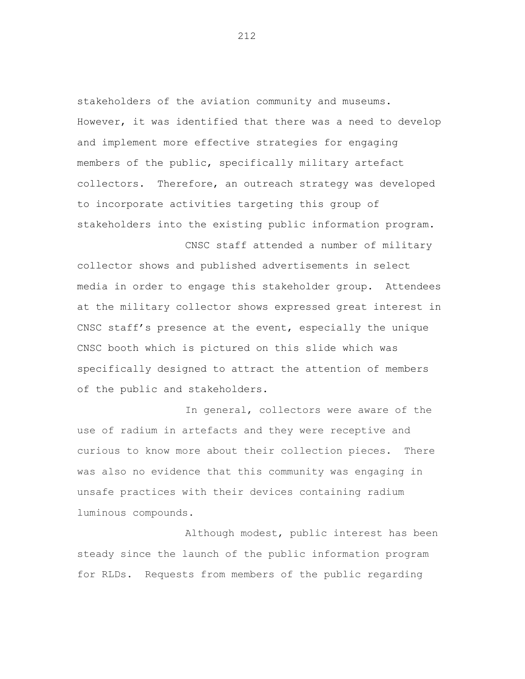stakeholders of the aviation community and museums. However, it was identified that there was a need to develop and implement more effective strategies for engaging members of the public, specifically military artefact collectors. Therefore, an outreach strategy was developed to incorporate activities targeting this group of stakeholders into the existing public information program.

collector shows and published advertisements in select media in order to engage this stakeholder group. Attendees at the military collector shows expressed great interest in CNSC staff's presence at the event, especially the unique CNSC booth which is pictured on this slide which was specifically designed to attract the attention of members of the public and stakeholders.

CNSC staff attended a number of military

In general, collectors were aware of the use of radium in artefacts and they were receptive and curious to know more about their collection pieces. There was also no evidence that this community was engaging in unsafe practices with their devices containing radium luminous compounds.

Although modest, public interest has been steady since the launch of the public information program for RLDs. Requests from members of the public regarding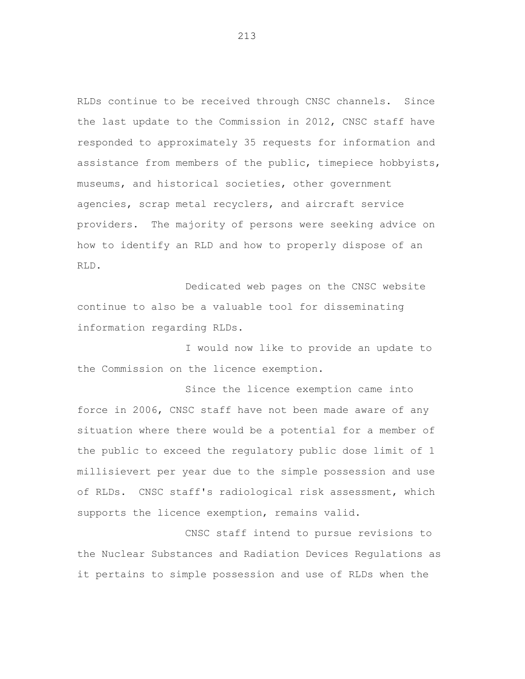RLDs continue to be received through CNSC channels. Since the last update to the Commission in 2012, CNSC staff have responded to approximately 35 requests for information and assistance from members of the public, timepiece hobbyists, museums, and historical societies, other government agencies, scrap metal recyclers, and aircraft service providers. The majority of persons were seeking advice on how to identify an RLD and how to properly dispose of an RLD.

Dedicated web pages on the CNSC website continue to also be a valuable tool for disseminating information regarding RLDs.

I would now like to provide an update to the Commission on the licence exemption.

Since the licence exemption came into force in 2006, CNSC staff have not been made aware of any situation where there would be a potential for a member of the public to exceed the regulatory public dose limit of 1 millisievert per year due to the simple possession and use of RLDs. CNSC staff's radiological risk assessment, which supports the licence exemption, remains valid.

CNSC staff intend to pursue revisions to the Nuclear Substances and Radiation Devices Regulations as it pertains to simple possession and use of RLDs when the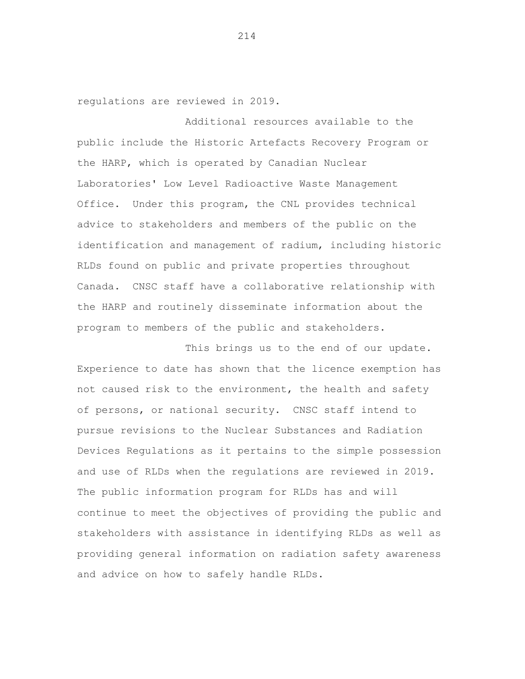regulations are reviewed in 2019.

Additional resources available to the public include the Historic Artefacts Recovery Program or the HARP, which is operated by Canadian Nuclear Laboratories' Low Level Radioactive Waste Management Office. Under this program, the CNL provides technical advice to stakeholders and members of the public on the identification and management of radium, including historic RLDs found on public and private properties throughout Canada. CNSC staff have a collaborative relationship with the HARP and routinely disseminate information about the program to members of the public and stakeholders.

This brings us to the end of our update. Experience to date has shown that the licence exemption has not caused risk to the environment, the health and safety of persons, or national security. CNSC staff intend to pursue revisions to the Nuclear Substances and Radiation Devices Regulations as it pertains to the simple possession and use of RLDs when the regulations are reviewed in 2019. The public information program for RLDs has and will continue to meet the objectives of providing the public and stakeholders with assistance in identifying RLDs as well as providing general information on radiation safety awareness and advice on how to safely handle RLDs.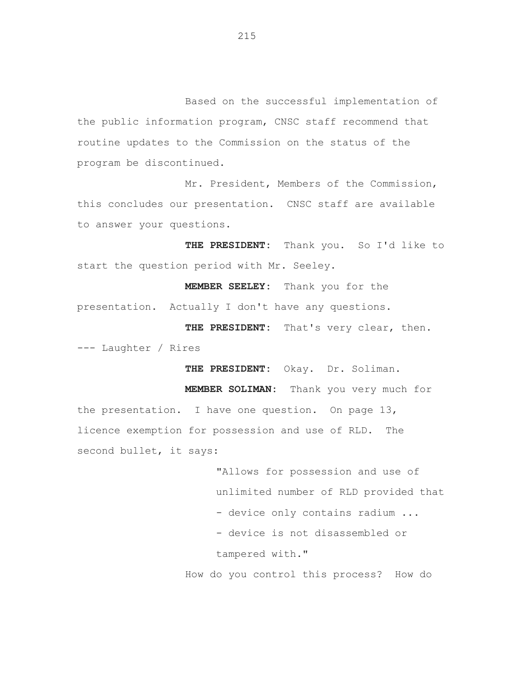Based on the successful implementation of the public information program, CNSC staff recommend that routine updates to the Commission on the status of the program be discontinued.

Mr. President, Members of the Commission, this concludes our presentation. CNSC staff are available to answer your questions.

**THE PRESIDENT:** Thank you. So I'd like to start the question period with Mr. Seeley.

**MEMBER SEELEY:** Thank you for the presentation. Actually I don't have any questions.

**THE PRESIDENT:** That's very clear, then. --- Laughter / Rires

**THE PRESIDENT:** Okay. Dr. Soliman.

**MEMBER SOLIMAN:** Thank you very much for the presentation. I have one question. On page 13, licence exemption for possession and use of RLD. The second bullet, it says:

> "Allows for possession and use of unlimited number of RLD provided that - device only contains radium ... - device is not disassembled or tampered with."

How do you control this process? How do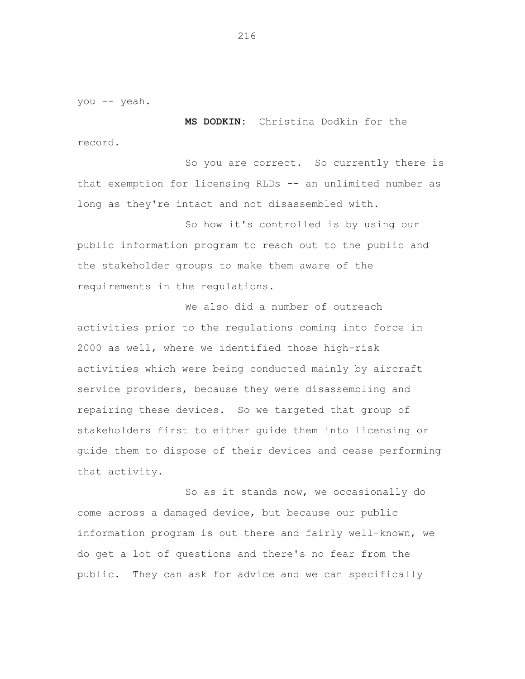you -- yeah.

**MS DODKIN:** Christina Dodkin for the record.

So you are correct. So currently there is that exemption for licensing RLDs -- an unlimited number as long as they're intact and not disassembled with.

So how it's controlled is by using our public information program to reach out to the public and the stakeholder groups to make them aware of the requirements in the regulations.

We also did a number of outreach activities prior to the regulations coming into force in 2000 as well, where we identified those high-risk activities which were being conducted mainly by aircraft service providers, because they were disassembling and repairing these devices. So we targeted that group of stakeholders first to either guide them into licensing or guide them to dispose of their devices and cease performing that activity.

So as it stands now, we occasionally do come across a damaged device, but because our public information program is out there and fairly well-known, we do get a lot of questions and there's no fear from the public. They can ask for advice and we can specifically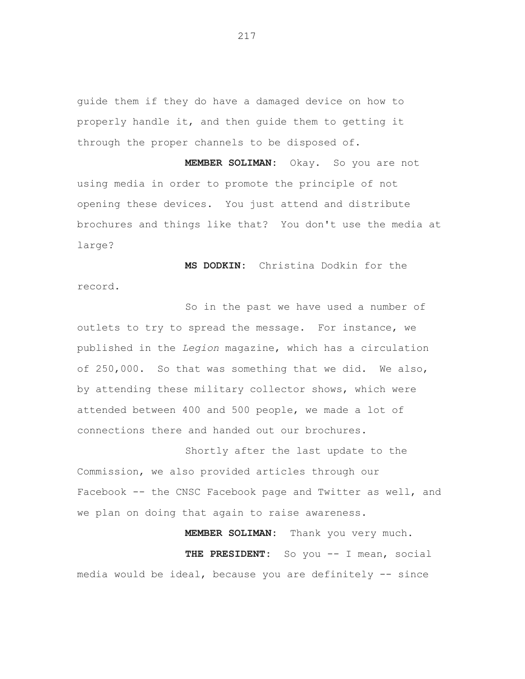guide them if they do have a damaged device on how to properly handle it, and then guide them to getting it through the proper channels to be disposed of.

**MEMBER SOLIMAN:** Okay. So you are not using media in order to promote the principle of not opening these devices. You just attend and distribute brochures and things like that? You don't use the media at large?

**MS DODKIN:** Christina Dodkin for the record.

So in the past we have used a number of outlets to try to spread the message. For instance, we published in the *Legion* magazine, which has a circulation of 250,000. So that was something that we did. We also, by attending these military collector shows, which were attended between 400 and 500 people, we made a lot of connections there and handed out our brochures.

Shortly after the last update to the Commission, we also provided articles through our Facebook -- the CNSC Facebook page and Twitter as well, and we plan on doing that again to raise awareness.

**MEMBER SOLIMAN:** Thank you very much. **THE PRESIDENT:** So you -- I mean, social media would be ideal, because you are definitely -- since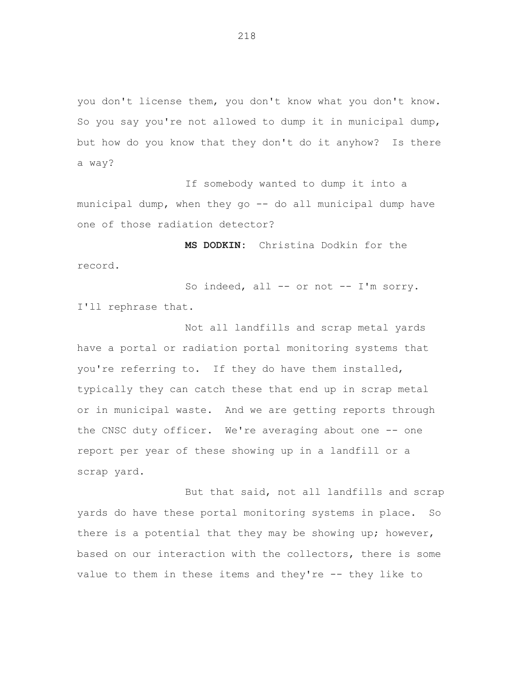you don't license them, you don't know what you don't know. So you say you're not allowed to dump it in municipal dump, but how do you know that they don't do it anyhow? Is there a way?

If somebody wanted to dump it into a municipal dump, when they go -- do all municipal dump have one of those radiation detector?

**MS DODKIN:** Christina Dodkin for the record.

So indeed, all -- or not -- I'm sorry. I'll rephrase that.

Not all landfills and scrap metal yards have a portal or radiation portal monitoring systems that you're referring to. If they do have them installed, typically they can catch these that end up in scrap metal or in municipal waste. And we are getting reports through the CNSC duty officer. We're averaging about one -- one report per year of these showing up in a landfill or a scrap yard.

But that said, not all landfills and scrap yards do have these portal monitoring systems in place. So there is a potential that they may be showing up; however, based on our interaction with the collectors, there is some value to them in these items and they're -- they like to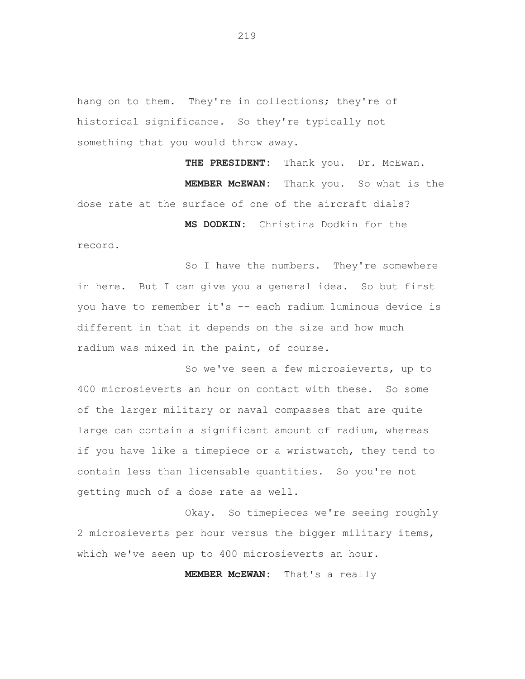hang on to them. They're in collections; they're of historical significance. So they're typically not something that you would throw away.

THE PRESIDENT: Thank you. Dr. McEwan. **MEMBER McEWAN:** Thank you. So what is the dose rate at the surface of one of the aircraft dials? **MS DODKIN:** Christina Dodkin for the

record.

So I have the numbers. They're somewhere in here. But I can give you a general idea. So but first you have to remember it's -- each radium luminous device is different in that it depends on the size and how much radium was mixed in the paint, of course.

So we've seen a few microsieverts, up to 400 microsieverts an hour on contact with these. So some of the larger military or naval compasses that are quite large can contain a significant amount of radium, whereas if you have like a timepiece or a wristwatch, they tend to contain less than licensable quantities. So you're not getting much of a dose rate as well.

Okay. So timepieces we're seeing roughly 2 microsieverts per hour versus the bigger military items, which we've seen up to 400 microsieverts an hour.

**MEMBER McEWAN:** That's a really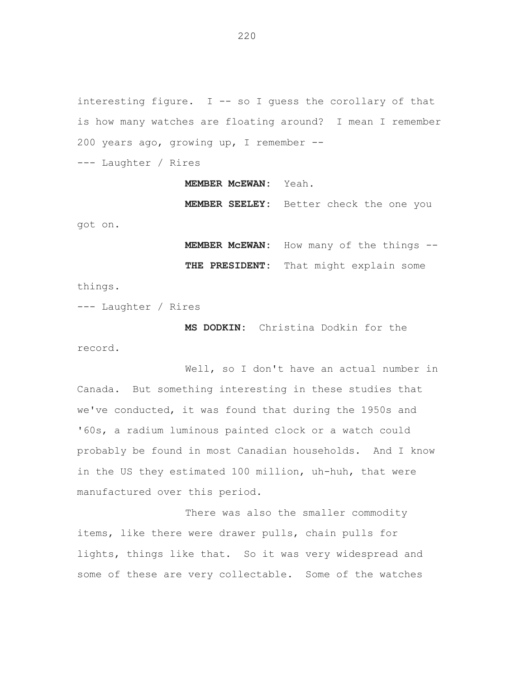interesting figure.  $I$  -- so I guess the corollary of that is how many watches are floating around? I mean I remember 200 years ago, growing up, I remember --

--- Laughter / Rires

**MEMBER McEWAN:** Yeah.

**MEMBER SEELEY:** Better check the one you

got on.

**MEMBER McEWAN:** How many of the things --

**THE PRESIDENT:** That might explain some

things.

--- Laughter / Rires

**MS DODKIN:** Christina Dodkin for the record.

Well, so I don't have an actual number in Canada. But something interesting in these studies that we've conducted, it was found that during the 1950s and '60s, a radium luminous painted clock or a watch could probably be found in most Canadian households. And I know in the US they estimated 100 million, uh-huh, that were manufactured over this period.

There was also the smaller commodity items, like there were drawer pulls, chain pulls for lights, things like that. So it was very widespread and some of these are very collectable. Some of the watches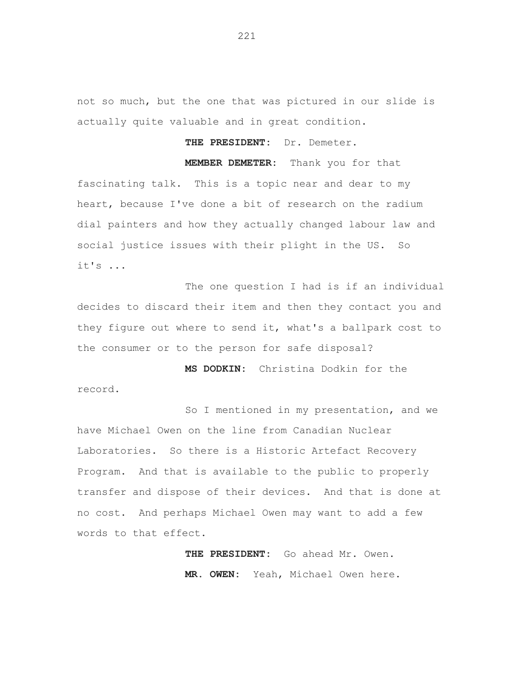not so much, but the one that was pictured in our slide is actually quite valuable and in great condition.

**THE PRESIDENT:** Dr. Demeter.

**MEMBER DEMETER:** Thank you for that fascinating talk. This is a topic near and dear to my heart, because I've done a bit of research on the radium dial painters and how they actually changed labour law and social justice issues with their plight in the US. So it's ...

The one question I had is if an individual decides to discard their item and then they contact you and they figure out where to send it, what's a ballpark cost to the consumer or to the person for safe disposal?

**MS DODKIN:** Christina Dodkin for the record.

So I mentioned in my presentation, and we have Michael Owen on the line from Canadian Nuclear Laboratories. So there is a Historic Artefact Recovery Program. And that is available to the public to properly transfer and dispose of their devices. And that is done at no cost. And perhaps Michael Owen may want to add a few words to that effect.

> **THE PRESIDENT:** Go ahead Mr. Owen. **MR. OWEN:** Yeah, Michael Owen here.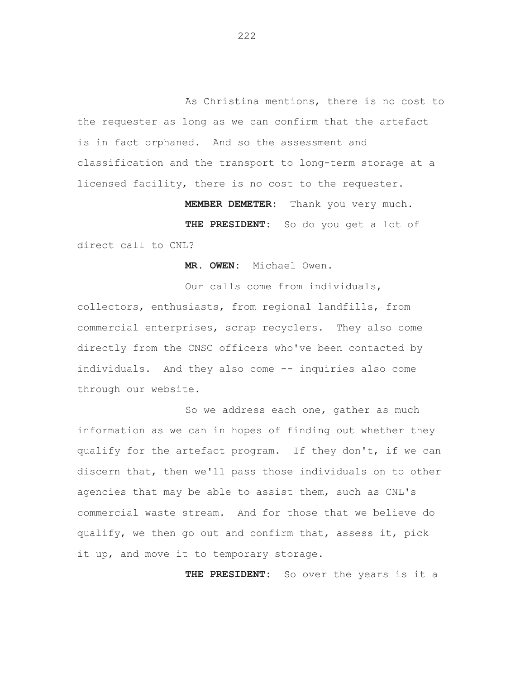As Christina mentions, there is no cost to the requester as long as we can confirm that the artefact is in fact orphaned. And so the assessment and classification and the transport to long-term storage at a licensed facility, there is no cost to the requester.

**MEMBER DEMETER:** Thank you very much.

**THE PRESIDENT:** So do you get a lot of direct call to CNL?

**MR. OWEN:** Michael Owen.

Our calls come from individuals, collectors, enthusiasts, from regional landfills, from commercial enterprises, scrap recyclers. They also come directly from the CNSC officers who've been contacted by individuals. And they also come -- inquiries also come through our website.

So we address each one, gather as much information as we can in hopes of finding out whether they qualify for the artefact program. If they don't, if we can discern that, then we'll pass those individuals on to other agencies that may be able to assist them, such as CNL's commercial waste stream. And for those that we believe do qualify, we then go out and confirm that, assess it, pick it up, and move it to temporary storage.

**THE PRESIDENT:** So over the years is it a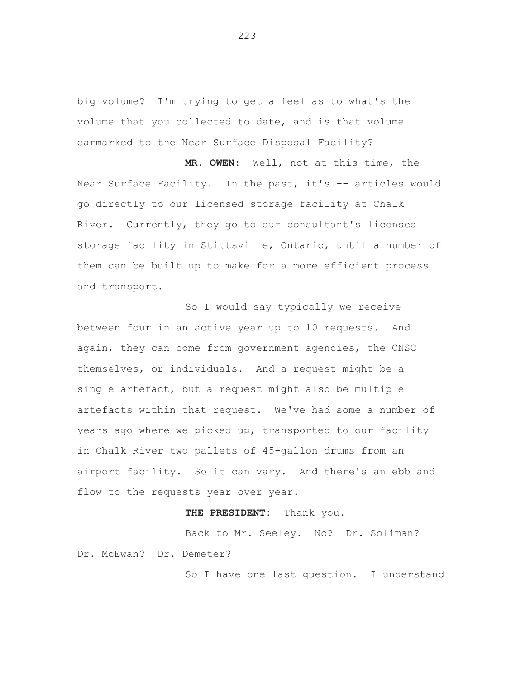big volume? I'm trying to get a feel as to what's the volume that you collected to date, and is that volume earmarked to the Near Surface Disposal Facility?

**MR. OWEN:** Well, not at this time, the Near Surface Facility. In the past, it's -- articles would go directly to our licensed storage facility at Chalk River. Currently, they go to our consultant's licensed storage facility in Stittsville, Ontario, until a number of them can be built up to make for a more efficient process and transport.

So I would say typically we receive between four in an active year up to 10 requests. And again, they can come from government agencies, the CNSC themselves, or individuals. And a request might be a single artefact, but a request might also be multiple artefacts within that request. We've had some a number of years ago where we picked up, transported to our facility in Chalk River two pallets of 45-gallon drums from an airport facility. So it can vary. And there's an ebb and flow to the requests year over year.

### **THE PRESIDENT:** Thank you.

Back to Mr. Seeley. No? Dr. Soliman? Dr. McEwan? Dr. Demeter?

So I have one last question. I understand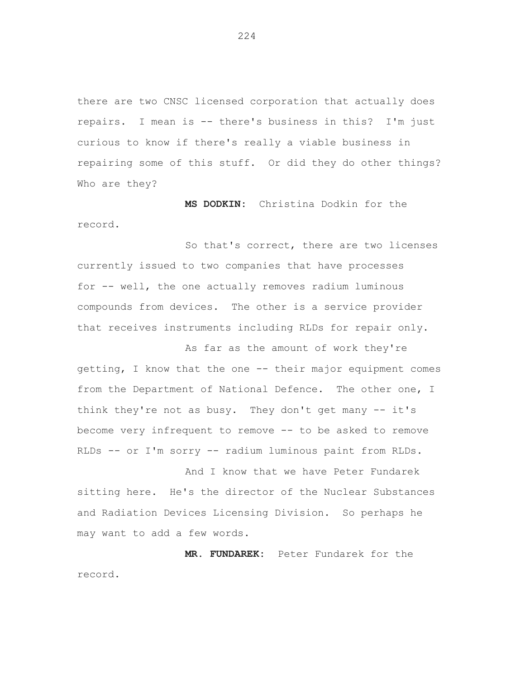there are two CNSC licensed corporation that actually does repairs. I mean is -- there's business in this? I'm just curious to know if there's really a viable business in repairing some of this stuff. Or did they do other things? Who are they?

**MS DODKIN:** Christina Dodkin for the record.

So that's correct, there are two licenses currently issued to two companies that have processes for -- well, the one actually removes radium luminous compounds from devices. The other is a service provider that receives instruments including RLDs for repair only.

As far as the amount of work they're getting, I know that the one -- their major equipment comes from the Department of National Defence. The other one, I think they're not as busy. They don't get many -- it's become very infrequent to remove -- to be asked to remove RLDs -- or I'm sorry -- radium luminous paint from RLDs.

And I know that we have Peter Fundarek sitting here. He's the director of the Nuclear Substances and Radiation Devices Licensing Division. So perhaps he may want to add a few words.

**MR. FUNDAREK:** Peter Fundarek for the record.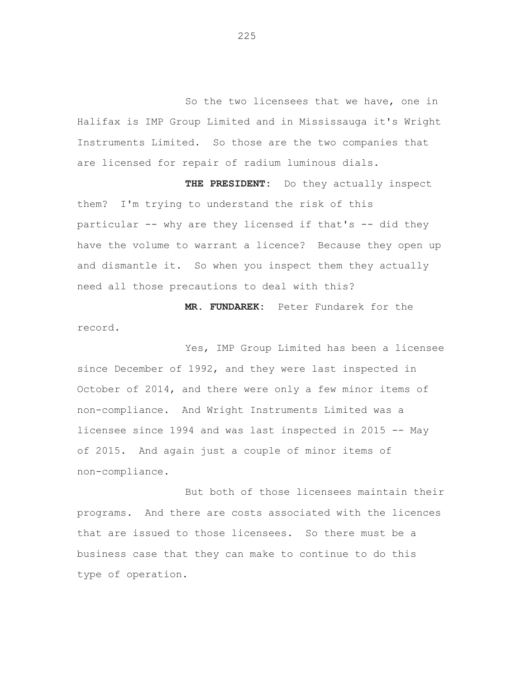So the two licensees that we have, one in Halifax is IMP Group Limited and in Mississauga it's Wright Instruments Limited. So those are the two companies that are licensed for repair of radium luminous dials.

**THE PRESIDENT:** Do they actually inspect them? I'm trying to understand the risk of this particular -- why are they licensed if that's -- did they have the volume to warrant a licence? Because they open up and dismantle it. So when you inspect them they actually need all those precautions to deal with this?

**MR. FUNDAREK:** Peter Fundarek for the record.

Yes, IMP Group Limited has been a licensee since December of 1992, and they were last inspected in October of 2014, and there were only a few minor items of non-compliance. And Wright Instruments Limited was a licensee since 1994 and was last inspected in 2015 -- May of 2015. And again just a couple of minor items of non-compliance.

But both of those licensees maintain their programs. And there are costs associated with the licences that are issued to those licensees. So there must be a business case that they can make to continue to do this type of operation.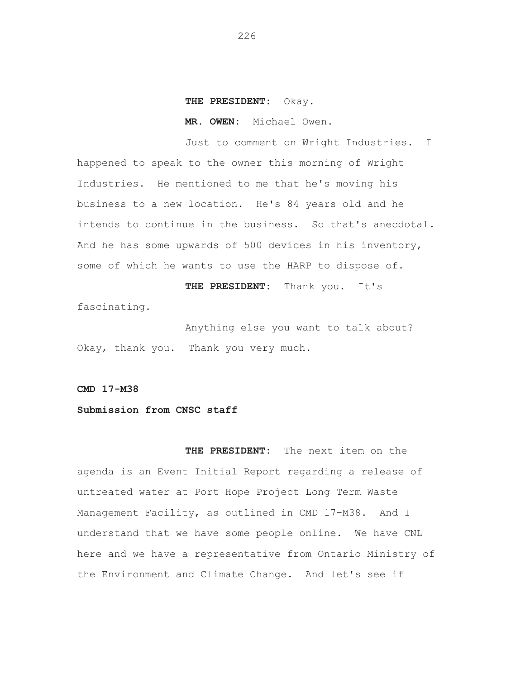#### **THE PRESIDENT:** Okay.

**MR. OWEN:** Michael Owen.

Just to comment on Wright Industries. I happened to speak to the owner this morning of Wright Industries. He mentioned to me that he's moving his business to a new location. He's 84 years old and he intends to continue in the business. So that's anecdotal. And he has some upwards of 500 devices in his inventory, some of which he wants to use the HARP to dispose of.

**THE PRESIDENT:** Thank you. It's fascinating.

Anything else you want to talk about? Okay, thank you. Thank you very much.

**CMD 17-M38** 

# **Submission from CNSC staff**

**THE PRESIDENT:** The next item on the agenda is an Event Initial Report regarding a release of untreated water at Port Hope Project Long Term Waste Management Facility, as outlined in CMD 17-M38. And I understand that we have some people online. We have CNL here and we have a representative from Ontario Ministry of the Environment and Climate Change. And let's see if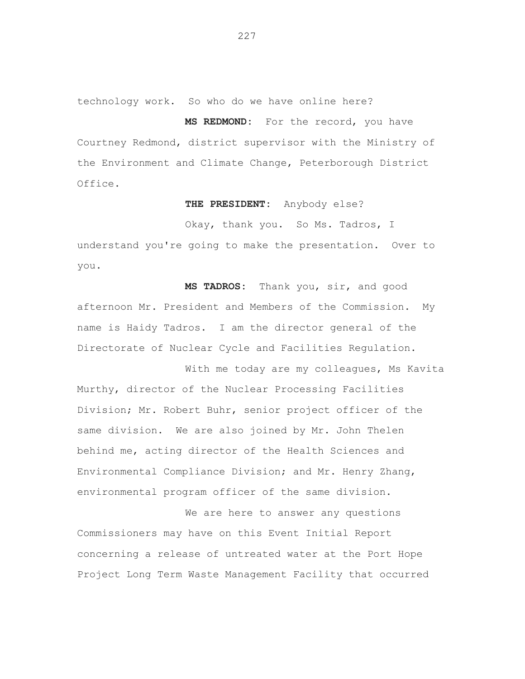technology work. So who do we have online here?

### **MS REDMOND:** For the record, you have

Courtney Redmond, district supervisor with the Ministry of the Environment and Climate Change, Peterborough District Office.

#### **THE PRESIDENT:** Anybody else?

Okay, thank you. So Ms. Tadros, I

understand you're going to make the presentation. Over to you.

**MS TADROS:** Thank you, sir, and good afternoon Mr. President and Members of the Commission. My name is Haidy Tadros. I am the director general of the Directorate of Nuclear Cycle and Facilities Regulation.

With me today are my colleagues, Ms Kavita Murthy, director of the Nuclear Processing Facilities Division; Mr. Robert Buhr, senior project officer of the same division. We are also joined by Mr. John Thelen behind me, acting director of the Health Sciences and Environmental Compliance Division; and Mr. Henry Zhang, environmental program officer of the same division.

We are here to answer any questions Commissioners may have on this Event Initial Report concerning a release of untreated water at the Port Hope Project Long Term Waste Management Facility that occurred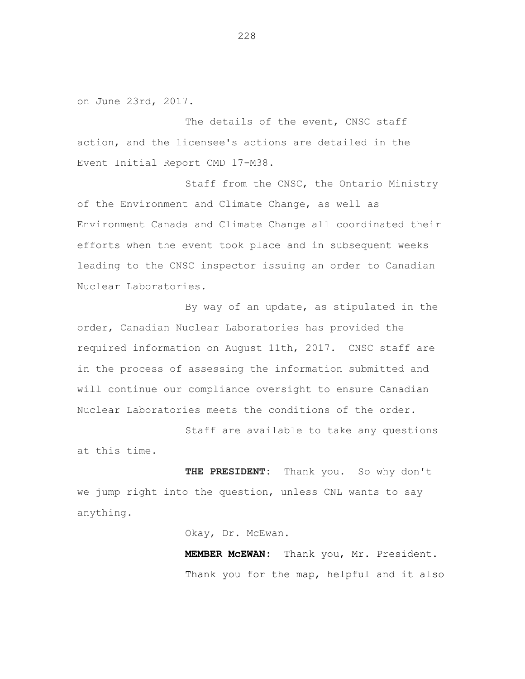on June 23rd, 2017.

The details of the event, CNSC staff action, and the licensee's actions are detailed in the Event Initial Report CMD 17-M38.

Staff from the CNSC, the Ontario Ministry of the Environment and Climate Change, as well as Environment Canada and Climate Change all coordinated their efforts when the event took place and in subsequent weeks leading to the CNSC inspector issuing an order to Canadian Nuclear Laboratories.

By way of an update, as stipulated in the order, Canadian Nuclear Laboratories has provided the required information on August 11th, 2017. CNSC staff are in the process of assessing the information submitted and will continue our compliance oversight to ensure Canadian Nuclear Laboratories meets the conditions of the order.

Staff are available to take any questions at this time.

THE PRESIDENT: Thank you. So why don't we jump right into the question, unless CNL wants to say anything.

Okay, Dr. McEwan.

**MEMBER McEWAN:** Thank you, Mr. President. Thank you for the map, helpful and it also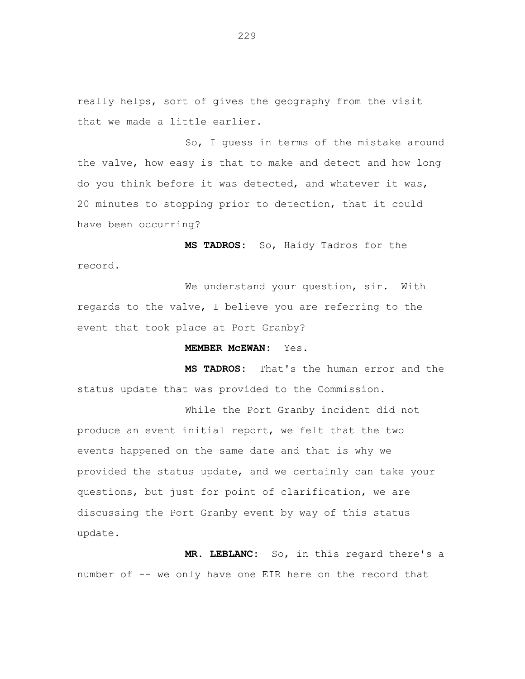really helps, sort of gives the geography from the visit that we made a little earlier.

So, I guess in terms of the mistake around the valve, how easy is that to make and detect and how long do you think before it was detected, and whatever it was, 20 minutes to stopping prior to detection, that it could have been occurring?

**MS TADROS:** So, Haidy Tadros for the record.

We understand your question, sir. With regards to the valve, I believe you are referring to the event that took place at Port Granby?

## **MEMBER McEWAN:** Yes.

**MS TADROS:** That's the human error and the status update that was provided to the Commission.

While the Port Granby incident did not produce an event initial report, we felt that the two events happened on the same date and that is why we provided the status update, and we certainly can take your questions, but just for point of clarification, we are discussing the Port Granby event by way of this status update.

**MR. LEBLANC:** So, in this regard there's a number of -- we only have one EIR here on the record that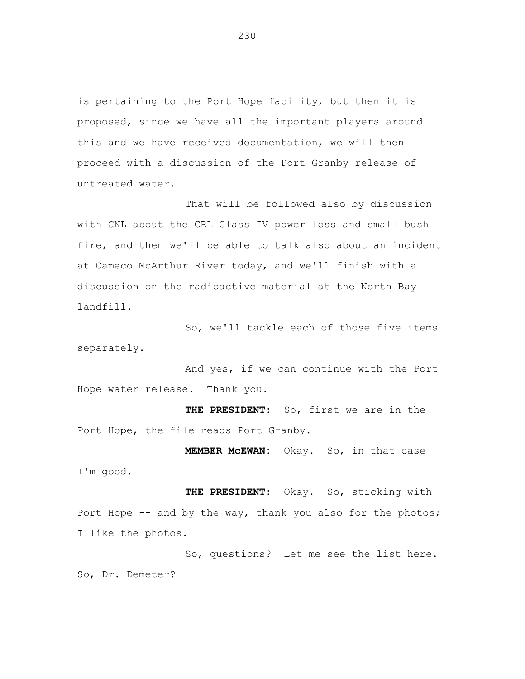is pertaining to the Port Hope facility, but then it is proposed, since we have all the important players around this and we have received documentation, we will then proceed with a discussion of the Port Granby release of untreated water.

That will be followed also by discussion with CNL about the CRL Class IV power loss and small bush fire, and then we'll be able to talk also about an incident at Cameco McArthur River today, and we'll finish with a discussion on the radioactive material at the North Bay landfill.

So, we'll tackle each of those five items separately.

And yes, if we can continue with the Port Hope water release. Thank you.

**THE PRESIDENT:** So, first we are in the Port Hope, the file reads Port Granby.

**MEMBER McEWAN:** Okay. So, in that case I'm good.

**THE PRESIDENT:** Okay. So, sticking with Port Hope -- and by the way, thank you also for the photos; I like the photos.

So, questions? Let me see the list here. So, Dr. Demeter?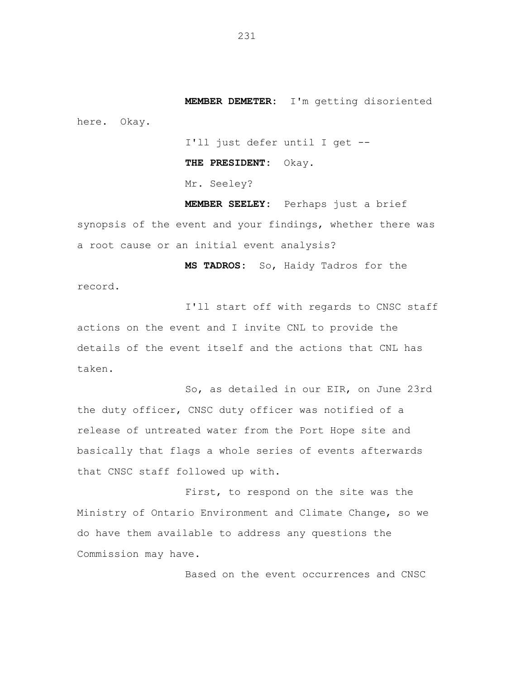**MEMBER DEMETER:** I'm getting disoriented here. Okay.

I'll just defer until I get --

**THE PRESIDENT:** Okay.

Mr. Seeley?

**MEMBER SEELEY:** Perhaps just a brief synopsis of the event and your findings, whether there was a root cause or an initial event analysis?

**MS TADROS:** So, Haidy Tadros for the record.

I'll start off with regards to CNSC staff actions on the event and I invite CNL to provide the details of the event itself and the actions that CNL has taken.

So, as detailed in our EIR, on June 23rd the duty officer, CNSC duty officer was notified of a release of untreated water from the Port Hope site and basically that flags a whole series of events afterwards that CNSC staff followed up with.

First, to respond on the site was the Ministry of Ontario Environment and Climate Change, so we do have them available to address any questions the Commission may have.

Based on the event occurrences and CNSC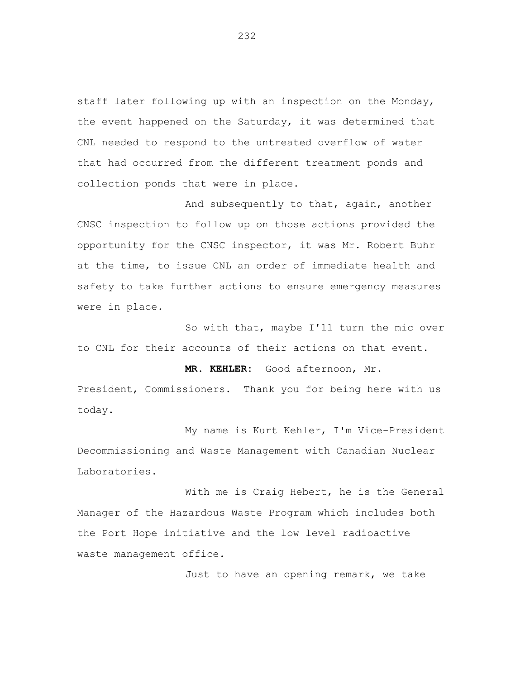staff later following up with an inspection on the Monday, the event happened on the Saturday, it was determined that CNL needed to respond to the untreated overflow of water that had occurred from the different treatment ponds and collection ponds that were in place.

And subsequently to that, again, another CNSC inspection to follow up on those actions provided the opportunity for the CNSC inspector, it was Mr. Robert Buhr at the time, to issue CNL an order of immediate health and safety to take further actions to ensure emergency measures were in place.

So with that, maybe I'll turn the mic over to CNL for their accounts of their actions on that event.

**MR. KEHLER:** Good afternoon, Mr.

President, Commissioners. Thank you for being here with us today.

My name is Kurt Kehler, I'm Vice-President Decommissioning and Waste Management with Canadian Nuclear Laboratories.

With me is Craig Hebert, he is the General Manager of the Hazardous Waste Program which includes both the Port Hope initiative and the low level radioactive waste management office.

Just to have an opening remark, we take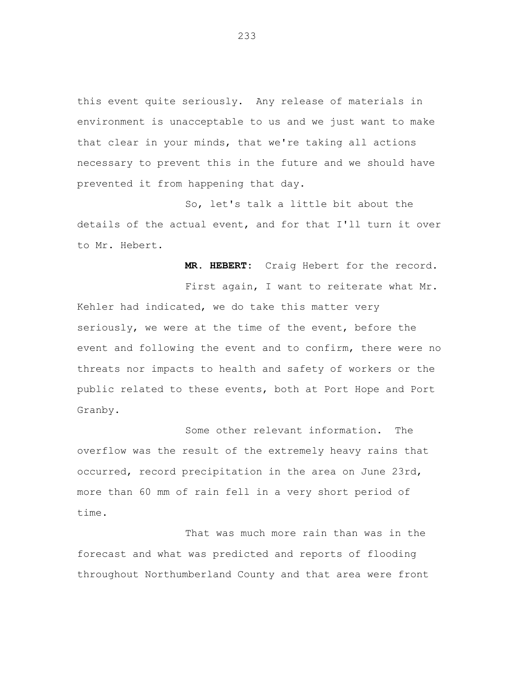this event quite seriously. Any release of materials in environment is unacceptable to us and we just want to make that clear in your minds, that we're taking all actions necessary to prevent this in the future and we should have prevented it from happening that day.

So, let's talk a little bit about the details of the actual event, and for that I'll turn it over to Mr. Hebert.

**MR. HEBERT:** Craig Hebert for the record.

First again, I want to reiterate what Mr. Kehler had indicated, we do take this matter very seriously, we were at the time of the event, before the event and following the event and to confirm, there were no threats nor impacts to health and safety of workers or the public related to these events, both at Port Hope and Port Granby.

Some other relevant information. The overflow was the result of the extremely heavy rains that occurred, record precipitation in the area on June 23rd, more than 60 mm of rain fell in a very short period of time.

That was much more rain than was in the forecast and what was predicted and reports of flooding throughout Northumberland County and that area were front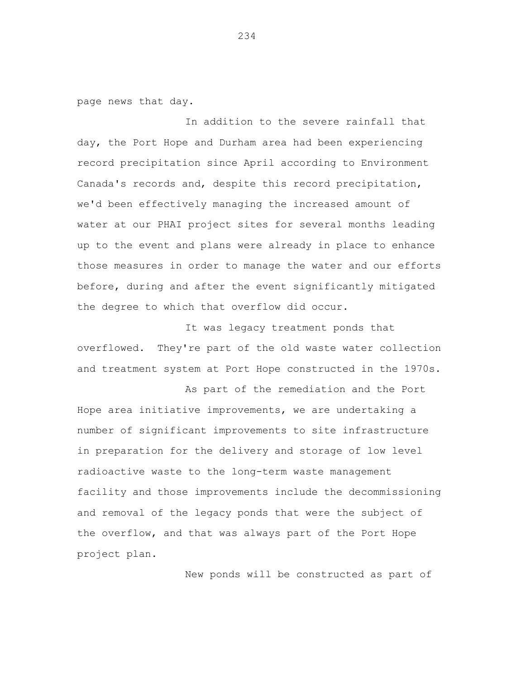page news that day.

In addition to the severe rainfall that day, the Port Hope and Durham area had been experiencing record precipitation since April according to Environment Canada's records and, despite this record precipitation, we'd been effectively managing the increased amount of water at our PHAI project sites for several months leading up to the event and plans were already in place to enhance those measures in order to manage the water and our efforts before, during and after the event significantly mitigated the degree to which that overflow did occur.

It was legacy treatment ponds that overflowed. They're part of the old waste water collection and treatment system at Port Hope constructed in the 1970s.

As part of the remediation and the Port Hope area initiative improvements, we are undertaking a number of significant improvements to site infrastructure in preparation for the delivery and storage of low level radioactive waste to the long-term waste management facility and those improvements include the decommissioning and removal of the legacy ponds that were the subject of the overflow, and that was always part of the Port Hope project plan.

New ponds will be constructed as part of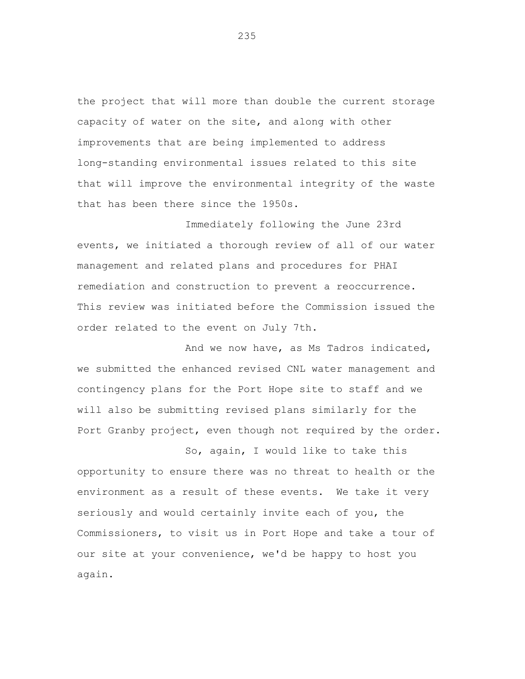the project that will more than double the current storage capacity of water on the site, and along with other improvements that are being implemented to address long-standing environmental issues related to this site that will improve the environmental integrity of the waste that has been there since the 1950s.

Immediately following the June 23rd events, we initiated a thorough review of all of our water management and related plans and procedures for PHAI remediation and construction to prevent a reoccurrence. This review was initiated before the Commission issued the order related to the event on July 7th.

And we now have, as Ms Tadros indicated, we submitted the enhanced revised CNL water management and contingency plans for the Port Hope site to staff and we will also be submitting revised plans similarly for the Port Granby project, even though not required by the order.

So, again, I would like to take this opportunity to ensure there was no threat to health or the environment as a result of these events. We take it very seriously and would certainly invite each of you, the Commissioners, to visit us in Port Hope and take a tour of our site at your convenience, we'd be happy to host you again.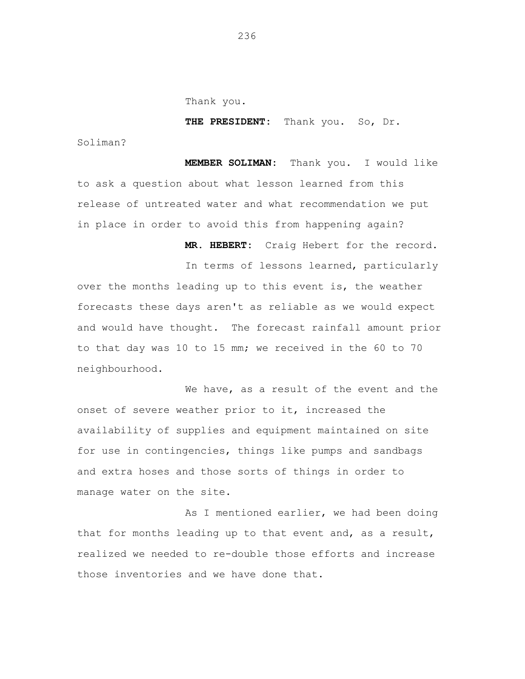Thank you.

**THE PRESIDENT:** Thank you. So, Dr.

Soliman?

**MEMBER SOLIMAN:** Thank you. I would like to ask a question about what lesson learned from this release of untreated water and what recommendation we put in place in order to avoid this from happening again?

**MR. HEBERT:** Craig Hebert for the record.

In terms of lessons learned, particularly over the months leading up to this event is, the weather forecasts these days aren't as reliable as we would expect and would have thought. The forecast rainfall amount prior to that day was 10 to 15 mm; we received in the 60 to 70 neighbourhood.

We have, as a result of the event and the onset of severe weather prior to it, increased the availability of supplies and equipment maintained on site for use in contingencies, things like pumps and sandbags and extra hoses and those sorts of things in order to manage water on the site.

As I mentioned earlier, we had been doing that for months leading up to that event and, as a result, realized we needed to re-double those efforts and increase those inventories and we have done that.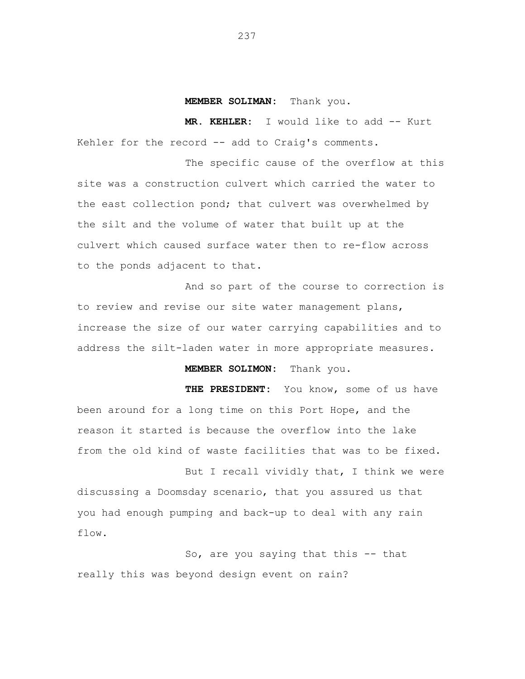#### **MEMBER SOLIMAN:** Thank you.

**MR. KEHLER:** I would like to add -- Kurt Kehler for the record -- add to Craig's comments.

The specific cause of the overflow at this site was a construction culvert which carried the water to the east collection pond; that culvert was overwhelmed by the silt and the volume of water that built up at the culvert which caused surface water then to re-flow across to the ponds adjacent to that.

And so part of the course to correction is to review and revise our site water management plans, increase the size of our water carrying capabilities and to address the silt-laden water in more appropriate measures.

**MEMBER SOLIMON:** Thank you.

**THE PRESIDENT:** You know, some of us have been around for a long time on this Port Hope, and the reason it started is because the overflow into the lake from the old kind of waste facilities that was to be fixed.

But I recall vividly that, I think we were discussing a Doomsday scenario, that you assured us that you had enough pumping and back-up to deal with any rain flow.

So, are you saying that this -- that really this was beyond design event on rain?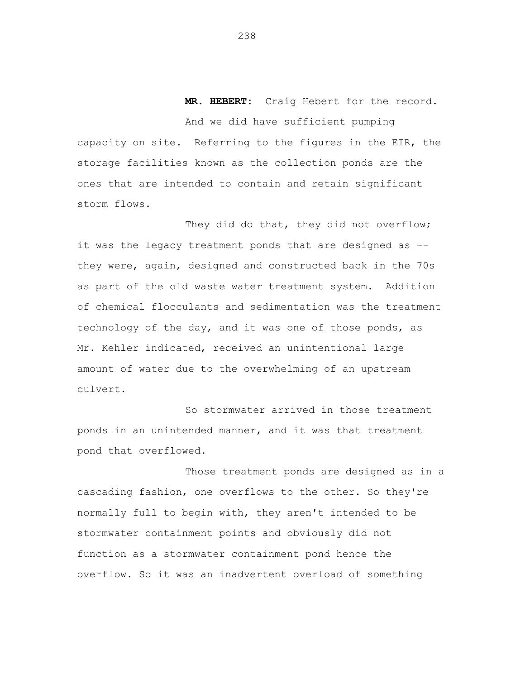**MR. HEBERT:** Craig Hebert for the record. And we did have sufficient pumping capacity on site. Referring to the figures in the EIR, the storage facilities known as the collection ponds are the ones that are intended to contain and retain significant storm flows.

They did do that, they did not overflow; it was the legacy treatment ponds that are designed as - they were, again, designed and constructed back in the 70s as part of the old waste water treatment system. Addition of chemical flocculants and sedimentation was the treatment technology of the day, and it was one of those ponds, as Mr. Kehler indicated, received an unintentional large amount of water due to the overwhelming of an upstream culvert.

So stormwater arrived in those treatment ponds in an unintended manner, and it was that treatment pond that overflowed.

Those treatment ponds are designed as in a cascading fashion, one overflows to the other. So they're normally full to begin with, they aren't intended to be stormwater containment points and obviously did not function as a stormwater containment pond hence the overflow. So it was an inadvertent overload of something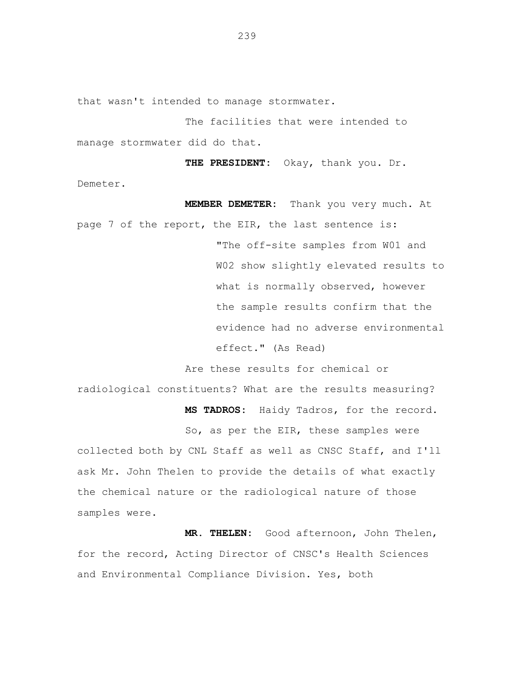that wasn't intended to manage stormwater.

The facilities that were intended to manage stormwater did do that.

 **THE PRESIDENT:** Okay, thank you. Dr. Demeter.

 **MEMBER DEMETER:** Thank you very much. At page 7 of the report, the EIR, the last sentence is: "The off-site samples from W01 and W02 show slightly elevated results to what is normally observed, however the sample results confirm that the evidence had no adverse environmental effect." (As Read)

Are these results for chemical or

radiological constituents? What are the results measuring?

 **MS TADROS:** Haidy Tadros, for the record.

So, as per the EIR, these samples were

collected both by CNL Staff as well as CNSC Staff, and I'll ask Mr. John Thelen to provide the details of what exactly the chemical nature or the radiological nature of those samples were.

 **MR. THELEN:** Good afternoon, John Thelen, for the record, Acting Director of CNSC's Health Sciences and Environmental Compliance Division. Yes, both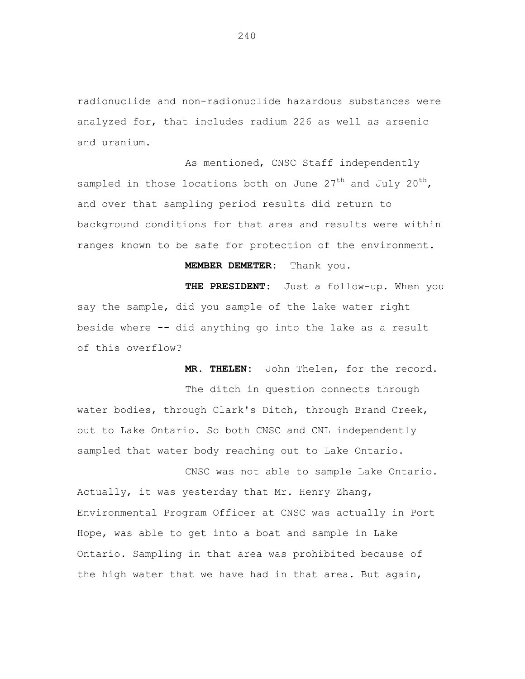radionuclide and non-radionuclide hazardous substances were analyzed for, that includes radium 226 as well as arsenic and uranium.

As mentioned, CNSC Staff independently sampled in those locations both on June  $27<sup>th</sup>$  and July  $20<sup>th</sup>$ , and over that sampling period results did return to background conditions for that area and results were within ranges known to be safe for protection of the environment.

# **MEMBER DEMETER:** Thank you.

 **THE PRESIDENT:** Just a follow-up. When you say the sample, did you sample of the lake water right beside where -- did anything go into the lake as a result of this overflow?

 **MR. THELEN:** John Thelen, for the record.

The ditch in question connects through water bodies, through Clark's Ditch, through Brand Creek, out to Lake Ontario. So both CNSC and CNL independently sampled that water body reaching out to Lake Ontario.

CNSC was not able to sample Lake Ontario. Actually, it was yesterday that Mr. Henry Zhang, Environmental Program Officer at CNSC was actually in Port Hope, was able to get into a boat and sample in Lake Ontario. Sampling in that area was prohibited because of the high water that we have had in that area. But again,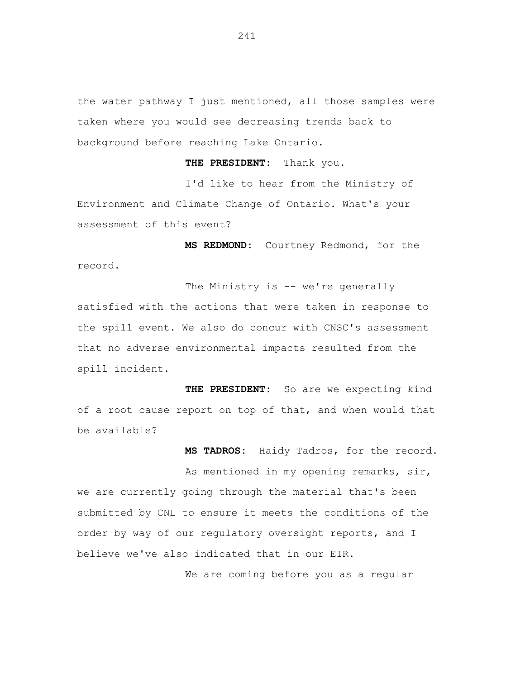the water pathway I just mentioned, all those samples were taken where you would see decreasing trends back to background before reaching Lake Ontario.

 **THE PRESIDENT:** Thank you.

I'd like to hear from the Ministry of Environment and Climate Change of Ontario. What's your assessment of this event?

 **MS REDMOND:** Courtney Redmond, for the record.

The Ministry is -- we're generally satisfied with the actions that were taken in response to the spill event. We also do concur with CNSC's assessment that no adverse environmental impacts resulted from the spill incident.

 **THE PRESIDENT:** So are we expecting kind of a root cause report on top of that, and when would that be available?

 **MS TADROS:** Haidy Tadros, for the record. As mentioned in my opening remarks, sir, we are currently going through the material that's been submitted by CNL to ensure it meets the conditions of the order by way of our regulatory oversight reports, and I

believe we've also indicated that in our EIR.

We are coming before you as a regular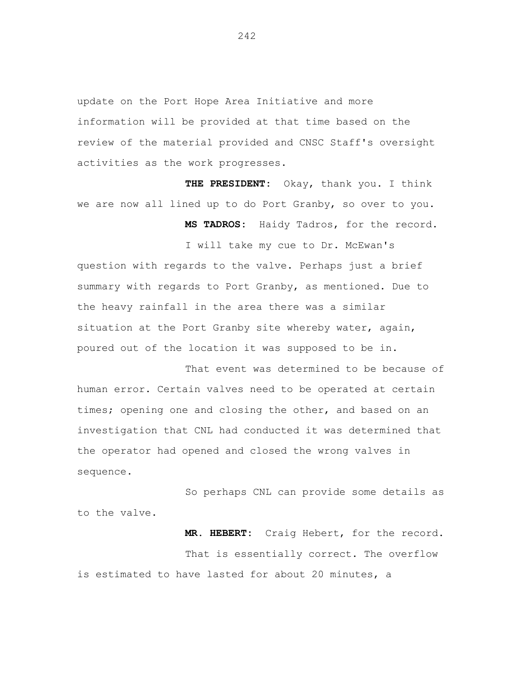update on the Port Hope Area Initiative and more information will be provided at that time based on the review of the material provided and CNSC Staff's oversight activities as the work progresses.

 **THE PRESIDENT:** Okay, thank you. I think we are now all lined up to do Port Granby, so over to you.

 **MS TADROS:** Haidy Tadros, for the record.

I will take my cue to Dr. McEwan's question with regards to the valve. Perhaps just a brief summary with regards to Port Granby, as mentioned. Due to the heavy rainfall in the area there was a similar situation at the Port Granby site whereby water, again, poured out of the location it was supposed to be in.

That event was determined to be because of human error. Certain valves need to be operated at certain times; opening one and closing the other, and based on an investigation that CNL had conducted it was determined that the operator had opened and closed the wrong valves in sequence.

So perhaps CNL can provide some details as to the valve.

 **MR. HEBERT:** Craig Hebert, for the record. That is essentially correct. The overflow is estimated to have lasted for about 20 minutes, a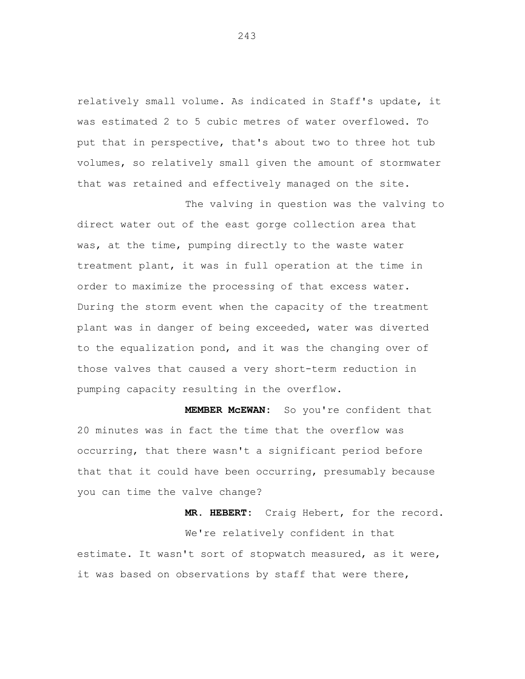relatively small volume. As indicated in Staff's update, it was estimated 2 to 5 cubic metres of water overflowed. To put that in perspective, that's about two to three hot tub volumes, so relatively small given the amount of stormwater that was retained and effectively managed on the site.

The valving in question was the valving to direct water out of the east gorge collection area that was, at the time, pumping directly to the waste water treatment plant, it was in full operation at the time in order to maximize the processing of that excess water. During the storm event when the capacity of the treatment plant was in danger of being exceeded, water was diverted to the equalization pond, and it was the changing over of those valves that caused a very short-term reduction in pumping capacity resulting in the overflow.

 **MEMBER McEWAN:** So you're confident that 20 minutes was in fact the time that the overflow was occurring, that there wasn't a significant period before that that it could have been occurring, presumably because you can time the valve change?

 **MR. HEBERT:** Craig Hebert, for the record. We're relatively confident in that estimate. It wasn't sort of stopwatch measured, as it were, it was based on observations by staff that were there,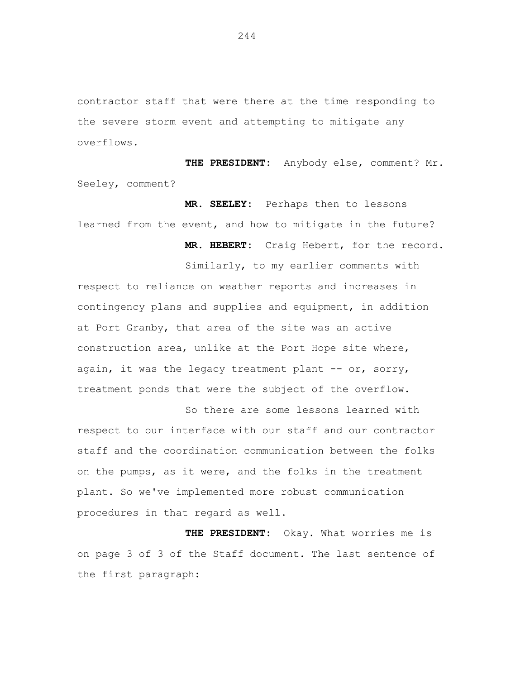contractor staff that were there at the time responding to the severe storm event and attempting to mitigate any overflows.

 **THE PRESIDENT:** Anybody else, comment? Mr. Seeley, comment?

 **MR. SEELEY:** Perhaps then to lessons learned from the event, and how to mitigate in the future?

 **MR. HEBERT:** Craig Hebert, for the record.

Similarly, to my earlier comments with

respect to reliance on weather reports and increases in contingency plans and supplies and equipment, in addition at Port Granby, that area of the site was an active construction area, unlike at the Port Hope site where, again, it was the legacy treatment plant -- or, sorry, treatment ponds that were the subject of the overflow.

So there are some lessons learned with respect to our interface with our staff and our contractor staff and the coordination communication between the folks on the pumps, as it were, and the folks in the treatment plant. So we've implemented more robust communication procedures in that regard as well.

 **THE PRESIDENT:** Okay. What worries me is on page 3 of 3 of the Staff document. The last sentence of the first paragraph: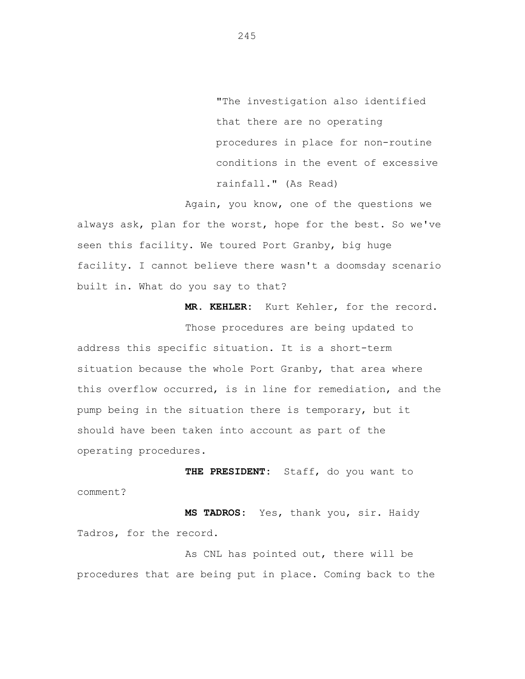"The investigation also identified that there are no operating procedures in place for non-routine conditions in the event of excessive rainfall." (As Read)

Again, you know, one of the questions we always ask, plan for the worst, hope for the best. So we've seen this facility. We toured Port Granby, big huge facility. I cannot believe there wasn't a doomsday scenario built in. What do you say to that?

 **MR. KEHLER:** Kurt Kehler, for the record.

Those procedures are being updated to address this specific situation. It is a short-term situation because the whole Port Granby, that area where this overflow occurred, is in line for remediation, and the pump being in the situation there is temporary, but it should have been taken into account as part of the operating procedures.

 **THE PRESIDENT:** Staff, do you want to comment?

 **MS TADROS:** Yes, thank you, sir. Haidy Tadros, for the record.

As CNL has pointed out, there will be procedures that are being put in place. Coming back to the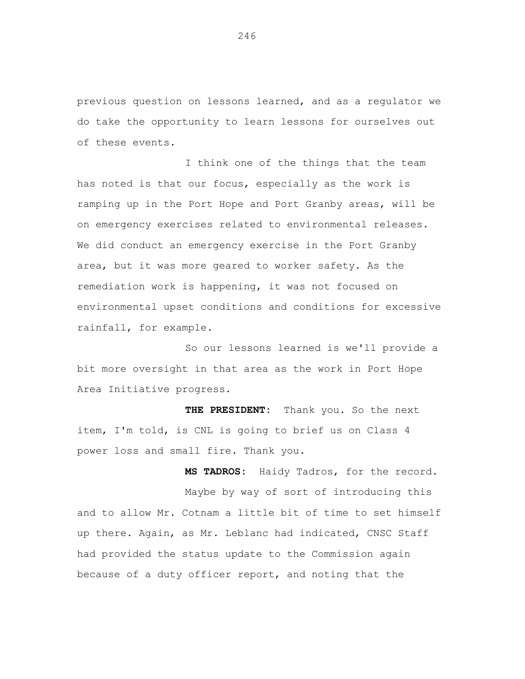previous question on lessons learned, and as a regulator we do take the opportunity to learn lessons for ourselves out of these events.

I think one of the things that the team has noted is that our focus, especially as the work is ramping up in the Port Hope and Port Granby areas, will be on emergency exercises related to environmental releases. We did conduct an emergency exercise in the Port Granby area, but it was more geared to worker safety. As the remediation work is happening, it was not focused on environmental upset conditions and conditions for excessive rainfall, for example.

So our lessons learned is we'll provide a bit more oversight in that area as the work in Port Hope Area Initiative progress.

 **THE PRESIDENT:** Thank you. So the next item, I'm told, is CNL is going to brief us on Class 4 power loss and small fire. Thank you.

 **MS TADROS:** Haidy Tadros, for the record. Maybe by way of sort of introducing this and to allow Mr. Cotnam a little bit of time to set himself up there. Again, as Mr. Leblanc had indicated, CNSC Staff had provided the status update to the Commission again because of a duty officer report, and noting that the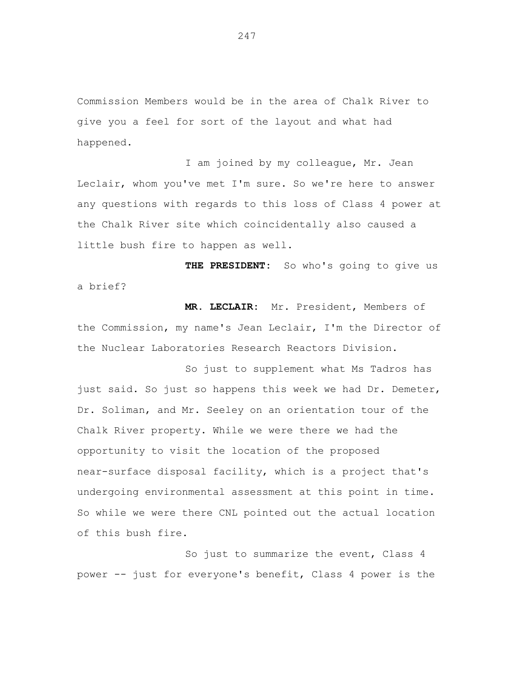Commission Members would be in the area of Chalk River to give you a feel for sort of the layout and what had happened.

I am joined by my colleague, Mr. Jean Leclair, whom you've met I'm sure. So we're here to answer any questions with regards to this loss of Class 4 power at the Chalk River site which coincidentally also caused a little bush fire to happen as well.

 **THE PRESIDENT:** So who's going to give us a brief?

 **MR. LECLAIR:** Mr. President, Members of the Commission, my name's Jean Leclair, I'm the Director of the Nuclear Laboratories Research Reactors Division.

So just to supplement what Ms Tadros has just said. So just so happens this week we had Dr. Demeter, Dr. Soliman, and Mr. Seeley on an orientation tour of the Chalk River property. While we were there we had the opportunity to visit the location of the proposed near-surface disposal facility, which is a project that's undergoing environmental assessment at this point in time. So while we were there CNL pointed out the actual location of this bush fire.

So just to summarize the event, Class 4 power -- just for everyone's benefit, Class 4 power is the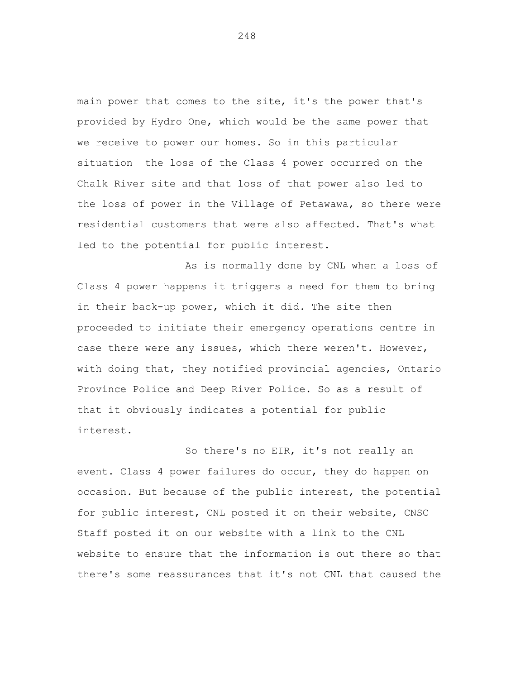main power that comes to the site, it's the power that's provided by Hydro One, which would be the same power that we receive to power our homes. So in this particular situation the loss of the Class 4 power occurred on the Chalk River site and that loss of that power also led to the loss of power in the Village of Petawawa, so there were residential customers that were also affected. That's what led to the potential for public interest.

As is normally done by CNL when a loss of Class 4 power happens it triggers a need for them to bring in their back-up power, which it did. The site then proceeded to initiate their emergency operations centre in case there were any issues, which there weren't. However, with doing that, they notified provincial agencies, Ontario Province Police and Deep River Police. So as a result of that it obviously indicates a potential for public interest.

So there's no EIR, it's not really an event. Class 4 power failures do occur, they do happen on occasion. But because of the public interest, the potential for public interest, CNL posted it on their website, CNSC Staff posted it on our website with a link to the CNL website to ensure that the information is out there so that there's some reassurances that it's not CNL that caused the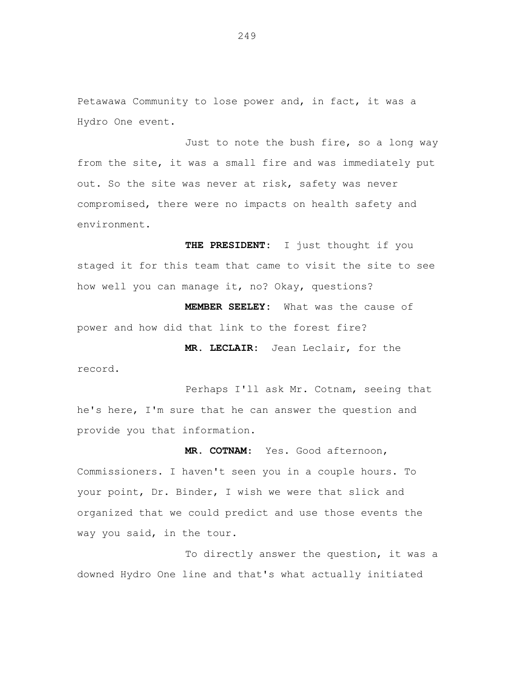Petawawa Community to lose power and, in fact, it was a Hydro One event.

Just to note the bush fire, so a long way from the site, it was a small fire and was immediately put out. So the site was never at risk, safety was never compromised, there were no impacts on health safety and environment.

 **THE PRESIDENT:** I just thought if you staged it for this team that came to visit the site to see how well you can manage it, no? Okay, questions?

 **MEMBER SEELEY:** What was the cause of power and how did that link to the forest fire?

 **MR. LECLAIR:** Jean Leclair, for the record.

Perhaps I'll ask Mr. Cotnam, seeing that he's here, I'm sure that he can answer the question and provide you that information.

 **MR. COTNAM**: Yes. Good afternoon, Commissioners. I haven't seen you in a couple hours. To your point, Dr. Binder, I wish we were that slick and organized that we could predict and use those events the way you said, in the tour.

To directly answer the question, it was a downed Hydro One line and that's what actually initiated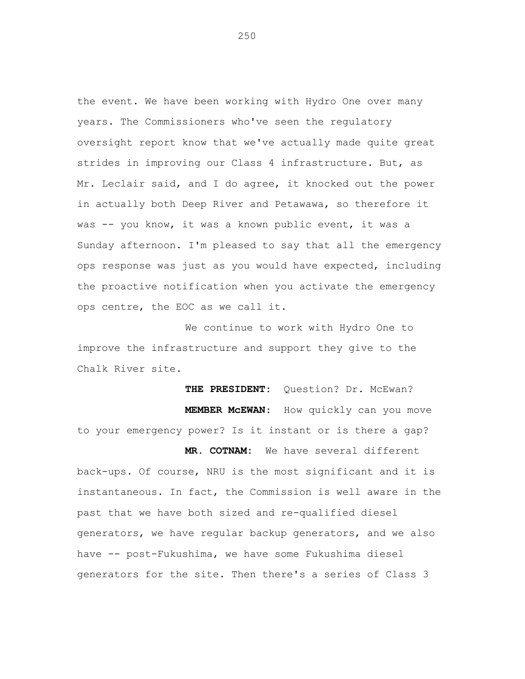the event. We have been working with Hydro One over many years. The Commissioners who've seen the regulatory oversight report know that we've actually made quite great strides in improving our Class 4 infrastructure. But, as Mr. Leclair said, and I do agree, it knocked out the power in actually both Deep River and Petawawa, so therefore it was -- you know, it was a known public event, it was a Sunday afternoon. I'm pleased to say that all the emergency ops response was just as you would have expected, including the proactive notification when you activate the emergency ops centre, the EOC as we call it.

We continue to work with Hydro One to improve the infrastructure and support they give to the Chalk River site.

THE PRESIDENT: Question? Dr. McEwan?  **MEMBER McEWAN**: How quickly can you move to your emergency power? Is it instant or is there a gap?

**MR. COTNAM:** We have several different back-ups. Of course, NRU is the most significant and it is instantaneous. In fact, the Commission is well aware in the past that we have both sized and re-qualified diesel generators, we have regular backup generators, and we also have -- post-Fukushima, we have some Fukushima diesel generators for the site. Then there's a series of Class 3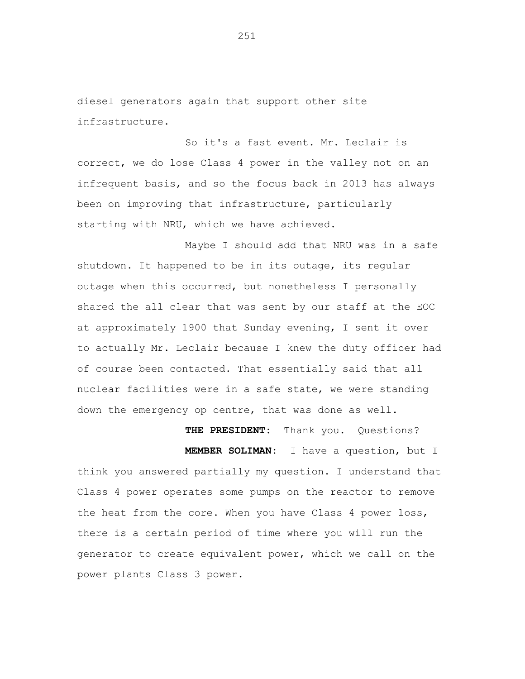diesel generators again that support other site infrastructure.

So it's a fast event. Mr. Leclair is correct, we do lose Class 4 power in the valley not on an infrequent basis, and so the focus back in 2013 has always been on improving that infrastructure, particularly starting with NRU, which we have achieved.

Maybe I should add that NRU was in a safe shutdown. It happened to be in its outage, its regular outage when this occurred, but nonetheless I personally shared the all clear that was sent by our staff at the EOC at approximately 1900 that Sunday evening, I sent it over to actually Mr. Leclair because I knew the duty officer had of course been contacted. That essentially said that all nuclear facilities were in a safe state, we were standing down the emergency op centre, that was done as well.

 **THE PRESIDENT:** Thank you. Questions?

 **MEMBER SOLIMAN:** I have a question, but I think you answered partially my question. I understand that Class 4 power operates some pumps on the reactor to remove the heat from the core. When you have Class 4 power loss, there is a certain period of time where you will run the generator to create equivalent power, which we call on the power plants Class 3 power.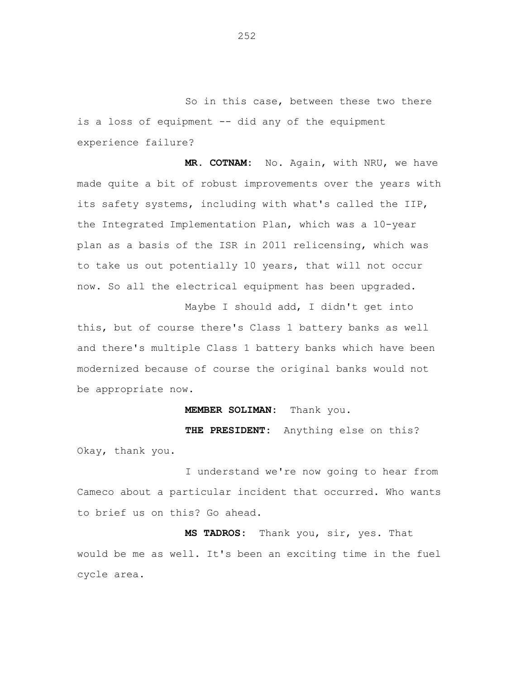So in this case, between these two there is a loss of equipment -- did any of the equipment experience failure?

 **MR. COTNAM:** No. Again, with NRU, we have made quite a bit of robust improvements over the years with its safety systems, including with what's called the IIP, the Integrated Implementation Plan, which was a 10-year plan as a basis of the ISR in 2011 relicensing, which was to take us out potentially 10 years, that will not occur now. So all the electrical equipment has been upgraded.

Maybe I should add, I didn't get into this, but of course there's Class 1 battery banks as well and there's multiple Class 1 battery banks which have been modernized because of course the original banks would not be appropriate now.

## **MEMBER SOLIMAN:** Thank you.

 **THE PRESIDENT:** Anything else on this? Okay, thank you.

I understand we're now going to hear from Cameco about a particular incident that occurred. Who wants to brief us on this? Go ahead.

 **MS TADROS:** Thank you, sir, yes. That would be me as well. It's been an exciting time in the fuel cycle area.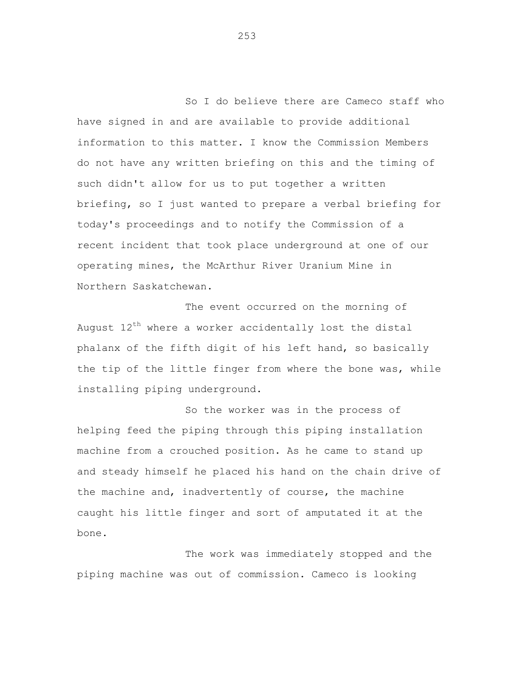So I do believe there are Cameco staff who have signed in and are available to provide additional information to this matter. I know the Commission Members do not have any written briefing on this and the timing of such didn't allow for us to put together a written briefing, so I just wanted to prepare a verbal briefing for today's proceedings and to notify the Commission of a recent incident that took place underground at one of our operating mines, the McArthur River Uranium Mine in Northern Saskatchewan.

The event occurred on the morning of August  $12<sup>th</sup>$  where a worker accidentally lost the distal phalanx of the fifth digit of his left hand, so basically the tip of the little finger from where the bone was, while installing piping underground.

So the worker was in the process of helping feed the piping through this piping installation machine from a crouched position. As he came to stand up and steady himself he placed his hand on the chain drive of the machine and, inadvertently of course, the machine caught his little finger and sort of amputated it at the bone.

The work was immediately stopped and the piping machine was out of commission. Cameco is looking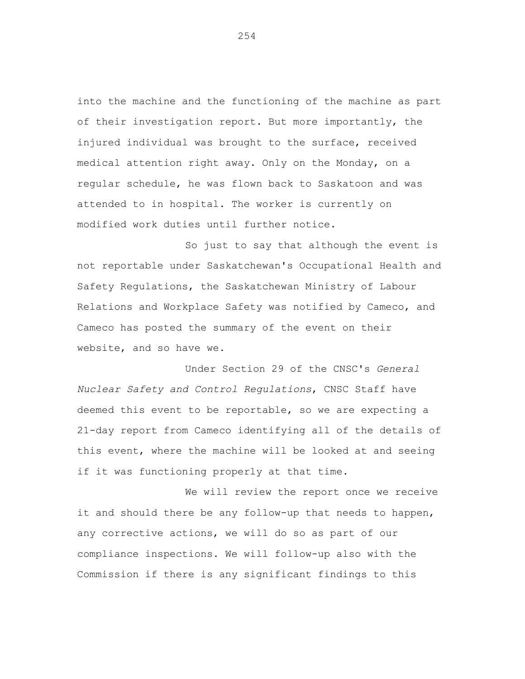into the machine and the functioning of the machine as part of their investigation report. But more importantly, the injured individual was brought to the surface, received medical attention right away. Only on the Monday, on a regular schedule, he was flown back to Saskatoon and was attended to in hospital. The worker is currently on modified work duties until further notice.

So just to say that although the event is not reportable under Saskatchewan's Occupational Health and Safety Regulations, the Saskatchewan Ministry of Labour Relations and Workplace Safety was notified by Cameco, and Cameco has posted the summary of the event on their website, and so have we.

Under Section 29 of the CNSC's *General Nuclear Safety and Control Regulations*, CNSC Staff have deemed this event to be reportable, so we are expecting a 21-day report from Cameco identifying all of the details of this event, where the machine will be looked at and seeing if it was functioning properly at that time.

We will review the report once we receive it and should there be any follow-up that needs to happen, any corrective actions, we will do so as part of our compliance inspections. We will follow-up also with the Commission if there is any significant findings to this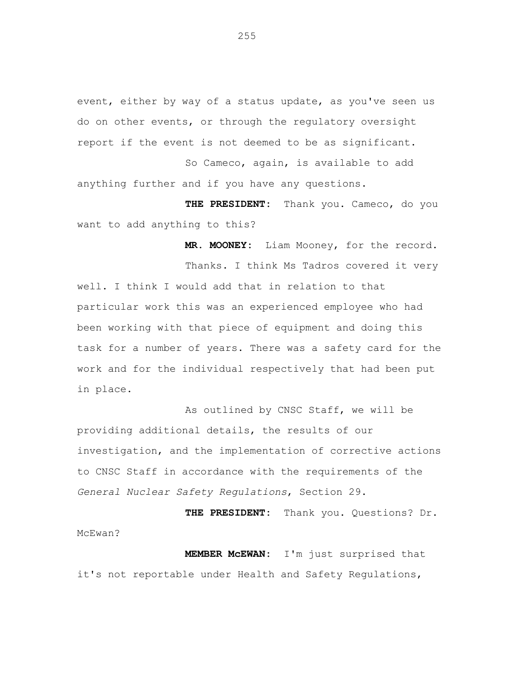event, either by way of a status update, as you've seen us do on other events, or through the regulatory oversight report if the event is not deemed to be as significant.

So Cameco, again, is available to add anything further and if you have any questions.

 **THE PRESIDENT:** Thank you. Cameco, do you want to add anything to this?

 **MR. MOONEY:** Liam Mooney, for the record.

Thanks. I think Ms Tadros covered it very well. I think I would add that in relation to that particular work this was an experienced employee who had been working with that piece of equipment and doing this task for a number of years. There was a safety card for the work and for the individual respectively that had been put in place.

As outlined by CNSC Staff, we will be providing additional details, the results of our investigation, and the implementation of corrective actions to CNSC Staff in accordance with the requirements of the *General Nuclear Safety Regulations*, Section 29.

 **THE PRESIDENT:** Thank you. Questions? Dr. McEwan?

**MEMBER McEWAN:** I'm just surprised that it's not reportable under Health and Safety Regulations,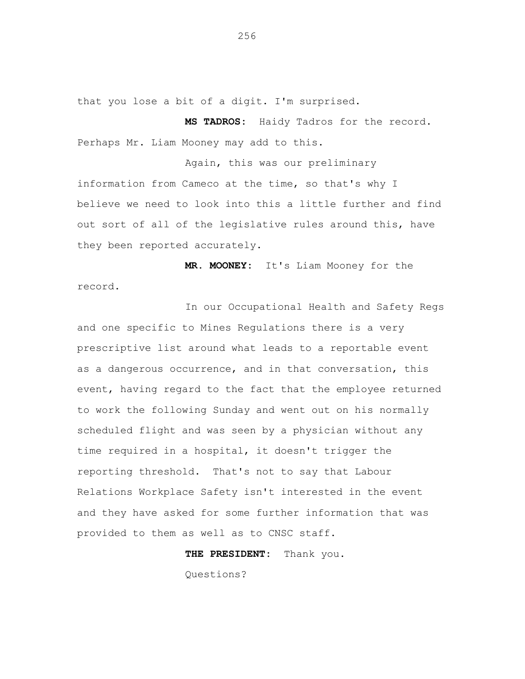that you lose a bit of a digit. I'm surprised.

**MS TADROS:** Haidy Tadros for the record. Perhaps Mr. Liam Mooney may add to this.

Again, this was our preliminary information from Cameco at the time, so that's why I believe we need to look into this a little further and find out sort of all of the legislative rules around this, have they been reported accurately.

**MR. MOONEY:** It's Liam Mooney for the record.

In our Occupational Health and Safety Regs and one specific to Mines Regulations there is a very prescriptive list around what leads to a reportable event as a dangerous occurrence, and in that conversation, this event, having regard to the fact that the employee returned to work the following Sunday and went out on his normally scheduled flight and was seen by a physician without any time required in a hospital, it doesn't trigger the reporting threshold. That's not to say that Labour Relations Workplace Safety isn't interested in the event and they have asked for some further information that was provided to them as well as to CNSC staff.

**THE PRESIDENT:** Thank you.

Questions?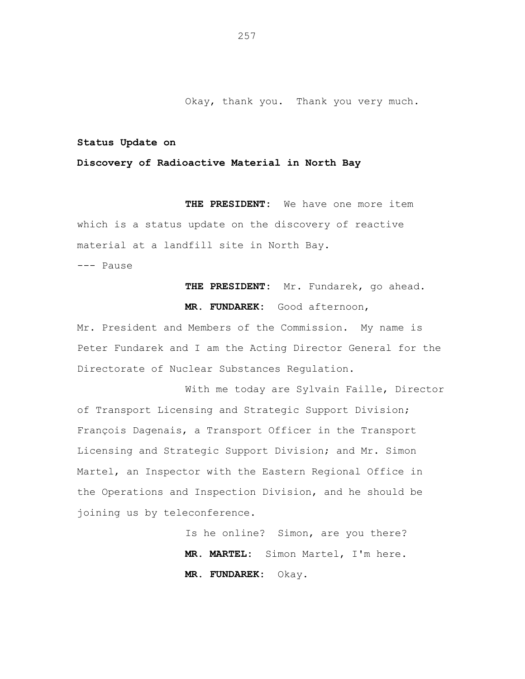Okay, thank you. Thank you very much.

## **Status Update on**

## **Discovery of Radioactive Material in North Bay**

 **THE PRESIDENT:** We have one more item which is a status update on the discovery of reactive material at a landfill site in North Bay.

--- Pause

**THE PRESIDENT:** Mr. Fundarek, go ahead. **MR. FUNDAREK:** Good afternoon,

Mr. President and Members of the Commission. My name is Peter Fundarek and I am the Acting Director General for the Directorate of Nuclear Substances Regulation.

With me today are Sylvain Faille, Director of Transport Licensing and Strategic Support Division; François Dagenais, a Transport Officer in the Transport Licensing and Strategic Support Division; and Mr. Simon Martel, an Inspector with the Eastern Regional Office in the Operations and Inspection Division, and he should be joining us by teleconference.

> Is he online? Simon, are you there? **MR. MARTEL:** Simon Martel, I'm here. **MR. FUNDAREK:** Okay.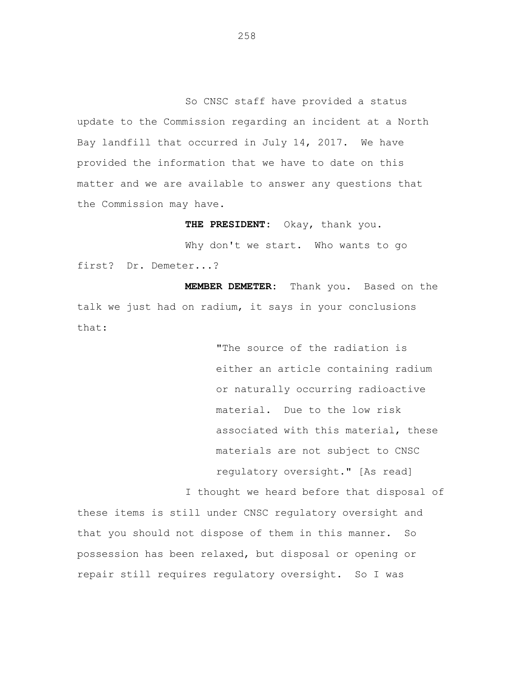So CNSC staff have provided a status update to the Commission regarding an incident at a North Bay landfill that occurred in July 14, 2017. We have provided the information that we have to date on this matter and we are available to answer any questions that the Commission may have.

**THE PRESIDENT:** Okay, thank you.

Why don't we start. Who wants to go first? Dr. Demeter...?

**MEMBER DEMETER:** Thank you. Based on the talk we just had on radium, it says in your conclusions that:

> "The source of the radiation is either an article containing radium or naturally occurring radioactive material. Due to the low risk associated with this material, these materials are not subject to CNSC regulatory oversight." [As read]

I thought we heard before that disposal of these items is still under CNSC regulatory oversight and that you should not dispose of them in this manner. So possession has been relaxed, but disposal or opening or repair still requires regulatory oversight. So I was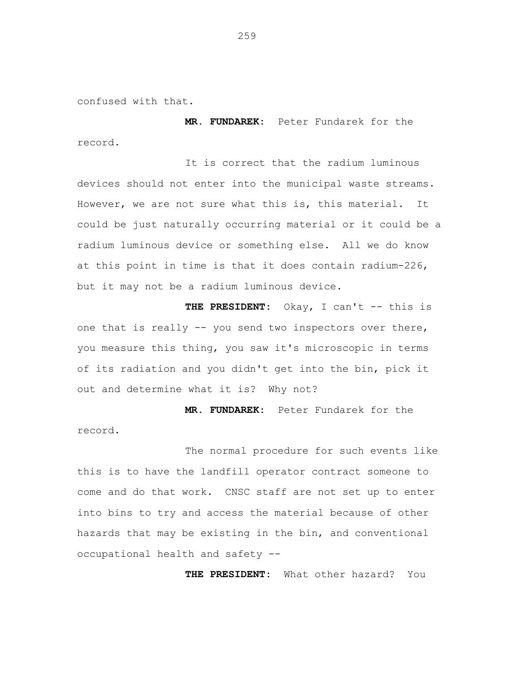confused with that.

**MR. FUNDAREK:** Peter Fundarek for the record.

It is correct that the radium luminous devices should not enter into the municipal waste streams. However, we are not sure what this is, this material. It could be just naturally occurring material or it could be a radium luminous device or something else. All we do know at this point in time is that it does contain radium-226, but it may not be a radium luminous device.

**THE PRESIDENT:** Okay, I can't -- this is one that is really -- you send two inspectors over there, you measure this thing, you saw it's microscopic in terms of its radiation and you didn't get into the bin, pick it out and determine what it is? Why not?

**MR. FUNDAREK:** Peter Fundarek for the record.

The normal procedure for such events like this is to have the landfill operator contract someone to come and do that work. CNSC staff are not set up to enter into bins to try and access the material because of other hazards that may be existing in the bin, and conventional occupational health and safety --

**THE PRESIDENT:** What other hazard? You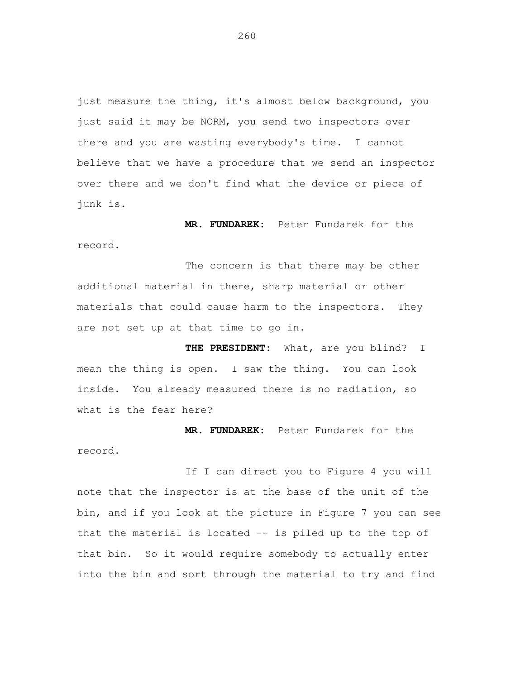just measure the thing, it's almost below background, you just said it may be NORM, you send two inspectors over there and you are wasting everybody's time. I cannot believe that we have a procedure that we send an inspector over there and we don't find what the device or piece of junk is.

**MR. FUNDAREK:** Peter Fundarek for the record.

The concern is that there may be other additional material in there, sharp material or other materials that could cause harm to the inspectors. They are not set up at that time to go in.

**THE PRESIDENT:** What, are you blind? I mean the thing is open. I saw the thing. You can look inside. You already measured there is no radiation, so what is the fear here?

**MR. FUNDAREK:** Peter Fundarek for the record.

If I can direct you to Figure 4 you will note that the inspector is at the base of the unit of the bin, and if you look at the picture in Figure 7 you can see that the material is located -- is piled up to the top of that bin. So it would require somebody to actually enter into the bin and sort through the material to try and find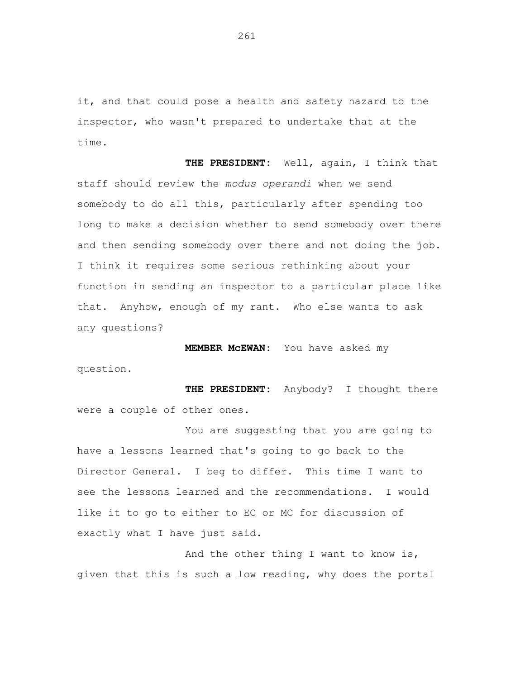it, and that could pose a health and safety hazard to the inspector, who wasn't prepared to undertake that at the time.

**THE PRESIDENT:** Well, again, I think that staff should review the *modus operandi* when we send somebody to do all this, particularly after spending too long to make a decision whether to send somebody over there and then sending somebody over there and not doing the job. I think it requires some serious rethinking about your function in sending an inspector to a particular place like that. Anyhow, enough of my rant. Who else wants to ask any questions?

**MEMBER McEWAN:** You have asked my

question.

**THE PRESIDENT:** Anybody? I thought there were a couple of other ones.

You are suggesting that you are going to have a lessons learned that's going to go back to the Director General. I beg to differ. This time I want to see the lessons learned and the recommendations. I would like it to go to either to EC or MC for discussion of exactly what I have just said.

And the other thing I want to know is, given that this is such a low reading, why does the portal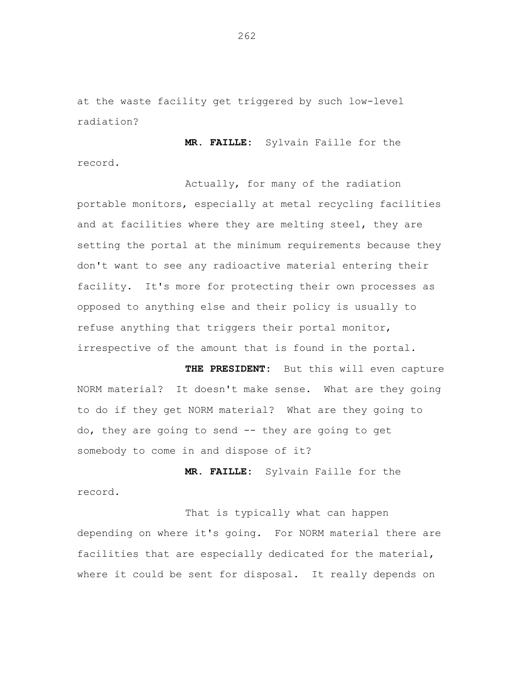at the waste facility get triggered by such low-level radiation?

**MR. FAILLE:** Sylvain Faille for the record.

Actually, for many of the radiation portable monitors, especially at metal recycling facilities and at facilities where they are melting steel, they are setting the portal at the minimum requirements because they don't want to see any radioactive material entering their facility. It's more for protecting their own processes as opposed to anything else and their policy is usually to refuse anything that triggers their portal monitor, irrespective of the amount that is found in the portal.

**THE PRESIDENT:** But this will even capture NORM material? It doesn't make sense. What are they going to do if they get NORM material? What are they going to do, they are going to send -- they are going to get somebody to come in and dispose of it?

**MR. FAILLE:** Sylvain Faille for the record.

That is typically what can happen depending on where it's going. For NORM material there are facilities that are especially dedicated for the material, where it could be sent for disposal. It really depends on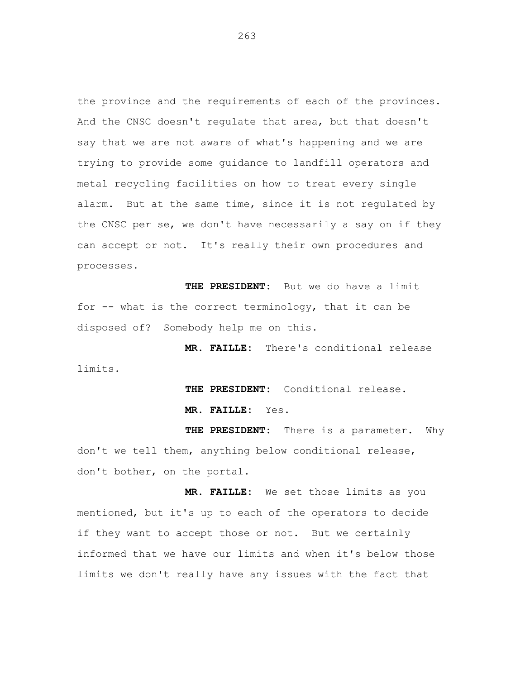the province and the requirements of each of the provinces. And the CNSC doesn't regulate that area, but that doesn't say that we are not aware of what's happening and we are trying to provide some guidance to landfill operators and metal recycling facilities on how to treat every single alarm. But at the same time, since it is not regulated by the CNSC per se, we don't have necessarily a say on if they can accept or not. It's really their own procedures and processes.

**THE PRESIDENT:** But we do have a limit for -- what is the correct terminology, that it can be disposed of? Somebody help me on this.

**MR. FAILLE:** There's conditional release limits.

**THE PRESIDENT:** Conditional release.

**MR. FAILLE:** Yes.

**THE PRESIDENT:** There is a parameter. Why don't we tell them, anything below conditional release, don't bother, on the portal.

**MR. FAILLE:** We set those limits as you mentioned, but it's up to each of the operators to decide if they want to accept those or not. But we certainly informed that we have our limits and when it's below those limits we don't really have any issues with the fact that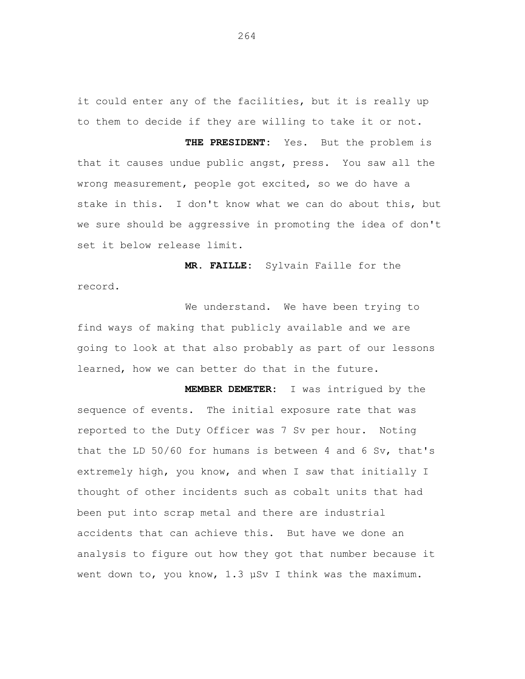it could enter any of the facilities, but it is really up to them to decide if they are willing to take it or not.

**THE PRESIDENT:** Yes. But the problem is that it causes undue public angst, press. You saw all the wrong measurement, people got excited, so we do have a stake in this. I don't know what we can do about this, but we sure should be aggressive in promoting the idea of don't set it below release limit.

**MR. FAILLE:** Sylvain Faille for the record.

We understand. We have been trying to find ways of making that publicly available and we are going to look at that also probably as part of our lessons learned, how we can better do that in the future.

**MEMBER DEMETER:** I was intrigued by the sequence of events. The initial exposure rate that was reported to the Duty Officer was 7 Sv per hour. Noting that the LD 50/60 for humans is between 4 and 6 Sv, that's extremely high, you know, and when I saw that initially I thought of other incidents such as cobalt units that had been put into scrap metal and there are industrial accidents that can achieve this. But have we done an analysis to figure out how they got that number because it went down to, you know, 1.3 µSv I think was the maximum.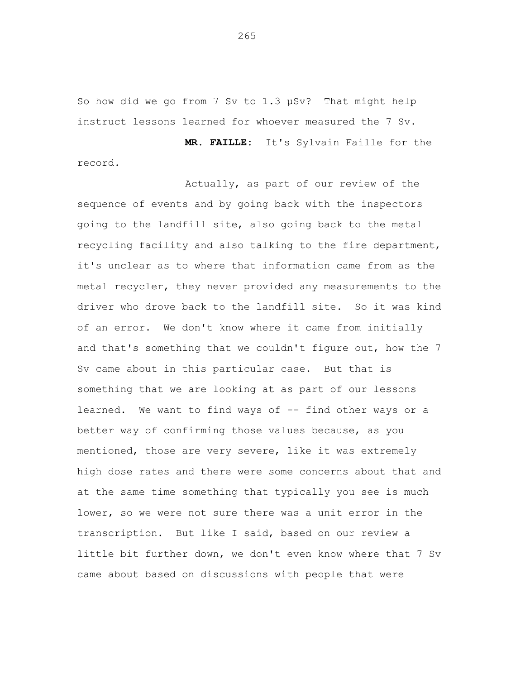So how did we go from 7 Sv to 1.3 µSv? That might help instruct lessons learned for whoever measured the 7 Sv.

**MR. FAILLE:** It's Sylvain Faille for the record.

Actually, as part of our review of the sequence of events and by going back with the inspectors going to the landfill site, also going back to the metal recycling facility and also talking to the fire department, it's unclear as to where that information came from as the metal recycler, they never provided any measurements to the driver who drove back to the landfill site. So it was kind of an error. We don't know where it came from initially and that's something that we couldn't figure out, how the 7 Sv came about in this particular case. But that is something that we are looking at as part of our lessons learned. We want to find ways of -- find other ways or a better way of confirming those values because, as you mentioned, those are very severe, like it was extremely high dose rates and there were some concerns about that and at the same time something that typically you see is much lower, so we were not sure there was a unit error in the transcription. But like I said, based on our review a little bit further down, we don't even know where that 7 Sv came about based on discussions with people that were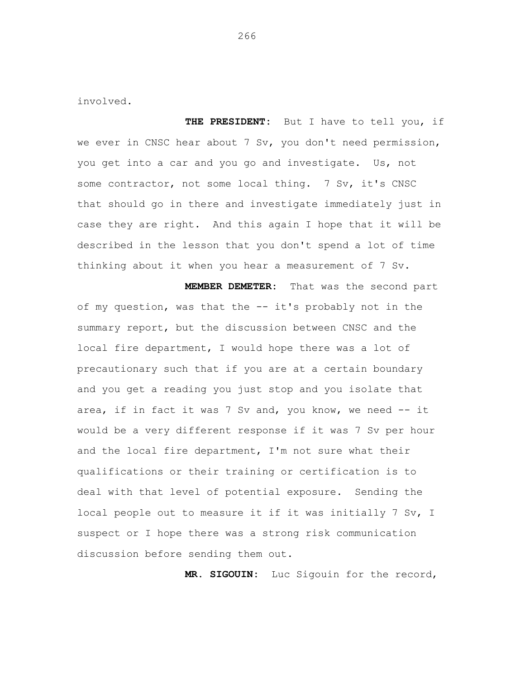involved.

**THE PRESIDENT:** But I have to tell you, if we ever in CNSC hear about 7 Sv, you don't need permission, you get into a car and you go and investigate. Us, not some contractor, not some local thing. 7 Sv, it's CNSC that should go in there and investigate immediately just in case they are right. And this again I hope that it will be described in the lesson that you don't spend a lot of time thinking about it when you hear a measurement of 7 Sv.

**MEMBER DEMETER:** That was the second part of my question, was that the -- it's probably not in the summary report, but the discussion between CNSC and the local fire department, I would hope there was a lot of precautionary such that if you are at a certain boundary and you get a reading you just stop and you isolate that area, if in fact it was 7 Sv and, you know, we need -- it would be a very different response if it was 7 Sv per hour and the local fire department, I'm not sure what their qualifications or their training or certification is to deal with that level of potential exposure. Sending the local people out to measure it if it was initially 7 Sv, I suspect or I hope there was a strong risk communication discussion before sending them out.

**MR. SIGOUIN:** Luc Sigouin for the record,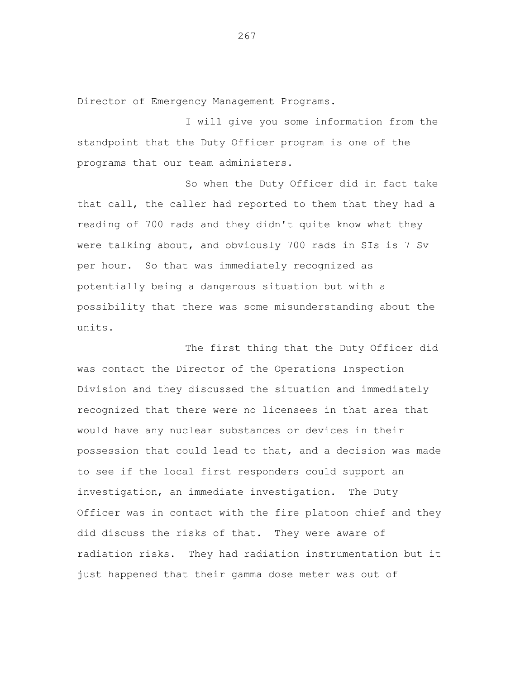Director of Emergency Management Programs.

I will give you some information from the standpoint that the Duty Officer program is one of the programs that our team administers.

So when the Duty Officer did in fact take that call, the caller had reported to them that they had a reading of 700 rads and they didn't quite know what they were talking about, and obviously 700 rads in SIs is 7 Sv per hour. So that was immediately recognized as potentially being a dangerous situation but with a possibility that there was some misunderstanding about the units.

The first thing that the Duty Officer did was contact the Director of the Operations Inspection Division and they discussed the situation and immediately recognized that there were no licensees in that area that would have any nuclear substances or devices in their possession that could lead to that, and a decision was made to see if the local first responders could support an investigation, an immediate investigation. The Duty Officer was in contact with the fire platoon chief and they did discuss the risks of that. They were aware of radiation risks. They had radiation instrumentation but it just happened that their gamma dose meter was out of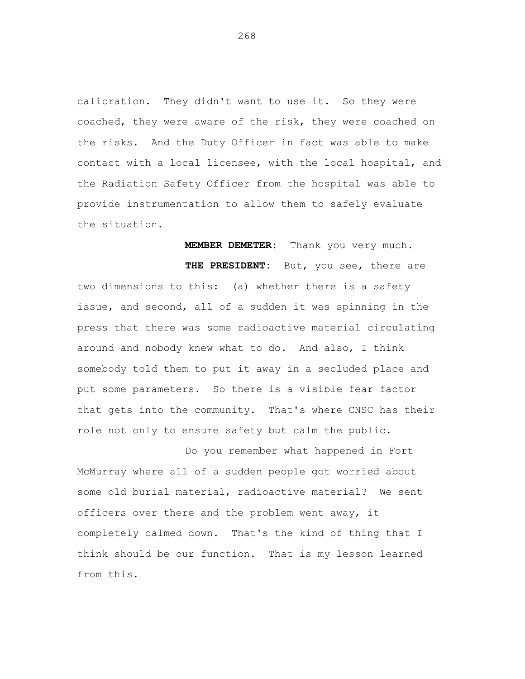calibration. They didn't want to use it. So they were coached, they were aware of the risk, they were coached on the risks. And the Duty Officer in fact was able to make contact with a local licensee, with the local hospital, and the Radiation Safety Officer from the hospital was able to provide instrumentation to allow them to safely evaluate the situation.

**MEMBER DEMETER:** Thank you very much. **THE PRESIDENT:** But, you see, there are two dimensions to this: (a) whether there is a safety issue, and second, all of a sudden it was spinning in the press that there was some radioactive material circulating around and nobody knew what to do. And also, I think somebody told them to put it away in a secluded place and put some parameters. So there is a visible fear factor that gets into the community. That's where CNSC has their role not only to ensure safety but calm the public.

Do you remember what happened in Fort McMurray where all of a sudden people got worried about some old burial material, radioactive material? We sent officers over there and the problem went away, it completely calmed down. That's the kind of thing that I think should be our function. That is my lesson learned from this.